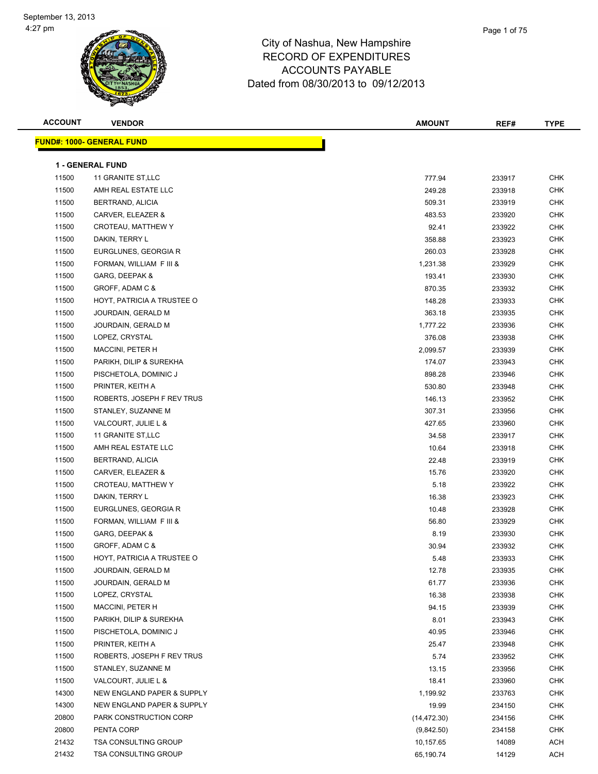| <b>ACCOUNT</b> | <b>VENDOR</b>                     | <b>AMOUNT</b> | REF#   | <b>TYPE</b> |
|----------------|-----------------------------------|---------------|--------|-------------|
|                | <u> FUND#: 1000- GENERAL FUND</u> |               |        |             |
|                |                                   |               |        |             |
|                | <b>1 - GENERAL FUND</b>           |               |        |             |
| 11500          | 11 GRANITE ST, LLC                | 777.94        | 233917 | <b>CHK</b>  |
| 11500          | AMH REAL ESTATE LLC               | 249.28        | 233918 | <b>CHK</b>  |
| 11500          | BERTRAND, ALICIA                  | 509.31        | 233919 | <b>CHK</b>  |
| 11500          | CARVER, ELEAZER &                 | 483.53        | 233920 | <b>CHK</b>  |
| 11500          | CROTEAU, MATTHEW Y                | 92.41         | 233922 | CHK         |
| 11500          | DAKIN, TERRY L                    | 358.88        | 233923 | CHK         |
| 11500          | EURGLUNES, GEORGIA R              | 260.03        | 233928 | <b>CHK</b>  |
| 11500          | FORMAN, WILLIAM F III &           | 1,231.38      | 233929 | <b>CHK</b>  |
| 11500          | GARG, DEEPAK &                    | 193.41        | 233930 | <b>CHK</b>  |
| 11500          | GROFF, ADAM C &                   | 870.35        | 233932 | <b>CHK</b>  |
| 11500          | HOYT, PATRICIA A TRUSTEE O        | 148.28        | 233933 | <b>CHK</b>  |
| 11500          | JOURDAIN, GERALD M                | 363.18        | 233935 | <b>CHK</b>  |
| 11500          | JOURDAIN, GERALD M                | 1,777.22      | 233936 | <b>CHK</b>  |
| 11500          | LOPEZ, CRYSTAL                    | 376.08        | 233938 | <b>CHK</b>  |
| 11500          | MACCINI, PETER H                  | 2,099.57      | 233939 | <b>CHK</b>  |
| 11500          | PARIKH, DILIP & SUREKHA           | 174.07        | 233943 | CHK         |
| 11500          | PISCHETOLA, DOMINIC J             | 898.28        | 233946 | CHK         |
| 11500          | PRINTER, KEITH A                  | 530.80        | 233948 | <b>CHK</b>  |
| 11500          | ROBERTS, JOSEPH F REV TRUS        | 146.13        | 233952 | <b>CHK</b>  |
| 11500          | STANLEY, SUZANNE M                | 307.31        | 233956 | <b>CHK</b>  |
| 11500          | VALCOURT, JULIE L &               | 427.65        | 233960 | <b>CHK</b>  |
| 11500          | 11 GRANITE ST,LLC                 | 34.58         | 233917 | <b>CHK</b>  |
| 11500          | AMH REAL ESTATE LLC               | 10.64         | 233918 | <b>CHK</b>  |
| 11500          | BERTRAND, ALICIA                  | 22.48         | 233919 | <b>CHK</b>  |
| 11500          | CARVER, ELEAZER &                 | 15.76         | 233920 | CHK         |
| 11500          | CROTEAU, MATTHEW Y                | 5.18          | 233922 | <b>CHK</b>  |
| 11500          | DAKIN, TERRY L                    | 16.38         | 233923 | CHK         |
| 11500          | EURGLUNES, GEORGIA R              | 10.48         | 233928 | CHK         |
| 11500          | FORMAN, WILLIAM F III &           | 56.80         | 233929 | <b>CHK</b>  |
| 11500          | GARG, DEEPAK &                    | 8.19          | 233930 | CHK         |
| 11500          | GROFF, ADAM C &                   | 30.94         | 233932 | <b>CHK</b>  |
| 11500          | HOYT, PATRICIA A TRUSTEE O        | 5.48          | 233933 | <b>CHK</b>  |
| 11500          | JOURDAIN, GERALD M                | 12.78         | 233935 | <b>CHK</b>  |
| 11500          | JOURDAIN, GERALD M                | 61.77         | 233936 | <b>CHK</b>  |
| 11500          | LOPEZ, CRYSTAL                    | 16.38         | 233938 | <b>CHK</b>  |
| 11500          | <b>MACCINI, PETER H</b>           | 94.15         | 233939 | CHK         |
| 11500          | PARIKH, DILIP & SUREKHA           | 8.01          | 233943 | <b>CHK</b>  |
| 11500          | PISCHETOLA, DOMINIC J             | 40.95         | 233946 | CHK         |
| 11500          | PRINTER, KEITH A                  | 25.47         | 233948 | CHK         |
| 11500          | ROBERTS, JOSEPH F REV TRUS        | 5.74          | 233952 | <b>CHK</b>  |
| 11500          | STANLEY, SUZANNE M                | 13.15         | 233956 | CHK         |
| 11500          | VALCOURT, JULIE L &               | 18.41         | 233960 | <b>CHK</b>  |
| 14300          | NEW ENGLAND PAPER & SUPPLY        | 1,199.92      | 233763 | <b>CHK</b>  |
| 14300          | NEW ENGLAND PAPER & SUPPLY        | 19.99         | 234150 | CHK         |
| 20800          | PARK CONSTRUCTION CORP            | (14, 472.30)  | 234156 | <b>CHK</b>  |
| 20800          | PENTA CORP                        | (9,842.50)    | 234158 | <b>CHK</b>  |
| 21432          | <b>TSA CONSULTING GROUP</b>       | 10,157.65     | 14089  | ACH         |
| 21432          | TSA CONSULTING GROUP              | 65,190.74     | 14129  | ACH         |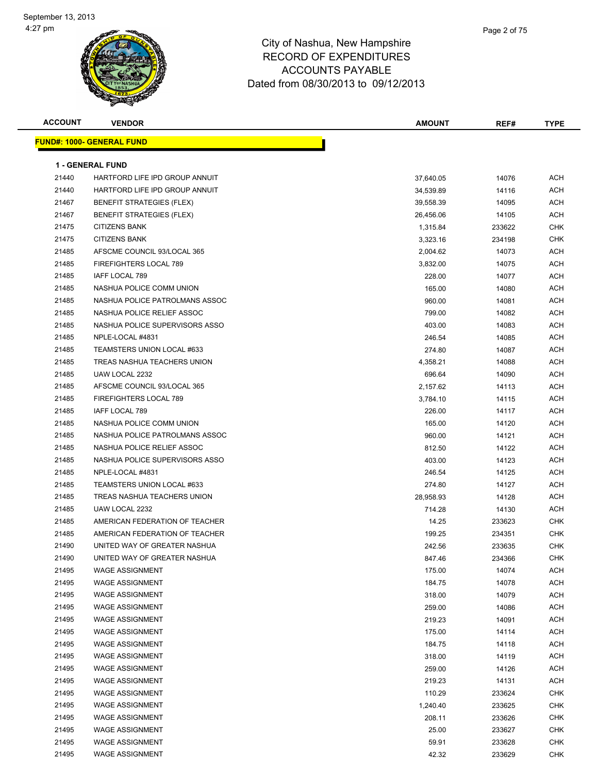

| <b>ACCOUNT</b> | <b>VENDOR</b>                    | AMOUNT    | REF#   | <b>TYPE</b> |
|----------------|----------------------------------|-----------|--------|-------------|
|                | <b>FUND#: 1000- GENERAL FUND</b> |           |        |             |
|                |                                  |           |        |             |
|                | <b>1 - GENERAL FUND</b>          |           |        |             |
| 21440          | HARTFORD LIFE IPD GROUP ANNUIT   | 37,640.05 | 14076  | ACH         |
| 21440          | HARTFORD LIFE IPD GROUP ANNUIT   | 34,539.89 | 14116  | <b>ACH</b>  |
| 21467          | <b>BENEFIT STRATEGIES (FLEX)</b> | 39,558.39 | 14095  | <b>ACH</b>  |
| 21467          | <b>BENEFIT STRATEGIES (FLEX)</b> | 26,456.06 | 14105  | <b>ACH</b>  |
| 21475          | <b>CITIZENS BANK</b>             | 1,315.84  | 233622 | <b>CHK</b>  |
| 21475          | <b>CITIZENS BANK</b>             | 3,323.16  | 234198 | <b>CHK</b>  |
| 21485          | AFSCME COUNCIL 93/LOCAL 365      | 2,004.62  | 14073  | <b>ACH</b>  |
| 21485          | FIREFIGHTERS LOCAL 789           | 3,832.00  | 14075  | <b>ACH</b>  |
| 21485          | IAFF LOCAL 789                   | 228.00    | 14077  | <b>ACH</b>  |
| 21485          | NASHUA POLICE COMM UNION         | 165.00    | 14080  | <b>ACH</b>  |
| 21485          | NASHUA POLICE PATROLMANS ASSOC   | 960.00    | 14081  | <b>ACH</b>  |
| 21485          | NASHUA POLICE RELIEF ASSOC       | 799.00    | 14082  | <b>ACH</b>  |
| 21485          | NASHUA POLICE SUPERVISORS ASSO   | 403.00    | 14083  | <b>ACH</b>  |
| 21485          | NPLE-LOCAL #4831                 | 246.54    | 14085  | <b>ACH</b>  |
| 21485          | TEAMSTERS UNION LOCAL #633       | 274.80    | 14087  | <b>ACH</b>  |
| 21485          | TREAS NASHUA TEACHERS UNION      | 4,358.21  | 14088  | <b>ACH</b>  |
| 21485          | UAW LOCAL 2232                   | 696.64    | 14090  | <b>ACH</b>  |
| 21485          | AFSCME COUNCIL 93/LOCAL 365      | 2,157.62  | 14113  | <b>ACH</b>  |
| 21485          | <b>FIREFIGHTERS LOCAL 789</b>    | 3,784.10  | 14115  | <b>ACH</b>  |
| 21485          | IAFF LOCAL 789                   | 226.00    | 14117  | <b>ACH</b>  |
| 21485          | NASHUA POLICE COMM UNION         | 165.00    | 14120  | <b>ACH</b>  |
| 21485          | NASHUA POLICE PATROLMANS ASSOC   | 960.00    | 14121  | <b>ACH</b>  |
| 21485          | NASHUA POLICE RELIEF ASSOC       | 812.50    | 14122  | <b>ACH</b>  |
| 21485          | NASHUA POLICE SUPERVISORS ASSO   | 403.00    | 14123  | <b>ACH</b>  |
| 21485          | NPLE-LOCAL #4831                 | 246.54    | 14125  | <b>ACH</b>  |
| 21485          | TEAMSTERS UNION LOCAL #633       | 274.80    | 14127  | <b>ACH</b>  |
| 21485          | TREAS NASHUA TEACHERS UNION      | 28,958.93 | 14128  | <b>ACH</b>  |
| 21485          | UAW LOCAL 2232                   | 714.28    | 14130  | <b>ACH</b>  |
| 21485          | AMERICAN FEDERATION OF TEACHER   | 14.25     | 233623 | <b>CHK</b>  |
| 21485          | AMERICAN FEDERATION OF TEACHER   | 199.25    | 234351 | <b>CHK</b>  |
| 21490          | UNITED WAY OF GREATER NASHUA     | 242.56    | 233635 | <b>CHK</b>  |
| 21490          | UNITED WAY OF GREATER NASHUA     | 847.46    | 234366 | CHK         |
| 21495          | <b>WAGE ASSIGNMENT</b>           | 175.00    | 14074  | <b>ACH</b>  |
| 21495          | <b>WAGE ASSIGNMENT</b>           | 184.75    | 14078  | <b>ACH</b>  |
| 21495          | <b>WAGE ASSIGNMENT</b>           | 318.00    | 14079  | <b>ACH</b>  |
| 21495          | <b>WAGE ASSIGNMENT</b>           | 259.00    | 14086  | <b>ACH</b>  |
| 21495          | <b>WAGE ASSIGNMENT</b>           | 219.23    | 14091  | <b>ACH</b>  |
| 21495          | <b>WAGE ASSIGNMENT</b>           | 175.00    | 14114  | <b>ACH</b>  |
| 21495          | <b>WAGE ASSIGNMENT</b>           | 184.75    | 14118  | <b>ACH</b>  |
| 21495          | <b>WAGE ASSIGNMENT</b>           | 318.00    | 14119  | <b>ACH</b>  |
| 21495          | <b>WAGE ASSIGNMENT</b>           | 259.00    | 14126  | <b>ACH</b>  |
| 21495          | <b>WAGE ASSIGNMENT</b>           | 219.23    | 14131  | <b>ACH</b>  |
| 21495          | <b>WAGE ASSIGNMENT</b>           | 110.29    | 233624 | <b>CHK</b>  |
| 21495          | <b>WAGE ASSIGNMENT</b>           | 1,240.40  | 233625 | <b>CHK</b>  |
| 21495          | <b>WAGE ASSIGNMENT</b>           | 208.11    | 233626 | <b>CHK</b>  |
| 21495          | <b>WAGE ASSIGNMENT</b>           | 25.00     | 233627 | <b>CHK</b>  |
| 21495          | <b>WAGE ASSIGNMENT</b>           | 59.91     | 233628 | <b>CHK</b>  |
| 21495          | <b>WAGE ASSIGNMENT</b>           | 42.32     | 233629 | <b>CHK</b>  |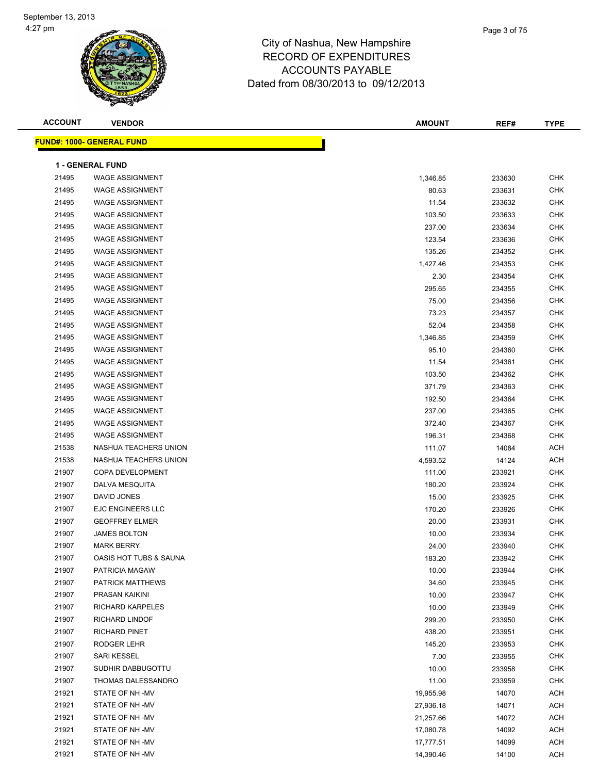**FUND#: 1000- GENERAL F** 



## City of Nashua, New Hampshire RECORD OF EXPENDITURES ACCOUNTS PAYABLE Dated from 08/30/2013 to 09/12/2013

| <b>ACCOUNT</b> | <b>VENDOR</b>                         | <b>AMOUNT</b>     | REF#             | <b>TYPE</b>              |
|----------------|---------------------------------------|-------------------|------------------|--------------------------|
|                | <mark>JND#: 1000- GENERAL FUND</mark> |                   |                  |                          |
|                | 1 - GENERAL FUND                      |                   |                  |                          |
| 21495          | <b>WAGE ASSIGNMENT</b>                | 1,346.85          | 233630           | <b>CHK</b>               |
| 21495          | <b>WAGE ASSIGNMENT</b>                | 80.63             |                  | <b>CHK</b>               |
| 21495          | <b>WAGE ASSIGNMENT</b>                | 11.54             | 233631<br>233632 | <b>CHK</b>               |
| 21495          | <b>WAGE ASSIGNMENT</b>                | 103.50            | 233633           | <b>CHK</b>               |
| 21495          | <b>WAGE ASSIGNMENT</b>                | 237.00            | 233634           | <b>CHK</b>               |
| 21495          | <b>WAGE ASSIGNMENT</b>                | 123.54            | 233636           | <b>CHK</b>               |
| 21495          | <b>WAGE ASSIGNMENT</b>                | 135.26            | 234352           | <b>CHK</b>               |
| 21495          | <b>WAGE ASSIGNMENT</b>                |                   |                  | <b>CHK</b>               |
| 21495          | <b>WAGE ASSIGNMENT</b>                | 1,427.46<br>2.30  | 234353<br>234354 | <b>CHK</b>               |
| 21495          | <b>WAGE ASSIGNMENT</b>                |                   |                  | CHK                      |
| 21495          | <b>WAGE ASSIGNMENT</b>                | 295.65<br>75.00   | 234355           | <b>CHK</b>               |
| 21495          | <b>WAGE ASSIGNMENT</b>                | 73.23             | 234356<br>234357 | CHK                      |
| 21495          | <b>WAGE ASSIGNMENT</b>                |                   |                  | CHK                      |
| 21495          | <b>WAGE ASSIGNMENT</b>                | 52.04<br>1,346.85 | 234358<br>234359 | <b>CHK</b>               |
| 21495          | <b>WAGE ASSIGNMENT</b>                | 95.10             | 234360           | <b>CHK</b>               |
| 21495          | <b>WAGE ASSIGNMENT</b>                | 11.54             | 234361           | <b>CHK</b>               |
| 21495          | <b>WAGE ASSIGNMENT</b>                | 103.50            | 234362           | <b>CHK</b>               |
| 21495          | <b>WAGE ASSIGNMENT</b>                | 371.79            | 234363           | <b>CHK</b>               |
| 21495          | <b>WAGE ASSIGNMENT</b>                |                   | 234364           | <b>CHK</b>               |
| 21495          | <b>WAGE ASSIGNMENT</b>                | 192.50            |                  | <b>CHK</b>               |
| 21495          | <b>WAGE ASSIGNMENT</b>                | 237.00            | 234365<br>234367 | <b>CHK</b>               |
| 21495          | <b>WAGE ASSIGNMENT</b>                | 372.40<br>196.31  | 234368           | <b>CHK</b>               |
| 21538          | NASHUA TEACHERS UNION                 |                   |                  | <b>ACH</b>               |
| 21538          | NASHUA TEACHERS UNION                 | 111.07            | 14084            | <b>ACH</b>               |
| 21907          | COPA DEVELOPMENT                      | 4,593.52          | 14124            | <b>CHK</b>               |
| 21907          | DALVA MESQUITA                        | 111.00            | 233921           | <b>CHK</b>               |
| 21907          | DAVID JONES                           | 180.20<br>15.00   | 233924<br>233925 | <b>CHK</b>               |
| 21907          | EJC ENGINEERS LLC                     | 170.20            | 233926           | <b>CHK</b>               |
| 21907          | <b>GEOFFREY ELMER</b>                 | 20.00             | 233931           | CHK                      |
| 21907          | JAMES BOLTON                          | 10.00             | 233934           | CHK                      |
| 21907          | <b>MARK BERRY</b>                     | 24.00             | 233940           | <b>CHK</b>               |
| 21907          | OASIS HOT TUBS & SAUNA                | 183.20            | 233942           | <b>CHK</b>               |
| 21907          | PATRICIA MAGAW                        | 10.00             | 233944           | <b>CHK</b>               |
| 21907          | PATRICK MATTHEWS                      | 34.60             | 233945           | <b>CHK</b>               |
| 21907          | PRASAN KAIKINI                        | 10.00             | 233947           | <b>CHK</b>               |
| 21907          | RICHARD KARPELES                      | 10.00             | 233949           | <b>CHK</b>               |
| 21907          | RICHARD LINDOF                        | 299.20            | 233950           | <b>CHK</b>               |
| 21907          | <b>RICHARD PINET</b>                  |                   |                  | <b>CHK</b>               |
| 21907          | RODGER LEHR                           | 438.20            | 233951           |                          |
| 21907          |                                       | 145.20            | 233953           | <b>CHK</b><br><b>CHK</b> |
| 21907          | SARI KESSEL<br>SUDHIR DABBUGOTTU      | 7.00              | 233955           | <b>CHK</b>               |
| 21907          | THOMAS DALESSANDRO                    | 10.00<br>11.00    | 233958<br>233959 | <b>CHK</b>               |
|                |                                       |                   |                  |                          |

 STATE OF NH -MV 19,955.98 14070 ACH 21921 STATE OF NH -MV 27,936.18 14071 ACH STATE OF NH -MV 21,257.66 14072 ACH STATE OF NH -MV 17,080.78 14092 ACH 21921 STATE OF NH -MV 17,777.51 14099 ACH STATE OF NH -MV 14,390.46 14100 ACH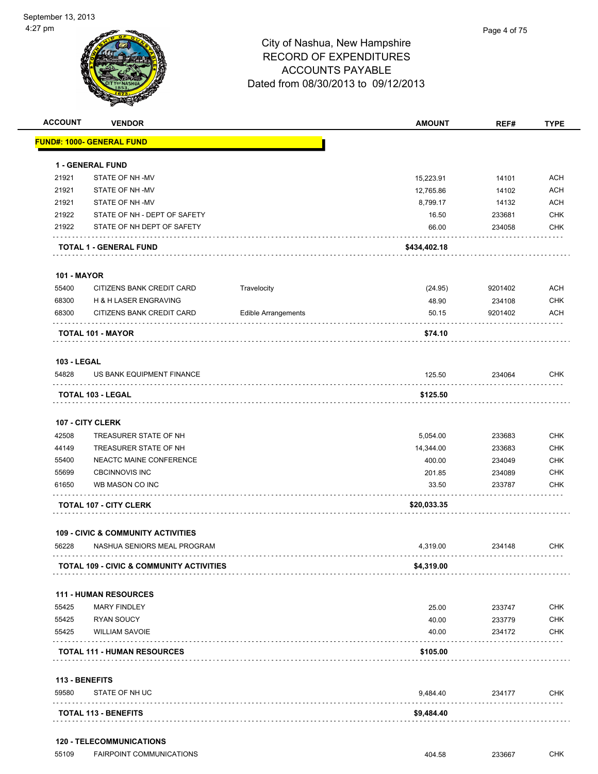| <b>ACCOUNT</b>              | <b>VENDOR</b>                                       |                            | <b>AMOUNT</b> | REF#    | <b>TYPE</b> |
|-----------------------------|-----------------------------------------------------|----------------------------|---------------|---------|-------------|
|                             | <u> FUND#: 1000- GENERAL FUND</u>                   |                            |               |         |             |
|                             | <b>1 - GENERAL FUND</b>                             |                            |               |         |             |
| 21921                       | STATE OF NH-MV                                      |                            | 15,223.91     | 14101   | <b>ACH</b>  |
| 21921                       | STATE OF NH-MV                                      |                            | 12,765.86     | 14102   | <b>ACH</b>  |
| 21921                       | STATE OF NH-MV                                      |                            | 8,799.17      | 14132   | <b>ACH</b>  |
| 21922                       | STATE OF NH - DEPT OF SAFETY                        |                            | 16.50         | 233681  | <b>CHK</b>  |
| 21922                       | STATE OF NH DEPT OF SAFETY                          |                            | 66.00         | 234058  | <b>CHK</b>  |
|                             | TOTAL 1 - GENERAL FUND                              |                            | \$434,402.18  |         |             |
| <b>101 - MAYOR</b>          |                                                     |                            |               |         |             |
| 55400                       | CITIZENS BANK CREDIT CARD                           | Travelocity                | (24.95)       | 9201402 | <b>ACH</b>  |
| 68300                       | H & H LASER ENGRAVING                               |                            | 48.90         | 234108  | <b>CHK</b>  |
| 68300                       | CITIZENS BANK CREDIT CARD                           | <b>Edible Arrangements</b> | 50.15         | 9201402 | <b>ACH</b>  |
|                             | <b>TOTAL 101 - MAYOR</b>                            |                            | \$74.10       |         |             |
|                             |                                                     |                            |               |         |             |
| <b>103 - LEGAL</b><br>54828 | US BANK EQUIPMENT FINANCE                           |                            | 125.50        | 234064  | <b>CHK</b>  |
|                             | <b>TOTAL 103 - LEGAL</b>                            |                            | \$125.50      |         |             |
|                             |                                                     |                            |               |         |             |
|                             | 107 - CITY CLERK                                    |                            |               |         |             |
| 42508                       | TREASURER STATE OF NH                               |                            | 5,054.00      | 233683  | <b>CHK</b>  |
| 44149                       | TREASURER STATE OF NH                               |                            | 14,344.00     | 233683  | <b>CHK</b>  |
| 55400                       | NEACTC MAINE CONFERENCE                             |                            | 400.00        | 234049  | <b>CHK</b>  |
| 55699                       | <b>CBCINNOVIS INC</b>                               |                            | 201.85        | 234089  | <b>CHK</b>  |
| 61650                       | WB MASON CO INC                                     |                            | 33.50         | 233787  | <b>CHK</b>  |
|                             | <b>TOTAL 107 - CITY CLERK</b>                       |                            | \$20,033.35   |         |             |
|                             | <b>109 - CIVIC &amp; COMMUNITY ACTIVITIES</b>       |                            |               |         |             |
| 56228                       | NASHUA SENIORS MEAL PROGRAM<br>.                    |                            | 4,319.00      | 234148  | CHK         |
|                             | <b>TOTAL 109 - CIVIC &amp; COMMUNITY ACTIVITIES</b> |                            | \$4,319.00    |         |             |
|                             | <b>111 - HUMAN RESOURCES</b>                        |                            |               |         |             |
| 55425                       | <b>MARY FINDLEY</b>                                 |                            | 25.00         | 233747  | <b>CHK</b>  |
| 55425                       | <b>RYAN SOUCY</b>                                   |                            | 40.00         | 233779  | <b>CHK</b>  |
| 55425                       | <b>WILLIAM SAVOIE</b>                               |                            | 40.00         | 234172  | <b>CHK</b>  |
|                             | <b>TOTAL 111 - HUMAN RESOURCES</b>                  |                            | \$105.00      |         |             |
| 113 - BENEFITS              |                                                     |                            |               |         |             |
| 59580                       | STATE OF NH UC                                      |                            | 9,484.40      | 234177  | <b>CHK</b>  |
|                             | <b>TOTAL 113 - BENEFITS</b>                         |                            | \$9,484.40    |         |             |
|                             |                                                     |                            |               |         |             |

### **120 - TELECOMMUNICATIONS**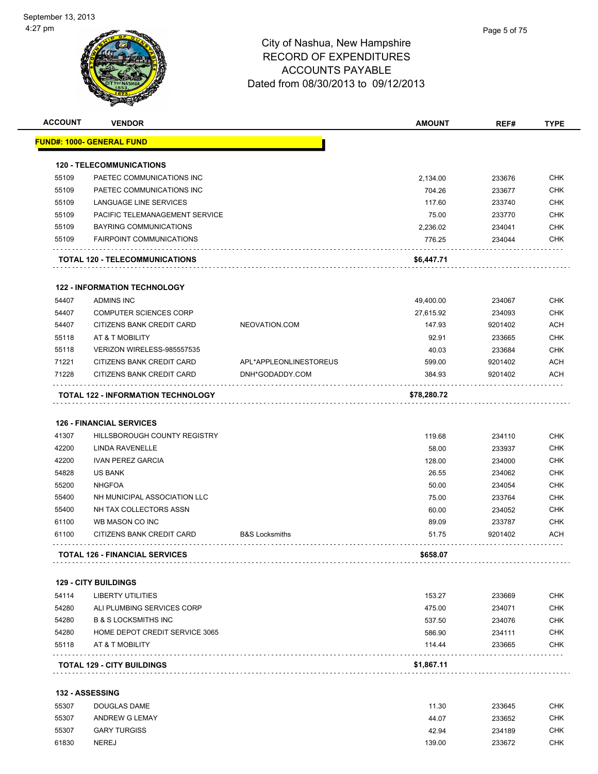| 55109<br>55109<br>55109<br>55109<br>55109<br>55109 | <u> FUND#: 1000- GENERAL FUND</u><br><b>120 - TELECOMMUNICATIONS</b><br>PAETEC COMMUNICATIONS INC<br>PAETEC COMMUNICATIONS INC<br>LANGUAGE LINE SERVICES<br>PACIFIC TELEMANAGEMENT SERVICE |                                           | 2,134.00         |                    |                   |
|----------------------------------------------------|--------------------------------------------------------------------------------------------------------------------------------------------------------------------------------------------|-------------------------------------------|------------------|--------------------|-------------------|
|                                                    |                                                                                                                                                                                            |                                           |                  |                    |                   |
|                                                    |                                                                                                                                                                                            |                                           |                  |                    |                   |
|                                                    |                                                                                                                                                                                            |                                           |                  | 233676             | <b>CHK</b>        |
|                                                    |                                                                                                                                                                                            |                                           | 704.26           | 233677             | <b>CHK</b>        |
|                                                    |                                                                                                                                                                                            |                                           | 117.60           | 233740             | <b>CHK</b>        |
|                                                    |                                                                                                                                                                                            |                                           | 75.00            | 233770             | <b>CHK</b>        |
|                                                    | BAYRING COMMUNICATIONS                                                                                                                                                                     |                                           | 2,236.02         | 234041             | <b>CHK</b>        |
|                                                    | <b>FAIRPOINT COMMUNICATIONS</b>                                                                                                                                                            |                                           | 776.25           | 234044             | <b>CHK</b>        |
|                                                    | TOTAL 120 - TELECOMMUNICATIONS                                                                                                                                                             |                                           | \$6,447.71       |                    |                   |
|                                                    | <b>122 - INFORMATION TECHNOLOGY</b>                                                                                                                                                        |                                           |                  |                    |                   |
| 54407                                              | <b>ADMINS INC</b>                                                                                                                                                                          |                                           | 49,400.00        | 234067             | <b>CHK</b>        |
| 54407                                              | <b>COMPUTER SCIENCES CORP</b>                                                                                                                                                              |                                           | 27,615.92        | 234093             | <b>CHK</b>        |
| 54407                                              | CITIZENS BANK CREDIT CARD                                                                                                                                                                  | NEOVATION.COM                             | 147.93           | 9201402            | <b>ACH</b>        |
| 55118                                              | AT & T MOBILITY                                                                                                                                                                            |                                           | 92.91            |                    | <b>CHK</b>        |
| 55118                                              | VERIZON WIRELESS-985557535                                                                                                                                                                 |                                           |                  | 233665             |                   |
|                                                    |                                                                                                                                                                                            |                                           | 40.03            | 233684             | <b>CHK</b>        |
| 71221<br>71228                                     | CITIZENS BANK CREDIT CARD<br>CITIZENS BANK CREDIT CARD                                                                                                                                     | APL*APPLEONLINESTOREUS<br>DNH*GODADDY.COM | 599.00<br>384.93 | 9201402<br>9201402 | <b>ACH</b><br>ACH |
|                                                    | <b>TOTAL 122 - INFORMATION TECHNOLOGY</b>                                                                                                                                                  |                                           | \$78,280.72      |                    |                   |
|                                                    |                                                                                                                                                                                            |                                           |                  |                    |                   |
|                                                    | <b>126 - FINANCIAL SERVICES</b>                                                                                                                                                            |                                           |                  |                    |                   |
| 41307                                              | HILLSBOROUGH COUNTY REGISTRY                                                                                                                                                               |                                           | 119.68           | 234110             | <b>CHK</b>        |
| 42200                                              | LINDA RAVENELLE                                                                                                                                                                            |                                           | 58.00            | 233937             | <b>CHK</b>        |
| 42200                                              | <b>IVAN PEREZ GARCIA</b>                                                                                                                                                                   |                                           | 128.00           | 234000             | <b>CHK</b>        |
| 54828                                              | <b>US BANK</b>                                                                                                                                                                             |                                           | 26.55            | 234062             | <b>CHK</b>        |
| 55200                                              | <b>NHGFOA</b>                                                                                                                                                                              |                                           | 50.00            | 234054             | <b>CHK</b>        |
| 55400                                              | NH MUNICIPAL ASSOCIATION LLC                                                                                                                                                               |                                           | 75.00            | 233764             | <b>CHK</b>        |
| 55400                                              | NH TAX COLLECTORS ASSN                                                                                                                                                                     |                                           | 60.00            | 234052             | <b>CHK</b>        |
| 61100                                              | WB MASON CO INC                                                                                                                                                                            |                                           | 89.09            | 233787             | <b>CHK</b>        |
| 61100                                              | CITIZENS BANK CREDIT CARD                                                                                                                                                                  | <b>B&amp;S Locksmiths</b>                 | 51.75            | 9201402            | ACH               |
|                                                    | <b>TOTAL 126 - FINANCIAL SERVICES</b>                                                                                                                                                      |                                           | \$658.07         |                    |                   |
|                                                    | <b>129 - CITY BUILDINGS</b>                                                                                                                                                                |                                           |                  |                    |                   |
| 54114                                              | <b>LIBERTY UTILITIES</b>                                                                                                                                                                   |                                           | 153.27           | 233669             | <b>CHK</b>        |
| 54280                                              | ALI PLUMBING SERVICES CORP                                                                                                                                                                 |                                           | 475.00           | 234071             | <b>CHK</b>        |
| 54280                                              | <b>B &amp; S LOCKSMITHS INC</b>                                                                                                                                                            |                                           | 537.50           | 234076             | <b>CHK</b>        |
| 54280                                              | HOME DEPOT CREDIT SERVICE 3065                                                                                                                                                             |                                           | 586.90           | 234111             | <b>CHK</b>        |
| 55118                                              | AT & T MOBILITY                                                                                                                                                                            |                                           | 114.44           | 233665             | <b>CHK</b>        |
|                                                    | <b>TOTAL 129 - CITY BUILDINGS</b>                                                                                                                                                          |                                           | \$1,867.11       |                    |                   |
| <b>132 - ASSESSING</b>                             |                                                                                                                                                                                            |                                           |                  |                    |                   |
| 55307                                              | DOUGLAS DAME                                                                                                                                                                               |                                           | 11.30            | 233645             | <b>CHK</b>        |
| 55307                                              | ANDREW G LEMAY                                                                                                                                                                             |                                           | 44.07            | 233652             | <b>CHK</b>        |
| 55307                                              | <b>GARY TURGISS</b>                                                                                                                                                                        |                                           | 42.94            | 234189             | <b>CHK</b>        |
| 61830                                              | <b>NEREJ</b>                                                                                                                                                                               |                                           | 139.00           | 233672             | <b>CHK</b>        |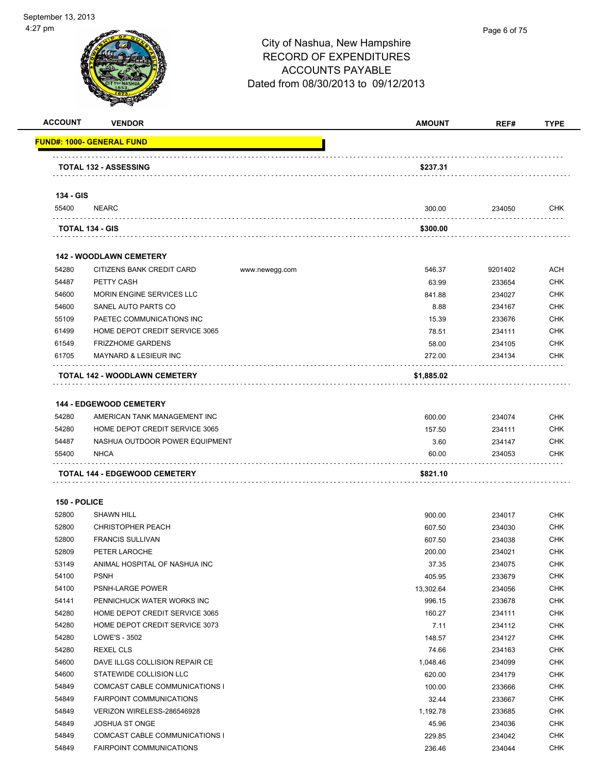

| <b>ACCOUNT</b> | <b>VENDOR</b>                               | <b>AMOUNT</b> | REF#    | <b>TYPE</b> |
|----------------|---------------------------------------------|---------------|---------|-------------|
|                | <b>FUND#: 1000- GENERAL FUND</b>            |               |         |             |
|                | <b>TOTAL 132 - ASSESSING</b>                | \$237.31      |         |             |
|                |                                             |               |         |             |
| 134 - GIS      |                                             |               |         |             |
| 55400          | <b>NEARC</b>                                | 300.00        | 234050  | <b>CHK</b>  |
|                | TOTAL 134 - GIS                             | \$300.00      |         |             |
|                | <b>142 - WOODLAWN CEMETERY</b>              |               |         |             |
| 54280          | CITIZENS BANK CREDIT CARD<br>www.newegg.com | 546.37        | 9201402 | ACH         |
| 54487          | PETTY CASH                                  | 63.99         | 233654  | <b>CHK</b>  |
| 54600          | MORIN ENGINE SERVICES LLC                   | 841.88        | 234027  | <b>CHK</b>  |
| 54600          | SANEL AUTO PARTS CO                         | 8.88          | 234167  | <b>CHK</b>  |
| 55109          | PAETEC COMMUNICATIONS INC                   | 15.39         | 233676  | <b>CHK</b>  |
| 61499          | HOME DEPOT CREDIT SERVICE 3065              | 78.51         | 234111  | <b>CHK</b>  |
| 61549          | <b>FRIZZHOME GARDENS</b>                    | 58.00         | 234105  | <b>CHK</b>  |
| 61705          | <b>MAYNARD &amp; LESIEUR INC</b>            | 272.00        | 234134  | <b>CHK</b>  |
|                | TOTAL 142 - WOODLAWN CEMETERY               | \$1,885.02    |         |             |
|                |                                             |               |         |             |
|                | <b>144 - EDGEWOOD CEMETERY</b>              |               |         |             |
| 54280          | AMERICAN TANK MANAGEMENT INC                | 600.00        | 234074  | <b>CHK</b>  |
| 54280          | HOME DEPOT CREDIT SERVICE 3065              | 157.50        | 234111  | <b>CHK</b>  |
| 54487          | NASHUA OUTDOOR POWER EQUIPMENT              | 3.60          | 234147  | <b>CHK</b>  |
| 55400          | <b>NHCA</b>                                 | 60.00         | 234053  | <b>CHK</b>  |
|                | TOTAL 144 - EDGEWOOD CEMETERY               | \$821.10      |         |             |
| 150 - POLICE   |                                             |               |         |             |
| 52800          | <b>SHAWN HILL</b>                           | 900.00        | 234017  | <b>CHK</b>  |
| 52800          | <b>CHRISTOPHER PEACH</b>                    | 607.50        | 234030  | <b>CHK</b>  |
| 52800          | <b>FRANCIS SULLIVAN</b>                     | 607.50        | 234038  | <b>CHK</b>  |
| 52809          | PETER LAROCHE                               | 200.00        | 234021  | CHK         |
| 53149          | ANIMAL HOSPITAL OF NASHUA INC               | 37.35         | 234075  | <b>CHK</b>  |
| 54100          | <b>PSNH</b>                                 | 405.95        | 233679  | <b>CHK</b>  |
| 54100          | PSNH-LARGE POWER                            | 13,302.64     | 234056  | <b>CHK</b>  |
| 54141          | PENNICHUCK WATER WORKS INC                  | 996.15        | 233678  | <b>CHK</b>  |
| 54280          | HOME DEPOT CREDIT SERVICE 3065              | 160.27        | 234111  | <b>CHK</b>  |
| 54280          | HOME DEPOT CREDIT SERVICE 3073              | 7.11          | 234112  | <b>CHK</b>  |
| 54280          | LOWE'S - 3502                               | 148.57        | 234127  | CHK         |
| 54280          | <b>REXEL CLS</b>                            | 74.66         | 234163  | <b>CHK</b>  |
| 54600          | DAVE ILLGS COLLISION REPAIR CE              | 1,048.46      | 234099  | <b>CHK</b>  |
| 54600          | STATEWIDE COLLISION LLC                     | 620.00        | 234179  | <b>CHK</b>  |
| 54849          | COMCAST CABLE COMMUNICATIONS I              | 100.00        | 233666  | <b>CHK</b>  |
| 54849          | FAIRPOINT COMMUNICATIONS                    | 32.44         | 233667  | <b>CHK</b>  |
| 54849          | VERIZON WIRELESS-286546928                  | 1,192.78      | 233685  | <b>CHK</b>  |
| 54849          | JOSHUA ST ONGE                              | 45.96         | 234036  | <b>CHK</b>  |
| 54849          | COMCAST CABLE COMMUNICATIONS I              | 229.85        | 234042  | CHK         |
|                |                                             |               |         |             |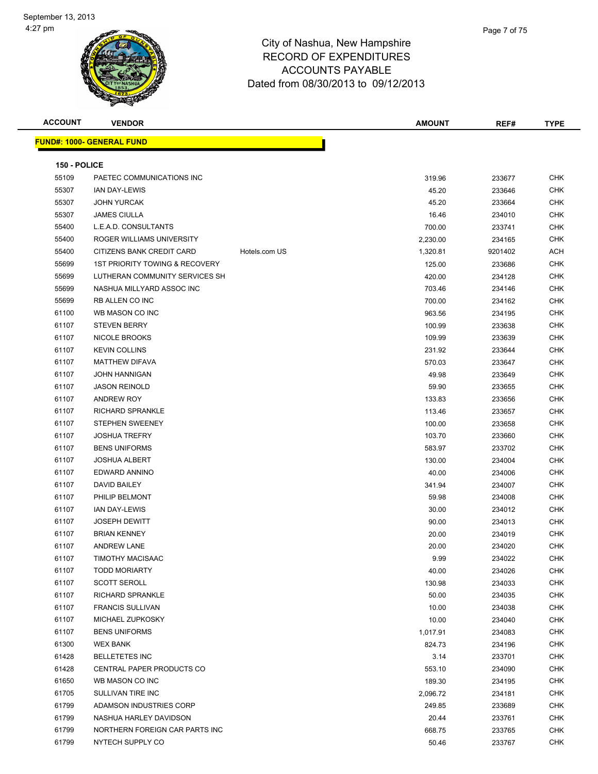

| <b>ACCOUNT</b> | <b>VENDOR</b>                                            |               | <b>AMOUNT</b> | REF#    | <b>TYPE</b> |
|----------------|----------------------------------------------------------|---------------|---------------|---------|-------------|
|                | <b>FUND#: 1000- GENERAL FUND</b>                         |               |               |         |             |
|                |                                                          |               |               |         |             |
| 150 - POLICE   |                                                          |               |               |         |             |
| 55109          | PAETEC COMMUNICATIONS INC                                |               | 319.96        | 233677  | <b>CHK</b>  |
| 55307          | <b>IAN DAY-LEWIS</b>                                     |               | 45.20         | 233646  | <b>CHK</b>  |
| 55307          | <b>JOHN YURCAK</b>                                       |               | 45.20         | 233664  | CHK         |
| 55307          | <b>JAMES CIULLA</b>                                      |               | 16.46         | 234010  | <b>CHK</b>  |
| 55400          | L.E.A.D. CONSULTANTS                                     |               | 700.00        | 233741  | <b>CHK</b>  |
| 55400          | ROGER WILLIAMS UNIVERSITY                                |               | 2,230.00      | 234165  | <b>CHK</b>  |
| 55400          | CITIZENS BANK CREDIT CARD                                | Hotels.com US | 1,320.81      | 9201402 | ACH         |
| 55699          | 1ST PRIORITY TOWING & RECOVERY                           |               | 125.00        | 233686  | <b>CHK</b>  |
| 55699          | LUTHERAN COMMUNITY SERVICES SH                           |               | 420.00        | 234128  | <b>CHK</b>  |
| 55699          | NASHUA MILLYARD ASSOC INC                                |               | 703.46        | 234146  | <b>CHK</b>  |
| 55699          | RB ALLEN CO INC                                          |               | 700.00        | 234162  | <b>CHK</b>  |
| 61100          | WB MASON CO INC                                          |               | 963.56        | 234195  | CHK         |
| 61107          | <b>STEVEN BERRY</b>                                      |               | 100.99        | 233638  | CHK         |
| 61107          | <b>NICOLE BROOKS</b>                                     |               | 109.99        | 233639  | <b>CHK</b>  |
| 61107          | <b>KEVIN COLLINS</b>                                     |               | 231.92        | 233644  | CHK         |
| 61107          | <b>MATTHEW DIFAVA</b>                                    |               | 570.03        | 233647  | CHK         |
| 61107          | <b>JOHN HANNIGAN</b>                                     |               | 49.98         | 233649  | <b>CHK</b>  |
| 61107          | <b>JASON REINOLD</b>                                     |               | 59.90         | 233655  | <b>CHK</b>  |
| 61107          | <b>ANDREW ROY</b>                                        |               | 133.83        | 233656  | <b>CHK</b>  |
| 61107          | RICHARD SPRANKLE                                         |               | 113.46        | 233657  | <b>CHK</b>  |
| 61107          | <b>STEPHEN SWEENEY</b>                                   |               | 100.00        | 233658  | <b>CHK</b>  |
| 61107          | <b>JOSHUA TREFRY</b>                                     |               | 103.70        | 233660  | <b>CHK</b>  |
| 61107          | <b>BENS UNIFORMS</b>                                     |               | 583.97        | 233702  | <b>CHK</b>  |
| 61107          | <b>JOSHUA ALBERT</b>                                     |               | 130.00        | 234004  | <b>CHK</b>  |
| 61107          | EDWARD ANNINO                                            |               | 40.00         | 234006  | <b>CHK</b>  |
| 61107          | DAVID BAILEY                                             |               | 341.94        | 234007  | CHK         |
| 61107          | PHILIP BELMONT                                           |               | 59.98         | 234008  | <b>CHK</b>  |
| 61107          | <b>IAN DAY-LEWIS</b>                                     |               | 30.00         | 234012  | <b>CHK</b>  |
| 61107          | <b>JOSEPH DEWITT</b>                                     |               | 90.00         | 234013  | <b>CHK</b>  |
| 61107          | <b>BRIAN KENNEY</b>                                      |               | 20.00         | 234019  | <b>CHK</b>  |
| 61107          | <b>ANDREW LANE</b>                                       |               | 20.00         | 234020  | <b>CHK</b>  |
| 61107          | <b>TIMOTHY MACISAAC</b>                                  |               | 9.99          | 234022  | <b>CHK</b>  |
| 61107          | <b>TODD MORIARTY</b>                                     |               | 40.00         | 234026  | CHK         |
| 61107          | <b>SCOTT SEROLL</b>                                      |               | 130.98        | 234033  | <b>CHK</b>  |
| 61107          | <b>RICHARD SPRANKLE</b>                                  |               | 50.00         | 234035  | <b>CHK</b>  |
| 61107          | <b>FRANCIS SULLIVAN</b>                                  |               | 10.00         | 234038  | <b>CHK</b>  |
| 61107          | MICHAEL ZUPKOSKY                                         |               | 10.00         | 234040  | <b>CHK</b>  |
| 61107          | <b>BENS UNIFORMS</b>                                     |               | 1,017.91      | 234083  | CHK         |
| 61300          | <b>WEX BANK</b>                                          |               | 824.73        | 234196  | <b>CHK</b>  |
| 61428          | <b>BELLETETES INC</b>                                    |               | 3.14          | 233701  | <b>CHK</b>  |
| 61428<br>61650 | CENTRAL PAPER PRODUCTS CO                                |               | 553.10        | 234090  | CHK         |
|                | WB MASON CO INC                                          |               | 189.30        | 234195  | <b>CHK</b>  |
| 61705<br>61799 | SULLIVAN TIRE INC                                        |               | 2,096.72      | 234181  | CHK         |
|                | ADAMSON INDUSTRIES CORP                                  |               | 249.85        | 233689  | CHK         |
| 61799          | NASHUA HARLEY DAVIDSON<br>NORTHERN FOREIGN CAR PARTS INC |               | 20.44         | 233761  | CHK         |
| 61799          |                                                          |               | 668.75        | 233765  | CHK         |
| 61799          | NYTECH SUPPLY CO                                         |               | 50.46         | 233767  | CHK         |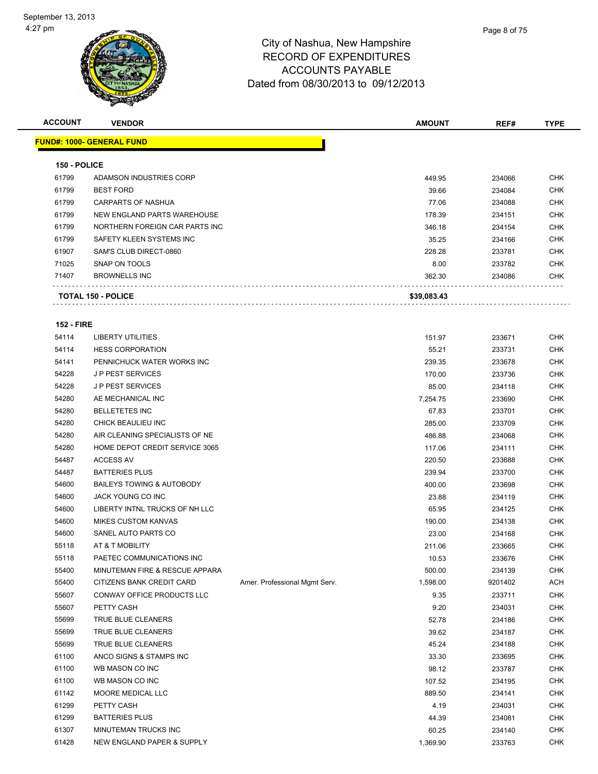

| <b>ACCOUNT</b>    | <b>VENDOR</b>                     |                               | <b>AMOUNT</b> | REF#    | <b>TYPE</b> |
|-------------------|-----------------------------------|-------------------------------|---------------|---------|-------------|
|                   | <u> FUND#: 1000- GENERAL FUND</u> |                               |               |         |             |
|                   |                                   |                               |               |         |             |
| 150 - POLICE      |                                   |                               |               |         |             |
| 61799             | ADAMSON INDUSTRIES CORP           |                               | 449.95        | 234066  | <b>CHK</b>  |
| 61799             | <b>BEST FORD</b>                  |                               | 39.66         | 234084  | <b>CHK</b>  |
| 61799             | CARPARTS OF NASHUA                |                               | 77.06         | 234088  | <b>CHK</b>  |
| 61799             | NEW ENGLAND PARTS WAREHOUSE       |                               | 178.39        | 234151  | <b>CHK</b>  |
| 61799             | NORTHERN FOREIGN CAR PARTS INC    |                               | 346.18        | 234154  | <b>CHK</b>  |
| 61799             | SAFETY KLEEN SYSTEMS INC          |                               | 35.25         | 234166  | <b>CHK</b>  |
| 61907             | SAM'S CLUB DIRECT-0860            |                               | 228.28        | 233781  | <b>CHK</b>  |
| 71025             | SNAP ON TOOLS                     |                               | 8.00          | 233782  | <b>CHK</b>  |
| 71407             | <b>BROWNELLS INC</b>              |                               | 362.30        | 234086  | CHK         |
|                   | <b>TOTAL 150 - POLICE</b>         |                               | \$39,083.43   |         |             |
| <b>152 - FIRE</b> |                                   |                               |               |         |             |
| 54114             | <b>LIBERTY UTILITIES</b>          |                               | 151.97        | 233671  | CHK         |
| 54114             | <b>HESS CORPORATION</b>           |                               | 55.21         | 233731  | <b>CHK</b>  |
| 54141             | PENNICHUCK WATER WORKS INC        |                               | 239.35        | 233678  | <b>CHK</b>  |
| 54228             | <b>JP PEST SERVICES</b>           |                               | 170.00        | 233736  | <b>CHK</b>  |
| 54228             | <b>JP PEST SERVICES</b>           |                               | 85.00         | 234118  | <b>CHK</b>  |
| 54280             | AE MECHANICAL INC                 |                               | 7,254.75      | 233690  | <b>CHK</b>  |
| 54280             | <b>BELLETETES INC</b>             |                               | 67.83         | 233701  | <b>CHK</b>  |
| 54280             | CHICK BEAULIEU INC                |                               | 285.00        | 233709  | <b>CHK</b>  |
| 54280             | AIR CLEANING SPECIALISTS OF NE    |                               | 486.88        | 234068  | <b>CHK</b>  |
| 54280             | HOME DEPOT CREDIT SERVICE 3065    |                               | 117.06        | 234111  | <b>CHK</b>  |
| 54487             | <b>ACCESS AV</b>                  |                               | 220.50        | 233688  | <b>CHK</b>  |
| 54487             | <b>BATTERIES PLUS</b>             |                               | 239.94        | 233700  | <b>CHK</b>  |
| 54600             | BAILEYS TOWING & AUTOBODY         |                               | 400.00        | 233698  | <b>CHK</b>  |
| 54600             | JACK YOUNG CO INC                 |                               | 23.88         | 234119  | CHK         |
| 54600             | LIBERTY INTNL TRUCKS OF NH LLC    |                               | 65.95         | 234125  | <b>CHK</b>  |
| 54600             | <b>MIKES CUSTOM KANVAS</b>        |                               | 190.00        | 234138  | <b>CHK</b>  |
| 54600             | SANEL AUTO PARTS CO               |                               | 23.00         | 234168  | <b>CHK</b>  |
| 55118             | AT & T MOBILITY                   |                               | 211.06        | 233665  | <b>CHK</b>  |
| 55118             | PAETEC COMMUNICATIONS INC         |                               | 10.53         | 233676  | <b>CHK</b>  |
| 55400             | MINUTEMAN FIRE & RESCUE APPARA    |                               | 500.00        | 234139  | CHK         |
| 55400             | CITIZENS BANK CREDIT CARD         | Amer. Professional Mgmt Serv. | 1,598.00      | 9201402 | ACH         |
| 55607             | CONWAY OFFICE PRODUCTS LLC        |                               | 9.35          | 233711  | <b>CHK</b>  |
| 55607             | PETTY CASH                        |                               | 9.20          | 234031  | CHK         |
| 55699             | TRUE BLUE CLEANERS                |                               | 52.78         | 234186  | <b>CHK</b>  |
| 55699             | TRUE BLUE CLEANERS                |                               | 39.62         | 234187  | CHK         |
| 55699             | TRUE BLUE CLEANERS                |                               | 45.24         | 234188  | <b>CHK</b>  |
| 61100             | ANCO SIGNS & STAMPS INC           |                               | 33.30         | 233695  | <b>CHK</b>  |
| 61100             | WB MASON CO INC                   |                               | 98.12         | 233787  | CHK         |
| 61100             | WB MASON CO INC                   |                               | 107.52        | 234195  | CHK         |
| 61142             | MOORE MEDICAL LLC                 |                               | 889.50        | 234141  | CHK         |
| 61299             | PETTY CASH                        |                               | 4.19          | 234031  | CHK         |
| 61299             | <b>BATTERIES PLUS</b>             |                               | 44.39         | 234081  | <b>CHK</b>  |
| 61307             | MINUTEMAN TRUCKS INC              |                               | 60.25         | 234140  | <b>CHK</b>  |
| 61428             | NEW ENGLAND PAPER & SUPPLY        |                               | 1,369.90      | 233763  | <b>CHK</b>  |
|                   |                                   |                               |               |         |             |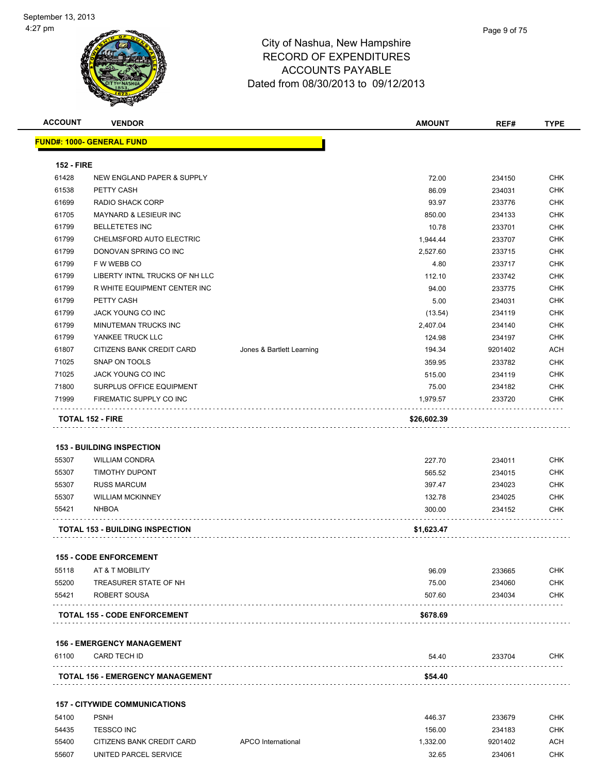

| <b>ACCOUNT</b>    | <b>VENDOR</b>                                     |                           | <b>AMOUNT</b>   | REF#             | <b>TYPE</b>              |
|-------------------|---------------------------------------------------|---------------------------|-----------------|------------------|--------------------------|
|                   | <b>FUND#: 1000- GENERAL FUND</b>                  |                           |                 |                  |                          |
| <b>152 - FIRE</b> |                                                   |                           |                 |                  |                          |
| 61428             | NEW ENGLAND PAPER & SUPPLY                        |                           | 72.00           | 234150           | <b>CHK</b>               |
| 61538             | PETTY CASH                                        |                           | 86.09           | 234031           | <b>CHK</b>               |
| 61699             | <b>RADIO SHACK CORP</b>                           |                           | 93.97           | 233776           | <b>CHK</b>               |
| 61705             | <b>MAYNARD &amp; LESIEUR INC</b>                  |                           | 850.00          | 234133           | <b>CHK</b>               |
| 61799             | <b>BELLETETES INC</b>                             |                           | 10.78           | 233701           | <b>CHK</b>               |
| 61799             | CHELMSFORD AUTO ELECTRIC                          |                           | 1,944.44        | 233707           | <b>CHK</b>               |
| 61799             | DONOVAN SPRING CO INC                             |                           | 2,527.60        | 233715           | <b>CHK</b>               |
| 61799             | F W WEBB CO                                       |                           | 4.80            | 233717           | <b>CHK</b>               |
| 61799             | LIBERTY INTNL TRUCKS OF NH LLC                    |                           | 112.10          | 233742           | <b>CHK</b>               |
| 61799             | R WHITE EQUIPMENT CENTER INC                      |                           | 94.00           | 233775           | <b>CHK</b>               |
| 61799             | PETTY CASH                                        |                           | 5.00            | 234031           | <b>CHK</b>               |
| 61799             | <b>JACK YOUNG CO INC</b>                          |                           | (13.54)         | 234119           | <b>CHK</b>               |
| 61799             | MINUTEMAN TRUCKS INC                              |                           | 2,407.04        | 234140           | <b>CHK</b>               |
| 61799             | YANKEE TRUCK LLC                                  |                           | 124.98          | 234197           | <b>CHK</b>               |
| 61807             | CITIZENS BANK CREDIT CARD                         | Jones & Bartlett Learning | 194.34          | 9201402          | ACH                      |
| 71025             | SNAP ON TOOLS                                     |                           | 359.95          | 233782           | <b>CHK</b>               |
| 71025             | JACK YOUNG CO INC                                 |                           | 515.00          | 234119           | <b>CHK</b>               |
| 71800             | SURPLUS OFFICE EQUIPMENT                          |                           | 75.00           | 234182           | <b>CHK</b>               |
| 71999             | FIREMATIC SUPPLY CO INC                           |                           | 1,979.57        | 233720           | <b>CHK</b>               |
|                   | <b>TOTAL 152 - FIRE</b>                           |                           | \$26,602.39     |                  |                          |
|                   | <b>153 - BUILDING INSPECTION</b>                  |                           |                 |                  |                          |
| 55307             | <b>WILLIAM CONDRA</b>                             |                           | 227.70          | 234011           | <b>CHK</b>               |
| 55307             | <b>TIMOTHY DUPONT</b>                             |                           | 565.52          | 234015           | <b>CHK</b>               |
| 55307             | <b>RUSS MARCUM</b>                                |                           | 397.47          | 234023           | CHK                      |
| 55307             | <b>WILLIAM MCKINNEY</b>                           |                           | 132.78          | 234025           | <b>CHK</b>               |
| 55421             | <b>NHBOA</b>                                      |                           | 300.00          | 234152           | CHK                      |
|                   | <b>TOTAL 153 - BUILDING INSPECTION</b>            |                           | \$1,623.47      |                  |                          |
|                   |                                                   |                           |                 |                  |                          |
|                   | <b>155 - CODE ENFORCEMENT</b>                     |                           |                 |                  |                          |
| 55118             | AT & T MOBILITY                                   |                           | 96.09           | 233665           | <b>CHK</b>               |
| 55200<br>55421    | TREASURER STATE OF NH<br>ROBERT SOUSA             |                           | 75.00<br>507.60 | 234060<br>234034 | <b>CHK</b><br><b>CHK</b> |
|                   | <b>TOTAL 155 - CODE ENFORCEMENT</b>               |                           | \$678.69        |                  |                          |
|                   |                                                   |                           |                 |                  |                          |
| 61100             | <b>156 - EMERGENCY MANAGEMENT</b><br>CARD TECH ID |                           | 54.40           | 233704           | CHK                      |
|                   |                                                   |                           |                 |                  |                          |

| <b>TOTAL 156 - EMERGENCY MANAGEMENT</b> | \$54.40 |
|-----------------------------------------|---------|
|                                         |         |

### **157 - CITYWIDE COMMUNICATIONS**

| 54100 | <b>PSNH</b>               |                    | 446.37   | 233679  | СНК |
|-------|---------------------------|--------------------|----------|---------|-----|
| 54435 | <b>TESSCO INC</b>         |                    | 156.00   | 234183  | СНК |
| 55400 | CITIZENS BANK CREDIT CARD | APCO International | 1.332.00 | 9201402 | ACH |
| 55607 | UNITED PARCEL SERVICE     |                    | 32.65    | 234061  | CHK |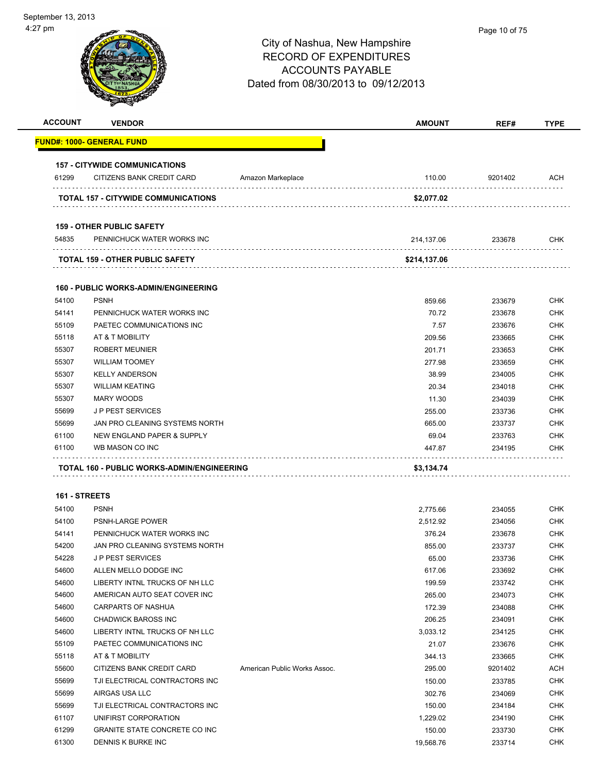| <b>ACCOUNT</b> | <b>VENDOR</b>                               |                              | <b>AMOUNT</b> | REF#    | <b>TYPE</b> |
|----------------|---------------------------------------------|------------------------------|---------------|---------|-------------|
|                | <b>FUND#: 1000- GENERAL FUND</b>            |                              |               |         |             |
|                | <b>157 - CITYWIDE COMMUNICATIONS</b>        |                              |               |         |             |
| 61299          | CITIZENS BANK CREDIT CARD                   | Amazon Markeplace            | 110.00        | 9201402 | ACH         |
|                | TOTAL 157 - CITYWIDE COMMUNICATIONS         |                              | \$2,077.02    |         |             |
|                | <b>159 - OTHER PUBLIC SAFETY</b>            |                              |               |         |             |
| 54835          | PENNICHUCK WATER WORKS INC                  |                              | 214,137.06    | 233678  | <b>CHK</b>  |
|                | <b>TOTAL 159 - OTHER PUBLIC SAFETY</b>      |                              | \$214,137.06  |         |             |
|                | <b>160 - PUBLIC WORKS-ADMIN/ENGINEERING</b> |                              |               |         |             |
| 54100          | <b>PSNH</b>                                 |                              | 859.66        | 233679  | <b>CHK</b>  |
| 54141          | PENNICHUCK WATER WORKS INC                  |                              | 70.72         | 233678  | <b>CHK</b>  |
| 55109          | PAETEC COMMUNICATIONS INC                   |                              | 7.57          | 233676  | <b>CHK</b>  |
| 55118          | AT & T MOBILITY                             |                              | 209.56        | 233665  | <b>CHK</b>  |
| 55307          | <b>ROBERT MEUNIER</b>                       |                              | 201.71        | 233653  | <b>CHK</b>  |
| 55307          | <b>WILLIAM TOOMEY</b>                       |                              | 277.98        | 233659  | <b>CHK</b>  |
| 55307          | <b>KELLY ANDERSON</b>                       |                              | 38.99         | 234005  | <b>CHK</b>  |
| 55307          | <b>WILLIAM KEATING</b>                      |                              | 20.34         | 234018  | <b>CHK</b>  |
| 55307          | <b>MARY WOODS</b>                           |                              | 11.30         | 234039  | <b>CHK</b>  |
| 55699          | <b>JP PEST SERVICES</b>                     |                              | 255.00        | 233736  | <b>CHK</b>  |
| 55699          | JAN PRO CLEANING SYSTEMS NORTH              |                              | 665.00        | 233737  | <b>CHK</b>  |
| 61100          | NEW ENGLAND PAPER & SUPPLY                  |                              | 69.04         | 233763  | <b>CHK</b>  |
| 61100          | WB MASON CO INC                             |                              | 447.87        | 234195  | <b>CHK</b>  |
|                | TOTAL 160 - PUBLIC WORKS-ADMIN/ENGINEERING  |                              | \$3,134.74    |         |             |
|                | 161 - STREETS                               |                              |               |         |             |
| 54100          | <b>PSNH</b>                                 |                              | 2,775.66      | 234055  | <b>CHK</b>  |
| 54100          | <b>PSNH-LARGE POWER</b>                     |                              | 2,512.92      | 234056  | <b>CHK</b>  |
| 54141          | PENNICHUCK WATER WORKS INC                  |                              | 376.24        | 233678  | <b>CHK</b>  |
| 54200          | JAN PRO CLEANING SYSTEMS NORTH              |                              | 855.00        | 233737  | <b>CHK</b>  |
| 54228          | <b>JP PEST SERVICES</b>                     |                              | 65.00         | 233736  | <b>CHK</b>  |
| 54600          | ALLEN MELLO DODGE INC                       |                              | 617.06        | 233692  | <b>CHK</b>  |
| 54600          | LIBERTY INTNL TRUCKS OF NH LLC              |                              | 199.59        | 233742  | <b>CHK</b>  |
| 54600          | AMERICAN AUTO SEAT COVER INC                |                              | 265.00        | 234073  | <b>CHK</b>  |
| 54600          | CARPARTS OF NASHUA                          |                              | 172.39        | 234088  | <b>CHK</b>  |
| 54600          | <b>CHADWICK BAROSS INC</b>                  |                              | 206.25        | 234091  | <b>CHK</b>  |
| 54600          | LIBERTY INTNL TRUCKS OF NH LLC              |                              | 3,033.12      | 234125  | <b>CHK</b>  |
| 55109          | PAETEC COMMUNICATIONS INC                   |                              | 21.07         | 233676  | <b>CHK</b>  |
| 55118          | AT & T MOBILITY                             |                              | 344.13        | 233665  | <b>CHK</b>  |
| 55600          | CITIZENS BANK CREDIT CARD                   | American Public Works Assoc. | 295.00        | 9201402 | <b>ACH</b>  |
| 55699          | TJI ELECTRICAL CONTRACTORS INC              |                              | 150.00        | 233785  | <b>CHK</b>  |
| 55699          | AIRGAS USA LLC                              |                              | 302.76        | 234069  | <b>CHK</b>  |
| 55699          | TJI ELECTRICAL CONTRACTORS INC              |                              | 150.00        | 234184  | <b>CHK</b>  |
|                |                                             |                              | 1,229.02      | 234190  | <b>CHK</b>  |
| 61107          | UNIFIRST CORPORATION                        |                              |               |         |             |
| 61299          | <b>GRANITE STATE CONCRETE CO INC</b>        |                              | 150.00        | 233730  | <b>CHK</b>  |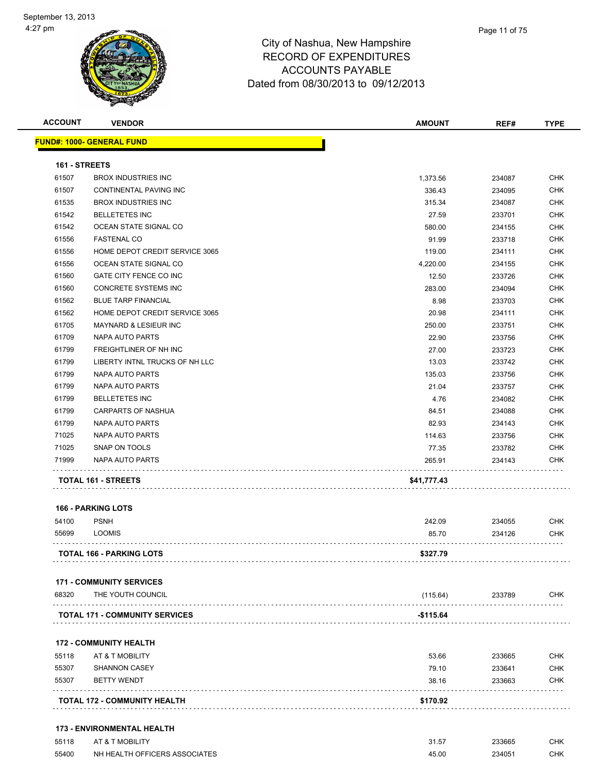| <b>ACCOUNT</b> | <b>VENDOR</b>                    | <b>AMOUNT</b> | REF#   | <b>TYPE</b> |
|----------------|----------------------------------|---------------|--------|-------------|
|                | <b>FUND#: 1000- GENERAL FUND</b> |               |        |             |
| 161 - STREETS  |                                  |               |        |             |
| 61507          | <b>BROX INDUSTRIES INC</b>       | 1,373.56      | 234087 | <b>CHK</b>  |
| 61507          | <b>CONTINENTAL PAVING INC</b>    | 336.43        | 234095 | <b>CHK</b>  |
| 61535          | <b>BROX INDUSTRIES INC</b>       | 315.34        | 234087 | <b>CHK</b>  |
| 61542          | <b>BELLETETES INC</b>            | 27.59         | 233701 | <b>CHK</b>  |
| 61542          | OCEAN STATE SIGNAL CO            | 580.00        | 234155 | <b>CHK</b>  |
| 61556          | <b>FASTENAL CO</b>               | 91.99         | 233718 | CHK         |
| 61556          | HOME DEPOT CREDIT SERVICE 3065   | 119.00        | 234111 | <b>CHK</b>  |
| 61556          | OCEAN STATE SIGNAL CO            | 4,220.00      | 234155 | <b>CHK</b>  |
| 61560          | GATE CITY FENCE CO INC           | 12.50         | 233726 | <b>CHK</b>  |
| 61560          | <b>CONCRETE SYSTEMS INC</b>      | 283.00        | 234094 | <b>CHK</b>  |
| 61562          | <b>BLUE TARP FINANCIAL</b>       | 8.98          | 233703 | <b>CHK</b>  |
| 61562          | HOME DEPOT CREDIT SERVICE 3065   | 20.98         | 234111 | CHK         |
| 61705          | <b>MAYNARD &amp; LESIEUR INC</b> | 250.00        | 233751 | <b>CHK</b>  |
| 61709          | <b>NAPA AUTO PARTS</b>           | 22.90         | 233756 | <b>CHK</b>  |
| 61799          | FREIGHTLINER OF NH INC           | 27.00         | 233723 | <b>CHK</b>  |
| 61799          | LIBERTY INTNL TRUCKS OF NH LLC   | 13.03         | 233742 | <b>CHK</b>  |
| 61799          | NAPA AUTO PARTS                  | 135.03        | 233756 | <b>CHK</b>  |
| 61799          | <b>NAPA AUTO PARTS</b>           | 21.04         | 233757 | <b>CHK</b>  |
| 61799          | <b>BELLETETES INC</b>            | 4.76          | 234082 | <b>CHK</b>  |
| 61799          | <b>CARPARTS OF NASHUA</b>        | 84.51         | 234088 | <b>CHK</b>  |
| 61799          | NAPA AUTO PARTS                  | 82.93         | 234143 | <b>CHK</b>  |
| 71025          | NAPA AUTO PARTS                  | 114.63        | 233756 | <b>CHK</b>  |
| 71025          | SNAP ON TOOLS                    | 77.35         | 233782 | <b>CHK</b>  |
| 71999          | NAPA AUTO PARTS                  | 265.91        | 234143 | <b>CHK</b>  |
|                | TOTAL 161 - STREETS              | \$41,777.43   |        |             |
|                | <b>166 - PARKING LOTS</b>        |               |        |             |
| 54100          | <b>PSNH</b>                      | 242.09        | 234055 | <b>CHK</b>  |
| 55699          | <b>LOOMIS</b>                    | 85.70         | 234126 | <b>CHK</b>  |

### **171 - COMMUNITY SERVICES**

| 68320 | THE YOUTH COUNCIL                     | (115.64)  | 233789 | CHK |
|-------|---------------------------------------|-----------|--------|-----|
|       | <b>TOTAL 171 - COMMUNITY SERVICES</b> | -\$115.64 |        |     |
|       |                                       |           |        |     |

**TOTAL 166 - PARKING LOTS \$327.79**

### **172 - COMMUNITY HEALTH**

|       | <b>TOTAL 172 - COMMUNITY HEALTH</b> | \$170.92 |        |            |
|-------|-------------------------------------|----------|--------|------------|
| 55307 | <b>BETTY WENDT</b>                  | 38.16    | 233663 | <b>CHK</b> |
| 55307 | <b>SHANNON CASEY</b>                | 79.10    | 233641 | <b>CHK</b> |
| 55118 | AT & T MOBILITY                     | 53.66    | 233665 | <b>CHK</b> |

| 55118 | AT & T MOBILITY               | 31.57 | 233665 | СНК |
|-------|-------------------------------|-------|--------|-----|
| 55400 | NH HEALTH OFFICERS ASSOCIATES | 45.00 | 234051 | СНК |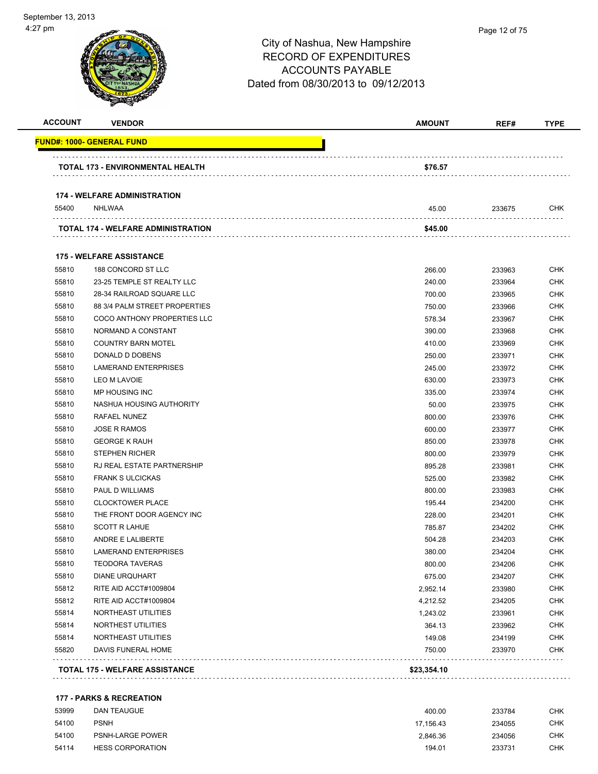| <b>ACCOUNT</b> | <b>VENDOR</b>                         | AMOUNT      | REF#   | <b>TYPE</b> |
|----------------|---------------------------------------|-------------|--------|-------------|
|                | <u> FUND#: 1000- GENERAL FUND</u>     |             |        |             |
|                | TOTAL 173 - ENVIRONMENTAL HEALTH      | \$76.57     |        |             |
|                | <b>174 - WELFARE ADMINISTRATION</b>   |             |        |             |
| 55400          | NHLWAA                                | 45.00       | 233675 | CHK         |
|                | TOTAL 174 - WELFARE ADMINISTRATION    | \$45.00     |        |             |
|                | <b>175 - WELFARE ASSISTANCE</b>       |             |        |             |
| 55810          | 188 CONCORD ST LLC                    | 266.00      | 233963 | CHK         |
| 55810          | 23-25 TEMPLE ST REALTY LLC            | 240.00      | 233964 | CHK         |
| 55810          | 28-34 RAILROAD SQUARE LLC             | 700.00      | 233965 | CHK         |
| 55810          | 88 3/4 PALM STREET PROPERTIES         | 750.00      | 233966 | CHK         |
| 55810          | COCO ANTHONY PROPERTIES LLC           | 578.34      | 233967 | CHK         |
| 55810          | NORMAND A CONSTANT                    | 390.00      | 233968 | CHK         |
| 55810          | <b>COUNTRY BARN MOTEL</b>             | 410.00      | 233969 | CHK         |
| 55810          | DONALD D DOBENS                       | 250.00      | 233971 | CHK         |
| 55810          | <b>LAMERAND ENTERPRISES</b>           | 245.00      | 233972 | <b>CHK</b>  |
| 55810          | LEO M LAVOIE                          | 630.00      | 233973 | CHK         |
| 55810          | MP HOUSING INC                        | 335.00      | 233974 | CHK         |
| 55810          | NASHUA HOUSING AUTHORITY              | 50.00       | 233975 | CHK         |
| 55810          | RAFAEL NUNEZ                          | 800.00      | 233976 | CHK         |
| 55810          | <b>JOSE R RAMOS</b>                   | 600.00      | 233977 | CHK         |
| 55810          | <b>GEORGE K RAUH</b>                  | 850.00      | 233978 | CHK         |
| 55810          | <b>STEPHEN RICHER</b>                 | 800.00      | 233979 | CHK         |
| 55810          | RJ REAL ESTATE PARTNERSHIP            | 895.28      | 233981 | CHK         |
| 55810          | <b>FRANK S ULCICKAS</b>               | 525.00      | 233982 | CHK         |
| 55810          | <b>PAUL D WILLIAMS</b>                | 800.00      | 233983 | CHK         |
| 55810          | <b>CLOCKTOWER PLACE</b>               | 195.44      | 234200 | CHK         |
| 55810          | THE FRONT DOOR AGENCY INC             | 228.00      | 234201 | CHK         |
| 55810          | <b>SCOTT R LAHUE</b>                  | 785.87      | 234202 | CHK         |
| 55810          | ANDRE E LALIBERTE                     | 504.28      | 234203 | CHK         |
| 55810          | <b>LAMERAND ENTERPRISES</b>           | 380.00      | 234204 | CHK         |
| 55810          | <b>TEODORA TAVERAS</b>                | 800.00      | 234206 | <b>CHK</b>  |
| 55810          | <b>DIANE URQUHART</b>                 | 675.00      | 234207 | <b>CHK</b>  |
| 55812          | RITE AID ACCT#1009804                 | 2,952.14    | 233980 | <b>CHK</b>  |
| 55812          | RITE AID ACCT#1009804                 | 4,212.52    | 234205 | <b>CHK</b>  |
| 55814          | NORTHEAST UTILITIES                   | 1,243.02    | 233961 | <b>CHK</b>  |
| 55814          | NORTHEST UTILITIES                    | 364.13      | 233962 | <b>CHK</b>  |
| 55814          | NORTHEAST UTILITIES                   | 149.08      | 234199 | <b>CHK</b>  |
| 55820          | DAVIS FUNERAL HOME                    | 750.00      | 233970 | <b>CHK</b>  |
|                | <b>TOTAL 175 - WELFARE ASSISTANCE</b> | \$23,354.10 |        |             |
|                |                                       |             |        |             |

### **177 - PARKS & RECREATION**

| 53999 | <b>DAN TEAUGUE</b>      | 400.00    | 233784 | CHK |
|-------|-------------------------|-----------|--------|-----|
| 54100 | <b>PSNH</b>             | 17.156.43 | 234055 | снк |
| 54100 | <b>PSNH-LARGE POWER</b> | 2.846.36  | 234056 | снк |
| 54114 | <b>HESS CORPORATION</b> | 194.01    | 233731 | снк |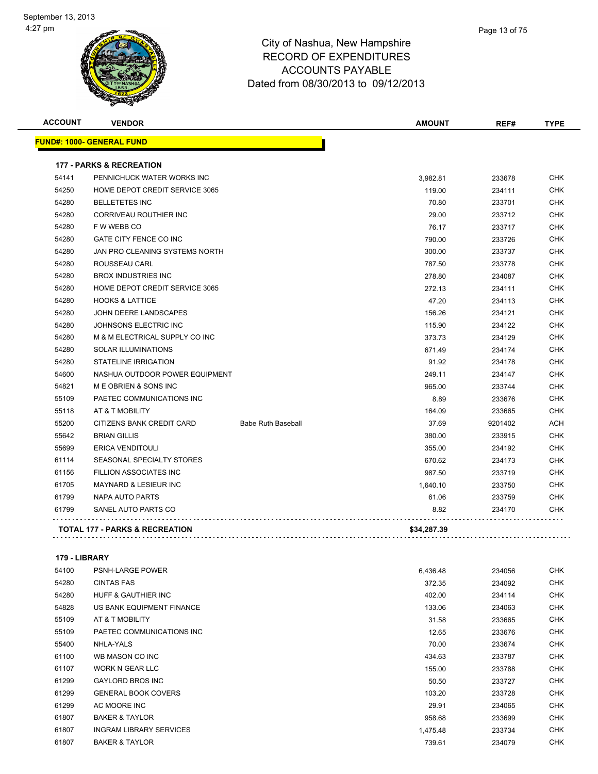

| Page 13 of 75 |  |  |  |
|---------------|--|--|--|
|---------------|--|--|--|

| <b>ACCOUNT</b> | <b>VENDOR</b>                             |                           | <b>AMOUNT</b> | REF#    | <b>TYPE</b> |
|----------------|-------------------------------------------|---------------------------|---------------|---------|-------------|
|                | <b>FUND#: 1000- GENERAL FUND</b>          |                           |               |         |             |
|                | <b>177 - PARKS &amp; RECREATION</b>       |                           |               |         |             |
| 54141          | PENNICHUCK WATER WORKS INC                |                           | 3,982.81      | 233678  | <b>CHK</b>  |
| 54250          | HOME DEPOT CREDIT SERVICE 3065            |                           | 119.00        | 234111  | <b>CHK</b>  |
| 54280          | <b>BELLETETES INC</b>                     |                           | 70.80         | 233701  | <b>CHK</b>  |
| 54280          | <b>CORRIVEAU ROUTHIER INC</b>             |                           | 29.00         | 233712  | <b>CHK</b>  |
| 54280          | F W WEBB CO                               |                           | 76.17         | 233717  | <b>CHK</b>  |
| 54280          | <b>GATE CITY FENCE CO INC</b>             |                           | 790.00        | 233726  | <b>CHK</b>  |
| 54280          | JAN PRO CLEANING SYSTEMS NORTH            |                           | 300.00        | 233737  | <b>CHK</b>  |
| 54280          | ROUSSEAU CARL                             |                           | 787.50        | 233778  | CHK         |
| 54280          | <b>BROX INDUSTRIES INC</b>                |                           | 278.80        | 234087  | <b>CHK</b>  |
| 54280          | HOME DEPOT CREDIT SERVICE 3065            |                           | 272.13        | 234111  | <b>CHK</b>  |
| 54280          | <b>HOOKS &amp; LATTICE</b>                |                           | 47.20         | 234113  | CHK         |
| 54280          | JOHN DEERE LANDSCAPES                     |                           | 156.26        | 234121  | <b>CHK</b>  |
| 54280          | JOHNSONS ELECTRIC INC                     |                           | 115.90        | 234122  | <b>CHK</b>  |
| 54280          | M & M ELECTRICAL SUPPLY CO INC            |                           | 373.73        | 234129  | <b>CHK</b>  |
| 54280          | <b>SOLAR ILLUMINATIONS</b>                |                           | 671.49        | 234174  | <b>CHK</b>  |
| 54280          | <b>STATELINE IRRIGATION</b>               |                           | 91.92         | 234178  | <b>CHK</b>  |
| 54600          | NASHUA OUTDOOR POWER EQUIPMENT            |                           | 249.11        | 234147  | <b>CHK</b>  |
| 54821          | M E OBRIEN & SONS INC                     |                           | 965.00        | 233744  | CHK         |
| 55109          | PAETEC COMMUNICATIONS INC                 |                           | 8.89          | 233676  | <b>CHK</b>  |
| 55118          | AT & T MOBILITY                           |                           | 164.09        | 233665  | <b>CHK</b>  |
| 55200          | CITIZENS BANK CREDIT CARD                 | <b>Babe Ruth Baseball</b> | 37.69         | 9201402 | ACH         |
| 55642          | <b>BRIAN GILLIS</b>                       |                           | 380.00        | 233915  | <b>CHK</b>  |
| 55699          | <b>ERICA VENDITOULI</b>                   |                           | 355.00        | 234192  | <b>CHK</b>  |
| 61114          | SEASONAL SPECIALTY STORES                 |                           | 670.62        | 234173  | <b>CHK</b>  |
| 61156          | <b>FILLION ASSOCIATES INC</b>             |                           | 987.50        | 233719  | <b>CHK</b>  |
| 61705          | <b>MAYNARD &amp; LESIEUR INC</b>          |                           | 1.640.10      | 233750  | <b>CHK</b>  |
| 61799          | <b>NAPA AUTO PARTS</b>                    |                           | 61.06         | 233759  | <b>CHK</b>  |
| 61799          | SANEL AUTO PARTS CO                       |                           | 8.82          | 234170  | CHK         |
|                | <b>TOTAL 177 - PARKS &amp; RECREATION</b> |                           | \$34,287.39   |         |             |

### **179 - LIBRARY**

| 54100 | <b>PSNH-LARGE POWER</b>        | 6,436.48 | 234056 | <b>CHK</b> |
|-------|--------------------------------|----------|--------|------------|
| 54280 | <b>CINTAS FAS</b>              | 372.35   | 234092 | <b>CHK</b> |
| 54280 | <b>HUFF &amp; GAUTHIER INC</b> | 402.00   | 234114 | <b>CHK</b> |
| 54828 | US BANK EQUIPMENT FINANCE      | 133.06   | 234063 | <b>CHK</b> |
| 55109 | AT & T MOBILITY                | 31.58    | 233665 | <b>CHK</b> |
| 55109 | PAETEC COMMUNICATIONS INC      | 12.65    | 233676 | <b>CHK</b> |
| 55400 | NHLA-YALS                      | 70.00    | 233674 | <b>CHK</b> |
| 61100 | WB MASON CO INC                | 434.63   | 233787 | <b>CHK</b> |
| 61107 | WORK N GEAR LLC                | 155.00   | 233788 | <b>CHK</b> |
| 61299 | <b>GAYLORD BROS INC</b>        | 50.50    | 233727 | <b>CHK</b> |
| 61299 | <b>GENERAL BOOK COVERS</b>     | 103.20   | 233728 | <b>CHK</b> |
| 61299 | AC MOORE INC                   | 29.91    | 234065 | <b>CHK</b> |
| 61807 | <b>BAKER &amp; TAYLOR</b>      | 958.68   | 233699 | <b>CHK</b> |
| 61807 | <b>INGRAM LIBRARY SERVICES</b> | 1,475.48 | 233734 | <b>CHK</b> |
| 61807 | <b>BAKER &amp; TAYLOR</b>      | 739.61   | 234079 | <b>CHK</b> |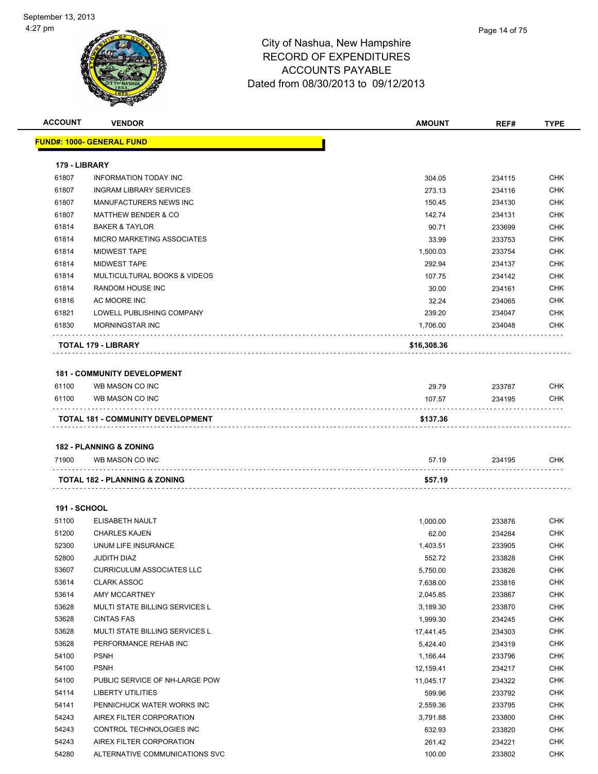| <b>ACCOUNT</b>      | <b>VENDOR</b>                      | <b>AMOUNT</b> | REF#   | <b>TYPE</b> |
|---------------------|------------------------------------|---------------|--------|-------------|
|                     | <b>FUND#: 1000- GENERAL FUND</b>   |               |        |             |
|                     |                                    |               |        |             |
| 179 - LIBRARY       |                                    |               |        |             |
| 61807               | <b>INFORMATION TODAY INC</b>       | 304.05        | 234115 | <b>CHK</b>  |
| 61807               | <b>INGRAM LIBRARY SERVICES</b>     | 273.13        | 234116 | <b>CHK</b>  |
| 61807               | MANUFACTURERS NEWS INC             | 150.45        | 234130 | <b>CHK</b>  |
| 61807               | <b>MATTHEW BENDER &amp; CO</b>     | 142.74        | 234131 | <b>CHK</b>  |
| 61814               | <b>BAKER &amp; TAYLOR</b>          | 90.71         | 233699 | <b>CHK</b>  |
| 61814               | MICRO MARKETING ASSOCIATES         | 33.99         | 233753 | <b>CHK</b>  |
| 61814               | <b>MIDWEST TAPE</b>                | 1,500.03      | 233754 | <b>CHK</b>  |
| 61814               | <b>MIDWEST TAPE</b>                | 292.94        | 234137 | <b>CHK</b>  |
| 61814               | MULTICULTURAL BOOKS & VIDEOS       | 107.75        | 234142 | <b>CHK</b>  |
| 61814               | <b>RANDOM HOUSE INC</b>            | 30.00         | 234161 | <b>CHK</b>  |
| 61816               | AC MOORE INC                       | 32.24         | 234065 | <b>CHK</b>  |
| 61821               | LOWELL PUBLISHING COMPANY          | 239.20        | 234047 | CHK         |
| 61830               | <b>MORNINGSTAR INC</b>             | 1,706.00      | 234048 | CHK         |
|                     | TOTAL 179 - LIBRARY                | \$16,308.36   |        |             |
|                     |                                    |               |        |             |
|                     | <b>181 - COMMUNITY DEVELOPMENT</b> |               |        |             |
| 61100               | WB MASON CO INC                    | 29.79         | 233787 | <b>CHK</b>  |
| 61100               | WB MASON CO INC                    | 107.57        | 234195 | <b>CHK</b>  |
|                     | TOTAL 181 - COMMUNITY DEVELOPMENT  | \$137.36      |        |             |
|                     |                                    |               |        |             |
|                     | <b>182 - PLANNING &amp; ZONING</b> |               |        |             |
| 71900               | WB MASON CO INC                    | 57.19         | 234195 | CHK         |
|                     | TOTAL 182 - PLANNING & ZONING      | \$57.19       |        |             |
|                     |                                    |               |        |             |
| <b>191 - SCHOOL</b> |                                    |               |        |             |
| 51100               | ELISABETH NAULT                    | 1,000.00      | 233876 | <b>CHK</b>  |
| 51200               | <b>CHARLES KAJEN</b>               | 62.00         | 234284 | <b>CHK</b>  |
| 52300               | UNUM LIFE INSURANCE                | 1,403.51      | 233905 | <b>CHK</b>  |
| 52800               | JUDITH DIAZ                        | 552.72        | 233828 | <b>CHK</b>  |
| 53607               | <b>CURRICULUM ASSOCIATES LLC</b>   | 5,750.00      | 233826 | <b>CHK</b>  |
| 53614               | <b>CLARK ASSOC</b>                 | 7,638.00      | 233816 | <b>CHK</b>  |
| 53614               | AMY MCCARTNEY                      | 2,045.85      | 233867 | <b>CHK</b>  |
| 53628               | MULTI STATE BILLING SERVICES L     | 3,189.30      | 233870 | <b>CHK</b>  |
| 53628               | <b>CINTAS FAS</b>                  | 1,999.30      | 234245 | <b>CHK</b>  |
| 53628               | MULTI STATE BILLING SERVICES L     | 17,441.45     | 234303 | <b>CHK</b>  |
| 53628               | PERFORMANCE REHAB INC              | 5,424.40      | 234319 | <b>CHK</b>  |
| 54100               | <b>PSNH</b>                        | 1,166.44      | 233796 | <b>CHK</b>  |
| 54100               | <b>PSNH</b>                        | 12,159.41     | 234217 | <b>CHK</b>  |
| 54100               | PUBLIC SERVICE OF NH-LARGE POW     | 11,045.17     | 234322 | <b>CHK</b>  |
| 54114               | LIBERTY UTILITIES                  | 599.96        | 233792 | <b>CHK</b>  |
| 54141               | PENNICHUCK WATER WORKS INC         | 2,559.36      | 233795 | <b>CHK</b>  |
| 54243               | AIREX FILTER CORPORATION           | 3,791.88      | 233800 | <b>CHK</b>  |
| 54243               | CONTROL TECHNOLOGIES INC           | 632.93        | 233820 | <b>CHK</b>  |
| 54243               | AIREX FILTER CORPORATION           | 261.42        | 234221 | <b>CHK</b>  |
| 54280               | ALTERNATIVE COMMUNICATIONS SVC     | 100.00        | 233802 | <b>CHK</b>  |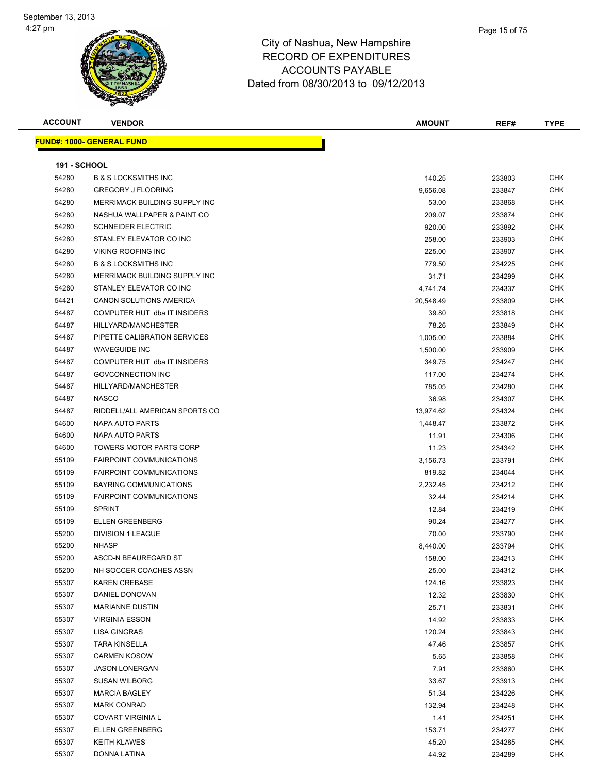| <b>ACCOUNT</b>      | <b>VENDOR</b>                     | AMOUNT    | REF#   | <b>TYPE</b> |
|---------------------|-----------------------------------|-----------|--------|-------------|
|                     | <u> FUND#: 1000- GENERAL FUND</u> |           |        |             |
|                     |                                   |           |        |             |
| <b>191 - SCHOOL</b> |                                   |           |        |             |
| 54280               | <b>B &amp; S LOCKSMITHS INC</b>   | 140.25    | 233803 | <b>CHK</b>  |
| 54280               | <b>GREGORY J FLOORING</b>         | 9,656.08  | 233847 | <b>CHK</b>  |
| 54280               | MERRIMACK BUILDING SUPPLY INC     | 53.00     | 233868 | <b>CHK</b>  |
| 54280               | NASHUA WALLPAPER & PAINT CO       | 209.07    | 233874 | <b>CHK</b>  |
| 54280               | <b>SCHNEIDER ELECTRIC</b>         | 920.00    | 233892 | <b>CHK</b>  |
| 54280               | STANLEY ELEVATOR CO INC           | 258.00    | 233903 | <b>CHK</b>  |
| 54280               | <b>VIKING ROOFING INC</b>         | 225.00    | 233907 | <b>CHK</b>  |
| 54280               | <b>B &amp; S LOCKSMITHS INC</b>   | 779.50    | 234225 | <b>CHK</b>  |
| 54280               | MERRIMACK BUILDING SUPPLY INC     | 31.71     | 234299 | <b>CHK</b>  |
| 54280               | STANLEY ELEVATOR CO INC           | 4,741.74  | 234337 | <b>CHK</b>  |
| 54421               | CANON SOLUTIONS AMERICA           | 20,548.49 | 233809 | <b>CHK</b>  |
| 54487               | COMPUTER HUT dba IT INSIDERS      | 39.80     | 233818 | <b>CHK</b>  |
| 54487               | HILLYARD/MANCHESTER               | 78.26     | 233849 | CHK         |
| 54487               | PIPETTE CALIBRATION SERVICES      | 1,005.00  | 233884 | <b>CHK</b>  |
| 54487               | <b>WAVEGUIDE INC</b>              | 1,500.00  | 233909 | CHK         |
| 54487               | COMPUTER HUT dba IT INSIDERS      | 349.75    | 234247 | <b>CHK</b>  |
| 54487               | <b>GOVCONNECTION INC</b>          | 117.00    | 234274 | <b>CHK</b>  |
| 54487               | HILLYARD/MANCHESTER               | 785.05    | 234280 | <b>CHK</b>  |
| 54487               | <b>NASCO</b>                      | 36.98     | 234307 | <b>CHK</b>  |
| 54487               | RIDDELL/ALL AMERICAN SPORTS CO    | 13,974.62 | 234324 | <b>CHK</b>  |
| 54600               | NAPA AUTO PARTS                   | 1,448.47  | 233872 | <b>CHK</b>  |
| 54600               | NAPA AUTO PARTS                   | 11.91     | 234306 | <b>CHK</b>  |
| 54600               | <b>TOWERS MOTOR PARTS CORP</b>    | 11.23     | 234342 | <b>CHK</b>  |
| 55109               | <b>FAIRPOINT COMMUNICATIONS</b>   | 3,156.73  | 233791 | <b>CHK</b>  |
| 55109               | <b>FAIRPOINT COMMUNICATIONS</b>   | 819.82    | 234044 | <b>CHK</b>  |
| 55109               | BAYRING COMMUNICATIONS            | 2,232.45  | 234212 | <b>CHK</b>  |
| 55109               | <b>FAIRPOINT COMMUNICATIONS</b>   | 32.44     | 234214 | <b>CHK</b>  |
| 55109               | <b>SPRINT</b>                     | 12.84     | 234219 | <b>CHK</b>  |
| 55109               | <b>ELLEN GREENBERG</b>            | 90.24     | 234277 | <b>CHK</b>  |
| 55200               | <b>DIVISION 1 LEAGUE</b>          | 70.00     | 233790 | <b>CHK</b>  |
| 55200               | <b>NHASP</b>                      | 8,440.00  | 233794 | <b>CHK</b>  |
| 55200               | ASCD-N BEAUREGARD ST              | 158.00    | 234213 | <b>CHK</b>  |
| 55200               | NH SOCCER COACHES ASSN            | 25.00     | 234312 | <b>CHK</b>  |
| 55307               | <b>KAREN CREBASE</b>              | 124.16    | 233823 | <b>CHK</b>  |
| 55307               | DANIEL DONOVAN                    | 12.32     | 233830 | <b>CHK</b>  |
| 55307               | <b>MARIANNE DUSTIN</b>            | 25.71     | 233831 | <b>CHK</b>  |
| 55307               | <b>VIRGINIA ESSON</b>             | 14.92     | 233833 | <b>CHK</b>  |
| 55307               | <b>LISA GINGRAS</b>               | 120.24    | 233843 | CHK         |
| 55307               | <b>TARA KINSELLA</b>              | 47.46     | 233857 | <b>CHK</b>  |
| 55307               | <b>CARMEN KOSOW</b>               | 5.65      | 233858 | <b>CHK</b>  |
| 55307               | <b>JASON LONERGAN</b>             | 7.91      | 233860 | CHK         |
| 55307               | <b>SUSAN WILBORG</b>              | 33.67     | 233913 | <b>CHK</b>  |
| 55307               | <b>MARCIA BAGLEY</b>              | 51.34     | 234226 | <b>CHK</b>  |
| 55307               | <b>MARK CONRAD</b>                | 132.94    | 234248 | <b>CHK</b>  |
| 55307               | <b>COVART VIRGINIA L</b>          | 1.41      | 234251 | <b>CHK</b>  |
| 55307               | <b>ELLEN GREENBERG</b>            | 153.71    | 234277 | CHK         |
| 55307               | <b>KEITH KLAWES</b>               | 45.20     | 234285 | CHK         |
| 55307               | DONNA LATINA                      | 44.92     | 234289 | <b>CHK</b>  |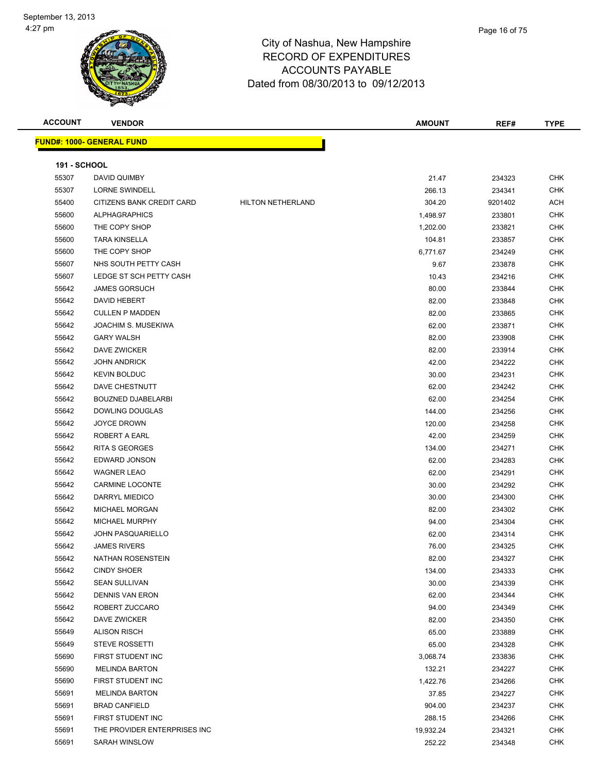| <b>ACCOUNT</b>      | <b>VENDOR</b>                    |                          | <b>AMOUNT</b> | REF#    | <b>TYPE</b> |
|---------------------|----------------------------------|--------------------------|---------------|---------|-------------|
|                     | <b>FUND#: 1000- GENERAL FUND</b> |                          |               |         |             |
|                     |                                  |                          |               |         |             |
| <b>191 - SCHOOL</b> |                                  |                          |               |         |             |
| 55307               | DAVID QUIMBY                     |                          | 21.47         | 234323  | <b>CHK</b>  |
| 55307               | <b>LORNE SWINDELL</b>            |                          | 266.13        | 234341  | <b>CHK</b>  |
| 55400               | CITIZENS BANK CREDIT CARD        | <b>HILTON NETHERLAND</b> | 304.20        | 9201402 | ACH         |
| 55600               | <b>ALPHAGRAPHICS</b>             |                          | 1,498.97      | 233801  | CHK         |
| 55600               | THE COPY SHOP                    |                          | 1,202.00      | 233821  | <b>CHK</b>  |
| 55600               | <b>TARA KINSELLA</b>             |                          | 104.81        | 233857  | <b>CHK</b>  |
| 55600               | THE COPY SHOP                    |                          | 6,771.67      | 234249  | <b>CHK</b>  |
| 55607               | NHS SOUTH PETTY CASH             |                          | 9.67          | 233878  | <b>CHK</b>  |
| 55607               | LEDGE ST SCH PETTY CASH          |                          | 10.43         | 234216  | <b>CHK</b>  |
| 55642               | <b>JAMES GORSUCH</b>             |                          | 80.00         | 233844  | <b>CHK</b>  |
| 55642               | DAVID HEBERT                     |                          | 82.00         | 233848  | <b>CHK</b>  |
| 55642               | <b>CULLEN P MADDEN</b>           |                          | 82.00         | 233865  | <b>CHK</b>  |
| 55642               | JOACHIM S. MUSEKIWA              |                          | 62.00         | 233871  | <b>CHK</b>  |
| 55642               | <b>GARY WALSH</b>                |                          | 82.00         | 233908  | <b>CHK</b>  |
| 55642               | DAVE ZWICKER                     |                          | 82.00         | 233914  | <b>CHK</b>  |
| 55642               | <b>JOHN ANDRICK</b>              |                          | 42.00         | 234222  | <b>CHK</b>  |
| 55642               | <b>KEVIN BOLDUC</b>              |                          | 30.00         | 234231  | <b>CHK</b>  |
| 55642               | DAVE CHESTNUTT                   |                          | 62.00         | 234242  | <b>CHK</b>  |
| 55642               | <b>BOUZNED DJABELARBI</b>        |                          | 62.00         | 234254  | <b>CHK</b>  |
| 55642               | DOWLING DOUGLAS                  |                          | 144.00        | 234256  | <b>CHK</b>  |
| 55642               | <b>JOYCE DROWN</b>               |                          | 120.00        | 234258  | <b>CHK</b>  |
| 55642               | ROBERT A EARL                    |                          | 42.00         | 234259  | <b>CHK</b>  |
| 55642               | RITA S GEORGES                   |                          | 134.00        | 234271  | <b>CHK</b>  |
| 55642               | EDWARD JONSON                    |                          | 62.00         | 234283  | <b>CHK</b>  |
| 55642               | <b>WAGNER LEAO</b>               |                          | 62.00         | 234291  | CHK         |
| 55642               | <b>CARMINE LOCONTE</b>           |                          | 30.00         | 234292  | <b>CHK</b>  |
| 55642               | DARRYL MIEDICO                   |                          | 30.00         | 234300  | <b>CHK</b>  |
| 55642               | <b>MICHAEL MORGAN</b>            |                          | 82.00         | 234302  | <b>CHK</b>  |
| 55642               | MICHAEL MURPHY                   |                          | 94.00         | 234304  | <b>CHK</b>  |
| 55642               | <b>JOHN PASQUARIELLO</b>         |                          | 62.00         | 234314  | <b>CHK</b>  |
| 55642               | <b>JAMES RIVERS</b>              |                          | 76.00         | 234325  | CHK         |
| 55642               | NATHAN ROSENSTEIN                |                          | 82.00         | 234327  | <b>CHK</b>  |
| 55642               | <b>CINDY SHOER</b>               |                          | 134.00        | 234333  | CHK         |
| 55642               | <b>SEAN SULLIVAN</b>             |                          | 30.00         | 234339  | <b>CHK</b>  |
| 55642               | <b>DENNIS VAN ERON</b>           |                          | 62.00         | 234344  | CHK         |
| 55642               | ROBERT ZUCCARO                   |                          | 94.00         | 234349  | CHK         |
| 55642               | DAVE ZWICKER                     |                          | 82.00         | 234350  | <b>CHK</b>  |
| 55649               | <b>ALISON RISCH</b>              |                          | 65.00         | 233889  | <b>CHK</b>  |
| 55649               | <b>STEVE ROSSETTI</b>            |                          | 65.00         | 234328  | CHK         |
| 55690               | FIRST STUDENT INC                |                          | 3,068.74      | 233836  | CHK         |
| 55690               | <b>MELINDA BARTON</b>            |                          | 132.21        | 234227  | CHK         |
| 55690               | FIRST STUDENT INC                |                          | 1,422.76      | 234266  | CHK         |
| 55691               | <b>MELINDA BARTON</b>            |                          | 37.85         | 234227  | CHK         |
| 55691               | <b>BRAD CANFIELD</b>             |                          | 904.00        | 234237  | CHK         |
| 55691               | FIRST STUDENT INC                |                          | 288.15        | 234266  | CHK         |
| 55691               | THE PROVIDER ENTERPRISES INC     |                          | 19,932.24     | 234321  | CHK         |
| 55691               | SARAH WINSLOW                    |                          | 252.22        | 234348  | CHK         |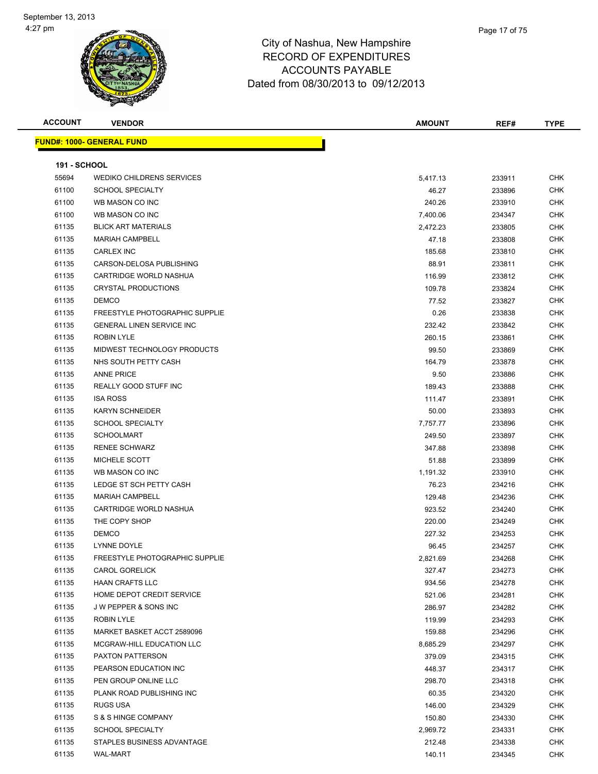| <b>ACCOUNT</b>      | <b>VENDOR</b>                     | <b>AMOUNT</b> | REF#   | <b>TYPE</b> |  |  |  |
|---------------------|-----------------------------------|---------------|--------|-------------|--|--|--|
|                     | <u> FUND#: 1000- GENERAL FUND</u> |               |        |             |  |  |  |
|                     |                                   |               |        |             |  |  |  |
| <b>191 - SCHOOL</b> |                                   |               |        |             |  |  |  |
| 55694               | <b>WEDIKO CHILDRENS SERVICES</b>  | 5,417.13      | 233911 | <b>CHK</b>  |  |  |  |
| 61100               | <b>SCHOOL SPECIALTY</b>           | 46.27         | 233896 | <b>CHK</b>  |  |  |  |
| 61100               | WB MASON CO INC                   | 240.26        | 233910 | CHK         |  |  |  |
| 61100               | WB MASON CO INC                   | 7,400.06      | 234347 | <b>CHK</b>  |  |  |  |
| 61135               | <b>BLICK ART MATERIALS</b>        | 2,472.23      | 233805 | CHK         |  |  |  |
| 61135               | <b>MARIAH CAMPBELL</b>            | 47.18         | 233808 | CHK         |  |  |  |
| 61135               | CARLEX INC                        | 185.68        | 233810 | CHK         |  |  |  |
| 61135               | CARSON-DELOSA PUBLISHING          | 88.91         | 233811 | CHK         |  |  |  |
| 61135               | CARTRIDGE WORLD NASHUA            | 116.99        | 233812 | CHK         |  |  |  |
| 61135               | <b>CRYSTAL PRODUCTIONS</b>        | 109.78        | 233824 | CHK         |  |  |  |
| 61135               | <b>DEMCO</b>                      | 77.52         | 233827 | CHK         |  |  |  |
| 61135               | FREESTYLE PHOTOGRAPHIC SUPPLIE    | 0.26          | 233838 | CHK         |  |  |  |
| 61135               | GENERAL LINEN SERVICE INC         | 232.42        | 233842 | CHK         |  |  |  |
| 61135               | <b>ROBIN LYLE</b>                 | 260.15        | 233861 | CHK         |  |  |  |
| 61135               | MIDWEST TECHNOLOGY PRODUCTS       | 99.50         | 233869 | CHK         |  |  |  |
| 61135               | NHS SOUTH PETTY CASH              | 164.79        | 233878 | CHK         |  |  |  |
| 61135               | <b>ANNE PRICE</b>                 | 9.50          | 233886 | CHK         |  |  |  |
| 61135               | REALLY GOOD STUFF INC             | 189.43        | 233888 | <b>CHK</b>  |  |  |  |
| 61135               | <b>ISA ROSS</b>                   | 111.47        | 233891 | CHK         |  |  |  |
| 61135               | <b>KARYN SCHNEIDER</b>            | 50.00         | 233893 | <b>CHK</b>  |  |  |  |
| 61135               | <b>SCHOOL SPECIALTY</b>           | 7,757.77      | 233896 | CHK         |  |  |  |
| 61135               | <b>SCHOOLMART</b>                 | 249.50        | 233897 | CHK         |  |  |  |
| 61135               | <b>RENEE SCHWARZ</b>              | 347.88        | 233898 | CHK         |  |  |  |
| 61135               | MICHELE SCOTT                     | 51.88         | 233899 | CHK         |  |  |  |
| 61135               | WB MASON CO INC                   | 1,191.32      | 233910 | <b>CHK</b>  |  |  |  |
| 61135               | LEDGE ST SCH PETTY CASH           | 76.23         | 234216 | CHK         |  |  |  |
| 61135               | <b>MARIAH CAMPBELL</b>            | 129.48        | 234236 | CHK         |  |  |  |
| 61135               | CARTRIDGE WORLD NASHUA            | 923.52        | 234240 | CHK         |  |  |  |
| 61135               | THE COPY SHOP                     | 220.00        | 234249 | <b>CHK</b>  |  |  |  |
| 61135               | <b>DEMCO</b>                      | 227.32        | 234253 | CHK         |  |  |  |
| 61135               | LYNNE DOYLE                       | 96.45         | 234257 | <b>CHK</b>  |  |  |  |
| 61135               | FREESTYLE PHOTOGRAPHIC SUPPLIE    | 2,821.69      | 234268 | <b>CHK</b>  |  |  |  |
| 61135               | <b>CAROL GORELICK</b>             | 327.47        | 234273 | CHK         |  |  |  |
| 61135               | <b>HAAN CRAFTS LLC</b>            | 934.56        | 234278 | <b>CHK</b>  |  |  |  |
| 61135               | HOME DEPOT CREDIT SERVICE         | 521.06        | 234281 | <b>CHK</b>  |  |  |  |
| 61135               | J W PEPPER & SONS INC             | 286.97        | 234282 | CHK         |  |  |  |
| 61135               | ROBIN LYLE                        | 119.99        | 234293 | <b>CHK</b>  |  |  |  |
| 61135               | MARKET BASKET ACCT 2589096        | 159.88        | 234296 | CHK         |  |  |  |
| 61135               | MCGRAW-HILL EDUCATION LLC         | 8,685.29      | 234297 | CHK         |  |  |  |
| 61135               | PAXTON PATTERSON                  | 379.09        | 234315 | CHK         |  |  |  |
| 61135               | PEARSON EDUCATION INC             | 448.37        | 234317 | CHK         |  |  |  |
| 61135               | PEN GROUP ONLINE LLC              | 298.70        | 234318 | CHK         |  |  |  |
| 61135               | PLANK ROAD PUBLISHING INC         | 60.35         | 234320 | CHK         |  |  |  |
| 61135               | RUGS USA                          | 146.00        | 234329 | CHK         |  |  |  |
| 61135               | S & S HINGE COMPANY               | 150.80        | 234330 | CHK         |  |  |  |
| 61135               | <b>SCHOOL SPECIALTY</b>           | 2,969.72      | 234331 | CHK         |  |  |  |
| 61135               | STAPLES BUSINESS ADVANTAGE        | 212.48        | 234338 | CHK         |  |  |  |
| 61135               | <b>WAL-MART</b>                   | 140.11        | 234345 | <b>CHK</b>  |  |  |  |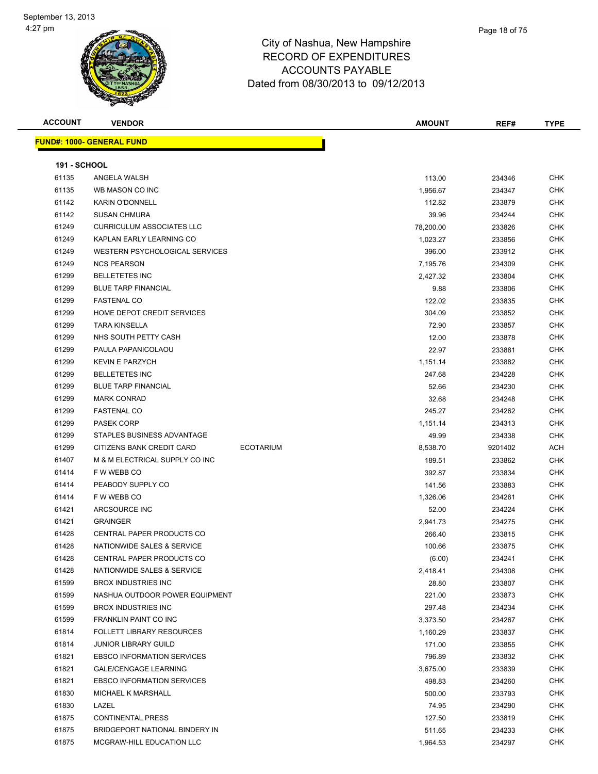

| <b>ACCOUNT</b>      | <b>VENDOR</b>                                 | <b>AMOUNT</b> | REF#    | <b>TYPE</b> |
|---------------------|-----------------------------------------------|---------------|---------|-------------|
|                     | <b>FUND#: 1000- GENERAL FUND</b>              |               |         |             |
| <b>191 - SCHOOL</b> |                                               |               |         |             |
| 61135               | ANGELA WALSH                                  | 113.00        | 234346  | <b>CHK</b>  |
| 61135               | WB MASON CO INC                               | 1,956.67      | 234347  | <b>CHK</b>  |
| 61142               | <b>KARIN O'DONNELL</b>                        | 112.82        | 233879  | <b>CHK</b>  |
| 61142               | <b>SUSAN CHMURA</b>                           | 39.96         | 234244  | <b>CHK</b>  |
| 61249               | <b>CURRICULUM ASSOCIATES LLC</b>              | 78,200.00     | 233826  | <b>CHK</b>  |
| 61249               | KAPLAN EARLY LEARNING CO                      | 1,023.27      | 233856  | <b>CHK</b>  |
| 61249               | WESTERN PSYCHOLOGICAL SERVICES                | 396.00        | 233912  | <b>CHK</b>  |
| 61249               | <b>NCS PEARSON</b>                            | 7,195.76      | 234309  | <b>CHK</b>  |
| 61299               | <b>BELLETETES INC</b>                         | 2,427.32      | 233804  | <b>CHK</b>  |
| 61299               | <b>BLUE TARP FINANCIAL</b>                    | 9.88          | 233806  | <b>CHK</b>  |
| 61299               | <b>FASTENAL CO</b>                            | 122.02        | 233835  | <b>CHK</b>  |
| 61299               | HOME DEPOT CREDIT SERVICES                    | 304.09        | 233852  | <b>CHK</b>  |
| 61299               | <b>TARA KINSELLA</b>                          | 72.90         | 233857  | <b>CHK</b>  |
| 61299               | NHS SOUTH PETTY CASH                          | 12.00         | 233878  | <b>CHK</b>  |
| 61299               | PAULA PAPANICOLAOU                            | 22.97         | 233881  | <b>CHK</b>  |
| 61299               | <b>KEVIN E PARZYCH</b>                        | 1,151.14      | 233882  | CHK         |
| 61299               | <b>BELLETETES INC</b>                         | 247.68        | 234228  | CHK         |
| 61299               | <b>BLUE TARP FINANCIAL</b>                    | 52.66         | 234230  | <b>CHK</b>  |
| 61299               | <b>MARK CONRAD</b>                            | 32.68         | 234248  | CHK         |
| 61299               | <b>FASTENAL CO</b>                            | 245.27        | 234262  | <b>CHK</b>  |
| 61299               | <b>PASEK CORP</b>                             | 1,151.14      | 234313  | <b>CHK</b>  |
| 61299               | STAPLES BUSINESS ADVANTAGE                    | 49.99         | 234338  | <b>CHK</b>  |
| 61299               | CITIZENS BANK CREDIT CARD<br><b>ECOTARIUM</b> | 8,538.70      | 9201402 | <b>ACH</b>  |
| 61407               | M & M ELECTRICAL SUPPLY CO INC                | 189.51        | 233862  | <b>CHK</b>  |
| 61414               | F W WEBB CO                                   | 392.87        | 233834  | <b>CHK</b>  |
| 61414               | PEABODY SUPPLY CO                             | 141.56        | 233883  | <b>CHK</b>  |
| 61414               | F W WEBB CO                                   | 1,326.06      | 234261  | <b>CHK</b>  |
| 61421               | ARCSOURCE INC                                 | 52.00         | 234224  | <b>CHK</b>  |
| 61421               | <b>GRAINGER</b>                               | 2,941.73      | 234275  | <b>CHK</b>  |
| 61428               | CENTRAL PAPER PRODUCTS CO                     | 266.40        | 233815  | <b>CHK</b>  |
| 61428               | NATIONWIDE SALES & SERVICE                    | 100.66        | 233875  | CHK         |
| 61428               | CENTRAL PAPER PRODUCTS CO                     | (6.00)        | 234241  | <b>CHK</b>  |
| 61428               | NATIONWIDE SALES & SERVICE                    | 2,418.41      | 234308  | <b>CHK</b>  |
| 61599               | <b>BROX INDUSTRIES INC</b>                    | 28.80         | 233807  | <b>CHK</b>  |
| 61599               | NASHUA OUTDOOR POWER EQUIPMENT                | 221.00        | 233873  | <b>CHK</b>  |
| 61599               | <b>BROX INDUSTRIES INC</b>                    | 297.48        | 234234  | <b>CHK</b>  |
| 61599               | FRANKLIN PAINT CO INC                         | 3,373.50      | 234267  | <b>CHK</b>  |
| 61814               | <b>FOLLETT LIBRARY RESOURCES</b>              | 1,160.29      | 233837  | <b>CHK</b>  |
| 61814               | <b>JUNIOR LIBRARY GUILD</b>                   | 171.00        | 233855  | <b>CHK</b>  |
| 61821               | <b>EBSCO INFORMATION SERVICES</b>             | 796.89        | 233832  | <b>CHK</b>  |
| 61821               | <b>GALE/CENGAGE LEARNING</b>                  | 3,675.00      | 233839  | <b>CHK</b>  |
| 61821               | <b>EBSCO INFORMATION SERVICES</b>             | 498.83        | 234260  | <b>CHK</b>  |
| 61830               | MICHAEL K MARSHALL                            | 500.00        | 233793  | <b>CHK</b>  |
| 61830               | LAZEL                                         | 74.95         | 234290  | <b>CHK</b>  |
| 61875               | <b>CONTINENTAL PRESS</b>                      | 127.50        | 233819  | <b>CHK</b>  |
| 61875               | BRIDGEPORT NATIONAL BINDERY IN                | 511.65        | 234233  | <b>CHK</b>  |
| 61875               | MCGRAW-HILL EDUCATION LLC                     | 1,964.53      | 234297  | <b>CHK</b>  |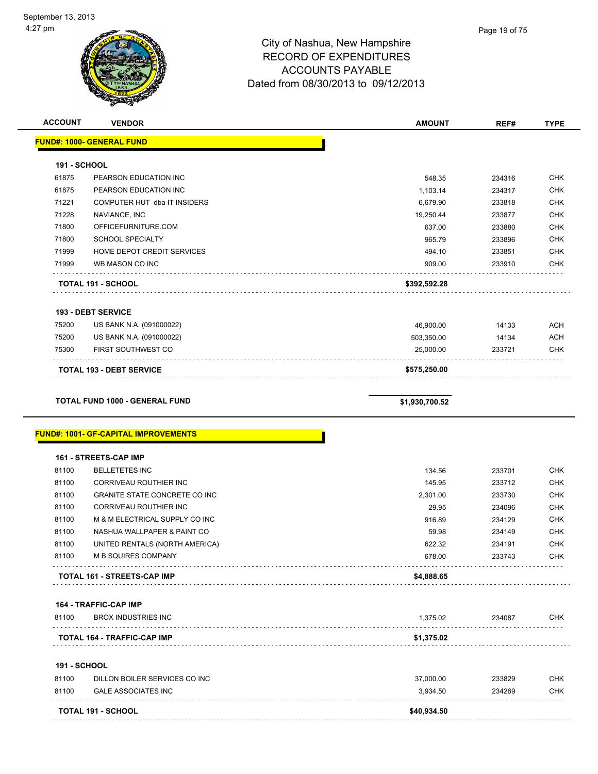| <b>ACCOUNT</b>               | <b>VENDOR</b>                                  | <b>AMOUNT</b>       | REF#             | <b>TYPE</b>              |
|------------------------------|------------------------------------------------|---------------------|------------------|--------------------------|
|                              | <u> FUND#: 1000- GENERAL FUND</u>              |                     |                  |                          |
|                              |                                                |                     |                  |                          |
| <b>191 - SCHOOL</b><br>61875 |                                                |                     |                  | <b>CHK</b>               |
| 61875                        | PEARSON EDUCATION INC<br>PEARSON EDUCATION INC | 548.35              | 234316           | <b>CHK</b>               |
| 71221                        | COMPUTER HUT dba IT INSIDERS                   | 1,103.14            | 234317           |                          |
| 71228                        | NAVIANCE, INC                                  | 6,679.90            | 233818           | <b>CHK</b><br><b>CHK</b> |
| 71800                        | OFFICEFURNITURE.COM                            | 19,250.44<br>637.00 | 233877<br>233880 | <b>CHK</b>               |
| 71800                        | <b>SCHOOL SPECIALTY</b>                        | 965.79              | 233896           | <b>CHK</b>               |
| 71999                        | HOME DEPOT CREDIT SERVICES                     | 494.10              | 233851           | <b>CHK</b>               |
| 71999                        | WB MASON CO INC                                | 909.00              | 233910           | <b>CHK</b>               |
|                              |                                                |                     |                  |                          |
|                              | TOTAL 191 - SCHOOL                             | \$392,592.28        |                  |                          |
|                              | 193 - DEBT SERVICE                             |                     |                  |                          |
| 75200                        | US BANK N.A. (091000022)                       | 46,900.00           | 14133            | <b>ACH</b>               |
| 75200                        | US BANK N.A. (091000022)                       | 503,350.00          | 14134            | <b>ACH</b>               |
| 75300                        | FIRST SOUTHWEST CO                             | 25,000.00           | 233721           | <b>CHK</b>               |
|                              | <b>TOTAL 193 - DEBT SERVICE</b>                | \$575,250.00        |                  |                          |
|                              |                                                |                     |                  |                          |
|                              | <b>TOTAL FUND 1000 - GENERAL FUND</b>          | \$1,930,700.52      |                  |                          |
|                              | <b>FUND#: 1001- GF-CAPITAL IMPROVEMENTS</b>    |                     |                  |                          |
|                              | 161 - STREETS-CAP IMP                          |                     |                  |                          |
| 81100                        | <b>BELLETETES INC</b>                          | 134.56              | 233701           | <b>CHK</b>               |
| 81100                        | CORRIVEAU ROUTHIER INC                         | 145.95              | 233712           | <b>CHK</b>               |
| 81100                        | GRANITE STATE CONCRETE CO INC                  | 2,301.00            | 233730           | <b>CHK</b>               |
| 81100                        | CORRIVEAU ROUTHIER INC                         | 29.95               | 234096           | <b>CHK</b>               |
| 81100                        | M & M ELECTRICAL SUPPLY CO INC                 | 916.89              | 234129           | <b>CHK</b>               |
| 81100                        | NASHUA WALLPAPER & PAINT CO                    | 59.98               | 234149           | <b>CHK</b>               |
| 81100                        | UNITED RENTALS (NORTH AMERICA)                 | 622.32              | 234191           | <b>CHK</b>               |
| 81100                        | <b>M B SQUIRES COMPANY</b>                     | 678.00              | 233743           | <b>CHK</b>               |
|                              | TOTAL 161 - STREETS-CAP IMP                    | \$4,888.65          |                  |                          |
|                              | 164 - TRAFFIC-CAP IMP                          |                     |                  |                          |
| 81100                        | <b>BROX INDUSTRIES INC</b>                     | 1,375.02            | 234087           | <b>CHK</b>               |
|                              | TOTAL 164 - TRAFFIC-CAP IMP                    | \$1,375.02          |                  |                          |
| <b>191 - SCHOOL</b>          |                                                |                     |                  |                          |
| 81100                        | DILLON BOILER SERVICES CO INC                  | 37,000.00           | 233829           | <b>CHK</b>               |
| 81100                        | <b>GALE ASSOCIATES INC</b>                     | 3,934.50            | 234269           | <b>CHK</b>               |
|                              |                                                |                     |                  |                          |
|                              | TOTAL 191 - SCHOOL                             | \$40,934.50         |                  |                          |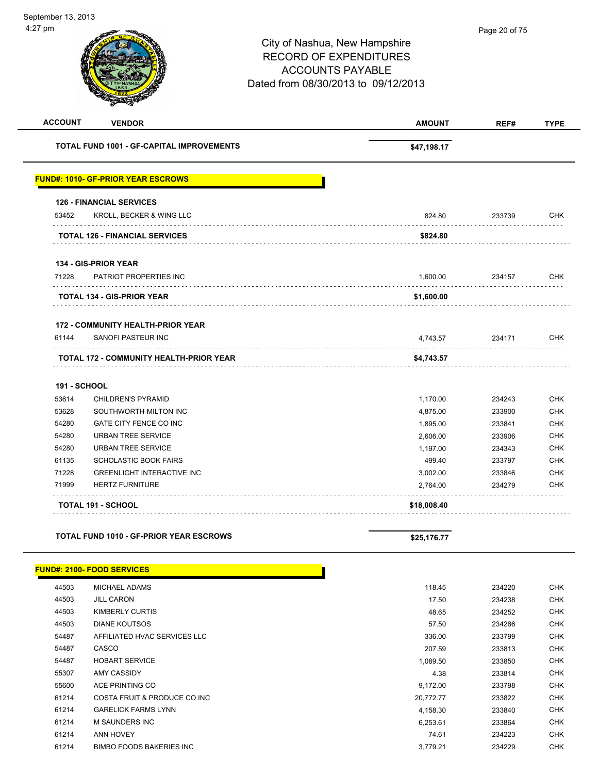| <b>ACCOUNT</b>      | <b>VENDOR</b>                                    | <b>AMOUNT</b> | REF#   | <b>TYPE</b> |
|---------------------|--------------------------------------------------|---------------|--------|-------------|
|                     | <b>TOTAL FUND 1001 - GF-CAPITAL IMPROVEMENTS</b> | \$47,198.17   |        |             |
|                     | <b>FUND#: 1010- GF-PRIOR YEAR ESCROWS</b>        |               |        |             |
|                     | <b>126 - FINANCIAL SERVICES</b>                  |               |        |             |
| 53452               | KROLL, BECKER & WING LLC                         | 824.80        | 233739 | <b>CHK</b>  |
|                     | <b>TOTAL 126 - FINANCIAL SERVICES</b>            | \$824.80      |        |             |
|                     | 134 - GIS-PRIOR YEAR                             |               |        |             |
| 71228               | PATRIOT PROPERTIES INC                           | 1,600.00      | 234157 | <b>CHK</b>  |
|                     | TOTAL 134 - GIS-PRIOR YEAR                       | \$1,600.00    |        |             |
|                     | <b>172 - COMMUNITY HEALTH-PRIOR YEAR</b>         |               |        |             |
| 61144               | SANOFI PASTEUR INC                               | 4,743.57      | 234171 | <b>CHK</b>  |
|                     | <b>TOTAL 172 - COMMUNITY HEALTH-PRIOR YEAR</b>   | \$4,743.57    |        |             |
| <b>191 - SCHOOL</b> |                                                  |               |        |             |
| 53614               | <b>CHILDREN'S PYRAMID</b>                        | 1,170.00      | 234243 | <b>CHK</b>  |
| 53628               | SOUTHWORTH-MILTON INC                            | 4,875.00      | 233900 | <b>CHK</b>  |
| 54280               | GATE CITY FENCE CO INC                           | 1,895.00      | 233841 | <b>CHK</b>  |
| 54280               | <b>URBAN TREE SERVICE</b>                        | 2,606.00      | 233906 | <b>CHK</b>  |
| 54280               | <b>URBAN TREE SERVICE</b>                        | 1,197.00      | 234343 | <b>CHK</b>  |
| 61135               | <b>SCHOLASTIC BOOK FAIRS</b>                     | 499.40        | 233797 | <b>CHK</b>  |
| 71228               | <b>GREENLIGHT INTERACTIVE INC</b>                | 3,002.00      | 233846 | <b>CHK</b>  |
| 71999               | <b>HERTZ FURNITURE</b>                           | 2,764.00      | 234279 | <b>CHK</b>  |
|                     | <b>TOTAL 191 - SCHOOL</b>                        | \$18,008.40   |        |             |
|                     | <b>TOTAL FUND 1010 - GF-PRIOR YEAR ESCROWS</b>   | \$25,176.77   |        |             |
|                     |                                                  |               |        |             |
|                     | <b>FUND#: 2100- FOOD SERVICES</b>                |               |        |             |
| 44503               | MICHAEL ADAMS                                    | 118.45        | 234220 | <b>CHK</b>  |
| 44503               | <b>JILL CARON</b>                                | 17.50         | 234238 | <b>CHK</b>  |
| 44503               | <b>KIMBERLY CURTIS</b>                           | 48.65         | 234252 | <b>CHK</b>  |
| 44503               | <b>DIANE KOUTSOS</b>                             | 57.50         | 234286 | <b>CHK</b>  |
| 54487               | AFFILIATED HVAC SERVICES LLC                     | 336.00        | 233799 | <b>CHK</b>  |
| 54487               | CASCO                                            | 207.59        | 233813 | <b>CHK</b>  |
| 54487               | HOBART SERVICE                                   | 1,089.50      | 233850 | <b>CHK</b>  |

 AMY CASSIDY 4.38 233814 CHK ACE PRINTING CO 9,172.00 233798 CHK 61214 COSTA FRUIT & PRODUCE CO INC **CONSUMING THE COSTA FRUIT & PRODUCE CO INC**  GARELICK FARMS LYNN 4,158.30 233840 CHK M SAUNDERS INC 6,253.61 233864 CHK ANN HOVEY 74.61 234223 CHK 61214 BIMBO FOODS BAKERIES INC<br>
CHK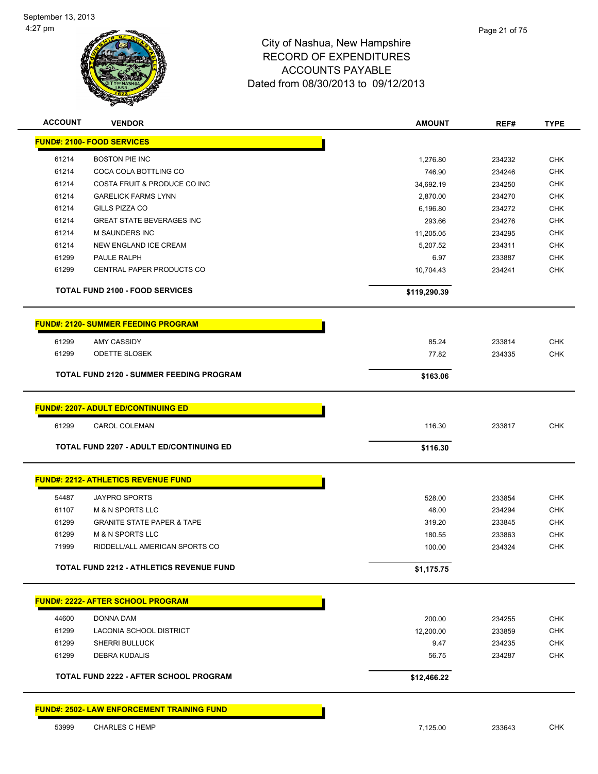

| <b>ACCOUNT</b> | <b>VENDOR</b>                                     | <b>AMOUNT</b> | REF#   | <b>TYPE</b> |
|----------------|---------------------------------------------------|---------------|--------|-------------|
|                | <b>FUND#: 2100- FOOD SERVICES</b>                 |               |        |             |
| 61214          | <b>BOSTON PIE INC</b>                             | 1,276.80      | 234232 | <b>CHK</b>  |
| 61214          | COCA COLA BOTTLING CO                             | 746.90        | 234246 | <b>CHK</b>  |
| 61214          | COSTA FRUIT & PRODUCE CO INC                      | 34,692.19     | 234250 | <b>CHK</b>  |
| 61214          | <b>GARELICK FARMS LYNN</b>                        | 2,870.00      | 234270 | <b>CHK</b>  |
| 61214          | GILLS PIZZA CO                                    | 6,196.80      | 234272 | <b>CHK</b>  |
| 61214          | <b>GREAT STATE BEVERAGES INC</b>                  | 293.66        | 234276 | <b>CHK</b>  |
| 61214          | M SAUNDERS INC                                    | 11,205.05     | 234295 | <b>CHK</b>  |
| 61214          | NEW ENGLAND ICE CREAM                             | 5,207.52      | 234311 | <b>CHK</b>  |
| 61299          | PAULE RALPH                                       | 6.97          | 233887 | <b>CHK</b>  |
| 61299          | CENTRAL PAPER PRODUCTS CO                         | 10,704.43     | 234241 | <b>CHK</b>  |
|                | <b>TOTAL FUND 2100 - FOOD SERVICES</b>            | \$119,290.39  |        |             |
|                | <b>FUND#: 2120- SUMMER FEEDING PROGRAM</b>        |               |        |             |
| 61299          | AMY CASSIDY                                       | 85.24         | 233814 | <b>CHK</b>  |
| 61299          | <b>ODETTE SLOSEK</b>                              | 77.82         | 234335 | <b>CHK</b>  |
|                | <b>TOTAL FUND 2120 - SUMMER FEEDING PROGRAM</b>   | \$163.06      |        |             |
|                |                                                   |               |        |             |
|                | <b>FUND#: 2207- ADULT ED/CONTINUING ED</b>        |               |        |             |
| 61299          | CAROL COLEMAN                                     | 116.30        | 233817 | CHK         |
|                | <b>TOTAL FUND 2207 - ADULT ED/CONTINUING ED</b>   | \$116.30      |        |             |
|                | <b>FUND#: 2212- ATHLETICS REVENUE FUND</b>        |               |        |             |
| 54487          | <b>JAYPRO SPORTS</b>                              | 528.00        | 233854 | <b>CHK</b>  |
| 61107          | <b>M &amp; N SPORTS LLC</b>                       | 48.00         | 234294 | <b>CHK</b>  |
| 61299          | <b>GRANITE STATE PAPER &amp; TAPE</b>             | 319.20        | 233845 | <b>CHK</b>  |
| 61299          | <b>M &amp; N SPORTS LLC</b>                       | 180.55        | 233863 | <b>CHK</b>  |
| 71999          | RIDDELL/ALL AMERICAN SPORTS CO                    | 100.00        | 234324 | <b>CHK</b>  |
|                | <b>TOTAL FUND 2212 - ATHLETICS REVENUE FUND</b>   | \$1,175.75    |        |             |
|                | <u> FUND#: 2222- AFTER SCHOOL PROGRAM</u>         |               |        |             |
| 44600          | DONNA DAM                                         | 200.00        | 234255 | <b>CHK</b>  |
| 61299          | LACONIA SCHOOL DISTRICT                           | 12,200.00     | 233859 | <b>CHK</b>  |
| 61299          | <b>SHERRI BULLUCK</b>                             | 9.47          | 234235 | <b>CHK</b>  |
| 61299          | DEBRA KUDALIS                                     | 56.75         | 234287 | <b>CHK</b>  |
|                | <b>TOTAL FUND 2222 - AFTER SCHOOL PROGRAM</b>     | \$12,466.22   |        |             |
|                | <b>FUND#: 2502- LAW ENFORCEMENT TRAINING FUND</b> |               |        |             |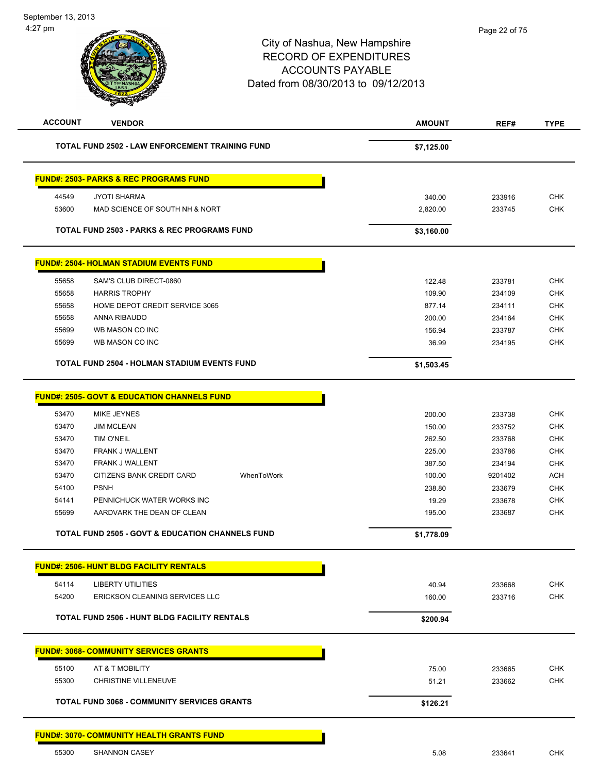# City of Nashua, New Hampshire RECORD OF EXPENDITURES ACCOUNTS PAYABLE Dated from 08/30/2013 to 09/12/2013 **ACCOUNT VENDOR AMOUNT REF# TYPE TOTAL FUND 2502 - LAW ENFORCEMENT TRAINING FUND \$7,125.00 FUND#: 2503- PARKS & REC PROGRAMS FUND** 44549 JYOTI SHARMA 340.00 233916 CHK 53600 MAD SCIENCE OF SOUTH NH & NORT 2,820.00 233745 CHK

| <b>TOTAL FUND 2503 - PARKS &amp; REC PROGRAMS FUND</b> |                                                | \$3,160.00 |        |     |
|--------------------------------------------------------|------------------------------------------------|------------|--------|-----|
|                                                        | <b>FUND#: 2504- HOLMAN STADIUM EVENTS FUND</b> |            |        |     |
| 55658                                                  | SAM'S CLUB DIRECT-0860                         | 122.48     | 233781 | CHK |
| 55658                                                  | <b>HARRIS TROPHY</b>                           | 109.90     | 234109 | CHK |
| 55658                                                  | HOME DEPOT CREDIT SERVICE 3065                 | 877.14     | 234111 | CHK |
|                                                        |                                                |            |        |     |

|       | <b>TOTAL FUND 2504 - HOLMAN STADIUM EVENTS FUND</b> | \$1,503.45 |        |            |
|-------|-----------------------------------------------------|------------|--------|------------|
| 55699 | WB MASON CO INC                                     | 36.99      | 234195 | снк        |
| 55699 | WB MASON CO INC                                     | 156.94     | 233787 | <b>CHK</b> |
| 55658 | ANNA RIBAUDO                                        | 200.00     | 234164 | <b>CHK</b> |
|       |                                                     |            |        |            |

٠

# **FUND#: 2505- GOVT & EDUCATION CHANNELS FUND**

|       | <b>TOTAL FUND 2505 - GOVT &amp; EDUCATION CHANNELS FUND</b> |            | \$1,778.09 |         |            |
|-------|-------------------------------------------------------------|------------|------------|---------|------------|
| 55699 | AARDVARK THE DEAN OF CLEAN                                  |            | 195.00     | 233687  | <b>CHK</b> |
| 54141 | PENNICHUCK WATER WORKS INC                                  |            | 19.29      | 233678  | <b>CHK</b> |
| 54100 | <b>PSNH</b>                                                 |            | 238.80     | 233679  | <b>CHK</b> |
| 53470 | CITIZENS BANK CREDIT CARD                                   | WhenToWork | 100.00     | 9201402 | <b>ACH</b> |
| 53470 | <b>FRANK J WALLENT</b>                                      |            | 387.50     | 234194  | <b>CHK</b> |
| 53470 | <b>FRANK J WALLENT</b>                                      |            | 225.00     | 233786  | <b>CHK</b> |
| 53470 | TIM O'NEIL                                                  |            | 262.50     | 233768  | <b>CHK</b> |
| 53470 | <b>JIM MCLEAN</b>                                           |            | 150.00     | 233752  | <b>CHK</b> |
| 53470 | MIKE JEYNES                                                 |            | 200.00     | 233738  | <b>CHK</b> |
|       |                                                             |            |            |         |            |

| 54114 | <b>LIBERTY UTILITIES</b>                            | 40.94    | 233668 | <b>CHK</b>               |
|-------|-----------------------------------------------------|----------|--------|--------------------------|
| 54200 | ERICKSON CLEANING SERVICES LLC                      | 160.00   | 233716 | <b>CHK</b>               |
|       | <b>TOTAL FUND 2506 - HUNT BLDG FACILITY RENTALS</b> | \$200.94 |        |                          |
|       |                                                     |          |        |                          |
|       | <b>FUND#: 3068- COMMUNITY SERVICES GRANTS</b>       |          |        |                          |
| 55100 | AT & T MOBILITY                                     | 75.00    | 233665 |                          |
| 55300 | <b>CHRISTINE VILLENEUVE</b>                         | 51.21    | 233662 | <b>CHK</b><br><b>CHK</b> |

### **FUND#: 3070- COMMUNITY HEALTH GRANTS FUND**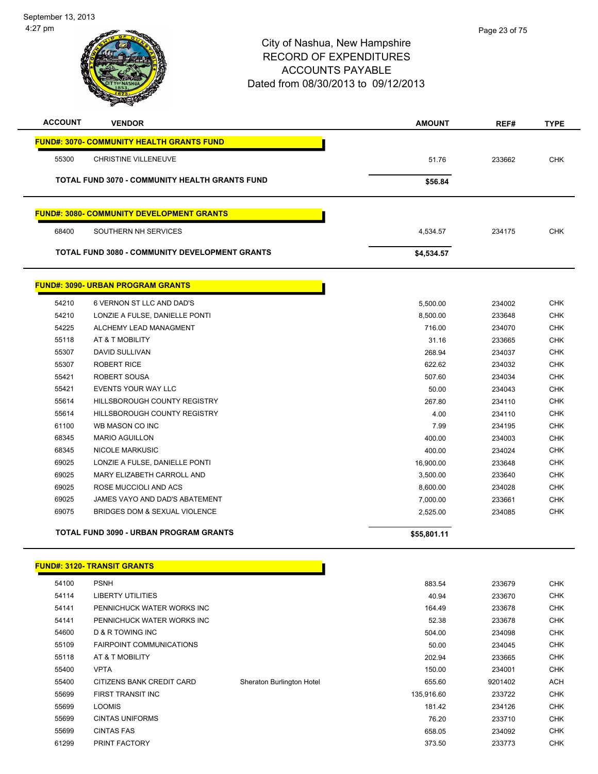

| <b>ACCOUNT</b> | <b>VENDOR</b>                                         | <b>AMOUNT</b> | REF#   | <b>TYPE</b> |
|----------------|-------------------------------------------------------|---------------|--------|-------------|
|                | <b>FUND#: 3070- COMMUNITY HEALTH GRANTS FUND</b>      |               |        |             |
| 55300          | <b>CHRISTINE VILLENEUVE</b>                           | 51.76         | 233662 | <b>CHK</b>  |
|                | <b>TOTAL FUND 3070 - COMMUNITY HEALTH GRANTS FUND</b> | \$56.84       |        |             |
|                | <b>FUND#: 3080- COMMUNITY DEVELOPMENT GRANTS</b>      |               |        |             |
| 68400          | SOUTHERN NH SERVICES                                  | 4,534.57      | 234175 | <b>CHK</b>  |
|                | <b>TOTAL FUND 3080 - COMMUNITY DEVELOPMENT GRANTS</b> | \$4,534.57    |        |             |
|                | <b>FUND#: 3090- URBAN PROGRAM GRANTS</b>              |               |        |             |
| 54210          | 6 VERNON ST LLC AND DAD'S                             | 5,500.00      | 234002 | <b>CHK</b>  |
| 54210          | LONZIE A FULSE, DANIELLE PONTI                        | 8,500.00      | 233648 | <b>CHK</b>  |

|       | <b>TOTAL FUND 3090 - URBAN PROGRAM GRANTS</b> | \$55,801.11 |        |            |
|-------|-----------------------------------------------|-------------|--------|------------|
| 69075 | BRIDGES DOM & SEXUAL VIOLENCE                 | 2,525.00    | 234085 | <b>CHK</b> |
| 69025 | JAMES VAYO AND DAD'S ABATEMENT                | 7,000.00    | 233661 | <b>CHK</b> |
| 69025 | ROSE MUCCIOLI AND ACS                         | 8,600.00    | 234028 | <b>CHK</b> |
| 69025 | MARY ELIZABETH CARROLL AND                    | 3,500.00    | 233640 | <b>CHK</b> |
| 69025 | LONZIE A FULSE, DANIELLE PONTI                | 16,900.00   | 233648 | <b>CHK</b> |
| 68345 | <b>NICOLE MARKUSIC</b>                        | 400.00      | 234024 | <b>CHK</b> |
| 68345 | <b>MARIO AGUILLON</b>                         | 400.00      | 234003 | <b>CHK</b> |
| 61100 | WB MASON CO INC                               | 7.99        | 234195 | <b>CHK</b> |
| 55614 | HILLSBOROUGH COUNTY REGISTRY                  | 4.00        | 234110 | <b>CHK</b> |
| 55614 | HILLSBOROUGH COUNTY REGISTRY                  | 267.80      | 234110 | CHK        |
| 55421 | <b>EVENTS YOUR WAY LLC</b>                    | 50.00       | 234043 | <b>CHK</b> |
| 55421 | ROBERT SOUSA                                  | 507.60      | 234034 | <b>CHK</b> |
| 55307 | <b>ROBERT RICE</b>                            | 622.62      | 234032 | <b>CHK</b> |
| 55307 | <b>DAVID SULLIVAN</b>                         | 268.94      | 234037 | <b>CHK</b> |
| 55118 | AT & T MOBILITY                               | 31.16       | 233665 | <b>CHK</b> |
| 54225 | ALCHEMY LEAD MANAGMENT                        | 716.00      | 234070 | <b>CHK</b> |

## **FUND#: 3120- TRANSIT GRANTS**

| 54100 | <b>PSNH</b>                     |                           | 883.54     | 233679  | <b>CHK</b> |
|-------|---------------------------------|---------------------------|------------|---------|------------|
| 54114 | <b>LIBERTY UTILITIES</b>        |                           | 40.94      | 233670  | <b>CHK</b> |
| 54141 | PENNICHUCK WATER WORKS INC      |                           | 164.49     | 233678  | <b>CHK</b> |
| 54141 | PENNICHUCK WATER WORKS INC      |                           | 52.38      | 233678  | <b>CHK</b> |
| 54600 | <b>D &amp; R TOWING INC</b>     |                           | 504.00     | 234098  | <b>CHK</b> |
| 55109 | <b>FAIRPOINT COMMUNICATIONS</b> |                           | 50.00      | 234045  | <b>CHK</b> |
| 55118 | AT & T MOBILITY                 |                           | 202.94     | 233665  | <b>CHK</b> |
| 55400 | <b>VPTA</b>                     |                           | 150.00     | 234001  | <b>CHK</b> |
| 55400 | CITIZENS BANK CREDIT CARD       | Sheraton Burlington Hotel | 655.60     | 9201402 | <b>ACH</b> |
| 55699 | <b>FIRST TRANSIT INC</b>        |                           | 135,916.60 | 233722  | <b>CHK</b> |
| 55699 | <b>LOOMIS</b>                   |                           | 181.42     | 234126  | <b>CHK</b> |
| 55699 | <b>CINTAS UNIFORMS</b>          |                           | 76.20      | 233710  | <b>CHK</b> |
| 55699 | <b>CINTAS FAS</b>               |                           | 658.05     | 234092  | <b>CHK</b> |
| 61299 | PRINT FACTORY                   |                           | 373.50     | 233773  | <b>CHK</b> |
|       |                                 |                           |            |         |            |

<u> 1989 - Johann Barbara, martin b</u>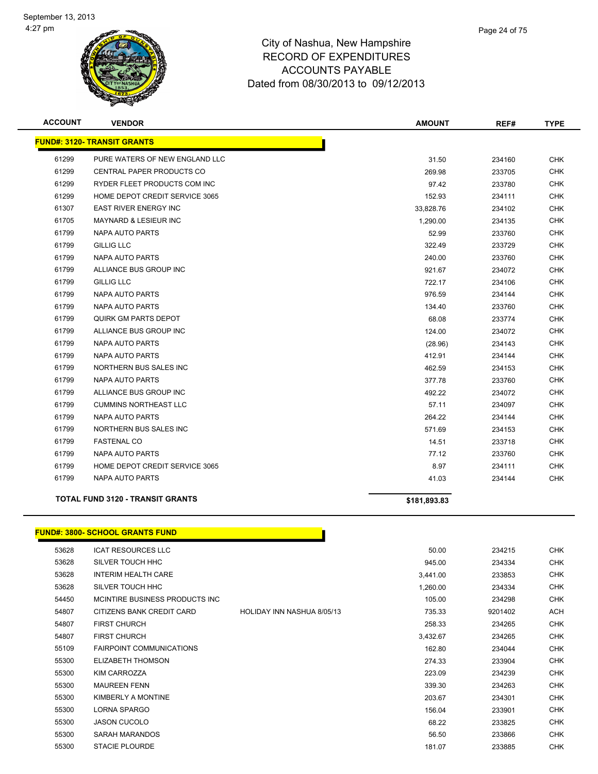

| <b>ACCOUNT</b> | <b>VENDOR</b>                           | <b>AMOUNT</b> | REF#   | <b>TYPE</b> |
|----------------|-----------------------------------------|---------------|--------|-------------|
|                | <b>FUND#: 3120- TRANSIT GRANTS</b>      |               |        |             |
| 61299          | PURE WATERS OF NEW ENGLAND LLC          | 31.50         | 234160 | <b>CHK</b>  |
| 61299          | <b>CENTRAL PAPER PRODUCTS CO</b>        | 269.98        | 233705 | <b>CHK</b>  |
| 61299          | RYDER FLEET PRODUCTS COM INC            | 97.42         | 233780 | <b>CHK</b>  |
| 61299          | HOME DEPOT CREDIT SERVICE 3065          | 152.93        | 234111 | <b>CHK</b>  |
| 61307          | <b>EAST RIVER ENERGY INC</b>            | 33,828.76     | 234102 | <b>CHK</b>  |
| 61705          | <b>MAYNARD &amp; LESIEUR INC</b>        | 1,290.00      | 234135 | <b>CHK</b>  |
| 61799          | NAPA AUTO PARTS                         | 52.99         | 233760 | CHK         |
| 61799          | <b>GILLIG LLC</b>                       | 322.49        | 233729 | <b>CHK</b>  |
| 61799          | <b>NAPA AUTO PARTS</b>                  | 240.00        | 233760 | CHK         |
| 61799          | ALLIANCE BUS GROUP INC                  | 921.67        | 234072 | <b>CHK</b>  |
| 61799          | <b>GILLIG LLC</b>                       | 722.17        | 234106 | <b>CHK</b>  |
| 61799          | NAPA AUTO PARTS                         | 976.59        | 234144 | CHK         |
| 61799          | <b>NAPA AUTO PARTS</b>                  | 134.40        | 233760 | <b>CHK</b>  |
| 61799          | <b>QUIRK GM PARTS DEPOT</b>             | 68.08         | 233774 | <b>CHK</b>  |
| 61799          | ALLIANCE BUS GROUP INC                  | 124.00        | 234072 | <b>CHK</b>  |
| 61799          | <b>NAPA AUTO PARTS</b>                  | (28.96)       | 234143 | <b>CHK</b>  |
| 61799          | <b>NAPA AUTO PARTS</b>                  | 412.91        | 234144 | <b>CHK</b>  |
| 61799          | NORTHERN BUS SALES INC                  | 462.59        | 234153 | <b>CHK</b>  |
| 61799          | NAPA AUTO PARTS                         | 377.78        | 233760 | <b>CHK</b>  |
| 61799          | ALLIANCE BUS GROUP INC                  | 492.22        | 234072 | <b>CHK</b>  |
| 61799          | <b>CUMMINS NORTHEAST LLC</b>            | 57.11         | 234097 | <b>CHK</b>  |
| 61799          | <b>NAPA AUTO PARTS</b>                  | 264.22        | 234144 | <b>CHK</b>  |
| 61799          | NORTHERN BUS SALES INC                  | 571.69        | 234153 | <b>CHK</b>  |
| 61799          | <b>FASTENAL CO</b>                      | 14.51         | 233718 | <b>CHK</b>  |
| 61799          | NAPA AUTO PARTS                         | 77.12         | 233760 | <b>CHK</b>  |
| 61799          | HOME DEPOT CREDIT SERVICE 3065          | 8.97          | 234111 | <b>CHK</b>  |
| 61799          | NAPA AUTO PARTS                         | 41.03         | 234144 | <b>CHK</b>  |
|                | <b>TOTAL FUND 3120 - TRANSIT GRANTS</b> | \$181,893.83  |        |             |
|                |                                         |               |        |             |

# **FUND#: 3800- SCHOOL GRANTS FUND**

| 53628 | <b>ICAT RESOURCES LLC</b>       |                            | 50.00    | 234215  | <b>CHK</b> |
|-------|---------------------------------|----------------------------|----------|---------|------------|
| 53628 | SILVER TOUCH HHC                |                            | 945.00   | 234334  | <b>CHK</b> |
| 53628 | <b>INTERIM HEALTH CARE</b>      |                            | 3,441.00 | 233853  | <b>CHK</b> |
| 53628 | SILVER TOUCH HHC                |                            | 1,260.00 | 234334  | <b>CHK</b> |
| 54450 | MCINTIRE BUSINESS PRODUCTS INC. |                            | 105.00   | 234298  | <b>CHK</b> |
| 54807 | CITIZENS BANK CREDIT CARD       | HOLIDAY INN NASHUA 8/05/13 | 735.33   | 9201402 | ACH        |
| 54807 | <b>FIRST CHURCH</b>             |                            | 258.33   | 234265  | <b>CHK</b> |
| 54807 | <b>FIRST CHURCH</b>             |                            | 3,432.67 | 234265  | <b>CHK</b> |
| 55109 | <b>FAIRPOINT COMMUNICATIONS</b> |                            | 162.80   | 234044  | <b>CHK</b> |
| 55300 | ELIZABETH THOMSON               |                            | 274.33   | 233904  | <b>CHK</b> |
| 55300 | KIM CARROZZA                    |                            | 223.09   | 234239  | <b>CHK</b> |
| 55300 | <b>MAUREEN FENN</b>             |                            | 339.30   | 234263  | <b>CHK</b> |
| 55300 | KIMBERLY A MONTINE              |                            | 203.67   | 234301  | <b>CHK</b> |
| 55300 | LORNA SPARGO                    |                            | 156.04   | 233901  | <b>CHK</b> |
| 55300 | <b>JASON CUCOLO</b>             |                            | 68.22    | 233825  | <b>CHK</b> |
| 55300 | SARAH MARANDOS                  |                            | 56.50    | 233866  | <b>CHK</b> |
| 55300 | <b>STACIE PLOURDE</b>           |                            | 181.07   | 233885  | <b>CHK</b> |

<u> 1999 - Johann John Store</u>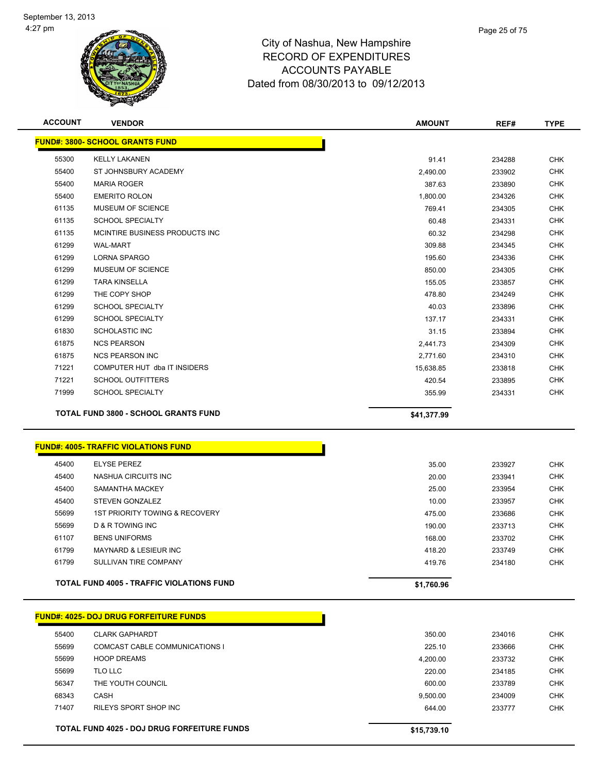

| <b>ACCOUNT</b> | <b>VENDOR</b>                               | <b>AMOUNT</b> | REF#   | <b>TYPE</b> |
|----------------|---------------------------------------------|---------------|--------|-------------|
|                | <b>FUND#: 3800- SCHOOL GRANTS FUND</b>      |               |        |             |
| 55300          | <b>KELLY LAKANEN</b>                        | 91.41         | 234288 | <b>CHK</b>  |
| 55400          | ST JOHNSBURY ACADEMY                        | 2,490.00      | 233902 | <b>CHK</b>  |
| 55400          | <b>MARIA ROGER</b>                          | 387.63        | 233890 | <b>CHK</b>  |
| 55400          | <b>EMERITO ROLON</b>                        | 1,800.00      | 234326 | <b>CHK</b>  |
| 61135          | MUSEUM OF SCIENCE                           | 769.41        | 234305 | <b>CHK</b>  |
| 61135          | <b>SCHOOL SPECIALTY</b>                     | 60.48         | 234331 | CHK         |
| 61135          | MCINTIRE BUSINESS PRODUCTS INC              | 60.32         | 234298 | <b>CHK</b>  |
| 61299          | <b>WAL-MART</b>                             | 309.88        | 234345 | <b>CHK</b>  |
| 61299          | LORNA SPARGO                                | 195.60        | 234336 | <b>CHK</b>  |
| 61299          | MUSEUM OF SCIENCE                           | 850.00        | 234305 | <b>CHK</b>  |
| 61299          | <b>TARA KINSELLA</b>                        | 155.05        | 233857 | <b>CHK</b>  |
| 61299          | THE COPY SHOP                               | 478.80        | 234249 | <b>CHK</b>  |
| 61299          | <b>SCHOOL SPECIALTY</b>                     | 40.03         | 233896 | <b>CHK</b>  |
| 61299          | <b>SCHOOL SPECIALTY</b>                     | 137.17        | 234331 | <b>CHK</b>  |
| 61830          | SCHOLASTIC INC                              | 31.15         | 233894 | <b>CHK</b>  |
| 61875          | <b>NCS PEARSON</b>                          | 2,441.73      | 234309 | <b>CHK</b>  |
| 61875          | <b>NCS PEARSON INC</b>                      | 2,771.60      | 234310 | <b>CHK</b>  |
| 71221          | COMPUTER HUT dba IT INSIDERS                | 15,638.85     | 233818 | <b>CHK</b>  |
| 71221          | <b>SCHOOL OUTFITTERS</b>                    | 420.54        | 233895 | <b>CHK</b>  |
| 71999          | <b>SCHOOL SPECIALTY</b>                     | 355.99        | 234331 | <b>CHK</b>  |
|                | TOTAL FUND 3800 - SCHOOL GRANTS FUND        | \$41,377.99   |        |             |
|                | <b>FUND#: 4005- TRAFFIC VIOLATIONS FUND</b> |               |        |             |
| 45400          | <b>ELYSE PEREZ</b>                          | 35.00         | 233927 | <b>CHK</b>  |
| 45400          | NASHUA CIRCUITS INC                         | 20.00         | 233941 | <b>CHK</b>  |
| 45400          | SAMANTHA MACKEY                             | 25.00         | 233954 | <b>CHK</b>  |
| 45400          | STEVEN GONZALEZ                             | 10.00         | 233957 | <b>CHK</b>  |
| 55699          | <b>1ST PRIORITY TOWING &amp; RECOVERY</b>   | 475.00        | 233686 | <b>CHK</b>  |
| 55699          | <b>D &amp; R TOWING INC</b>                 | 190.00        | 233713 | <b>CHK</b>  |
| 61107          | <b>BENS UNIFORMS</b>                        | 168.00        | 233702 | <b>CHK</b>  |
| 61799          | MAYNARD & LESIEUR INC                       | 418.20        | 233749 | <b>CHK</b>  |
| 61799          | SULLIVAN TIRE COMPANY                       | 419.76        | 234180 | <b>CHK</b>  |

**TOTAL FUND 4005 - TRAFFIC VIOLATIONS FUND \$1,760.96** 

| <b>FUND#: 4025- DOJ DRUG FORFEITURE FUNDS</b> |  |
|-----------------------------------------------|--|

|       | <b>UND#: 4025- DOJ DRUG FORFEITURE FUNDS:</b>      |             |
|-------|----------------------------------------------------|-------------|
| 55400 | <b>CLARK GAPHARDT</b>                              | 350.00      |
| 55699 | COMCAST CABLE COMMUNICATIONS I                     | 225.10      |
| 55699 | <b>HOOP DREAMS</b>                                 | 4.200.00    |
| 55699 | TLO LLC                                            | 220.00      |
| 56347 | THE YOUTH COUNCIL                                  | 600.00      |
| 68343 | <b>CASH</b>                                        | 9.500.00    |
| 71407 | RILEYS SPORT SHOP INC                              | 644.00      |
|       |                                                    |             |
|       | <b>TOTAL FUND 4025 - DOJ DRUG FORFEITURE FUNDS</b> | \$15,739.10 |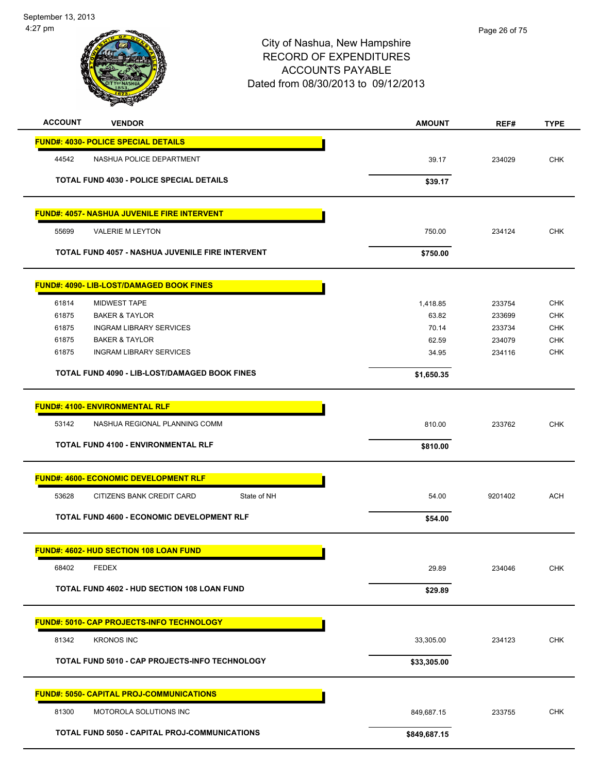September 13, 2013 4:27 pm

| <b>ACCOUNT</b> | <b>VENDOR</b>                                           | <b>AMOUNT</b> | REF#    | <b>TYPE</b> |
|----------------|---------------------------------------------------------|---------------|---------|-------------|
|                | <b>FUND#: 4030- POLICE SPECIAL DETAILS</b>              |               |         |             |
| 44542          | NASHUA POLICE DEPARTMENT                                | 39.17         | 234029  | <b>CHK</b>  |
|                | <b>TOTAL FUND 4030 - POLICE SPECIAL DETAILS</b>         | \$39.17       |         |             |
|                |                                                         |               |         |             |
|                | <b>FUND#: 4057- NASHUA JUVENILE FIRE INTERVENT</b>      |               |         |             |
| 55699          | <b>VALERIE M LEYTON</b>                                 | 750.00        | 234124  | <b>CHK</b>  |
|                | <b>TOTAL FUND 4057 - NASHUA JUVENILE FIRE INTERVENT</b> | \$750.00      |         |             |
|                | FUND#: 4090- LIB-LOST/DAMAGED BOOK FINES                |               |         |             |
| 61814          | <b>MIDWEST TAPE</b>                                     | 1,418.85      | 233754  | <b>CHK</b>  |
| 61875          | <b>BAKER &amp; TAYLOR</b>                               | 63.82         | 233699  | <b>CHK</b>  |
| 61875          | <b>INGRAM LIBRARY SERVICES</b>                          | 70.14         | 233734  | <b>CHK</b>  |
| 61875          | <b>BAKER &amp; TAYLOR</b>                               | 62.59         | 234079  | <b>CHK</b>  |
| 61875          | <b>INGRAM LIBRARY SERVICES</b>                          | 34.95         | 234116  | <b>CHK</b>  |
|                | <b>TOTAL FUND 4090 - LIB-LOST/DAMAGED BOOK FINES</b>    | \$1,650.35    |         |             |
|                | <b>FUND#: 4100- ENVIRONMENTAL RLF</b>                   |               |         |             |
| 53142          | NASHUA REGIONAL PLANNING COMM                           | 810.00        | 233762  | <b>CHK</b>  |
|                | <b>TOTAL FUND 4100 - ENVIRONMENTAL RLF</b>              | \$810.00      |         |             |
|                |                                                         |               |         |             |
|                | <b>FUND#: 4600- ECONOMIC DEVELOPMENT RLF</b>            |               |         |             |
| 53628          | State of NH<br>CITIZENS BANK CREDIT CARD                | 54.00         | 9201402 | <b>ACH</b>  |
|                | TOTAL FUND 4600 - ECONOMIC DEVELOPMENT RLF              | \$54.00       |         |             |
|                | FUND#: 4602- HUD SECTION 108 LOAN FUND                  |               |         |             |
| 68402          | <b>FEDEX</b>                                            | 29.89         | 234046  | <b>CHK</b>  |
|                | <b>TOTAL FUND 4602 - HUD SECTION 108 LOAN FUND</b>      | \$29.89       |         |             |
|                | <b>FUND#: 5010- CAP PROJECTS-INFO TECHNOLOGY</b>        |               |         |             |
| 81342          | <b>KRONOS INC</b>                                       | 33,305.00     | 234123  | CHK         |
|                | TOTAL FUND 5010 - CAP PROJECTS-INFO TECHNOLOGY          | \$33,305.00   |         |             |
|                |                                                         |               |         |             |
|                | <b>FUND#: 5050- CAPITAL PROJ-COMMUNICATIONS</b>         |               |         |             |
| 81300          | MOTOROLA SOLUTIONS INC                                  | 849,687.15    | 233755  | <b>CHK</b>  |
|                | TOTAL FUND 5050 - CAPITAL PROJ-COMMUNICATIONS           | \$849,687.15  |         |             |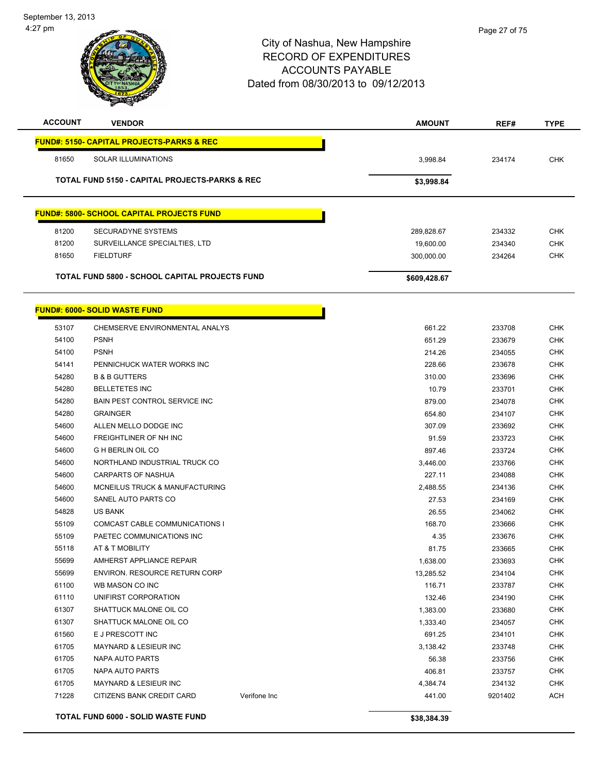

| <b>ACCOUNT</b> | <b>VENDOR</b>                                             | <b>AMOUNT</b> | REF#   | <b>TYPE</b> |
|----------------|-----------------------------------------------------------|---------------|--------|-------------|
|                | <b>FUND#: 5150- CAPITAL PROJECTS-PARKS &amp; REC</b>      |               |        |             |
| 81650          | <b>SOLAR ILLUMINATIONS</b>                                | 3,998.84      | 234174 | <b>CHK</b>  |
|                | <b>TOTAL FUND 5150 - CAPITAL PROJECTS-PARKS &amp; REC</b> | \$3,998.84    |        |             |
|                | <b>FUND#: 5800- SCHOOL CAPITAL PROJECTS FUND</b>          |               |        |             |
| 81200          | <b>SECURADYNE SYSTEMS</b>                                 | 289,828.67    | 234332 | <b>CHK</b>  |
| 81200          | SURVEILLANCE SPECIALTIES, LTD                             | 19,600.00     | 234340 | <b>CHK</b>  |
| 81650          | <b>FIELDTURF</b>                                          | 300,000.00    | 234264 | <b>CHK</b>  |
|                | <b>TOTAL FUND 5800 - SCHOOL CAPITAL PROJECTS FUND</b>     | \$609,428.67  |        |             |
|                | <b>FUND#: 6000- SOLID WASTE FUND</b>                      |               |        |             |
| 53107          | CHEMSERVE ENVIRONMENTAL ANALYS                            | 661.22        | 233708 | <b>CHK</b>  |
| 54100          | <b>PSNH</b>                                               | 651.29        | 233679 | <b>CHK</b>  |
| 54100          | <b>PSNH</b>                                               | 214.26        | 234055 | <b>CHK</b>  |
| 54141          | PENNICHUCK WATER WORKS INC                                | 228.66        | 233678 | <b>CHK</b>  |
| 54280          | <b>B &amp; B GUTTERS</b>                                  | 310.00        | 233696 | <b>CHK</b>  |

| 54280<br><b>BELLETETES INC</b>                 |              |             |         |            |
|------------------------------------------------|--------------|-------------|---------|------------|
|                                                |              | 10.79       | 233701  | <b>CHK</b> |
| 54280<br><b>BAIN PEST CONTROL SERVICE INC.</b> |              | 879.00      | 234078  | <b>CHK</b> |
| 54280<br><b>GRAINGER</b>                       |              | 654.80      | 234107  | <b>CHK</b> |
| ALLEN MELLO DODGE INC<br>54600                 |              | 307.09      | 233692  | <b>CHK</b> |
| 54600<br>FREIGHTLINER OF NH INC                |              | 91.59       | 233723  | <b>CHK</b> |
| 54600<br><b>G H BERLIN OIL CO</b>              |              | 897.46      | 233724  | <b>CHK</b> |
| 54600<br>NORTHLAND INDUSTRIAL TRUCK CO         |              | 3,446.00    | 233766  | <b>CHK</b> |
| 54600<br><b>CARPARTS OF NASHUA</b>             |              | 227.11      | 234088  | <b>CHK</b> |
| 54600<br>MCNEILUS TRUCK & MANUFACTURING        |              | 2,488.55    | 234136  | <b>CHK</b> |
| 54600<br>SANEL AUTO PARTS CO                   |              | 27.53       | 234169  | <b>CHK</b> |
| 54828<br><b>US BANK</b>                        |              | 26.55       | 234062  | <b>CHK</b> |
| 55109<br>COMCAST CABLE COMMUNICATIONS I        |              | 168.70      | 233666  | <b>CHK</b> |
| 55109<br>PAETEC COMMUNICATIONS INC             |              | 4.35        | 233676  | <b>CHK</b> |
| 55118<br>AT & T MOBILITY                       |              | 81.75       | 233665  | <b>CHK</b> |
| 55699<br>AMHERST APPLIANCE REPAIR              |              | 1,638.00    | 233693  | <b>CHK</b> |
| 55699<br>ENVIRON, RESOURCE RETURN CORP         |              | 13,285.52   | 234104  | <b>CHK</b> |
| WB MASON CO INC<br>61100                       |              | 116.71      | 233787  | <b>CHK</b> |
| 61110<br>UNIFIRST CORPORATION                  |              | 132.46      | 234190  | <b>CHK</b> |
| 61307<br>SHATTUCK MALONE OIL CO                |              | 1,383.00    | 233680  | <b>CHK</b> |
| 61307<br>SHATTUCK MALONE OIL CO                |              | 1,333.40    | 234057  | <b>CHK</b> |
| 61560<br>E J PRESCOTT INC                      |              | 691.25      | 234101  | <b>CHK</b> |
| 61705<br><b>MAYNARD &amp; LESIEUR INC</b>      |              | 3,138.42    | 233748  | <b>CHK</b> |
| 61705<br>NAPA AUTO PARTS                       |              | 56.38       | 233756  | <b>CHK</b> |
| 61705<br><b>NAPA AUTO PARTS</b>                |              | 406.81      | 233757  | <b>CHK</b> |
| 61705<br><b>MAYNARD &amp; LESIEUR INC</b>      |              | 4,384.74    | 234132  | <b>CHK</b> |
| 71228<br>CITIZENS BANK CREDIT CARD             | Verifone Inc | 441.00      | 9201402 | <b>ACH</b> |
| <b>TOTAL FUND 6000 - SOLID WASTE FUND</b>      |              | \$38,384.39 |         |            |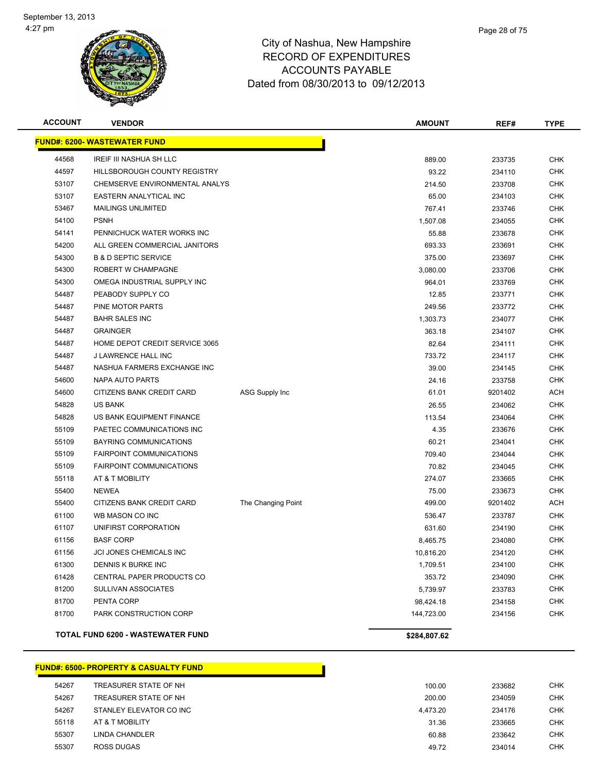

| <b>ACCOUNT</b> | <b>VENDOR</b>                            |                       | <b>AMOUNT</b> | REF#    | <b>TYPE</b> |
|----------------|------------------------------------------|-----------------------|---------------|---------|-------------|
|                | <u> FUND#: 6200- WASTEWATER FUND</u>     |                       |               |         |             |
| 44568          | IREIF III NASHUA SH LLC                  |                       | 889.00        | 233735  | <b>CHK</b>  |
| 44597          | HILLSBOROUGH COUNTY REGISTRY             |                       | 93.22         | 234110  | <b>CHK</b>  |
| 53107          | CHEMSERVE ENVIRONMENTAL ANALYS           |                       | 214.50        | 233708  | <b>CHK</b>  |
| 53107          | EASTERN ANALYTICAL INC                   |                       | 65.00         | 234103  | <b>CHK</b>  |
| 53467          | <b>MAILINGS UNLIMITED</b>                |                       | 767.41        | 233746  | <b>CHK</b>  |
| 54100          | <b>PSNH</b>                              |                       | 1,507.08      | 234055  | <b>CHK</b>  |
| 54141          | PENNICHUCK WATER WORKS INC               |                       | 55.88         | 233678  | <b>CHK</b>  |
| 54200          | ALL GREEN COMMERCIAL JANITORS            |                       | 693.33        | 233691  | <b>CHK</b>  |
| 54300          | <b>B &amp; D SEPTIC SERVICE</b>          |                       | 375.00        | 233697  | <b>CHK</b>  |
| 54300          | ROBERT W CHAMPAGNE                       |                       | 3,080.00      | 233706  | CHK         |
| 54300          | OMEGA INDUSTRIAL SUPPLY INC              |                       | 964.01        | 233769  | CHK         |
| 54487          | PEABODY SUPPLY CO                        |                       | 12.85         | 233771  | <b>CHK</b>  |
| 54487          | PINE MOTOR PARTS                         |                       | 249.56        | 233772  | <b>CHK</b>  |
| 54487          | <b>BAHR SALES INC</b>                    |                       | 1,303.73      | 234077  | <b>CHK</b>  |
| 54487          | <b>GRAINGER</b>                          |                       | 363.18        | 234107  | <b>CHK</b>  |
| 54487          | HOME DEPOT CREDIT SERVICE 3065           |                       | 82.64         | 234111  | CHK         |
| 54487          | J LAWRENCE HALL INC                      |                       | 733.72        | 234117  | <b>CHK</b>  |
| 54487          | NASHUA FARMERS EXCHANGE INC              |                       | 39.00         | 234145  | <b>CHK</b>  |
| 54600          | <b>NAPA AUTO PARTS</b>                   |                       | 24.16         | 233758  | <b>CHK</b>  |
| 54600          | CITIZENS BANK CREDIT CARD                | <b>ASG Supply Inc</b> | 61.01         | 9201402 | ACH         |
| 54828          | <b>US BANK</b>                           |                       | 26.55         | 234062  | <b>CHK</b>  |
| 54828          | US BANK EQUIPMENT FINANCE                |                       | 113.54        | 234064  | <b>CHK</b>  |
| 55109          | PAETEC COMMUNICATIONS INC                |                       | 4.35          | 233676  | <b>CHK</b>  |
| 55109          | BAYRING COMMUNICATIONS                   |                       | 60.21         | 234041  | <b>CHK</b>  |
| 55109          | <b>FAIRPOINT COMMUNICATIONS</b>          |                       | 709.40        | 234044  | <b>CHK</b>  |
| 55109          | <b>FAIRPOINT COMMUNICATIONS</b>          |                       | 70.82         | 234045  | CHK         |
| 55118          | AT & T MOBILITY                          |                       | 274.07        | 233665  | <b>CHK</b>  |
| 55400          | <b>NEWEA</b>                             |                       | 75.00         | 233673  | <b>CHK</b>  |
| 55400          | CITIZENS BANK CREDIT CARD                | The Changing Point    | 499.00        | 9201402 | ACH         |
| 61100          | WB MASON CO INC                          |                       | 536.47        | 233787  | <b>CHK</b>  |
| 61107          | UNIFIRST CORPORATION                     |                       | 631.60        | 234190  | CHK         |
| 61156          | <b>BASF CORP</b>                         |                       | 8,465.75      | 234080  | CHK         |
| 61156          | <b>JCI JONES CHEMICALS INC</b>           |                       | 10,816.20     | 234120  | <b>CHK</b>  |
| 61300          | DENNIS K BURKE INC                       |                       | 1,709.51      | 234100  | <b>CHK</b>  |
| 61428          | CENTRAL PAPER PRODUCTS CO                |                       | 353.72        | 234090  | <b>CHK</b>  |
| 81200          | SULLIVAN ASSOCIATES                      |                       | 5,739.97      | 233783  | <b>CHK</b>  |
| 81700          | PENTA CORP                               |                       | 98,424.18     | 234158  | <b>CHK</b>  |
| 81700          | PARK CONSTRUCTION CORP                   |                       | 144,723.00    | 234156  | <b>CHK</b>  |
|                | <b>TOTAL FUND 6200 - WASTEWATER FUND</b> |                       | \$284,807.62  |         |             |

# **FUND#: 6500- PROPERTY & CASUALTY FUND**

| 54267 | TREASURER STATE OF NH   | 100.00   | 233682 | <b>CHK</b> |
|-------|-------------------------|----------|--------|------------|
| 54267 | TREASURER STATE OF NH   | 200.00   | 234059 | <b>CHK</b> |
| 54267 | STANLEY ELEVATOR CO INC | 4.473.20 | 234176 | <b>CHK</b> |
| 55118 | AT & T MOBILITY         | 31.36    | 233665 | <b>CHK</b> |
| 55307 | LINDA CHANDLER          | 60.88    | 233642 | <b>CHK</b> |
| 55307 | <b>ROSS DUGAS</b>       | 49.72    | 234014 | <b>CHK</b> |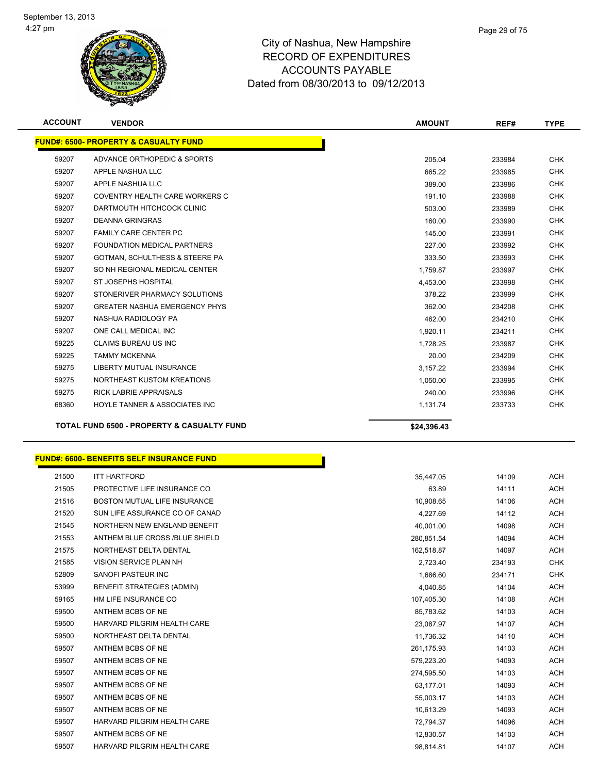

| <b>ACCOUNT</b> | <b>VENDOR</b>                                         | <b>AMOUNT</b> | REF#   | <b>TYPE</b> |
|----------------|-------------------------------------------------------|---------------|--------|-------------|
|                | <b>FUND#: 6500- PROPERTY &amp; CASUALTY FUND</b>      |               |        |             |
| 59207          | ADVANCE ORTHOPEDIC & SPORTS                           | 205.04        | 233984 | <b>CHK</b>  |
| 59207          | APPLE NASHUA LLC                                      | 665.22        | 233985 | <b>CHK</b>  |
| 59207          | APPLE NASHUA LLC                                      | 389.00        | 233986 | <b>CHK</b>  |
| 59207          | COVENTRY HEALTH CARE WORKERS C                        | 191.10        | 233988 | <b>CHK</b>  |
| 59207          | DARTMOUTH HITCHCOCK CLINIC                            | 503.00        | 233989 | <b>CHK</b>  |
| 59207          | <b>DEANNA GRINGRAS</b>                                | 160.00        | 233990 | <b>CHK</b>  |
| 59207          | <b>FAMILY CARE CENTER PC</b>                          | 145.00        | 233991 | <b>CHK</b>  |
| 59207          | <b>FOUNDATION MEDICAL PARTNERS</b>                    | 227.00        | 233992 | <b>CHK</b>  |
| 59207          | <b>GOTMAN, SCHULTHESS &amp; STEERE PA</b>             | 333.50        | 233993 | <b>CHK</b>  |
| 59207          | SO NH REGIONAL MEDICAL CENTER                         | 1.759.87      | 233997 | <b>CHK</b>  |
| 59207          | ST JOSEPHS HOSPITAL                                   | 4,453.00      | 233998 | <b>CHK</b>  |
| 59207          | STONERIVER PHARMACY SOLUTIONS                         | 378.22        | 233999 | <b>CHK</b>  |
| 59207          | <b>GREATER NASHUA EMERGENCY PHYS</b>                  | 362.00        | 234208 | <b>CHK</b>  |
| 59207          | NASHUA RADIOLOGY PA                                   | 462.00        | 234210 | <b>CHK</b>  |
| 59207          | ONE CALL MEDICAL INC                                  | 1,920.11      | 234211 | <b>CHK</b>  |
| 59225          | <b>CLAIMS BUREAU US INC</b>                           | 1.728.25      | 233987 | <b>CHK</b>  |
| 59225          | <b>TAMMY MCKENNA</b>                                  | 20.00         | 234209 | <b>CHK</b>  |
| 59275          | <b>LIBERTY MUTUAL INSURANCE</b>                       | 3.157.22      | 233994 | <b>CHK</b>  |
| 59275          | NORTHEAST KUSTOM KREATIONS                            | 1.050.00      | 233995 | <b>CHK</b>  |
| 59275          | <b>RICK LABRIE APPRAISALS</b>                         | 240.00        | 233996 | <b>CHK</b>  |
| 68360          | HOYLE TANNER & ASSOCIATES INC                         | 1,131.74      | 233733 | <b>CHK</b>  |
|                | <b>TOTAL FUND 6500 - PROPERTY &amp; CASUALTY FUND</b> | \$24,396.43   |        |             |

| <b>FUND#: 6600- BENEFITS SELF INSURANCE FUND</b> |  |
|--------------------------------------------------|--|
|--------------------------------------------------|--|

| 21500 | <b>ITT HARTFORD</b>               | 35,447.05  | 14109  | <b>ACH</b> |
|-------|-----------------------------------|------------|--------|------------|
| 21505 | PROTECTIVE LIFE INSURANCE CO      | 63.89      | 14111  | <b>ACH</b> |
| 21516 | BOSTON MUTUAL LIFE INSURANCE      | 10,908.65  | 14106  | <b>ACH</b> |
| 21520 | SUN LIFE ASSURANCE CO OF CANAD    | 4,227.69   | 14112  | <b>ACH</b> |
| 21545 | NORTHERN NEW ENGLAND BENEFIT      | 40,001.00  | 14098  | <b>ACH</b> |
| 21553 | ANTHEM BLUE CROSS /BLUE SHIELD    | 280,851.54 | 14094  | <b>ACH</b> |
| 21575 | NORTHEAST DELTA DENTAL            | 162,518.87 | 14097  | <b>ACH</b> |
| 21585 | <b>VISION SERVICE PLAN NH</b>     | 2,723.40   | 234193 | <b>CHK</b> |
| 52809 | SANOFI PASTEUR INC                | 1,686.60   | 234171 | <b>CHK</b> |
| 53999 | <b>BENEFIT STRATEGIES (ADMIN)</b> | 4,040.85   | 14104  | <b>ACH</b> |
| 59165 | HM LIFE INSURANCE CO              | 107,405.30 | 14108  | <b>ACH</b> |
| 59500 | ANTHEM BCBS OF NE                 | 85,783.62  | 14103  | <b>ACH</b> |
| 59500 | HARVARD PILGRIM HEALTH CARE       | 23,087.97  | 14107  | <b>ACH</b> |
| 59500 | NORTHEAST DELTA DENTAL            | 11,736.32  | 14110  | <b>ACH</b> |
| 59507 | ANTHEM BCBS OF NE                 | 261,175.93 | 14103  | <b>ACH</b> |
| 59507 | ANTHEM BCBS OF NE                 | 579,223.20 | 14093  | <b>ACH</b> |
| 59507 | ANTHEM BCBS OF NE                 | 274,595.50 | 14103  | <b>ACH</b> |
| 59507 | ANTHEM BCBS OF NE                 | 63,177.01  | 14093  | <b>ACH</b> |
| 59507 | ANTHEM BCBS OF NE                 | 55,003.17  | 14103  | <b>ACH</b> |
| 59507 | ANTHEM BCBS OF NE                 | 10,613.29  | 14093  | <b>ACH</b> |
| 59507 | HARVARD PILGRIM HEALTH CARE       | 72,794.37  | 14096  | <b>ACH</b> |
| 59507 | ANTHEM BCBS OF NE                 | 12,830.57  | 14103  | <b>ACH</b> |
| 59507 | HARVARD PILGRIM HEALTH CARE       | 98,814.81  | 14107  | <b>ACH</b> |
|       |                                   |            |        |            |

Г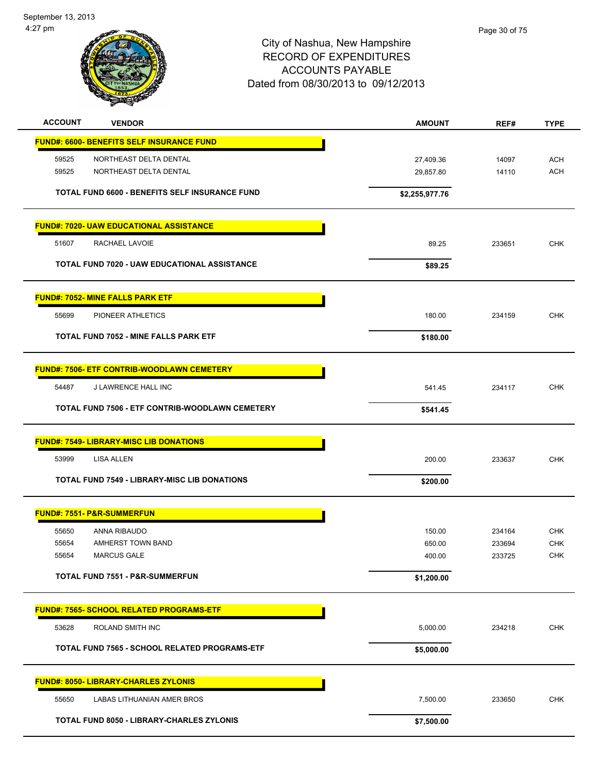September 13, 2013 4:27 pm



| <b>ACCOUNT</b><br><b>VENDOR</b>                     | <b>AMOUNT</b>  | REF#   | <b>TYPE</b> |
|-----------------------------------------------------|----------------|--------|-------------|
| <b>FUND#: 6600- BENEFITS SELF INSURANCE FUND</b>    |                |        |             |
| 59525<br>NORTHEAST DELTA DENTAL                     | 27,409.36      | 14097  | <b>ACH</b>  |
| NORTHEAST DELTA DENTAL<br>59525                     | 29,857.80      | 14110  | <b>ACH</b>  |
| TOTAL FUND 6600 - BENEFITS SELF INSURANCE FUND      | \$2,255,977.76 |        |             |
| <b>FUND#: 7020- UAW EDUCATIONAL ASSISTANCE</b>      |                |        |             |
| 51607<br><b>RACHAEL LAVOIE</b>                      | 89.25          | 233651 | <b>CHK</b>  |
| TOTAL FUND 7020 - UAW EDUCATIONAL ASSISTANCE        | \$89.25        |        |             |
| <b>FUND#: 7052- MINE FALLS PARK ETF</b>             |                |        |             |
| 55699<br>PIONEER ATHLETICS                          | 180.00         | 234159 | <b>CHK</b>  |
| <b>TOTAL FUND 7052 - MINE FALLS PARK ETF</b>        | \$180.00       |        |             |
| <b>FUND#: 7506- ETF CONTRIB-WOODLAWN CEMETERY</b>   |                |        |             |
| 54487<br>J LAWRENCE HALL INC                        | 541.45         | 234117 | <b>CHK</b>  |
| TOTAL FUND 7506 - ETF CONTRIB-WOODLAWN CEMETERY     | \$541.45       |        |             |
| <b>FUND#: 7549- LIBRARY-MISC LIB DONATIONS</b>      |                |        |             |
| 53999<br>LISA ALLEN                                 | 200.00         | 233637 | <b>CHK</b>  |
| <b>TOTAL FUND 7549 - LIBRARY-MISC LIB DONATIONS</b> | \$200.00       |        |             |
| <b>FUND#: 7551- P&amp;R-SUMMERFUN</b>               |                |        |             |
| 55650<br>ANNA RIBAUDO                               | 150.00         | 234164 | <b>CHK</b>  |
| 55654<br>AMHERST TOWN BAND                          | 650.00         | 233694 | <b>CHK</b>  |
| MARCUS GALE<br>55654                                | 400.00         | 233725 | <b>CHK</b>  |
| <b>TOTAL FUND 7551 - P&amp;R-SUMMERFUN</b>          | \$1,200.00     |        |             |
| <b>FUND#: 7565- SCHOOL RELATED PROGRAMS-ETF</b>     |                |        |             |
| 53628<br>ROLAND SMITH INC                           | 5,000.00       | 234218 | CHK         |
| TOTAL FUND 7565 - SCHOOL RELATED PROGRAMS-ETF       | \$5,000.00     |        |             |
| <b>FUND#: 8050- LIBRARY-CHARLES ZYLONIS</b>         |                |        |             |
| 55650<br>LABAS LITHUANIAN AMER BROS                 | 7,500.00       | 233650 | <b>CHK</b>  |
| <b>TOTAL FUND 8050 - LIBRARY-CHARLES ZYLONIS</b>    | \$7,500.00     |        |             |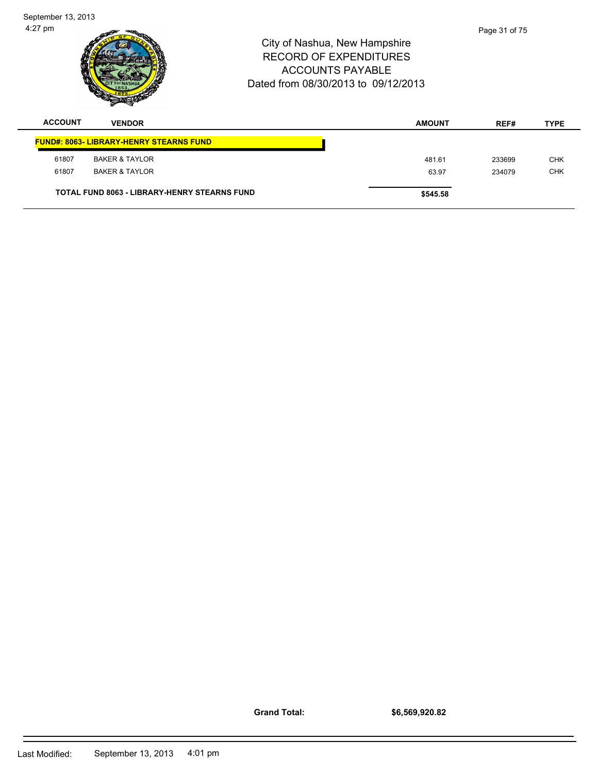61807 BAKER & TAYLOR 63.97 234079 CHK

**TOTAL FUND 8063 - LIBRARY-HENRY STEARNS FUND \$545.58** 

**Grand Total:**

**\$6,569,920.82**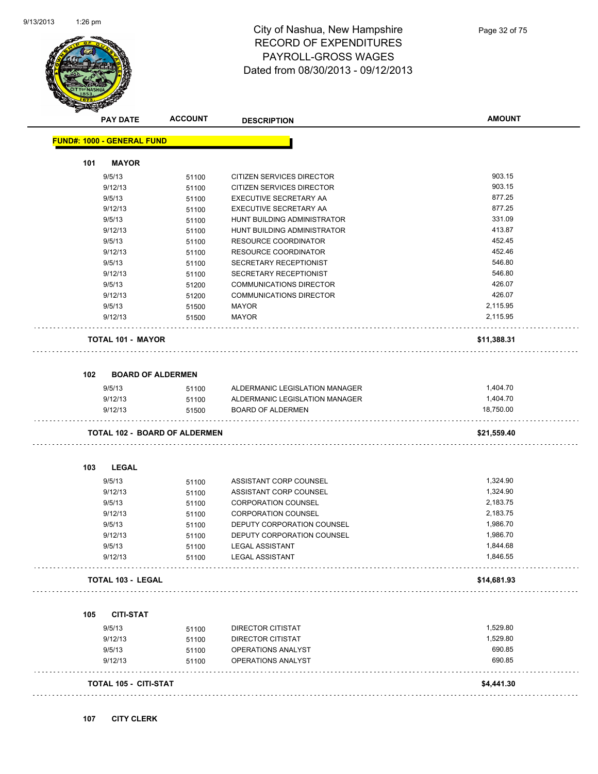

# City of Nashua, New Hampshire RECORD OF EXPENDITURES PAYROLL-GROSS WAGES Dated from 08/30/2013 - 09/12/2013

|     | <b>PAY DATE</b>                   | <b>ACCOUNT</b>                       | <b>DESCRIPTION</b>                       | <b>AMOUNT</b> |
|-----|-----------------------------------|--------------------------------------|------------------------------------------|---------------|
|     | <b>FUND#: 1000 - GENERAL FUND</b> |                                      |                                          |               |
| 101 | <b>MAYOR</b>                      |                                      |                                          |               |
|     | 9/5/13                            | 51100                                | CITIZEN SERVICES DIRECTOR                | 903.15        |
|     | 9/12/13                           | 51100                                | CITIZEN SERVICES DIRECTOR                | 903.15        |
|     | 9/5/13                            | 51100                                | EXECUTIVE SECRETARY AA                   | 877.25        |
|     | 9/12/13                           | 51100                                | EXECUTIVE SECRETARY AA                   | 877.25        |
|     | 9/5/13                            | 51100                                | HUNT BUILDING ADMINISTRATOR              | 331.09        |
|     | 9/12/13                           | 51100                                | HUNT BUILDING ADMINISTRATOR              | 413.87        |
|     | 9/5/13                            | 51100                                | <b>RESOURCE COORDINATOR</b>              | 452.45        |
|     | 9/12/13                           | 51100                                | RESOURCE COORDINATOR                     | 452.46        |
|     | 9/5/13                            | 51100                                | SECRETARY RECEPTIONIST                   | 546.80        |
|     | 9/12/13                           | 51100                                | SECRETARY RECEPTIONIST                   | 546.80        |
|     | 9/5/13                            | 51200                                | <b>COMMUNICATIONS DIRECTOR</b>           | 426.07        |
|     | 9/12/13                           | 51200                                | <b>COMMUNICATIONS DIRECTOR</b>           | 426.07        |
|     | 9/5/13                            | 51500                                | <b>MAYOR</b>                             | 2,115.95      |
|     | 9/12/13                           | 51500                                | <b>MAYOR</b>                             | 2,115.95      |
|     | <b>TOTAL 101 - MAYOR</b>          |                                      |                                          | \$11,388.31   |
| 102 | <b>BOARD OF ALDERMEN</b>          |                                      |                                          |               |
|     | 9/5/13                            | 51100                                | ALDERMANIC LEGISLATION MANAGER           | 1,404.70      |
|     | 9/12/13                           | 51100                                | ALDERMANIC LEGISLATION MANAGER           | 1,404.70      |
|     | 9/12/13                           | 51500                                | <b>BOARD OF ALDERMEN</b>                 | 18,750.00     |
|     |                                   | <b>TOTAL 102 - BOARD OF ALDERMEN</b> |                                          | \$21,559.40   |
| 103 | <b>LEGAL</b>                      |                                      |                                          |               |
|     | 9/5/13                            | 51100                                | ASSISTANT CORP COUNSEL                   | 1,324.90      |
|     | 9/12/13                           | 51100                                | ASSISTANT CORP COUNSEL                   | 1,324.90      |
|     | 9/5/13                            | 51100                                | <b>CORPORATION COUNSEL</b>               | 2,183.75      |
|     | 9/12/13                           | 51100                                | <b>CORPORATION COUNSEL</b>               | 2,183.75      |
|     | 9/5/13                            | 51100                                | DEPUTY CORPORATION COUNSEL               | 1,986.70      |
|     | 9/12/13                           | 51100                                | DEPUTY CORPORATION COUNSEL               | 1,986.70      |
|     | 9/5/13                            | 51100                                | <b>LEGAL ASSISTANT</b>                   | 1,844.68      |
|     | 9/12/13                           | 51100                                | <b>LEGAL ASSISTANT</b>                   | 1,846.55      |
|     | TOTAL 103 - LEGAL                 |                                      |                                          | \$14,681.93   |
| 105 | <b>CITI-STAT</b>                  |                                      |                                          |               |
|     |                                   |                                      |                                          | 1,529.80      |
|     | 9/5/13<br>9/12/13                 | 51100                                | DIRECTOR CITISTAT                        | 1,529.80      |
|     | 9/5/13                            | 51100                                | DIRECTOR CITISTAT                        | 690.85        |
|     | 9/12/13                           | 51100<br>51100                       | OPERATIONS ANALYST<br>OPERATIONS ANALYST | 690.85        |
|     |                                   |                                      |                                          |               |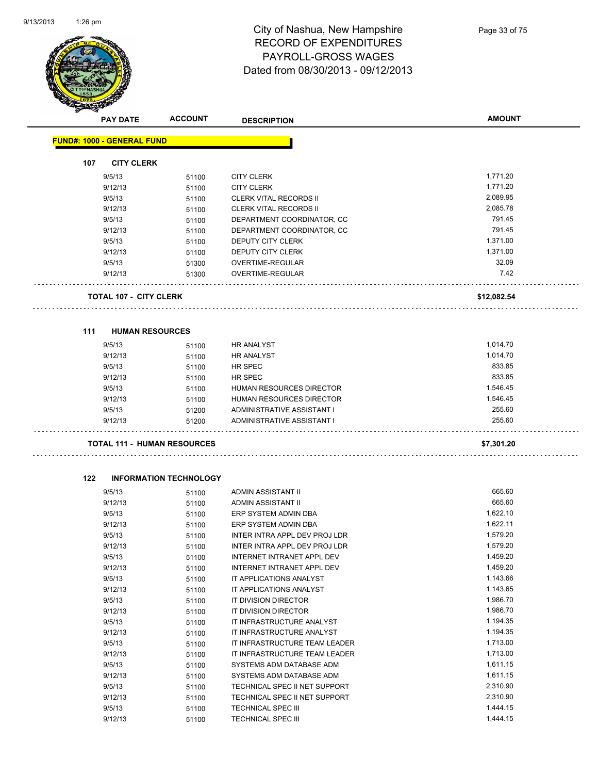

# City of Nashua, New Hampshire RECORD OF EXPENDITURES PAYROLL-GROSS WAGES Dated from 08/30/2013 - 09/12/2013

|     | <b>PAY DATE</b>                    | <b>ACCOUNT</b>                | <b>DESCRIPTION</b>            | <b>AMOUNT</b> |
|-----|------------------------------------|-------------------------------|-------------------------------|---------------|
|     | <b>FUND#: 1000 - GENERAL FUND</b>  |                               |                               |               |
| 107 | <b>CITY CLERK</b>                  |                               |                               |               |
|     | 9/5/13                             | 51100                         | <b>CITY CLERK</b>             | 1,771.20      |
|     | 9/12/13                            | 51100                         | <b>CITY CLERK</b>             | 1,771.20      |
|     | 9/5/13                             | 51100                         | <b>CLERK VITAL RECORDS II</b> | 2,089.95      |
|     | 9/12/13                            | 51100                         | <b>CLERK VITAL RECORDS II</b> | 2,085.78      |
|     | 9/5/13                             | 51100                         | DEPARTMENT COORDINATOR, CC    | 791.45        |
|     | 9/12/13                            | 51100                         | DEPARTMENT COORDINATOR, CC    | 791.45        |
|     | 9/5/13                             | 51100                         | <b>DEPUTY CITY CLERK</b>      | 1,371.00      |
|     | 9/12/13                            | 51100                         | DEPUTY CITY CLERK             | 1,371.00      |
|     | 9/5/13                             | 51300                         | OVERTIME-REGULAR              | 32.09         |
|     | 9/12/13                            | 51300                         | OVERTIME-REGULAR              | 7.42          |
|     | <b>TOTAL 107 - CITY CLERK</b>      |                               |                               | \$12,082.54   |
| 111 | <b>HUMAN RESOURCES</b>             |                               |                               |               |
|     | 9/5/13                             | 51100                         | <b>HR ANALYST</b>             | 1,014.70      |
|     | 9/12/13                            | 51100                         | HR ANALYST                    | 1,014.70      |
|     | 9/5/13                             | 51100                         | HR SPEC                       | 833.85        |
|     | 9/12/13                            | 51100                         | <b>HR SPEC</b>                | 833.85        |
|     | 9/5/13                             | 51100                         | HUMAN RESOURCES DIRECTOR      | 1,546.45      |
|     | 9/12/13                            | 51100                         | HUMAN RESOURCES DIRECTOR      | 1,546.45      |
|     | 9/5/13                             | 51200                         | ADMINISTRATIVE ASSISTANT I    | 255.60        |
|     | 9/12/13                            | 51200                         | ADMINISTRATIVE ASSISTANT I    | 255.60        |
|     | <b>TOTAL 111 - HUMAN RESOURCES</b> |                               |                               | \$7,301.20    |
| 122 |                                    | <b>INFORMATION TECHNOLOGY</b> |                               |               |
|     | 9/5/13                             | 51100                         | <b>ADMIN ASSISTANT II</b>     | 665.60        |
|     | 9/12/13                            | 51100                         | ADMIN ASSISTANT II            | 665.60        |
|     | 9/5/13                             | 51100                         | ERP SYSTEM ADMIN DBA          | 1,622.10      |
|     | 9/12/13                            | 51100                         | ERP SYSTEM ADMIN DBA          | 1,622.11      |
|     | 9/5/13                             | 51100                         | INTER INTRA APPL DEV PROJ LDR | 1,579.20      |
|     | 9/12/13                            | 51100                         | INTER INTRA APPL DEV PROJ LDR | 1,579.20      |
|     | 9/5/13                             | 51100                         | INTERNET INTRANET APPL DEV    | 1,459.20      |
|     | 9/12/13                            | 51100                         | INTERNET INTRANET APPL DEV    | 1,459.20      |
|     | 9/5/13                             | 51100                         | IT APPLICATIONS ANALYST       | 1,143.66      |
|     | 9/12/13                            | 51100                         | IT APPLICATIONS ANALYST       | 1,143.65      |
|     | 9/5/13                             | 51100                         | IT DIVISION DIRECTOR          | 1,986.70      |
|     | 9/12/13                            | 51100                         | IT DIVISION DIRECTOR          | 1,986.70      |
|     | 9/5/13                             | 51100                         | IT INFRASTRUCTURE ANALYST     | 1,194.35      |
|     | 9/12/13                            | 51100                         | IT INFRASTRUCTURE ANALYST     | 1,194.35      |
|     | 9/5/13                             | 51100                         | IT INFRASTRUCTURE TEAM LEADER | 1,713.00      |
|     | 9/12/13                            | 51100                         | IT INFRASTRUCTURE TEAM LEADER | 1,713.00      |
|     | 9/5/13                             | 51100                         | SYSTEMS ADM DATABASE ADM      | 1,611.15      |
|     | 9/12/13                            | 51100                         | SYSTEMS ADM DATABASE ADM      | 1,611.15      |
|     | 9/5/13                             | 51100                         | TECHNICAL SPEC II NET SUPPORT | 2,310.90      |
|     | 9/12/13                            | 51100                         | TECHNICAL SPEC II NET SUPPORT | 2,310.90      |

9/5/13 51100 TECHNICAL SPEC III 3/6/13 1,444.15 9/12/13 51100 TECHNICAL SPEC III 1,444.15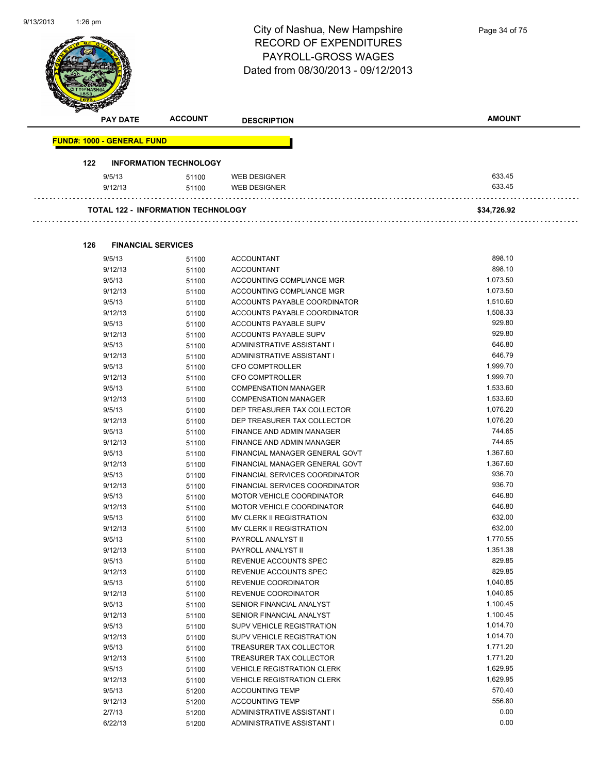| 9/13/2013 | $1:26$ pm |                                   |                                           | City of Nashua, New Hampshire<br><b>RECORD OF EXPENDITURES</b><br><b>PAYROLL-GROSS WAGES</b><br>Dated from 08/30/2013 - 09/12/2013 | Page 34 of 75 |  |
|-----------|-----------|-----------------------------------|-------------------------------------------|------------------------------------------------------------------------------------------------------------------------------------|---------------|--|
|           |           | <b>PAY DATE</b>                   | <b>ACCOUNT</b>                            | <b>DESCRIPTION</b>                                                                                                                 | <b>AMOUNT</b> |  |
|           |           | <b>FUND#: 1000 - GENERAL FUND</b> |                                           |                                                                                                                                    |               |  |
|           | 122       |                                   | <b>INFORMATION TECHNOLOGY</b>             |                                                                                                                                    |               |  |
|           |           | 9/5/13                            | 51100                                     | <b>WEB DESIGNER</b>                                                                                                                | 633.45        |  |
|           |           | 9/12/13                           | 51100                                     | <b>WEB DESIGNER</b>                                                                                                                | 633.45        |  |
|           |           |                                   | <b>TOTAL 122 - INFORMATION TECHNOLOGY</b> |                                                                                                                                    | \$34,726.92   |  |

**126 FINANCIAL SERVICES**

| 9/5/13  | 51100 | <b>ACCOUNTANT</b>                     | 898.10   |
|---------|-------|---------------------------------------|----------|
| 9/12/13 | 51100 | <b>ACCOUNTANT</b>                     | 898.10   |
| 9/5/13  | 51100 | ACCOUNTING COMPLIANCE MGR             | 1,073.50 |
| 9/12/13 | 51100 | ACCOUNTING COMPLIANCE MGR             | 1,073.50 |
| 9/5/13  | 51100 | ACCOUNTS PAYABLE COORDINATOR          | 1,510.60 |
| 9/12/13 | 51100 | ACCOUNTS PAYABLE COORDINATOR          | 1,508.33 |
| 9/5/13  | 51100 | <b>ACCOUNTS PAYABLE SUPV</b>          | 929.80   |
| 9/12/13 | 51100 | ACCOUNTS PAYABLE SUPV                 | 929.80   |
| 9/5/13  | 51100 | ADMINISTRATIVE ASSISTANT I            | 646.80   |
| 9/12/13 | 51100 | ADMINISTRATIVE ASSISTANT I            | 646.79   |
| 9/5/13  | 51100 | <b>CFO COMPTROLLER</b>                | 1,999.70 |
| 9/12/13 | 51100 | <b>CFO COMPTROLLER</b>                | 1,999.70 |
| 9/5/13  | 51100 | <b>COMPENSATION MANAGER</b>           | 1,533.60 |
| 9/12/13 | 51100 | <b>COMPENSATION MANAGER</b>           | 1,533.60 |
| 9/5/13  | 51100 | DEP TREASURER TAX COLLECTOR           | 1,076.20 |
| 9/12/13 | 51100 | DEP TREASURER TAX COLLECTOR           | 1,076.20 |
| 9/5/13  | 51100 | <b>FINANCE AND ADMIN MANAGER</b>      | 744.65   |
| 9/12/13 | 51100 | FINANCE AND ADMIN MANAGER             | 744.65   |
| 9/5/13  | 51100 | FINANCIAL MANAGER GENERAL GOVT        | 1,367.60 |
| 9/12/13 | 51100 | FINANCIAL MANAGER GENERAL GOVT        | 1,367.60 |
| 9/5/13  | 51100 | <b>FINANCIAL SERVICES COORDINATOR</b> | 936.70   |
| 9/12/13 | 51100 | FINANCIAL SERVICES COORDINATOR        | 936.70   |
| 9/5/13  | 51100 | MOTOR VEHICLE COORDINATOR             | 646.80   |
| 9/12/13 | 51100 | MOTOR VEHICLE COORDINATOR             | 646.80   |
| 9/5/13  | 51100 | MV CLERK II REGISTRATION              | 632.00   |
| 9/12/13 | 51100 | <b>MV CLERK II REGISTRATION</b>       | 632.00   |
| 9/5/13  | 51100 | PAYROLL ANALYST II                    | 1,770.55 |
| 9/12/13 | 51100 | PAYROLL ANALYST II                    | 1,351.38 |
| 9/5/13  | 51100 | REVENUE ACCOUNTS SPEC                 | 829.85   |
| 9/12/13 | 51100 | REVENUE ACCOUNTS SPEC                 | 829.85   |
| 9/5/13  | 51100 | REVENUE COORDINATOR                   | 1,040.85 |
| 9/12/13 | 51100 | REVENUE COORDINATOR                   | 1,040.85 |
| 9/5/13  | 51100 | SENIOR FINANCIAL ANALYST              | 1,100.45 |
| 9/12/13 | 51100 | SENIOR FINANCIAL ANALYST              | 1,100.45 |
| 9/5/13  | 51100 | SUPV VEHICLE REGISTRATION             | 1,014.70 |
| 9/12/13 | 51100 | SUPV VEHICLE REGISTRATION             | 1,014.70 |
| 9/5/13  | 51100 | TREASURER TAX COLLECTOR               | 1,771.20 |
| 9/12/13 | 51100 | TREASURER TAX COLLECTOR               | 1,771.20 |
| 9/5/13  | 51100 | <b>VEHICLE REGISTRATION CLERK</b>     | 1,629.95 |
| 9/12/13 | 51100 | <b>VEHICLE REGISTRATION CLERK</b>     | 1,629.95 |
| 9/5/13  | 51200 | <b>ACCOUNTING TEMP</b>                | 570.40   |
| 9/12/13 | 51200 | <b>ACCOUNTING TEMP</b>                | 556.80   |
| 2/7/13  | 51200 | ADMINISTRATIVE ASSISTANT I            | 0.00     |
| 6/22/13 | 51200 | ADMINISTRATIVE ASSISTANT I            | 0.00     |
|         |       |                                       |          |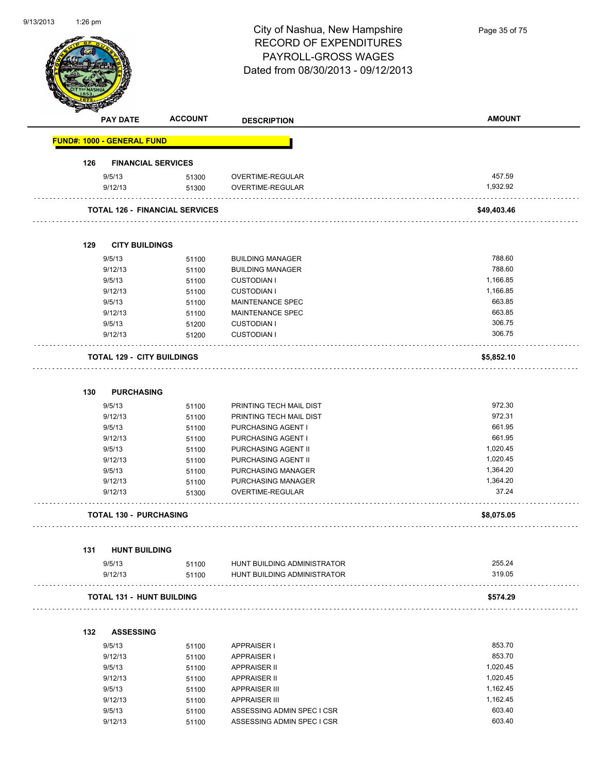| 9/13/2013 | 1:26 pm |                                   |                                       | City of Nashua, New Hampshire<br><b>RECORD OF EXPENDITURES</b><br>PAYROLL-GROSS WAGES<br>Dated from 08/30/2013 - 09/12/2013 | Page 35 of 75      |
|-----------|---------|-----------------------------------|---------------------------------------|-----------------------------------------------------------------------------------------------------------------------------|--------------------|
|           |         | <b>PAY DATE</b>                   | <b>ACCOUNT</b>                        | <b>DESCRIPTION</b>                                                                                                          | <b>AMOUNT</b>      |
|           |         | <b>FUND#: 1000 - GENERAL FUND</b> |                                       |                                                                                                                             |                    |
|           | 126     | <b>FINANCIAL SERVICES</b>         |                                       |                                                                                                                             |                    |
|           |         | 9/5/13<br>9/12/13                 | 51300<br>51300                        | OVERTIME-REGULAR<br>OVERTIME-REGULAR                                                                                        | 457.59<br>1,932.92 |
|           |         |                                   | <b>TOTAL 126 - FINANCIAL SERVICES</b> |                                                                                                                             | \$49,403.46        |
|           | 129     | <b>CITY BUILDINGS</b>             |                                       |                                                                                                                             |                    |
|           |         | 9/5/13                            | 51100                                 | <b>BUILDING MANAGER</b>                                                                                                     | 788.60             |
|           |         | 9/12/13                           | 51100                                 | <b>BUILDING MANAGER</b>                                                                                                     | 788.60             |
|           |         | 9/5/13                            | 51100                                 | <b>CUSTODIAN I</b>                                                                                                          | 1,166.85           |
|           |         | 9/12/13                           | 51100                                 | <b>CUSTODIAN I</b>                                                                                                          | 1,166.85           |
|           |         | 9/5/13                            | 51100                                 | MAINTENANCE SPEC                                                                                                            | 663.85             |
|           |         | 9/12/13                           | 51100                                 | MAINTENANCE SPEC                                                                                                            | 663.85             |
|           |         | 9/5/13                            | 51200                                 | <b>CUSTODIAN I</b>                                                                                                          | 306.75             |
|           |         | 9/12/13                           | 51200                                 | <b>CUSTODIAN I</b>                                                                                                          | 306.75             |
|           |         | <b>TOTAL 129 - CITY BUILDINGS</b> |                                       |                                                                                                                             | \$5,852.10         |
|           | 130     | <b>PURCHASING</b>                 |                                       |                                                                                                                             |                    |
|           |         | 9/5/13                            | 51100                                 | PRINTING TECH MAIL DIST                                                                                                     | 972.30             |
|           |         | 9/12/13                           | 51100                                 | PRINTING TECH MAIL DIST                                                                                                     | 972.31             |
|           |         | 9/5/13                            | 51100                                 | PURCHASING AGENT I                                                                                                          | 661.95             |
|           |         | 9/12/13                           | 51100                                 | PURCHASING AGENT I                                                                                                          | 661.95             |
|           |         | 9/5/13                            | 51100                                 | PURCHASING AGENT II                                                                                                         | 1,020.45           |
|           |         | 9/12/13                           | 51100                                 | PURCHASING AGENT II                                                                                                         | 1,020.45           |
|           |         | 9/5/13                            | 51100                                 | PURCHASING MANAGER                                                                                                          | 1,364.20           |
|           |         | 9/12/13                           | 51100                                 | PURCHASING MANAGER                                                                                                          | 1,364.20           |
|           |         | 9/12/13                           | 51300                                 | OVERTIME-REGULAR                                                                                                            | 37.24              |
|           |         | <b>TOTAL 130 - PURCHASING</b>     |                                       |                                                                                                                             | \$8,075.05         |
|           | 131     | <b>HUNT BUILDING</b>              |                                       |                                                                                                                             |                    |
|           |         | 9/5/13                            | 51100                                 | HUNT BUILDING ADMINISTRATOR                                                                                                 | 255.24             |
|           |         | 9/12/13                           | 51100                                 | HUNT BUILDING ADMINISTRATOR                                                                                                 | 319.05             |
|           |         | <b>TOTAL 131 - HUNT BUILDING</b>  |                                       |                                                                                                                             | \$574.29           |
|           |         |                                   |                                       |                                                                                                                             |                    |
|           | 132     | <b>ASSESSING</b><br>9/5/13        |                                       | <b>APPRAISER I</b>                                                                                                          | 853.70             |
|           |         | 9/12/13                           | 51100                                 |                                                                                                                             | 853.70             |
|           |         | 9/5/13                            | 51100                                 | <b>APPRAISER I</b><br><b>APPRAISER II</b>                                                                                   | 1,020.45           |
|           |         | 9/12/13                           | 51100<br>51100                        | <b>APPRAISER II</b>                                                                                                         | 1,020.45           |
|           |         | 9/5/13                            | 51100                                 | <b>APPRAISER III</b>                                                                                                        | 1,162.45           |
|           |         | 9/12/13                           | 51100                                 | <b>APPRAISER III</b>                                                                                                        | 1,162.45           |
|           |         | 9/5/13                            | 51100                                 | ASSESSING ADMIN SPEC I CSR                                                                                                  | 603.40             |

9/12/13 51100 ASSESSING ADMIN SPEC I CSR 603.40

9/13/2013

1:26 pm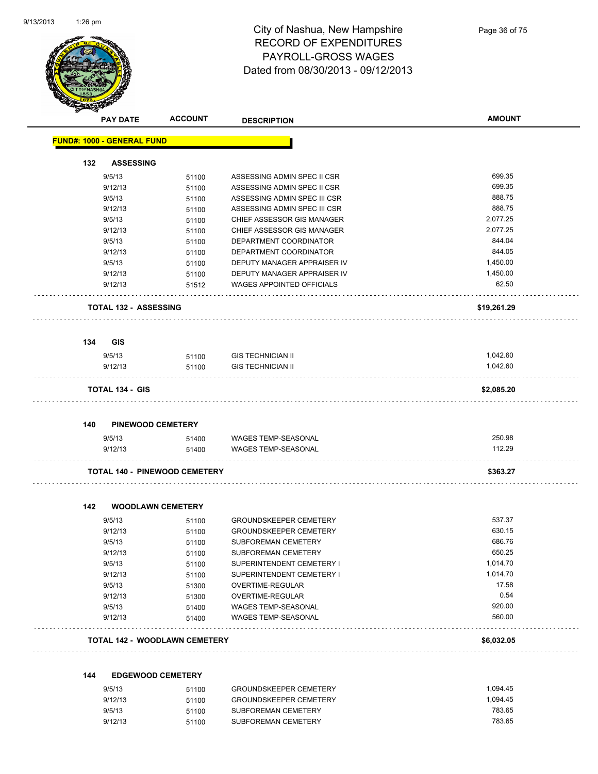

# City of Nashua, New Hampshire RECORD OF EXPENDITURES PAYROLL-GROSS WAGES Dated from 08/30/2013 - 09/12/2013

| ਚ<br><b>PAY DATE</b>              | <b>ACCOUNT</b>                       | <b>DESCRIPTION</b>               | <b>AMOUNT</b> |
|-----------------------------------|--------------------------------------|----------------------------------|---------------|
| <b>FUND#: 1000 - GENERAL FUND</b> |                                      |                                  |               |
| 132<br><b>ASSESSING</b>           |                                      |                                  |               |
| 9/5/13                            | 51100                                | ASSESSING ADMIN SPEC II CSR      | 699.35        |
| 9/12/13                           | 51100                                | ASSESSING ADMIN SPEC II CSR      | 699.35        |
| 9/5/13                            | 51100                                | ASSESSING ADMIN SPEC III CSR     | 888.75        |
| 9/12/13                           | 51100                                | ASSESSING ADMIN SPEC III CSR     | 888.75        |
| 9/5/13                            | 51100                                | CHIEF ASSESSOR GIS MANAGER       | 2,077.25      |
| 9/12/13                           | 51100                                | CHIEF ASSESSOR GIS MANAGER       | 2,077.25      |
| 9/5/13                            | 51100                                | DEPARTMENT COORDINATOR           | 844.04        |
| 9/12/13                           | 51100                                | DEPARTMENT COORDINATOR           | 844.05        |
| 9/5/13                            | 51100                                | DEPUTY MANAGER APPRAISER IV      | 1,450.00      |
| 9/12/13                           | 51100                                | DEPUTY MANAGER APPRAISER IV      | 1,450.00      |
| 9/12/13                           | 51512                                | <b>WAGES APPOINTED OFFICIALS</b> | 62.50         |
| <b>TOTAL 132 - ASSESSING</b>      |                                      |                                  | \$19,261.29   |
| 134<br><b>GIS</b>                 |                                      |                                  |               |
| 9/5/13                            | 51100                                | <b>GIS TECHNICIAN II</b>         | 1,042.60      |
| 9/12/13                           | 51100                                | <b>GIS TECHNICIAN II</b>         | 1,042.60      |
| <b>TOTAL 134 - GIS</b>            |                                      |                                  | \$2,085.20    |
| 140                               | <b>PINEWOOD CEMETERY</b>             |                                  |               |
| 9/5/13                            | 51400                                | WAGES TEMP-SEASONAL              | 250.98        |
| 9/12/13                           | 51400                                | WAGES TEMP-SEASONAL              | 112.29        |
|                                   | <b>TOTAL 140 - PINEWOOD CEMETERY</b> |                                  | \$363.27      |
|                                   |                                      |                                  |               |
| 142<br>9/5/13                     | <b>WOODLAWN CEMETERY</b>             | <b>GROUNDSKEEPER CEMETERY</b>    | 537.37        |
| 9/12/13                           | 51100<br>51100                       | <b>GROUNDSKEEPER CEMETERY</b>    | 630.15        |
| 9/5/13                            |                                      | <b>SUBFOREMAN CEMETERY</b>       | 686.76        |
| 9/12/13                           | 51100<br>51100                       | SUBFOREMAN CEMETERY              | 650.25        |
| 9/5/13                            | 51100                                | SUPERINTENDENT CEMETERY I        | 1,014.70      |
| 9/12/13                           | 51100                                | SUPERINTENDENT CEMETERY I        | 1,014.70      |
| 9/5/13                            | 51300                                | OVERTIME-REGULAR                 | 17.58         |
| 9/12/13                           | 51300                                | OVERTIME-REGULAR                 | 0.54          |
| 9/5/13                            | 51400                                | WAGES TEMP-SEASONAL              | 920.00        |
| 9/12/13                           | 51400                                | WAGES TEMP-SEASONAL              | 560.00        |
|                                   | <b>TOTAL 142 - WOODLAWN CEMETERY</b> |                                  | \$6,032.05    |
| 144                               | <b>EDGEWOOD CEMETERY</b>             |                                  |               |
| 9/5/13                            | 51100                                | <b>GROUNDSKEEPER CEMETERY</b>    | 1,094.45      |
|                                   |                                      |                                  |               |

|         | <b>UUILU</b>  | <u>UNUUNDUNEELI EN UEMETENT</u> |          |
|---------|---------------|---------------------------------|----------|
| 9/12/13 | 51100         | <b>GROUNDSKEEPER CEMETERY</b>   | 1.094.45 |
| 9/5/13  | 51100         | SUBFOREMAN CEMETERY             | 783.65   |
| 9/12/13 | 51100         | SUBFOREMAN CEMETERY             | 783.65   |
|         | <u>,,,,,,</u> |                                 |          |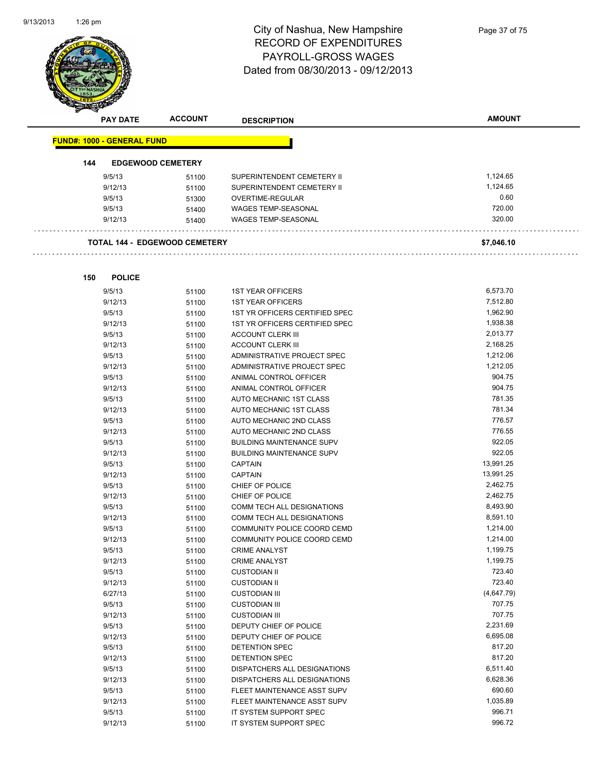L,



#### City of Nashua, New Hampshire RECORD OF EXPENDITURES PAYROLL-GROSS WAGES Dated from 08/30/2013 - 09/12/2013

|     | <b>PAY DATE</b>                   | <b>ACCOUNT</b>                       | <b>DESCRIPTION</b>               | <b>AMOUNT</b> |
|-----|-----------------------------------|--------------------------------------|----------------------------------|---------------|
|     | <b>FUND#: 1000 - GENERAL FUND</b> |                                      |                                  |               |
| 144 |                                   | <b>EDGEWOOD CEMETERY</b>             |                                  |               |
|     | 9/5/13                            | 51100                                | SUPERINTENDENT CEMETERY II       | 1,124.65      |
|     | 9/12/13                           | 51100                                | SUPERINTENDENT CEMETERY II       | 1,124.65      |
|     | 9/5/13                            | 51300                                | <b>OVERTIME-REGULAR</b>          | 0.60          |
|     | 9/5/13                            | 51400                                | <b>WAGES TEMP-SEASONAL</b>       | 720.00        |
|     | 9/12/13                           | 51400                                | <b>WAGES TEMP-SEASONAL</b>       | 320.00        |
|     |                                   | <b>TOTAL 144 - EDGEWOOD CEMETERY</b> |                                  | \$7,046.10    |
|     |                                   |                                      |                                  |               |
| 150 | <b>POLICE</b><br>9/5/13           | 51100                                | <b>1ST YEAR OFFICERS</b>         | 6,573.70      |
|     | 9/12/13                           | 51100                                | <b>1ST YEAR OFFICERS</b>         | 7,512.80      |
|     | 9/5/13                            | 51100                                | 1ST YR OFFICERS CERTIFIED SPEC   | 1,962.90      |
|     | 9/12/13                           | 51100                                | 1ST YR OFFICERS CERTIFIED SPEC   | 1,938.38      |
|     | 9/5/13                            | 51100                                | ACCOUNT CLERK III                | 2,013.77      |
|     | 9/12/13                           | 51100                                | <b>ACCOUNT CLERK III</b>         | 2,168.25      |
|     | 9/5/13                            | 51100                                | ADMINISTRATIVE PROJECT SPEC      | 1,212.06      |
|     | 9/12/13                           | 51100                                | ADMINISTRATIVE PROJECT SPEC      | 1,212.05      |
|     | 9/5/13                            | 51100                                | ANIMAL CONTROL OFFICER           | 904.75        |
|     | 9/12/13                           | 51100                                | ANIMAL CONTROL OFFICER           | 904.75        |
|     | 9/5/13                            | 51100                                | AUTO MECHANIC 1ST CLASS          | 781.35        |
|     | 9/12/13                           | 51100                                | AUTO MECHANIC 1ST CLASS          | 781.34        |
|     | 9/5/13                            | 51100                                | AUTO MECHANIC 2ND CLASS          | 776.57        |
|     | 9/12/13                           | 51100                                | AUTO MECHANIC 2ND CLASS          | 776.55        |
|     | 9/5/13                            | 51100                                | <b>BUILDING MAINTENANCE SUPV</b> | 922.05        |
|     | 9/12/13                           | 51100                                | <b>BUILDING MAINTENANCE SUPV</b> | 922.05        |
|     | 9/5/13                            | 51100                                | <b>CAPTAIN</b>                   | 13,991.25     |
|     | 9/12/13                           | 51100                                | <b>CAPTAIN</b>                   | 13,991.25     |
|     | 9/5/13                            | 51100                                | CHIEF OF POLICE                  | 2,462.75      |
|     | 9/12/13                           | 51100                                | CHIEF OF POLICE                  | 2,462.75      |
|     | 9/5/13                            | 51100                                | COMM TECH ALL DESIGNATIONS       | 8,493.90      |
|     | 9/12/13                           | 51100                                | COMM TECH ALL DESIGNATIONS       | 8,591.10      |
|     | 9/5/13                            | 51100                                | COMMUNITY POLICE COORD CEMD      | 1,214.00      |
|     | 9/12/13                           | 51100                                | COMMUNITY POLICE COORD CEMD      | 1,214.00      |
|     | 9/5/13                            | 51100                                | <b>CRIME ANALYST</b>             | 1,199.75      |
|     | 9/12/13                           | 51100                                | <b>CRIME ANALYST</b>             | 1,199.75      |
|     | 9/5/13                            | 51100                                | <b>CUSTODIAN II</b>              | 723.40        |
|     | 9/12/13                           | 51100                                | <b>CUSTODIAN II</b>              | 723.40        |
|     | 6/27/13                           | 51100                                | <b>CUSTODIAN III</b>             | (4,647.79)    |
|     | 9/5/13                            | 51100                                | <b>CUSTODIAN III</b>             | 707.75        |
|     | 9/12/13                           | 51100                                | <b>CUSTODIAN III</b>             | 707.75        |

9/5/13 51100 DEPUTY CHIEF OF POLICE 2,231.69

9/5/13 51100 DETENTION SPEC 817.20 9/12/13 51100 DETENTION SPEC 817.20 9/5/13 51100 DISPATCHERS ALL DESIGNATIONS 6,511.40

9/5/13 51100 FLEET MAINTENANCE ASST SUPV 690.60 9/12/13 51100 FLEET MAINTENANCE ASST SUPV 1 2006 1,035.89 9/5/13 51100 IT SYSTEM SUPPORT SPEC 996.71 9/12/13 51100 IT SYSTEM SUPPORT SPEC 996.72

9/12/13 51100 DEPUTY CHIEF OF POLICE

9/12/13 51100 DISPATCHERS ALL DESIGNATIONS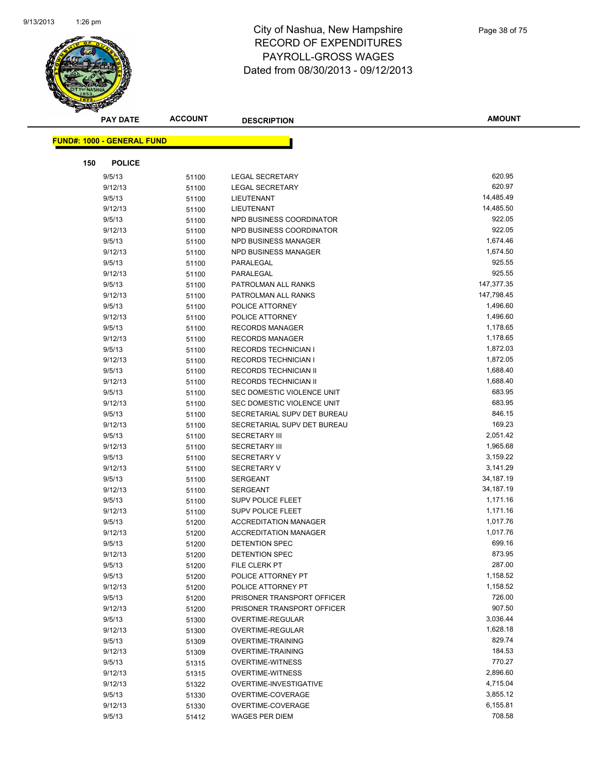

| <b>PAY DATE</b>                   | <b>ACCOUNT</b> | <b>DESCRIPTION</b>                  | <b>AMOUNT</b>    |
|-----------------------------------|----------------|-------------------------------------|------------------|
| <b>FUND#: 1000 - GENERAL FUND</b> |                |                                     |                  |
|                                   |                |                                     |                  |
| 150<br><b>POLICE</b>              |                |                                     |                  |
| 9/5/13                            | 51100          | LEGAL SECRETARY                     | 620.95           |
| 9/12/13                           | 51100          | LEGAL SECRETARY                     | 620.97           |
| 9/5/13                            | 51100          | LIEUTENANT                          | 14,485.49        |
| 9/12/13                           | 51100          | LIEUTENANT                          | 14,485.50        |
| 9/5/13                            | 51100          | NPD BUSINESS COORDINATOR            | 922.05           |
| 9/12/13                           | 51100          | NPD BUSINESS COORDINATOR            | 922.05           |
| 9/5/13                            | 51100          | <b>NPD BUSINESS MANAGER</b>         | 1,674.46         |
| 9/12/13                           | 51100          | <b>NPD BUSINESS MANAGER</b>         | 1,674.50         |
| 9/5/13                            | 51100          | PARALEGAL                           | 925.55           |
| 9/12/13                           | 51100          | PARALEGAL                           | 925.55           |
| 9/5/13                            | 51100          | PATROLMAN ALL RANKS                 | 147,377.35       |
| 9/12/13                           | 51100          | PATROLMAN ALL RANKS                 | 147,798.45       |
| 9/5/13                            | 51100          | POLICE ATTORNEY                     | 1,496.60         |
| 9/12/13                           | 51100          | POLICE ATTORNEY                     | 1,496.60         |
| 9/5/13                            | 51100          | <b>RECORDS MANAGER</b>              | 1,178.65         |
| 9/12/13                           | 51100          | <b>RECORDS MANAGER</b>              | 1,178.65         |
| 9/5/13                            | 51100          | <b>RECORDS TECHNICIAN I</b>         | 1,872.03         |
| 9/12/13                           | 51100          | <b>RECORDS TECHNICIAN I</b>         | 1,872.05         |
| 9/5/13                            | 51100          | RECORDS TECHNICIAN II               | 1,688.40         |
| 9/12/13                           | 51100          | RECORDS TECHNICIAN II               | 1,688.40         |
| 9/5/13                            | 51100          | SEC DOMESTIC VIOLENCE UNIT          | 683.95           |
| 9/12/13                           | 51100          | SEC DOMESTIC VIOLENCE UNIT          | 683.95           |
| 9/5/13                            | 51100          | SECRETARIAL SUPV DET BUREAU         | 846.15           |
| 9/12/13                           | 51100          | SECRETARIAL SUPV DET BUREAU         | 169.23           |
| 9/5/13                            | 51100          | <b>SECRETARY III</b>                | 2,051.42         |
| 9/12/13                           | 51100          | <b>SECRETARY III</b>                | 1,965.68         |
| 9/5/13                            | 51100          | <b>SECRETARY V</b>                  | 3,159.22         |
| 9/12/13                           | 51100          | <b>SECRETARY V</b>                  | 3,141.29         |
| 9/5/13                            | 51100          | <b>SERGEANT</b>                     | 34,187.19        |
| 9/12/13                           | 51100          | <b>SERGEANT</b>                     | 34,187.19        |
| 9/5/13                            | 51100          | <b>SUPV POLICE FLEET</b>            | 1,171.16         |
| 9/12/13                           | 51100          | <b>SUPV POLICE FLEET</b>            | 1,171.16         |
| 9/5/13                            | 51200          | <b>ACCREDITATION MANAGER</b>        | 1,017.76         |
| 9/12/13                           | 51200          | <b>ACCREDITATION MANAGER</b>        | 1,017.76         |
| 9/5/13                            | 51200          | <b>DETENTION SPEC</b>               | 699.16<br>873.95 |
| 9/12/13                           | 51200          | DETENTION SPEC                      | 287.00           |
| 9/5/13<br>9/5/13                  | 51200          | FILE CLERK PT<br>POLICE ATTORNEY PT | 1,158.52         |
| 9/12/13                           | 51200          | POLICE ATTORNEY PT                  | 1,158.52         |
| 9/5/13                            | 51200          | PRISONER TRANSPORT OFFICER          | 726.00           |
| 9/12/13                           | 51200<br>51200 | PRISONER TRANSPORT OFFICER          | 907.50           |
| 9/5/13                            | 51300          | OVERTIME-REGULAR                    | 3,036.44         |
| 9/12/13                           | 51300          | OVERTIME-REGULAR                    | 1,628.18         |
| 9/5/13                            | 51309          | <b>OVERTIME-TRAINING</b>            | 829.74           |
| 9/12/13                           | 51309          | OVERTIME-TRAINING                   | 184.53           |
| 9/5/13                            | 51315          | <b>OVERTIME-WITNESS</b>             | 770.27           |
| 9/12/13                           | 51315          | <b>OVERTIME-WITNESS</b>             | 2,896.60         |
| 9/12/13                           | 51322          | OVERTIME-INVESTIGATIVE              | 4,715.04         |
| 9/5/13                            | 51330          | OVERTIME-COVERAGE                   | 3,855.12         |
| 9/12/13                           | 51330          | OVERTIME-COVERAGE                   | 6,155.81         |
| 9/5/13                            | 51412          | <b>WAGES PER DIEM</b>               | 708.58           |
|                                   |                |                                     |                  |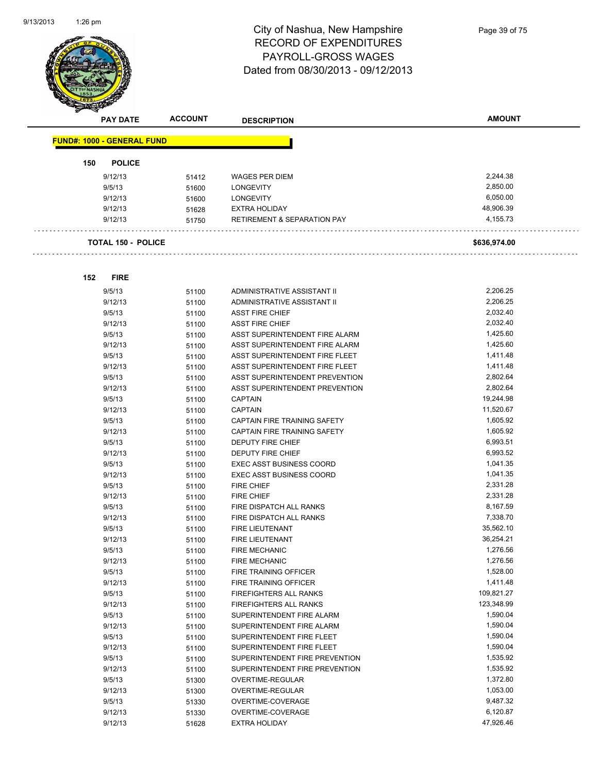

| <b>PAY DATE</b>                   | <b>ACCOUNT</b> | <b>DESCRIPTION</b>              | <b>AMOUNT</b> |
|-----------------------------------|----------------|---------------------------------|---------------|
| <b>FUND#: 1000 - GENERAL FUND</b> |                |                                 |               |
|                                   |                |                                 |               |
| <b>POLICE</b><br>150              |                |                                 |               |
| 9/12/13                           | 51412          | <b>WAGES PER DIEM</b>           | 2,244.38      |
| 9/5/13                            | 51600          | <b>LONGEVITY</b>                | 2,850.00      |
| 9/12/13                           | 51600          | <b>LONGEVITY</b>                | 6,050.00      |
| 9/12/13                           | 51628          | <b>EXTRA HOLIDAY</b>            | 48,906.39     |
| 9/12/13                           | 51750          | RETIREMENT & SEPARATION PAY     | 4,155.73      |
| <b>TOTAL 150 - POLICE</b>         |                |                                 | \$636,974.00  |
|                                   |                |                                 |               |
| <b>FIRE</b><br>152                |                |                                 |               |
| 9/5/13                            | 51100          | ADMINISTRATIVE ASSISTANT II     | 2,206.25      |
| 9/12/13                           | 51100          | ADMINISTRATIVE ASSISTANT II     | 2,206.25      |
| 9/5/13                            | 51100          | <b>ASST FIRE CHIEF</b>          | 2,032.40      |
| 9/12/13                           | 51100          | <b>ASST FIRE CHIEF</b>          | 2,032.40      |
| 9/5/13                            | 51100          | ASST SUPERINTENDENT FIRE ALARM  | 1,425.60      |
| 9/12/13                           | 51100          | ASST SUPERINTENDENT FIRE ALARM  | 1,425.60      |
| 9/5/13                            | 51100          | ASST SUPERINTENDENT FIRE FLEET  | 1,411.48      |
| 9/12/13                           | 51100          | ASST SUPERINTENDENT FIRE FLEET  | 1,411.48      |
| 9/5/13                            | 51100          | ASST SUPERINTENDENT PREVENTION  | 2,802.64      |
| 9/12/13                           | 51100          | ASST SUPERINTENDENT PREVENTION  | 2,802.64      |
| 9/5/13                            | 51100          | <b>CAPTAIN</b>                  | 19,244.98     |
| 9/12/13                           | 51100          | <b>CAPTAIN</b>                  | 11,520.67     |
| 9/5/13                            | 51100          | CAPTAIN FIRE TRAINING SAFETY    | 1,605.92      |
| 9/12/13                           | 51100          | CAPTAIN FIRE TRAINING SAFETY    | 1,605.92      |
| 9/5/13                            | 51100          | DEPUTY FIRE CHIEF               | 6,993.51      |
| 9/12/13                           | 51100          | DEPUTY FIRE CHIEF               | 6,993.52      |
| 9/5/13                            | 51100          | <b>EXEC ASST BUSINESS COORD</b> | 1,041.35      |
| 9/12/13                           | 51100          | <b>EXEC ASST BUSINESS COORD</b> | 1,041.35      |
| 9/5/13                            | 51100          | <b>FIRE CHIEF</b>               | 2,331.28      |
| 9/12/13                           | 51100          | <b>FIRE CHIEF</b>               | 2,331.28      |
| 9/5/13                            | 51100          | FIRE DISPATCH ALL RANKS         | 8,167.59      |
| 9/12/13                           | 51100          | FIRE DISPATCH ALL RANKS         | 7,338.70      |
| 9/5/13                            | 51100          | <b>FIRE LIEUTENANT</b>          | 35,562.10     |
| 9/12/13                           | 51100          | <b>FIRE LIEUTENANT</b>          | 36,254.21     |
| 9/5/13                            | 51100          | FIRE MECHANIC                   | 1,276.56      |
| 9/12/13                           | 51100          | <b>FIRE MECHANIC</b>            | 1,276.56      |
| 9/5/13                            | 51100          | FIRE TRAINING OFFICER           | 1,528.00      |
| 9/12/13                           | 51100          | FIRE TRAINING OFFICER           | 1,411.48      |
| 9/5/13                            | 51100          | FIREFIGHTERS ALL RANKS          | 109,821.27    |
| 9/12/13                           | 51100          | FIREFIGHTERS ALL RANKS          | 123,348.99    |
| 9/5/13                            | 51100          | SUPERINTENDENT FIRE ALARM       | 1,590.04      |
| 9/12/13                           | 51100          | SUPERINTENDENT FIRE ALARM       | 1,590.04      |
| 9/5/13                            | 51100          | SUPERINTENDENT FIRE FLEET       | 1,590.04      |
| 9/12/13                           | 51100          | SUPERINTENDENT FIRE FLEET       | 1,590.04      |
| 9/5/13                            | 51100          | SUPERINTENDENT FIRE PREVENTION  | 1,535.92      |
| 9/12/13                           | 51100          | SUPERINTENDENT FIRE PREVENTION  | 1,535.92      |
| 9/5/13                            | 51300          | OVERTIME-REGULAR                | 1,372.80      |
| 9/12/13                           | 51300          | OVERTIME-REGULAR                | 1,053.00      |

9/5/13 51330 OVERTIME-COVERAGE 9,487.32 9/12/13 51330 OVERTIME-COVERAGE 6,120.87

9/12/13 51628 EXTRA HOLIDAY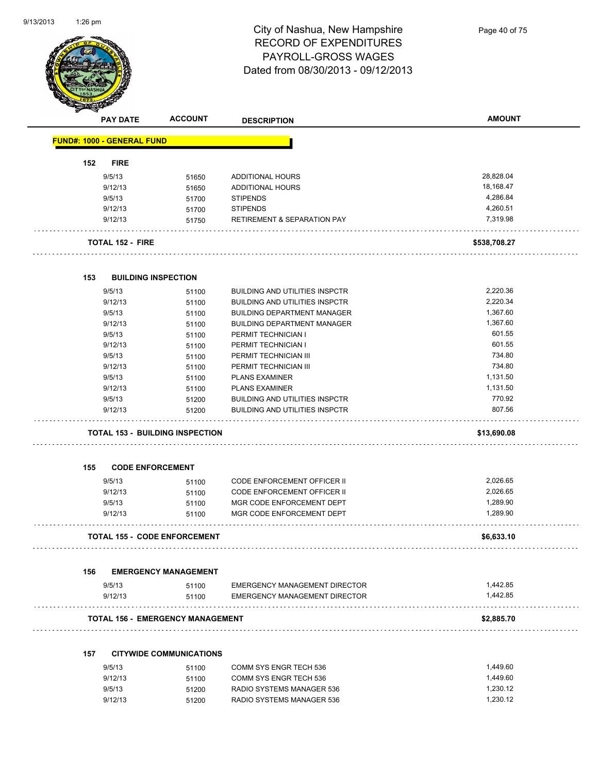

| Q.<br><b>PAY DATE</b>             | <b>ACCOUNT</b>                          | <b>DESCRIPTION</b>                    | <b>AMOUNT</b> |
|-----------------------------------|-----------------------------------------|---------------------------------------|---------------|
| <b>FUND#: 1000 - GENERAL FUND</b> |                                         |                                       |               |
| 152<br><b>FIRE</b>                |                                         |                                       |               |
| 9/5/13                            | 51650                                   | ADDITIONAL HOURS                      | 28,828.04     |
| 9/12/13                           | 51650                                   | ADDITIONAL HOURS                      | 18,168.47     |
| 9/5/13                            | 51700                                   | <b>STIPENDS</b>                       | 4,286.84      |
| 9/12/13                           | 51700                                   | <b>STIPENDS</b>                       | 4,260.51      |
| 9/12/13                           | 51750                                   | RETIREMENT & SEPARATION PAY           | 7,319.98      |
| <b>TOTAL 152 - FIRE</b>           |                                         |                                       | \$538,708.27  |
| 153                               | <b>BUILDING INSPECTION</b>              |                                       |               |
| 9/5/13                            | 51100                                   | <b>BUILDING AND UTILITIES INSPCTR</b> | 2,220.36      |
| 9/12/13                           | 51100                                   | <b>BUILDING AND UTILITIES INSPCTR</b> | 2,220.34      |
| 9/5/13                            | 51100                                   | <b>BUILDING DEPARTMENT MANAGER</b>    | 1,367.60      |
| 9/12/13                           | 51100                                   | <b>BUILDING DEPARTMENT MANAGER</b>    | 1,367.60      |
| 9/5/13                            | 51100                                   | PERMIT TECHNICIAN I                   | 601.55        |
| 9/12/13                           |                                         | PERMIT TECHNICIAN I                   | 601.55        |
| 9/5/13                            | 51100                                   | PERMIT TECHNICIAN III                 | 734.80        |
|                                   | 51100                                   |                                       | 734.80        |
| 9/12/13                           | 51100                                   | PERMIT TECHNICIAN III                 |               |
| 9/5/13                            | 51100                                   | <b>PLANS EXAMINER</b>                 | 1,131.50      |
| 9/12/13                           | 51100                                   | <b>PLANS EXAMINER</b>                 | 1,131.50      |
| 9/5/13                            | 51200                                   | <b>BUILDING AND UTILITIES INSPCTR</b> | 770.92        |
| 9/12/13                           | 51200                                   | <b>BUILDING AND UTILITIES INSPCTR</b> | 807.56        |
|                                   | <b>TOTAL 153 - BUILDING INSPECTION</b>  |                                       | \$13,690.08   |
| 155<br><b>CODE ENFORCEMENT</b>    |                                         |                                       |               |
|                                   |                                         |                                       |               |
| 9/5/13                            | 51100                                   | <b>CODE ENFORCEMENT OFFICER II</b>    | 2,026.65      |
| 9/12/13                           | 51100                                   | <b>CODE ENFORCEMENT OFFICER II</b>    | 2,026.65      |
| 9/5/13                            | 51100                                   | MGR CODE ENFORCEMENT DEPT             | 1,289.90      |
| 9/12/13                           | 51100                                   | MGR CODE ENFORCEMENT DEPT             | 1,289.90      |
|                                   | <b>TOTAL 155 - CODE ENFORCEMENT</b>     |                                       | \$6,633.10    |
| 156                               | <b>EMERGENCY MANAGEMENT</b>             |                                       |               |
| 9/5/13                            | 51100                                   | EMERGENCY MANAGEMENT DIRECTOR         | 1,442.85      |
| 9/12/13                           | 51100                                   | <b>EMERGENCY MANAGEMENT DIRECTOR</b>  | 1,442.85      |
|                                   | <b>TOTAL 156 - EMERGENCY MANAGEMENT</b> |                                       | \$2,885.70    |
| 157                               | <b>CITYWIDE COMMUNICATIONS</b>          |                                       |               |
| 9/5/13                            | 51100                                   | COMM SYS ENGR TECH 536                | 1,449.60      |
| 9/12/13                           | 51100                                   | COMM SYS ENGR TECH 536                | 1,449.60      |
| 9/5/13                            | 51200                                   | RADIO SYSTEMS MANAGER 536             | 1,230.12      |
| 9/12/13                           | 51200                                   | RADIO SYSTEMS MANAGER 536             | 1,230.12      |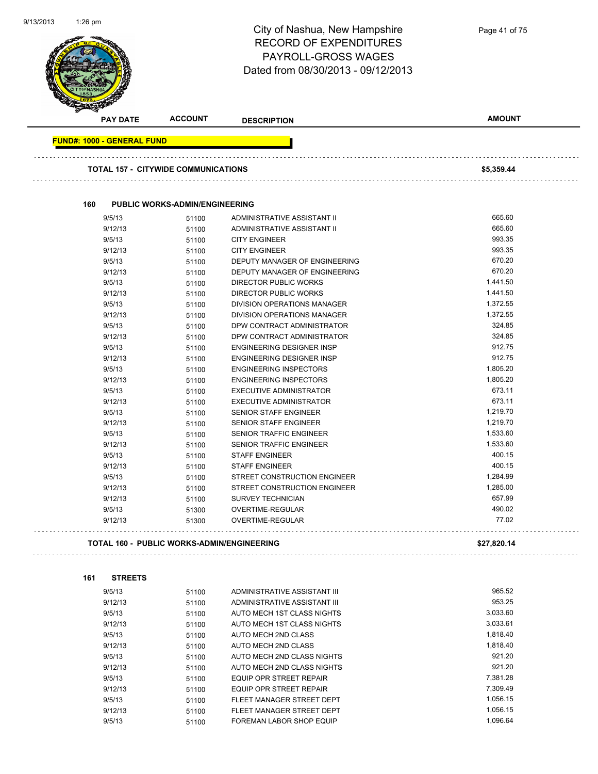

| 160<br>9/5/13<br>9/12/13<br>9/5/13<br>9/12/13<br>9/5/13<br>9/12/13<br>9/5/13 | <b>TOTAL 157 - CITYWIDE COMMUNICATIONS</b><br><b>PUBLIC WORKS-ADMIN/ENGINEERING</b><br>51100<br>51100<br>51100 | ADMINISTRATIVE ASSISTANT II<br>ADMINISTRATIVE ASSISTANT II | \$5,359.44<br>665.60 |
|------------------------------------------------------------------------------|----------------------------------------------------------------------------------------------------------------|------------------------------------------------------------|----------------------|
|                                                                              |                                                                                                                |                                                            |                      |
|                                                                              |                                                                                                                |                                                            |                      |
|                                                                              |                                                                                                                |                                                            |                      |
|                                                                              |                                                                                                                |                                                            |                      |
|                                                                              |                                                                                                                |                                                            | 665.60               |
|                                                                              |                                                                                                                | <b>CITY ENGINEER</b>                                       | 993.35               |
|                                                                              | 51100                                                                                                          | <b>CITY ENGINEER</b>                                       | 993.35               |
|                                                                              | 51100                                                                                                          | DEPUTY MANAGER OF ENGINEERING                              | 670.20               |
|                                                                              | 51100                                                                                                          | <b>DEPUTY MANAGER OF ENGINEERING</b>                       | 670.20               |
|                                                                              | 51100                                                                                                          | <b>DIRECTOR PUBLIC WORKS</b>                               | 1,441.50             |
| 9/12/13                                                                      | 51100                                                                                                          | <b>DIRECTOR PUBLIC WORKS</b>                               | 1,441.50             |
| 9/5/13                                                                       | 51100                                                                                                          | DIVISION OPERATIONS MANAGER                                | 1,372.55             |
| 9/12/13                                                                      | 51100                                                                                                          | <b>DIVISION OPERATIONS MANAGER</b>                         | 1,372.55             |
| 9/5/13                                                                       | 51100                                                                                                          | DPW CONTRACT ADMINISTRATOR                                 | 324.85               |
| 9/12/13                                                                      | 51100                                                                                                          | DPW CONTRACT ADMINISTRATOR                                 | 324.85               |
| 9/5/13                                                                       | 51100                                                                                                          | <b>ENGINEERING DESIGNER INSP</b>                           | 912.75               |
| 9/12/13                                                                      | 51100                                                                                                          | <b>ENGINEERING DESIGNER INSP</b>                           | 912.75               |
| 9/5/13                                                                       | 51100                                                                                                          | <b>ENGINEERING INSPECTORS</b>                              | 1,805.20             |
| 9/12/13                                                                      | 51100                                                                                                          | <b>ENGINEERING INSPECTORS</b>                              | 1,805.20             |
| 9/5/13                                                                       | 51100                                                                                                          | <b>EXECUTIVE ADMINISTRATOR</b>                             | 673.11               |
| 9/12/13                                                                      | 51100                                                                                                          | <b>EXECUTIVE ADMINISTRATOR</b>                             | 673.11               |
| 9/5/13                                                                       | 51100                                                                                                          | <b>SENIOR STAFF ENGINEER</b>                               | 1,219.70             |
| 9/12/13                                                                      | 51100                                                                                                          | <b>SENIOR STAFF ENGINEER</b>                               | 1,219.70             |
| 9/5/13                                                                       | 51100                                                                                                          | <b>SENIOR TRAFFIC ENGINEER</b>                             | 1,533.60             |
| 9/12/13                                                                      | 51100                                                                                                          | <b>SENIOR TRAFFIC ENGINEER</b>                             | 1,533.60             |
| 9/5/13                                                                       | 51100                                                                                                          | <b>STAFF ENGINEER</b>                                      | 400.15               |
| 9/12/13                                                                      | 51100                                                                                                          | <b>STAFF ENGINEER</b>                                      | 400.15               |
| 9/5/13                                                                       | 51100                                                                                                          | STREET CONSTRUCTION ENGINEER                               | 1,284.99             |
| 9/12/13                                                                      | 51100                                                                                                          | STREET CONSTRUCTION ENGINEER                               | 1,285.00             |
| 9/12/13                                                                      | 51100                                                                                                          | <b>SURVEY TECHNICIAN</b>                                   | 657.99               |
| 9/5/13                                                                       | 51300                                                                                                          | OVERTIME-REGULAR                                           | 490.02               |
| 9/12/13                                                                      | 51300                                                                                                          | OVERTIME-REGULAR                                           | 77.02                |
|                                                                              | <b>TOTAL 160 - PUBLIC WORKS-ADMIN/ENGINEERING</b>                                                              |                                                            | \$27,820.14          |

| 9/5/13  | 51100 | ADMINISTRATIVE ASSISTANT III | 965.52   |
|---------|-------|------------------------------|----------|
| 9/12/13 | 51100 | ADMINISTRATIVE ASSISTANT III | 953.25   |
| 9/5/13  | 51100 | AUTO MECH 1ST CLASS NIGHTS   | 3,033.60 |
| 9/12/13 | 51100 | AUTO MECH 1ST CLASS NIGHTS   | 3.033.61 |
| 9/5/13  | 51100 | AUTO MECH 2ND CLASS          | 1.818.40 |
| 9/12/13 | 51100 | AUTO MECH 2ND CLASS          | 1.818.40 |
| 9/5/13  | 51100 | AUTO MECH 2ND CLASS NIGHTS   | 921.20   |
| 9/12/13 | 51100 | AUTO MECH 2ND CLASS NIGHTS   | 921.20   |
| 9/5/13  | 51100 | EQUIP OPR STREET REPAIR      | 7.381.28 |
| 9/12/13 | 51100 | EQUIP OPR STREET REPAIR      | 7.309.49 |
| 9/5/13  | 51100 | FLEET MANAGER STREET DEPT    | 1.056.15 |
| 9/12/13 | 51100 | FLEET MANAGER STREET DEPT    | 1.056.15 |
| 9/5/13  | 51100 | FOREMAN LABOR SHOP EQUIP     | 1.096.64 |
|         |       |                              |          |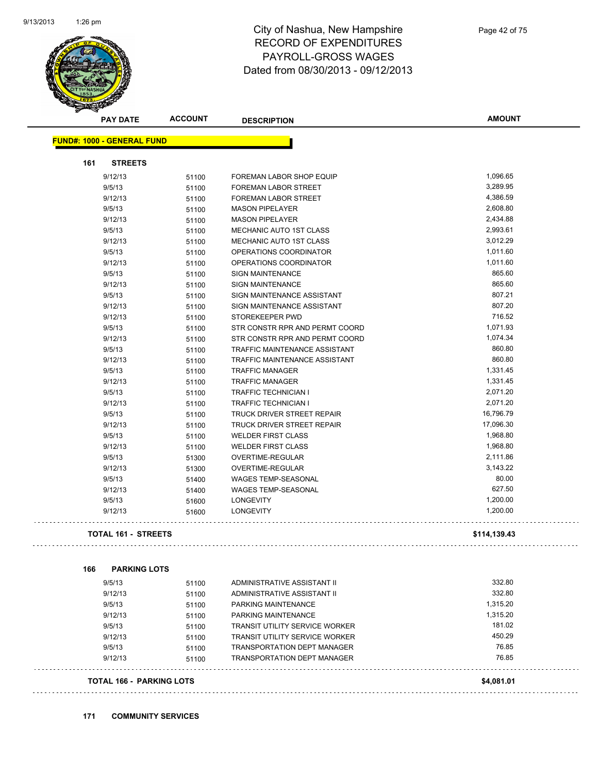

| <b>PAY DATE</b>                   | <b>ACCOUNT</b> | <b>DESCRIPTION</b>                    | <b>AMOUNT</b> |
|-----------------------------------|----------------|---------------------------------------|---------------|
| <b>FUND#: 1000 - GENERAL FUND</b> |                |                                       |               |
| 161<br><b>STREETS</b>             |                |                                       |               |
| 9/12/13                           | 51100          | <b>FOREMAN LABOR SHOP EQUIP</b>       | 1,096.65      |
| 9/5/13                            | 51100          | <b>FOREMAN LABOR STREET</b>           | 3,289.95      |
| 9/12/13                           | 51100          | FOREMAN LABOR STREET                  | 4,386.59      |
| 9/5/13                            | 51100          | <b>MASON PIPELAYER</b>                | 2,608.80      |
| 9/12/13                           | 51100          | <b>MASON PIPELAYER</b>                | 2,434.88      |
| 9/5/13                            | 51100          | MECHANIC AUTO 1ST CLASS               | 2,993.61      |
| 9/12/13                           | 51100          | MECHANIC AUTO 1ST CLASS               | 3,012.29      |
| 9/5/13                            | 51100          | OPERATIONS COORDINATOR                | 1,011.60      |
| 9/12/13                           | 51100          | OPERATIONS COORDINATOR                | 1,011.60      |
| 9/5/13                            | 51100          | <b>SIGN MAINTENANCE</b>               | 865.60        |
| 9/12/13                           | 51100          | <b>SIGN MAINTENANCE</b>               | 865.60        |
| 9/5/13                            | 51100          | SIGN MAINTENANCE ASSISTANT            | 807.21        |
| 9/12/13                           | 51100          | SIGN MAINTENANCE ASSISTANT            | 807.20        |
| 9/12/13                           | 51100          | STOREKEEPER PWD                       | 716.52        |
| 9/5/13                            | 51100          | STR CONSTR RPR AND PERMT COORD        | 1,071.93      |
| 9/12/13                           | 51100          | STR CONSTR RPR AND PERMT COORD        | 1,074.34      |
| 9/5/13                            | 51100          | <b>TRAFFIC MAINTENANCE ASSISTANT</b>  | 860.80        |
| 9/12/13                           | 51100          | TRAFFIC MAINTENANCE ASSISTANT         | 860.80        |
| 9/5/13                            | 51100          | <b>TRAFFIC MANAGER</b>                | 1,331.45      |
| 9/12/13                           | 51100          | <b>TRAFFIC MANAGER</b>                | 1,331.45      |
| 9/5/13                            | 51100          | <b>TRAFFIC TECHNICIAN I</b>           | 2,071.20      |
| 9/12/13                           | 51100          | <b>TRAFFIC TECHNICIAN I</b>           | 2,071.20      |
| 9/5/13                            | 51100          | TRUCK DRIVER STREET REPAIR            | 16,796.79     |
| 9/12/13                           | 51100          | TRUCK DRIVER STREET REPAIR            | 17,096.30     |
| 9/5/13                            | 51100          | <b>WELDER FIRST CLASS</b>             | 1,968.80      |
| 9/12/13                           | 51100          | <b>WELDER FIRST CLASS</b>             | 1,968.80      |
| 9/5/13                            | 51300          | OVERTIME-REGULAR                      | 2,111.86      |
| 9/12/13                           | 51300          | OVERTIME-REGULAR                      | 3,143.22      |
| 9/5/13                            | 51400          | <b>WAGES TEMP-SEASONAL</b>            | 80.00         |
| 9/12/13                           | 51400          | <b>WAGES TEMP-SEASONAL</b>            | 627.50        |
| 9/5/13                            | 51600          | LONGEVITY                             | 1,200.00      |
| 9/12/13                           | 51600          | <b>LONGEVITY</b>                      | 1,200.00      |
| <b>TOTAL 161 - STREETS</b>        |                |                                       | \$114,139.43  |
| 166<br><b>PARKING LOTS</b>        |                |                                       |               |
| 9/5/13                            | 51100          | ADMINISTRATIVE ASSISTANT II           | 332.80        |
| 9/12/13                           | 51100          | ADMINISTRATIVE ASSISTANT II           | 332.80        |
| 9/5/13                            | 51100          | PARKING MAINTENANCE                   | 1,315.20      |
| 9/12/13                           | 51100          | PARKING MAINTENANCE                   | 1,315.20      |
| 9/5/13                            | 51100          | <b>TRANSIT UTILITY SERVICE WORKER</b> | 181.02        |
| 9/12/13                           | 51100          | <b>TRANSIT UTILITY SERVICE WORKER</b> | 450.29        |
| 9/5/13                            | 51100          | <b>TRANSPORTATION DEPT MANAGER</b>    | 76.85         |
| 9/12/13                           | 51100          | <b>TRANSPORTATION DEPT MANAGER</b>    | 76.85         |
|                                   |                |                                       |               |
| <b>TOTAL 166 - PARKING LOTS</b>   |                |                                       | \$4,081.01    |

. . . . . . . . . . . . . . .

. . . . . . . . . .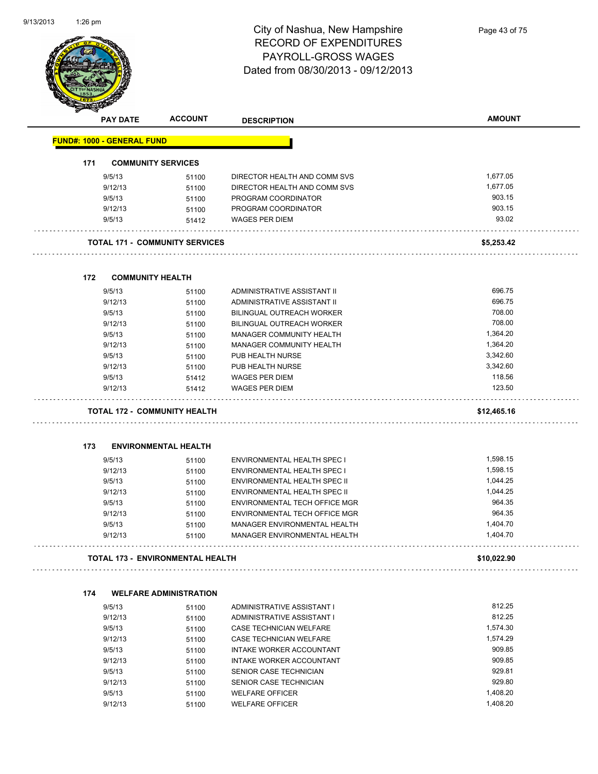

| A.  | <b>PAY DATE</b>                   | <b>ACCOUNT</b>                          | <b>DESCRIPTION</b>               | <b>AMOUNT</b> |
|-----|-----------------------------------|-----------------------------------------|----------------------------------|---------------|
|     | <b>FUND#: 1000 - GENERAL FUND</b> |                                         |                                  |               |
| 171 |                                   | <b>COMMUNITY SERVICES</b>               |                                  |               |
|     | 9/5/13                            | 51100                                   | DIRECTOR HEALTH AND COMM SVS     | 1,677.05      |
|     | 9/12/13                           | 51100                                   | DIRECTOR HEALTH AND COMM SVS     | 1,677.05      |
|     | 9/5/13                            | 51100                                   | PROGRAM COORDINATOR              | 903.15        |
|     | 9/12/13                           | 51100                                   | PROGRAM COORDINATOR              | 903.15        |
|     | 9/5/13                            | 51412                                   | <b>WAGES PER DIEM</b>            | 93.02         |
|     |                                   | <b>TOTAL 171 - COMMUNITY SERVICES</b>   |                                  | \$5,253.42    |
| 172 | <b>COMMUNITY HEALTH</b>           |                                         |                                  |               |
|     | 9/5/13                            | 51100                                   | ADMINISTRATIVE ASSISTANT II      | 696.75        |
|     | 9/12/13                           | 51100                                   | ADMINISTRATIVE ASSISTANT II      | 696.75        |
|     | 9/5/13                            | 51100                                   | BILINGUAL OUTREACH WORKER        | 708.00        |
|     | 9/12/13                           | 51100                                   | <b>BILINGUAL OUTREACH WORKER</b> | 708.00        |
|     | 9/5/13                            | 51100                                   | MANAGER COMMUNITY HEALTH         | 1,364.20      |
|     | 9/12/13                           | 51100                                   | MANAGER COMMUNITY HEALTH         | 1,364.20      |
|     | 9/5/13                            | 51100                                   | PUB HEALTH NURSE                 | 3,342.60      |
|     | 9/12/13                           | 51100                                   | PUB HEALTH NURSE                 | 3,342.60      |
|     | 9/5/13                            | 51412                                   | <b>WAGES PER DIEM</b>            | 118.56        |
|     | 9/12/13                           | 51412                                   | <b>WAGES PER DIEM</b>            | 123.50        |
|     |                                   |                                         |                                  |               |
|     |                                   | <b>TOTAL 172 - COMMUNITY HEALTH</b>     |                                  | \$12,465.16   |
| 173 |                                   | <b>ENVIRONMENTAL HEALTH</b>             |                                  |               |
|     |                                   |                                         |                                  |               |
|     | 9/5/13                            | 51100                                   | ENVIRONMENTAL HEALTH SPEC I      | 1,598.15      |
|     | 9/12/13                           | 51100                                   | ENVIRONMENTAL HEALTH SPEC I      | 1,598.15      |
|     | 9/5/13                            | 51100                                   | ENVIRONMENTAL HEALTH SPEC II     | 1,044.25      |
|     | 9/12/13                           | 51100                                   | ENVIRONMENTAL HEALTH SPEC II     | 1,044.25      |
|     | 9/5/13                            | 51100                                   | ENVIRONMENTAL TECH OFFICE MGR    | 964.35        |
|     | 9/12/13                           | 51100                                   | ENVIRONMENTAL TECH OFFICE MGR    | 964.35        |
|     | 9/5/13                            | 51100                                   | MANAGER ENVIRONMENTAL HEALTH     | 1,404.70      |
|     | 9/12/13                           | 51100                                   | MANAGER ENVIRONMENTAL HEALTH     | 1,404.70      |
|     |                                   | <b>TOTAL 173 - ENVIRONMENTAL HEALTH</b> |                                  | \$10,022.90   |
|     |                                   |                                         |                                  |               |
| 174 |                                   | <b>WELFARE ADMINISTRATION</b>           |                                  |               |
|     | 9/5/13                            | 51100                                   | ADMINISTRATIVE ASSISTANT I       | 812.25        |
|     | 9/12/13                           | 51100                                   | ADMINISTRATIVE ASSISTANT I       | 812.25        |
|     | 9/5/13                            | 51100                                   | <b>CASE TECHNICIAN WELFARE</b>   | 1,574.30      |
|     | 9/12/13                           | 51100                                   | CASE TECHNICIAN WELFARE          | 1,574.29      |
|     | 9/5/13                            | 51100                                   | INTAKE WORKER ACCOUNTANT         | 909.85        |
|     | 9/12/13                           | 51100                                   | INTAKE WORKER ACCOUNTANT         | 909.85        |
|     | 9/5/13                            | 51100                                   | SENIOR CASE TECHNICIAN           | 929.81        |
|     | 9/12/13                           | 51100                                   | SENIOR CASE TECHNICIAN           | 929.80        |
|     | 9/5/13                            | 51100                                   | <b>WELFARE OFFICER</b>           | 1,408.20      |
|     | 9/12/13                           | 51100                                   | <b>WELFARE OFFICER</b>           | 1,408.20      |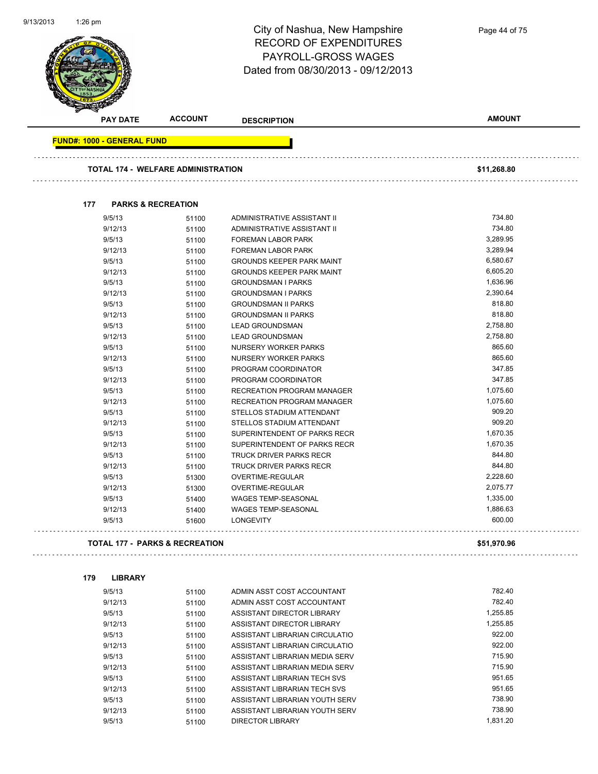|                                   |                                           | City of Nashua, New Hampshire<br><b>RECORD OF EXPENDITURES</b><br>PAYROLL-GROSS WAGES<br>Dated from 08/30/2013 - 09/12/2013 | Page 44 of 75    |
|-----------------------------------|-------------------------------------------|-----------------------------------------------------------------------------------------------------------------------------|------------------|
| <b>PAY DATE</b>                   | <b>ACCOUNT</b>                            | <b>DESCRIPTION</b>                                                                                                          | <b>AMOUNT</b>    |
| <b>FUND#: 1000 - GENERAL FUND</b> |                                           |                                                                                                                             |                  |
|                                   | <b>TOTAL 174 - WELFARE ADMINISTRATION</b> |                                                                                                                             | \$11,268.80      |
| 177                               | <b>PARKS &amp; RECREATION</b>             |                                                                                                                             |                  |
| 9/5/13                            | 51100                                     | ADMINISTRATIVE ASSISTANT II                                                                                                 | 734.80           |
| 9/12/13                           | 51100                                     | ADMINISTRATIVE ASSISTANT II                                                                                                 | 734.80           |
| 9/5/13                            | 51100                                     | FOREMAN LABOR PARK                                                                                                          | 3,289.95         |
| 9/12/13                           | 51100                                     | FOREMAN LABOR PARK                                                                                                          | 3,289.94         |
| 9/5/13                            | 51100                                     | <b>GROUNDS KEEPER PARK MAINT</b>                                                                                            | 6,580.67         |
| 9/12/13                           | 51100                                     | <b>GROUNDS KEEPER PARK MAINT</b>                                                                                            | 6,605.20         |
| 9/5/13                            | 51100                                     | <b>GROUNDSMAN I PARKS</b>                                                                                                   | 1,636.96         |
| 9/12/13                           | 51100                                     | <b>GROUNDSMAN I PARKS</b>                                                                                                   | 2,390.64         |
| 9/5/13                            | 51100                                     | <b>GROUNDSMAN II PARKS</b>                                                                                                  | 818.80           |
| 9/12/13                           | 51100                                     | <b>GROUNDSMAN II PARKS</b>                                                                                                  | 818.80           |
| 9/5/13                            | 51100                                     | <b>LEAD GROUNDSMAN</b>                                                                                                      | 2,758.80         |
| 9/12/13                           | 51100                                     | <b>LEAD GROUNDSMAN</b>                                                                                                      | 2,758.80         |
| 9/5/13                            | 51100                                     | <b>NURSERY WORKER PARKS</b>                                                                                                 | 865.60           |
| 9/12/13                           | 51100                                     | <b>NURSERY WORKER PARKS</b>                                                                                                 | 865.60           |
| 9/5/13                            | 51100                                     | PROGRAM COORDINATOR                                                                                                         | 347.85<br>347.85 |
| 9/12/13<br>9/5/13                 | 51100                                     | PROGRAM COORDINATOR<br>RECREATION PROGRAM MANAGER                                                                           | 1,075.60         |
| 9/12/13                           | 51100                                     | RECREATION PROGRAM MANAGER                                                                                                  | 1,075.60         |
| 9/5/13                            | 51100<br>51100                            | STELLOS STADIUM ATTENDANT                                                                                                   | 909.20           |
| 9/12/13                           | 51100                                     | STELLOS STADIUM ATTENDANT                                                                                                   | 909.20           |
| 9/5/13                            | 51100                                     | SUPERINTENDENT OF PARKS RECR                                                                                                | 1,670.35         |
| 9/12/13                           | 51100                                     | SUPERINTENDENT OF PARKS RECR                                                                                                | 1,670.35         |
| 9/5/13                            | 51100                                     | TRUCK DRIVER PARKS RECR                                                                                                     | 844.80           |
| 9/12/13                           | 51100                                     | TRUCK DRIVER PARKS RECR                                                                                                     | 844.80           |
| 9/5/13                            | 51300                                     | OVERTIME-REGULAR                                                                                                            | 2,228.60         |
| 9/12/13                           | 51300                                     | OVERTIME-REGULAR                                                                                                            | 2,075.77         |
| 9/5/13                            | 51400                                     | WAGES TEMP-SEASONAL                                                                                                         | 1,335.00         |
| 9/12/13                           | 51400                                     | WAGES TEMP-SEASONAL                                                                                                         | 1,886.63         |
| 9/5/13                            | 51600                                     | <b>LONGEVITY</b>                                                                                                            | 600.00           |
|                                   | <b>TOTAL 177 - PARKS &amp; RECREATION</b> |                                                                                                                             | \$51,970.96      |

| 9/5/13  | 51100 | ADMIN ASST COST ACCOUNTANT     | 782.40   |
|---------|-------|--------------------------------|----------|
| 9/12/13 | 51100 | ADMIN ASST COST ACCOUNTANT     | 782.40   |
| 9/5/13  | 51100 | ASSISTANT DIRECTOR LIBRARY     | 1.255.85 |
| 9/12/13 | 51100 | ASSISTANT DIRECTOR LIBRARY     | 1.255.85 |
| 9/5/13  | 51100 | ASSISTANT LIBRARIAN CIRCULATIO | 922.00   |
| 9/12/13 | 51100 | ASSISTANT LIBRARIAN CIRCULATIO | 922.00   |
| 9/5/13  | 51100 | ASSISTANT LIBRARIAN MEDIA SERV | 715.90   |
| 9/12/13 | 51100 | ASSISTANT LIBRARIAN MEDIA SERV | 715.90   |
| 9/5/13  | 51100 | ASSISTANT LIBRARIAN TECH SVS   | 951.65   |
| 9/12/13 | 51100 | ASSISTANT LIBRARIAN TECH SVS   | 951.65   |
| 9/5/13  | 51100 | ASSISTANT LIBRARIAN YOUTH SERV | 738.90   |
| 9/12/13 | 51100 | ASSISTANT LIBRARIAN YOUTH SERV | 738.90   |
| 9/5/13  | 51100 | <b>DIRECTOR LIBRARY</b>        | 1.831.20 |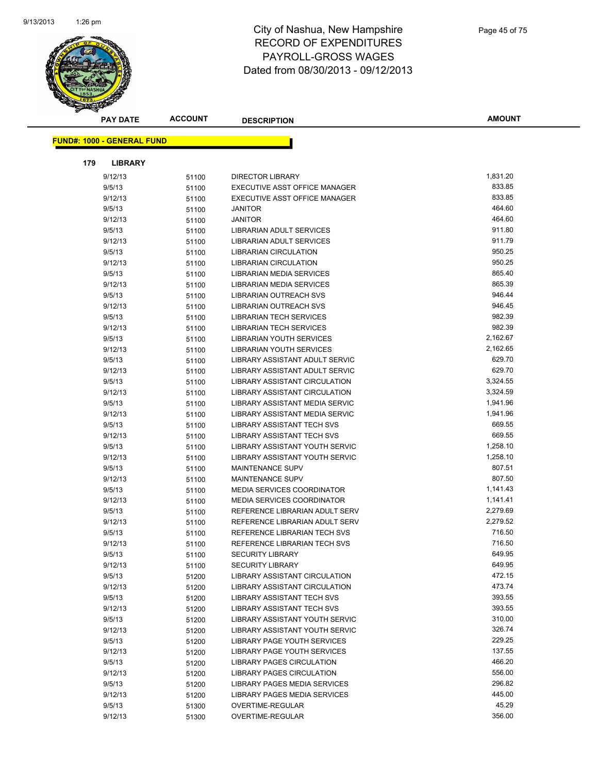

|     | <b>PAY DATE</b>                    | <b>ACCOUNT</b> | <b>DESCRIPTION</b>                   | <b>AMOUNT</b> |
|-----|------------------------------------|----------------|--------------------------------------|---------------|
|     | <u> FUND#: 1000 - GENERAL FUND</u> |                |                                      |               |
|     |                                    |                |                                      |               |
| 179 | <b>LIBRARY</b>                     |                |                                      |               |
|     | 9/12/13                            | 51100          | <b>DIRECTOR LIBRARY</b>              | 1,831.20      |
|     | 9/5/13                             | 51100          | EXECUTIVE ASST OFFICE MANAGER        | 833.85        |
|     | 9/12/13                            | 51100          | EXECUTIVE ASST OFFICE MANAGER        | 833.85        |
|     | 9/5/13                             | 51100          | <b>JANITOR</b>                       | 464.60        |
|     | 9/12/13                            | 51100          | <b>JANITOR</b>                       | 464.60        |
|     | 9/5/13                             | 51100          | LIBRARIAN ADULT SERVICES             | 911.80        |
|     | 9/12/13                            | 51100          | LIBRARIAN ADULT SERVICES             | 911.79        |
|     | 9/5/13                             | 51100          | <b>LIBRARIAN CIRCULATION</b>         | 950.25        |
|     | 9/12/13                            | 51100          | <b>LIBRARIAN CIRCULATION</b>         | 950.25        |
|     | 9/5/13                             | 51100          | LIBRARIAN MEDIA SERVICES             | 865.40        |
|     | 9/12/13                            | 51100          | LIBRARIAN MEDIA SERVICES             | 865.39        |
|     | 9/5/13                             | 51100          | LIBRARIAN OUTREACH SVS               | 946.44        |
|     | 9/12/13                            | 51100          | <b>LIBRARIAN OUTREACH SVS</b>        | 946.45        |
|     | 9/5/13                             | 51100          | <b>LIBRARIAN TECH SERVICES</b>       | 982.39        |
|     | 9/12/13                            | 51100          | <b>LIBRARIAN TECH SERVICES</b>       | 982.39        |
|     | 9/5/13                             | 51100          | <b>LIBRARIAN YOUTH SERVICES</b>      | 2,162.67      |
|     | 9/12/13                            | 51100          | LIBRARIAN YOUTH SERVICES             | 2,162.65      |
|     | 9/5/13                             | 51100          | LIBRARY ASSISTANT ADULT SERVIC       | 629.70        |
|     | 9/12/13                            | 51100          | LIBRARY ASSISTANT ADULT SERVIC       | 629.70        |
|     | 9/5/13                             | 51100          | LIBRARY ASSISTANT CIRCULATION        | 3,324.55      |
|     | 9/12/13                            | 51100          | <b>LIBRARY ASSISTANT CIRCULATION</b> | 3,324.59      |
|     | 9/5/13                             | 51100          | LIBRARY ASSISTANT MEDIA SERVIC       | 1,941.96      |
|     | 9/12/13                            | 51100          | LIBRARY ASSISTANT MEDIA SERVIC       | 1,941.96      |
|     | 9/5/13                             | 51100          | <b>LIBRARY ASSISTANT TECH SVS</b>    | 669.55        |
|     | 9/12/13                            | 51100          | <b>LIBRARY ASSISTANT TECH SVS</b>    | 669.55        |
|     | 9/5/13                             | 51100          | LIBRARY ASSISTANT YOUTH SERVIC       | 1,258.10      |
|     | 9/12/13                            | 51100          | LIBRARY ASSISTANT YOUTH SERVIC       | 1,258.10      |
|     | 9/5/13                             | 51100          | <b>MAINTENANCE SUPV</b>              | 807.51        |
|     | 9/12/13                            | 51100          | <b>MAINTENANCE SUPV</b>              | 807.50        |
|     | 9/5/13                             | 51100          | <b>MEDIA SERVICES COORDINATOR</b>    | 1,141.43      |
|     | 9/12/13                            | 51100          | <b>MEDIA SERVICES COORDINATOR</b>    | 1,141.41      |
|     | 9/5/13                             | 51100          | REFERENCE LIBRARIAN ADULT SERV       | 2,279.69      |
|     | 9/12/13                            | 51100          | REFERENCE LIBRARIAN ADULT SERV       | 2,279.52      |
|     | 9/5/13                             | 51100          | REFERENCE LIBRARIAN TECH SVS         | 716.50        |
|     | 9/12/13                            | 51100          | REFERENCE LIBRARIAN TECH SVS         | 716.50        |
|     | 9/5/13                             | 51100          | <b>SECURITY LIBRARY</b>              | 649.95        |
|     | 9/12/13                            | 51100          | <b>SECURITY LIBRARY</b>              | 649.95        |
|     | 9/5/13                             | 51200          | LIBRARY ASSISTANT CIRCULATION        | 472.15        |
|     | 9/12/13                            | 51200          | LIBRARY ASSISTANT CIRCULATION        | 473.74        |
|     | 9/5/13                             | 51200          | LIBRARY ASSISTANT TECH SVS           | 393.55        |
|     | 9/12/13                            | 51200          | <b>LIBRARY ASSISTANT TECH SVS</b>    | 393.55        |
|     | 9/5/13                             | 51200          | LIBRARY ASSISTANT YOUTH SERVIC       | 310.00        |
|     | 9/12/13                            | 51200          | LIBRARY ASSISTANT YOUTH SERVIC       | 326.74        |
|     | 9/5/13                             | 51200          | LIBRARY PAGE YOUTH SERVICES          | 229.25        |
|     | 9/12/13                            | 51200          | LIBRARY PAGE YOUTH SERVICES          | 137.55        |
|     | 9/5/13                             | 51200          | LIBRARY PAGES CIRCULATION            | 466.20        |
|     | 9/12/13                            | 51200          | LIBRARY PAGES CIRCULATION            | 556.00        |
|     | 9/5/13                             | 51200          | LIBRARY PAGES MEDIA SERVICES         | 296.82        |
|     | 9/12/13                            | 51200          | LIBRARY PAGES MEDIA SERVICES         | 445.00        |
|     | 9/5/13                             | 51300          | OVERTIME-REGULAR                     | 45.29         |
|     | 9/12/13                            | 51300          | OVERTIME-REGULAR                     | 356.00        |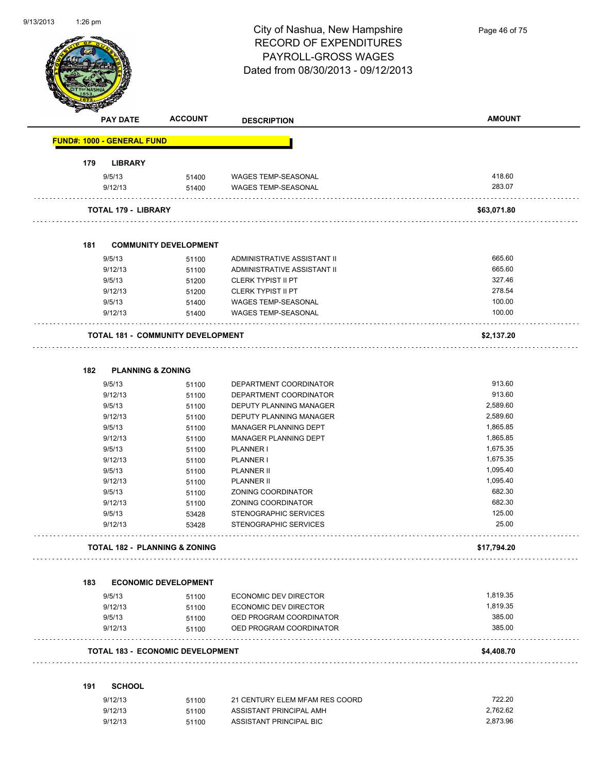

Page 46 of 75

|                                   | <b>ACCOUNT</b><br><b>PAY DATE</b>        | <b>DESCRIPTION</b>             | <b>AMOUNT</b> |
|-----------------------------------|------------------------------------------|--------------------------------|---------------|
| <b>FUND#: 1000 - GENERAL FUND</b> |                                          |                                |               |
| 179                               | <b>LIBRARY</b>                           |                                |               |
| 9/5/13                            | 51400                                    | <b>WAGES TEMP-SEASONAL</b>     | 418.60        |
| 9/12/13                           | 51400                                    | WAGES TEMP-SEASONAL            | 283.07        |
|                                   | <b>TOTAL 179 - LIBRARY</b>               |                                | \$63,071.80   |
|                                   |                                          |                                |               |
| 181                               | <b>COMMUNITY DEVELOPMENT</b>             |                                |               |
| 9/5/13                            | 51100                                    | ADMINISTRATIVE ASSISTANT II    | 665.60        |
| 9/12/13                           | 51100                                    | ADMINISTRATIVE ASSISTANT II    | 665.60        |
| 9/5/13                            | 51200                                    | <b>CLERK TYPIST II PT</b>      | 327.46        |
| 9/12/13                           | 51200                                    | <b>CLERK TYPIST II PT</b>      | 278.54        |
| 9/5/13                            | 51400                                    | <b>WAGES TEMP-SEASONAL</b>     | 100.00        |
| 9/12/13                           | 51400                                    | WAGES TEMP-SEASONAL            | 100.00        |
|                                   | <b>TOTAL 181 - COMMUNITY DEVELOPMENT</b> |                                | \$2,137.20    |
|                                   |                                          |                                |               |
| 182                               | <b>PLANNING &amp; ZONING</b>             |                                |               |
| 9/5/13                            | 51100                                    | DEPARTMENT COORDINATOR         | 913.60        |
| 9/12/13                           | 51100                                    | DEPARTMENT COORDINATOR         | 913.60        |
| 9/5/13                            | 51100                                    | DEPUTY PLANNING MANAGER        | 2,589.60      |
| 9/12/13                           | 51100                                    | DEPUTY PLANNING MANAGER        | 2,589.60      |
| 9/5/13                            | 51100                                    | MANAGER PLANNING DEPT          | 1,865.85      |
| 9/12/13                           | 51100                                    | MANAGER PLANNING DEPT          | 1,865.85      |
| 9/5/13                            | 51100                                    | <b>PLANNER I</b>               | 1,675.35      |
| 9/12/13                           | 51100                                    | <b>PLANNER I</b>               | 1,675.35      |
| 9/5/13                            | 51100                                    | <b>PLANNER II</b>              | 1,095.40      |
| 9/12/13                           | 51100                                    | <b>PLANNER II</b>              | 1,095.40      |
| 9/5/13                            | 51100                                    | ZONING COORDINATOR             | 682.30        |
| 9/12/13                           | 51100                                    | ZONING COORDINATOR             | 682.30        |
| 9/5/13                            | 53428                                    | STENOGRAPHIC SERVICES          | 125.00        |
| 9/12/13                           | 53428                                    | STENOGRAPHIC SERVICES          | 25.00         |
|                                   | <b>TOTAL 182 - PLANNING &amp; ZONING</b> |                                | \$17,794.20   |
|                                   |                                          |                                |               |
| 183                               | <b>ECONOMIC DEVELOPMENT</b>              |                                |               |
| 9/5/13                            | 51100                                    | ECONOMIC DEV DIRECTOR          | 1,819.35      |
| 9/12/13                           | 51100                                    | ECONOMIC DEV DIRECTOR          | 1,819.35      |
| 9/5/13                            | 51100                                    | OED PROGRAM COORDINATOR        | 385.00        |
| 9/12/13                           | 51100                                    | OED PROGRAM COORDINATOR        | 385.00        |
|                                   | <b>TOTAL 183 - ECONOMIC DEVELOPMENT</b>  |                                | \$4,408.70    |
|                                   |                                          |                                |               |
| 191                               | <b>SCHOOL</b>                            |                                |               |
| 9/12/13                           | 51100                                    | 21 CENTURY ELEM MFAM RES COORD | 722.20        |
| 9/12/13                           | 51100                                    | ASSISTANT PRINCIPAL AMH        | 2,762.62      |
| 9/12/13                           | 51100                                    | ASSISTANT PRINCIPAL BIC        | 2,873.96      |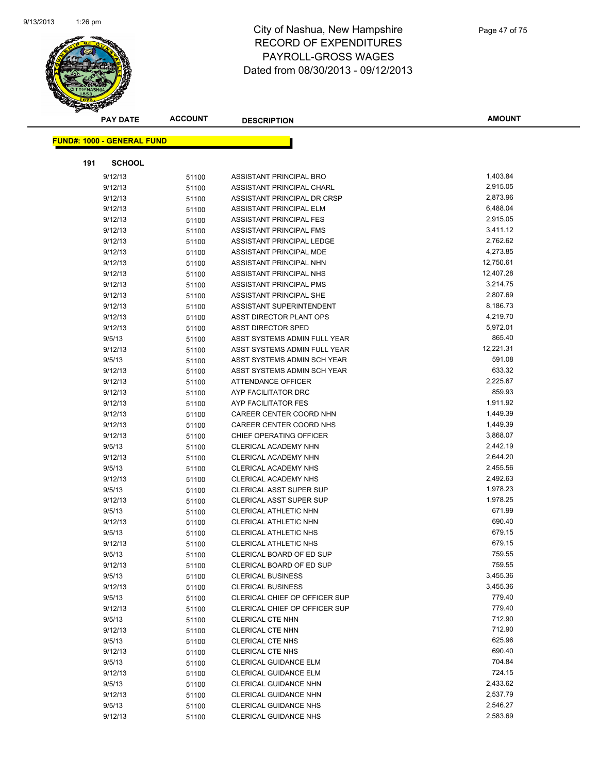

| <b>PAY DATE</b>                   | <b>ACCOUNT</b> | <b>DESCRIPTION</b>                                           | <b>AMOUNT</b>    |
|-----------------------------------|----------------|--------------------------------------------------------------|------------------|
|                                   |                |                                                              |                  |
| <b>FUND#: 1000 - GENERAL FUND</b> |                |                                                              |                  |
| 191<br><b>SCHOOL</b>              |                |                                                              |                  |
| 9/12/13                           | 51100          | ASSISTANT PRINCIPAL BRO                                      | 1,403.84         |
| 9/12/13                           | 51100          | ASSISTANT PRINCIPAL CHARL                                    | 2,915.05         |
| 9/12/13                           | 51100          | ASSISTANT PRINCIPAL DR CRSP                                  | 2,873.96         |
| 9/12/13                           | 51100          | ASSISTANT PRINCIPAL ELM                                      | 6,488.04         |
| 9/12/13                           | 51100          | ASSISTANT PRINCIPAL FES                                      | 2,915.05         |
| 9/12/13                           | 51100          | <b>ASSISTANT PRINCIPAL FMS</b>                               | 3,411.12         |
| 9/12/13                           | 51100          | ASSISTANT PRINCIPAL LEDGE                                    | 2,762.62         |
| 9/12/13                           | 51100          | ASSISTANT PRINCIPAL MDE                                      | 4,273.85         |
| 9/12/13                           | 51100          | ASSISTANT PRINCIPAL NHN                                      | 12,750.61        |
| 9/12/13                           | 51100          | ASSISTANT PRINCIPAL NHS                                      | 12,407.28        |
| 9/12/13                           | 51100          | ASSISTANT PRINCIPAL PMS                                      | 3,214.75         |
| 9/12/13                           | 51100          | ASSISTANT PRINCIPAL SHE                                      | 2,807.69         |
| 9/12/13                           | 51100          | ASSISTANT SUPERINTENDENT                                     | 8,186.73         |
| 9/12/13                           | 51100          | ASST DIRECTOR PLANT OPS                                      | 4,219.70         |
| 9/12/13                           | 51100          | <b>ASST DIRECTOR SPED</b>                                    | 5,972.01         |
| 9/5/13                            | 51100          | ASST SYSTEMS ADMIN FULL YEAR                                 | 865.40           |
| 9/12/13                           | 51100          | ASST SYSTEMS ADMIN FULL YEAR                                 | 12,221.31        |
| 9/5/13                            | 51100          | ASST SYSTEMS ADMIN SCH YEAR                                  | 591.08           |
| 9/12/13                           | 51100          | ASST SYSTEMS ADMIN SCH YEAR                                  | 633.32           |
| 9/12/13                           | 51100          | ATTENDANCE OFFICER                                           | 2,225.67         |
| 9/12/13                           | 51100          | AYP FACILITATOR DRC                                          | 859.93           |
| 9/12/13                           | 51100          | AYP FACILITATOR FES                                          | 1,911.92         |
| 9/12/13                           | 51100          | CAREER CENTER COORD NHN                                      | 1,449.39         |
| 9/12/13                           | 51100          | CAREER CENTER COORD NHS                                      | 1,449.39         |
| 9/12/13                           | 51100          | CHIEF OPERATING OFFICER                                      | 3,868.07         |
| 9/5/13                            | 51100          | CLERICAL ACADEMY NHN                                         | 2,442.19         |
| 9/12/13                           | 51100          | CLERICAL ACADEMY NHN                                         | 2,644.20         |
| 9/5/13                            | 51100          | <b>CLERICAL ACADEMY NHS</b>                                  | 2,455.56         |
| 9/12/13                           | 51100          | <b>CLERICAL ACADEMY NHS</b>                                  | 2,492.63         |
| 9/5/13                            | 51100          | <b>CLERICAL ASST SUPER SUP</b>                               | 1,978.23         |
| 9/12/13                           | 51100          | <b>CLERICAL ASST SUPER SUP</b>                               | 1,978.25         |
| 9/5/13                            | 51100          | CLERICAL ATHLETIC NHN                                        | 671.99           |
| 9/12/13                           | 51100          | <b>CLERICAL ATHLETIC NHN</b>                                 | 690.40           |
| 9/5/13                            | 51100          | CLERICAL ATHLETIC NHS                                        | 679.15           |
| 9/12/13                           | 51100          | <b>CLERICAL ATHLETIC NHS</b>                                 | 679.15           |
| 9/5/13                            | 51100          | CLERICAL BOARD OF ED SUP                                     | 759.55           |
| 9/12/13                           | 51100          | CLERICAL BOARD OF ED SUP                                     | 759.55           |
| 9/5/13                            | 51100          | <b>CLERICAL BUSINESS</b>                                     | 3,455.36         |
| 9/12/13                           | 51100          | <b>CLERICAL BUSINESS</b>                                     | 3,455.36         |
| 9/5/13                            | 51100          | CLERICAL CHIEF OP OFFICER SUP                                | 779.40           |
| 9/12/13                           | 51100          | CLERICAL CHIEF OP OFFICER SUP                                | 779.40           |
| 9/5/13                            | 51100          | <b>CLERICAL CTE NHN</b>                                      | 712.90           |
| 9/12/13                           | 51100          | <b>CLERICAL CTE NHN</b>                                      | 712.90           |
| 9/5/13                            | 51100          | <b>CLERICAL CTE NHS</b>                                      | 625.96<br>690.40 |
| 9/12/13                           | 51100          | <b>CLERICAL CTE NHS</b>                                      | 704.84           |
| 9/5/13<br>9/12/13                 | 51100          | <b>CLERICAL GUIDANCE ELM</b><br><b>CLERICAL GUIDANCE ELM</b> | 724.15           |
| 9/5/13                            | 51100          | CLERICAL GUIDANCE NHN                                        | 2,433.62         |
| 9/12/13                           | 51100          | <b>CLERICAL GUIDANCE NHN</b>                                 | 2,537.79         |
| 9/5/13                            | 51100          | CLERICAL GUIDANCE NHS                                        | 2,546.27         |
| 9/12/13                           | 51100<br>51100 | <b>CLERICAL GUIDANCE NHS</b>                                 | 2,583.69         |
|                                   |                |                                                              |                  |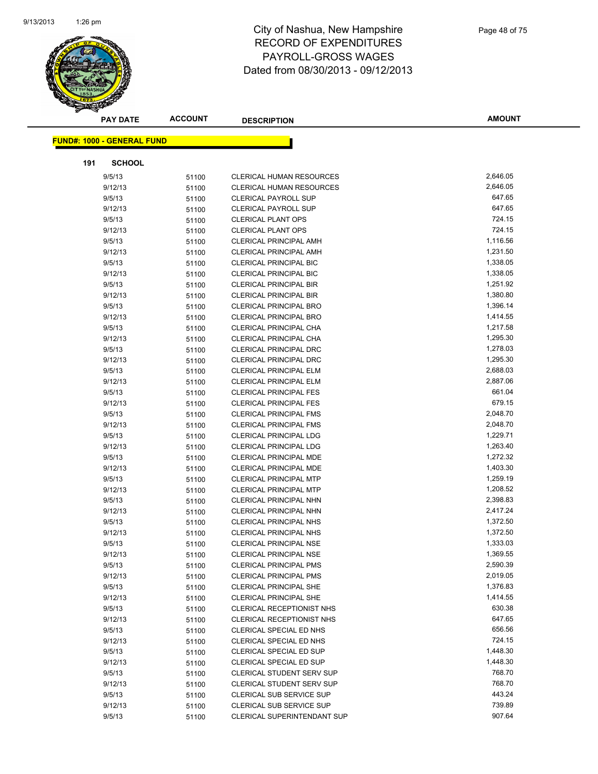

|     | <b>PAY DATE</b>                   | <b>ACCOUNT</b> | <b>DESCRIPTION</b>                                 | <b>AMOUNT</b>    |
|-----|-----------------------------------|----------------|----------------------------------------------------|------------------|
|     |                                   |                |                                                    |                  |
|     | <b>FUND#: 1000 - GENERAL FUND</b> |                |                                                    |                  |
| 191 | <b>SCHOOL</b>                     |                |                                                    |                  |
|     | 9/5/13                            | 51100          | <b>CLERICAL HUMAN RESOURCES</b>                    | 2,646.05         |
|     | 9/12/13                           | 51100          | CLERICAL HUMAN RESOURCES                           | 2,646.05         |
|     | 9/5/13                            | 51100          | <b>CLERICAL PAYROLL SUP</b>                        | 647.65           |
|     | 9/12/13                           | 51100          | <b>CLERICAL PAYROLL SUP</b>                        | 647.65           |
|     | 9/5/13                            | 51100          | <b>CLERICAL PLANT OPS</b>                          | 724.15           |
|     | 9/12/13                           | 51100          | <b>CLERICAL PLANT OPS</b>                          | 724.15           |
|     | 9/5/13                            | 51100          | <b>CLERICAL PRINCIPAL AMH</b>                      | 1,116.56         |
|     | 9/12/13                           | 51100          | <b>CLERICAL PRINCIPAL AMH</b>                      | 1,231.50         |
|     | 9/5/13                            | 51100          | <b>CLERICAL PRINCIPAL BIC</b>                      | 1,338.05         |
|     | 9/12/13                           | 51100          | <b>CLERICAL PRINCIPAL BIC</b>                      | 1,338.05         |
|     | 9/5/13                            | 51100          | <b>CLERICAL PRINCIPAL BIR</b>                      | 1,251.92         |
|     | 9/12/13                           | 51100          | <b>CLERICAL PRINCIPAL BIR</b>                      | 1,380.80         |
|     | 9/5/13                            | 51100          | <b>CLERICAL PRINCIPAL BRO</b>                      | 1,396.14         |
|     | 9/12/13                           | 51100          | <b>CLERICAL PRINCIPAL BRO</b>                      | 1,414.55         |
|     | 9/5/13                            | 51100          | CLERICAL PRINCIPAL CHA                             | 1,217.58         |
|     | 9/12/13                           | 51100          | CLERICAL PRINCIPAL CHA                             | 1,295.30         |
|     | 9/5/13                            | 51100          | <b>CLERICAL PRINCIPAL DRC</b>                      | 1,278.03         |
|     | 9/12/13                           | 51100          | <b>CLERICAL PRINCIPAL DRC</b>                      | 1,295.30         |
|     | 9/5/13                            | 51100          | <b>CLERICAL PRINCIPAL ELM</b>                      | 2,688.03         |
|     | 9/12/13                           | 51100          | CLERICAL PRINCIPAL ELM                             | 2,887.06         |
|     | 9/5/13                            | 51100          | <b>CLERICAL PRINCIPAL FES</b>                      | 661.04           |
|     | 9/12/13                           | 51100          | <b>CLERICAL PRINCIPAL FES</b>                      | 679.15           |
|     | 9/5/13                            | 51100          | <b>CLERICAL PRINCIPAL FMS</b>                      | 2,048.70         |
|     | 9/12/13                           | 51100          | <b>CLERICAL PRINCIPAL FMS</b>                      | 2,048.70         |
|     | 9/5/13                            | 51100          | <b>CLERICAL PRINCIPAL LDG</b>                      | 1,229.71         |
|     | 9/12/13                           | 51100          | <b>CLERICAL PRINCIPAL LDG</b>                      | 1,263.40         |
|     | 9/5/13                            | 51100          | <b>CLERICAL PRINCIPAL MDE</b>                      | 1,272.32         |
|     | 9/12/13                           | 51100          | <b>CLERICAL PRINCIPAL MDE</b>                      | 1,403.30         |
|     | 9/5/13                            | 51100          | <b>CLERICAL PRINCIPAL MTP</b>                      | 1,259.19         |
|     | 9/12/13                           | 51100          | <b>CLERICAL PRINCIPAL MTP</b>                      | 1,208.52         |
|     | 9/5/13                            | 51100          | CLERICAL PRINCIPAL NHN                             | 2,398.83         |
|     | 9/12/13                           | 51100          | <b>CLERICAL PRINCIPAL NHN</b>                      | 2,417.24         |
|     | 9/5/13                            | 51100          | <b>CLERICAL PRINCIPAL NHS</b>                      | 1,372.50         |
|     | 9/12/13                           | 51100          | <b>CLERICAL PRINCIPAL NHS</b>                      | 1,372.50         |
|     | 9/5/13                            | 51100          | <b>CLERICAL PRINCIPAL NSE</b>                      | 1,333.03         |
|     | 9/12/13                           | 51100          | CLERICAL PRINCIPAL NSE                             | 1,369.55         |
|     | 9/5/13                            | 51100          | <b>CLERICAL PRINCIPAL PMS</b>                      | 2,590.39         |
|     | 9/12/13                           | 51100          | <b>CLERICAL PRINCIPAL PMS</b>                      | 2,019.05         |
|     | 9/5/13                            | 51100          | <b>CLERICAL PRINCIPAL SHE</b>                      | 1,376.83         |
|     | 9/12/13                           | 51100          | <b>CLERICAL PRINCIPAL SHE</b>                      | 1,414.55         |
|     | 9/5/13                            | 51100          | CLERICAL RECEPTIONIST NHS                          | 630.38<br>647.65 |
|     | 9/12/13<br>9/5/13                 | 51100          | CLERICAL RECEPTIONIST NHS                          | 656.56           |
|     |                                   | 51100          | CLERICAL SPECIAL ED NHS<br>CLERICAL SPECIAL ED NHS | 724.15           |
|     | 9/12/13<br>9/5/13                 | 51100          | CLERICAL SPECIAL ED SUP                            | 1,448.30         |
|     | 9/12/13                           | 51100          | <b>CLERICAL SPECIAL ED SUP</b>                     | 1,448.30         |
|     | 9/5/13                            | 51100          | CLERICAL STUDENT SERV SUP                          | 768.70           |
|     | 9/12/13                           | 51100          | <b>CLERICAL STUDENT SERV SUP</b>                   | 768.70           |
|     | 9/5/13                            | 51100<br>51100 | CLERICAL SUB SERVICE SUP                           | 443.24           |
|     | 9/12/13                           | 51100          | <b>CLERICAL SUB SERVICE SUP</b>                    | 739.89           |
|     | 9/5/13                            | 51100          | <b>CLERICAL SUPERINTENDANT SUP</b>                 | 907.64           |
|     |                                   |                |                                                    |                  |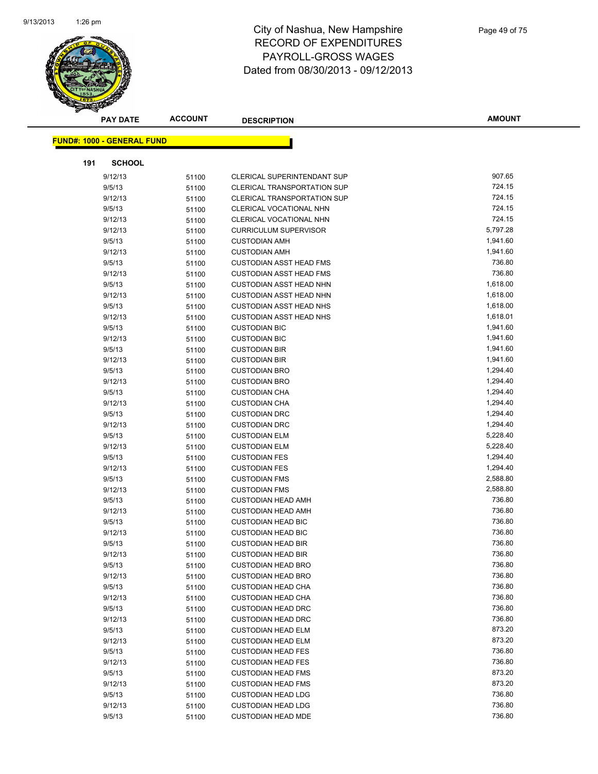

|     | <b>PAY DATE</b>                   | <b>ACCOUNT</b> | <b>DESCRIPTION</b>                                     | <b>AMOUNT</b>    |
|-----|-----------------------------------|----------------|--------------------------------------------------------|------------------|
|     |                                   |                |                                                        |                  |
|     | <b>FUND#: 1000 - GENERAL FUND</b> |                |                                                        |                  |
| 191 | <b>SCHOOL</b>                     |                |                                                        |                  |
|     | 9/12/13                           | 51100          | CLERICAL SUPERINTENDANT SUP                            | 907.65           |
|     | 9/5/13                            | 51100          | <b>CLERICAL TRANSPORTATION SUP</b>                     | 724.15           |
|     | 9/12/13                           | 51100          | <b>CLERICAL TRANSPORTATION SUP</b>                     | 724.15           |
|     | 9/5/13                            | 51100          | CLERICAL VOCATIONAL NHN                                | 724.15           |
|     | 9/12/13                           | 51100          | CLERICAL VOCATIONAL NHN                                | 724.15           |
|     | 9/12/13                           | 51100          | <b>CURRICULUM SUPERVISOR</b>                           | 5,797.28         |
|     | 9/5/13                            | 51100          | <b>CUSTODIAN AMH</b>                                   | 1,941.60         |
|     | 9/12/13                           | 51100          | <b>CUSTODIAN AMH</b>                                   | 1,941.60         |
|     | 9/5/13                            | 51100          | <b>CUSTODIAN ASST HEAD FMS</b>                         | 736.80           |
|     | 9/12/13                           | 51100          | <b>CUSTODIAN ASST HEAD FMS</b>                         | 736.80           |
|     | 9/5/13                            | 51100          | <b>CUSTODIAN ASST HEAD NHN</b>                         | 1,618.00         |
|     | 9/12/13                           | 51100          | CUSTODIAN ASST HEAD NHN                                | 1,618.00         |
|     | 9/5/13                            | 51100          | <b>CUSTODIAN ASST HEAD NHS</b>                         | 1,618.00         |
|     | 9/12/13                           | 51100          | <b>CUSTODIAN ASST HEAD NHS</b>                         | 1,618.01         |
|     | 9/5/13                            | 51100          | <b>CUSTODIAN BIC</b>                                   | 1,941.60         |
|     | 9/12/13                           | 51100          | <b>CUSTODIAN BIC</b>                                   | 1,941.60         |
|     | 9/5/13                            | 51100          | <b>CUSTODIAN BIR</b>                                   | 1,941.60         |
|     | 9/12/13                           | 51100          | <b>CUSTODIAN BIR</b>                                   | 1,941.60         |
|     | 9/5/13                            | 51100          | <b>CUSTODIAN BRO</b>                                   | 1,294.40         |
|     | 9/12/13                           | 51100          | <b>CUSTODIAN BRO</b>                                   | 1,294.40         |
|     | 9/5/13                            | 51100          | <b>CUSTODIAN CHA</b>                                   | 1,294.40         |
|     | 9/12/13                           | 51100          | <b>CUSTODIAN CHA</b>                                   | 1,294.40         |
|     | 9/5/13                            | 51100          | <b>CUSTODIAN DRC</b>                                   | 1,294.40         |
|     | 9/12/13                           | 51100          | <b>CUSTODIAN DRC</b>                                   | 1,294.40         |
|     | 9/5/13                            | 51100          | <b>CUSTODIAN ELM</b>                                   | 5,228.40         |
|     | 9/12/13                           | 51100          | <b>CUSTODIAN ELM</b>                                   | 5,228.40         |
|     | 9/5/13                            | 51100          | <b>CUSTODIAN FES</b>                                   | 1,294.40         |
|     | 9/12/13                           | 51100          | <b>CUSTODIAN FES</b>                                   | 1,294.40         |
|     | 9/5/13                            | 51100          | <b>CUSTODIAN FMS</b>                                   | 2,588.80         |
|     | 9/12/13                           | 51100          | <b>CUSTODIAN FMS</b>                                   | 2,588.80         |
|     | 9/5/13                            | 51100          | <b>CUSTODIAN HEAD AMH</b>                              | 736.80           |
|     | 9/12/13                           | 51100          | <b>CUSTODIAN HEAD AMH</b>                              | 736.80           |
|     | 9/5/13                            | 51100          | <b>CUSTODIAN HEAD BIC</b>                              | 736.80           |
|     | 9/12/13                           | 51100          | <b>CUSTODIAN HEAD BIC</b>                              | 736.80           |
|     | 9/5/13                            | 51100          | <b>CUSTODIAN HEAD BIR</b>                              | 736.80           |
|     | 9/12/13                           | 51100          | <b>CUSTODIAN HEAD BIR</b>                              | 736.80           |
|     | 9/5/13                            | 51100          | <b>CUSTODIAN HEAD BRO</b>                              | 736.80           |
|     | 9/12/13                           | 51100          | <b>CUSTODIAN HEAD BRO</b>                              | 736.80           |
|     | 9/5/13                            | 51100          | <b>CUSTODIAN HEAD CHA</b>                              | 736.80           |
|     | 9/12/13                           | 51100          | <b>CUSTODIAN HEAD CHA</b>                              | 736.80           |
|     | 9/5/13                            | 51100          | <b>CUSTODIAN HEAD DRC</b>                              | 736.80<br>736.80 |
|     | 9/12/13                           | 51100          | <b>CUSTODIAN HEAD DRC</b>                              |                  |
|     | 9/5/13                            | 51100          | <b>CUSTODIAN HEAD ELM</b><br><b>CUSTODIAN HEAD ELM</b> | 873.20<br>873.20 |
|     | 9/12/13                           | 51100          |                                                        | 736.80           |
|     | 9/5/13                            | 51100          | <b>CUSTODIAN HEAD FES</b>                              | 736.80           |
|     | 9/12/13<br>9/5/13                 | 51100          | <b>CUSTODIAN HEAD FES</b><br><b>CUSTODIAN HEAD FMS</b> | 873.20           |
|     | 9/12/13                           | 51100          | <b>CUSTODIAN HEAD FMS</b>                              | 873.20           |
|     | 9/5/13                            | 51100          | <b>CUSTODIAN HEAD LDG</b>                              | 736.80           |
|     | 9/12/13                           | 51100          | <b>CUSTODIAN HEAD LDG</b>                              | 736.80           |
|     | 9/5/13                            | 51100<br>51100 | <b>CUSTODIAN HEAD MDE</b>                              | 736.80           |
|     |                                   |                |                                                        |                  |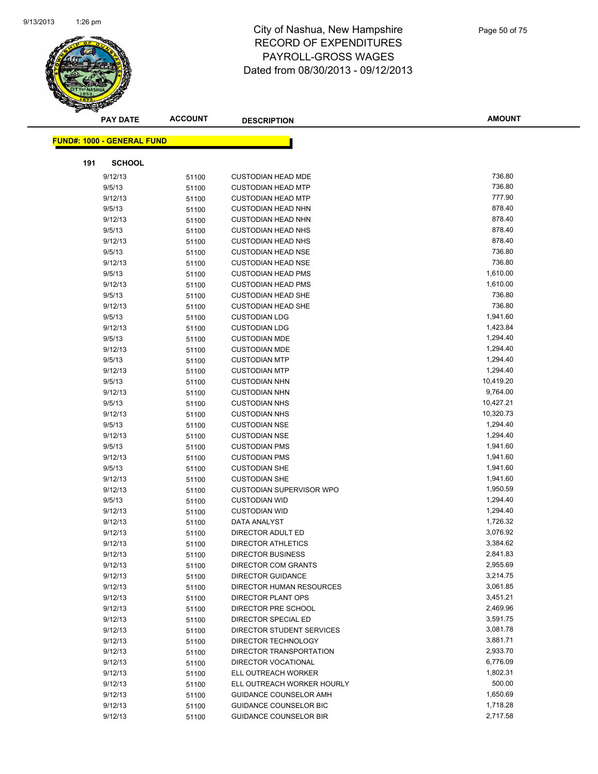

|     | <b>PAY DATE</b>                   | <b>ACCOUNT</b> | <b>DESCRIPTION</b>                                      | <b>AMOUNT</b>        |
|-----|-----------------------------------|----------------|---------------------------------------------------------|----------------------|
|     | <b>FUND#: 1000 - GENERAL FUND</b> |                |                                                         |                      |
|     |                                   |                |                                                         |                      |
| 191 | <b>SCHOOL</b>                     |                |                                                         |                      |
|     | 9/12/13                           | 51100          | <b>CUSTODIAN HEAD MDE</b>                               | 736.80               |
|     | 9/5/13                            | 51100          | <b>CUSTODIAN HEAD MTP</b>                               | 736.80               |
|     | 9/12/13                           | 51100          | <b>CUSTODIAN HEAD MTP</b>                               | 777.90               |
|     | 9/5/13                            | 51100          | <b>CUSTODIAN HEAD NHN</b>                               | 878.40               |
|     | 9/12/13                           | 51100          | <b>CUSTODIAN HEAD NHN</b>                               | 878.40               |
|     | 9/5/13                            | 51100          | <b>CUSTODIAN HEAD NHS</b>                               | 878.40               |
|     | 9/12/13                           | 51100          | <b>CUSTODIAN HEAD NHS</b>                               | 878.40               |
|     | 9/5/13                            | 51100          | <b>CUSTODIAN HEAD NSE</b>                               | 736.80               |
|     | 9/12/13                           | 51100          | <b>CUSTODIAN HEAD NSE</b>                               | 736.80               |
|     | 9/5/13                            | 51100          | <b>CUSTODIAN HEAD PMS</b>                               | 1,610.00             |
|     | 9/12/13                           | 51100          | <b>CUSTODIAN HEAD PMS</b>                               | 1,610.00             |
|     | 9/5/13                            | 51100          | <b>CUSTODIAN HEAD SHE</b>                               | 736.80               |
|     | 9/12/13                           | 51100          | <b>CUSTODIAN HEAD SHE</b>                               | 736.80               |
|     | 9/5/13                            | 51100          | <b>CUSTODIAN LDG</b>                                    | 1,941.60             |
|     | 9/12/13                           | 51100          | <b>CUSTODIAN LDG</b>                                    | 1,423.84             |
|     | 9/5/13                            | 51100          | <b>CUSTODIAN MDE</b>                                    | 1,294.40             |
|     | 9/12/13                           | 51100          | <b>CUSTODIAN MDE</b>                                    | 1,294.40             |
|     | 9/5/13                            | 51100          | <b>CUSTODIAN MTP</b>                                    | 1,294.40             |
|     | 9/12/13                           | 51100          | <b>CUSTODIAN MTP</b>                                    | 1,294.40             |
|     | 9/5/13                            | 51100          | <b>CUSTODIAN NHN</b>                                    | 10,419.20            |
|     | 9/12/13                           | 51100          | <b>CUSTODIAN NHN</b>                                    | 9,764.00             |
|     | 9/5/13                            | 51100          | <b>CUSTODIAN NHS</b>                                    | 10,427.21            |
|     | 9/12/13                           | 51100          | <b>CUSTODIAN NHS</b>                                    | 10,320.73            |
|     | 9/5/13                            | 51100          | <b>CUSTODIAN NSE</b>                                    | 1,294.40             |
|     | 9/12/13                           | 51100          | <b>CUSTODIAN NSE</b>                                    | 1,294.40             |
|     | 9/5/13                            | 51100          | <b>CUSTODIAN PMS</b>                                    | 1,941.60             |
|     | 9/12/13                           | 51100          | <b>CUSTODIAN PMS</b>                                    | 1,941.60             |
|     | 9/5/13                            | 51100          | <b>CUSTODIAN SHE</b>                                    | 1,941.60             |
|     | 9/12/13                           | 51100          | <b>CUSTODIAN SHE</b>                                    | 1,941.60             |
|     | 9/12/13                           | 51100          | <b>CUSTODIAN SUPERVISOR WPO</b><br><b>CUSTODIAN WID</b> | 1,950.59             |
|     | 9/5/13                            | 51100          | <b>CUSTODIAN WID</b>                                    | 1,294.40             |
|     | 9/12/13                           | 51100          |                                                         | 1,294.40<br>1,726.32 |
|     | 9/12/13<br>9/12/13                | 51100          | DATA ANALYST<br>DIRECTOR ADULT ED                       | 3,076.92             |
|     | 9/12/13                           | 51100          | <b>DIRECTOR ATHLETICS</b>                               | 3,384.62             |
|     | 9/12/13                           | 51100          | <b>DIRECTOR BUSINESS</b>                                | 2,841.83             |
|     | 9/12/13                           | 51100<br>51100 | DIRECTOR COM GRANTS                                     | 2,955.69             |
|     | 9/12/13                           | 51100          | <b>DIRECTOR GUIDANCE</b>                                | 3,214.75             |
|     | 9/12/13                           | 51100          | DIRECTOR HUMAN RESOURCES                                | 3,061.85             |
|     | 9/12/13                           | 51100          | DIRECTOR PLANT OPS                                      | 3,451.21             |
|     | 9/12/13                           | 51100          | DIRECTOR PRE SCHOOL                                     | 2,469.96             |
|     | 9/12/13                           | 51100          | DIRECTOR SPECIAL ED                                     | 3,591.75             |
|     | 9/12/13                           | 51100          | DIRECTOR STUDENT SERVICES                               | 3,081.78             |
|     | 9/12/13                           | 51100          | DIRECTOR TECHNOLOGY                                     | 3,881.71             |
|     | 9/12/13                           | 51100          | DIRECTOR TRANSPORTATION                                 | 2,933.70             |
|     | 9/12/13                           | 51100          | DIRECTOR VOCATIONAL                                     | 6,776.09             |
|     | 9/12/13                           | 51100          | ELL OUTREACH WORKER                                     | 1,802.31             |
|     | 9/12/13                           | 51100          | ELL OUTREACH WORKER HOURLY                              | 500.00               |
|     | 9/12/13                           | 51100          | GUIDANCE COUNSELOR AMH                                  | 1,650.69             |
|     | 9/12/13                           | 51100          | <b>GUIDANCE COUNSELOR BIC</b>                           | 1,718.28             |
|     | 9/12/13                           | 51100          | <b>GUIDANCE COUNSELOR BIR</b>                           | 2,717.58             |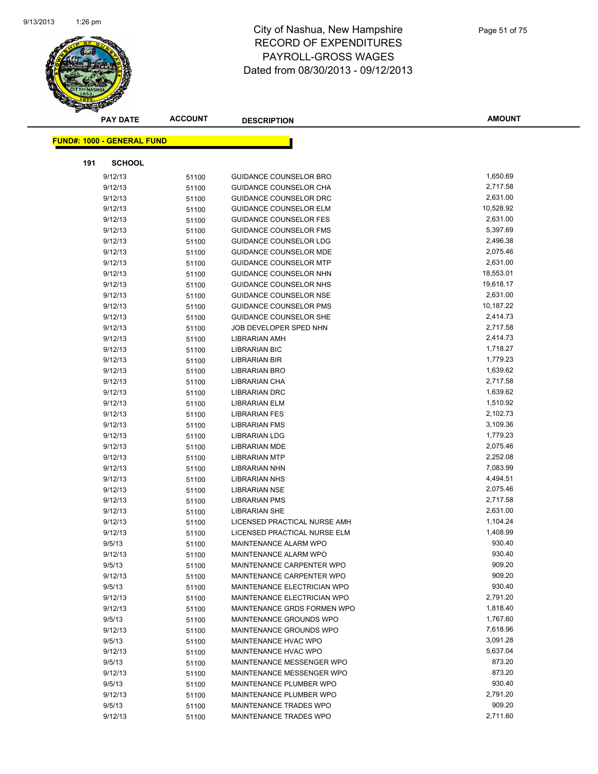

|     | <b>PAY DATE</b>                   | <b>ACCOUNT</b> | <b>DESCRIPTION</b>                                   | <b>AMOUNT</b>        |
|-----|-----------------------------------|----------------|------------------------------------------------------|----------------------|
|     | <b>FUND#: 1000 - GENERAL FUND</b> |                |                                                      |                      |
|     |                                   |                |                                                      |                      |
| 191 | <b>SCHOOL</b>                     |                |                                                      |                      |
|     | 9/12/13                           | 51100          | <b>GUIDANCE COUNSELOR BRO</b>                        | 1,650.69             |
|     | 9/12/13                           | 51100          | GUIDANCE COUNSELOR CHA                               | 2,717.58             |
|     | 9/12/13                           | 51100          | GUIDANCE COUNSELOR DRC                               | 2,631.00             |
|     | 9/12/13                           | 51100          | <b>GUIDANCE COUNSELOR ELM</b>                        | 10,528.92            |
|     | 9/12/13                           | 51100          | <b>GUIDANCE COUNSELOR FES</b>                        | 2,631.00             |
|     | 9/12/13                           | 51100          | <b>GUIDANCE COUNSELOR FMS</b>                        | 5,397.69             |
|     | 9/12/13                           | 51100          | GUIDANCE COUNSELOR LDG                               | 2,496.38             |
|     | 9/12/13                           | 51100          | <b>GUIDANCE COUNSELOR MDE</b>                        | 2,075.46             |
|     | 9/12/13                           | 51100          | <b>GUIDANCE COUNSELOR MTP</b>                        | 2,631.00             |
|     | 9/12/13                           | 51100          | GUIDANCE COUNSELOR NHN                               | 18,553.01            |
|     | 9/12/13                           | 51100          | GUIDANCE COUNSELOR NHS                               | 19,618.17            |
|     | 9/12/13                           | 51100          | <b>GUIDANCE COUNSELOR NSE</b>                        | 2,631.00             |
|     | 9/12/13                           | 51100          | <b>GUIDANCE COUNSELOR PMS</b>                        | 10,187.22            |
|     | 9/12/13                           | 51100          | GUIDANCE COUNSELOR SHE                               | 2,414.73             |
|     | 9/12/13                           | 51100          | JOB DEVELOPER SPED NHN                               | 2,717.58             |
|     | 9/12/13                           | 51100          | LIBRARIAN AMH                                        | 2,414.73             |
|     | 9/12/13                           | 51100          | <b>LIBRARIAN BIC</b>                                 | 1,718.27             |
|     | 9/12/13                           | 51100          | LIBRARIAN BIR                                        | 1,779.23             |
|     | 9/12/13                           | 51100          | LIBRARIAN BRO                                        | 1,639.62             |
|     | 9/12/13                           | 51100          | <b>LIBRARIAN CHA</b>                                 | 2,717.58             |
|     | 9/12/13                           | 51100          | <b>LIBRARIAN DRC</b>                                 | 1,639.62             |
|     | 9/12/13                           | 51100          | <b>LIBRARIAN ELM</b>                                 | 1,510.92             |
|     | 9/12/13                           | 51100          | <b>LIBRARIAN FES</b>                                 | 2,102.73             |
|     | 9/12/13                           | 51100          | LIBRARIAN FMS                                        | 3,109.36             |
|     | 9/12/13                           | 51100          | <b>LIBRARIAN LDG</b>                                 | 1,779.23             |
|     | 9/12/13                           | 51100          | <b>LIBRARIAN MDE</b>                                 | 2,075.46             |
|     | 9/12/13                           | 51100          | <b>LIBRARIAN MTP</b>                                 | 2,252.08             |
|     | 9/12/13                           | 51100          | <b>LIBRARIAN NHN</b>                                 | 7,083.99             |
|     | 9/12/13                           | 51100          | <b>LIBRARIAN NHS</b>                                 | 4,494.51             |
|     | 9/12/13                           | 51100          | <b>LIBRARIAN NSE</b>                                 | 2,075.46             |
|     | 9/12/13                           | 51100          | <b>LIBRARIAN PMS</b>                                 | 2,717.58             |
|     | 9/12/13                           | 51100          | <b>LIBRARIAN SHE</b><br>LICENSED PRACTICAL NURSE AMH | 2,631.00<br>1,104.24 |
|     | 9/12/13<br>9/12/13                | 51100          | LICENSED PRACTICAL NURSE ELM                         | 1,408.99             |
|     | 9/5/13                            | 51100          | <b>MAINTENANCE ALARM WPO</b>                         | 930.40               |
|     | 9/12/13                           | 51100<br>51100 | MAINTENANCE ALARM WPO                                | 930.40               |
|     | 9/5/13                            | 51100          | MAINTENANCE CARPENTER WPO                            | 909.20               |
|     | 9/12/13                           | 51100          | MAINTENANCE CARPENTER WPO                            | 909.20               |
|     | 9/5/13                            | 51100          | MAINTENANCE ELECTRICIAN WPO                          | 930.40               |
|     | 9/12/13                           | 51100          | MAINTENANCE ELECTRICIAN WPO                          | 2,791.20             |
|     | 9/12/13                           | 51100          | MAINTENANCE GRDS FORMEN WPO                          | 1,818.40             |
|     | 9/5/13                            | 51100          | MAINTENANCE GROUNDS WPO                              | 1,767.60             |
|     | 9/12/13                           | 51100          | MAINTENANCE GROUNDS WPO                              | 7,618.96             |
|     | 9/5/13                            | 51100          | MAINTENANCE HVAC WPO                                 | 3,091.28             |
|     | 9/12/13                           | 51100          | MAINTENANCE HVAC WPO                                 | 5,637.04             |
|     | 9/5/13                            | 51100          | MAINTENANCE MESSENGER WPO                            | 873.20               |
|     | 9/12/13                           | 51100          | MAINTENANCE MESSENGER WPO                            | 873.20               |
|     | 9/5/13                            | 51100          | MAINTENANCE PLUMBER WPO                              | 930.40               |
|     | 9/12/13                           | 51100          | MAINTENANCE PLUMBER WPO                              | 2,791.20             |
|     | 9/5/13                            | 51100          | MAINTENANCE TRADES WPO                               | 909.20               |
|     | 9/12/13                           | 51100          | MAINTENANCE TRADES WPO                               | 2,711.60             |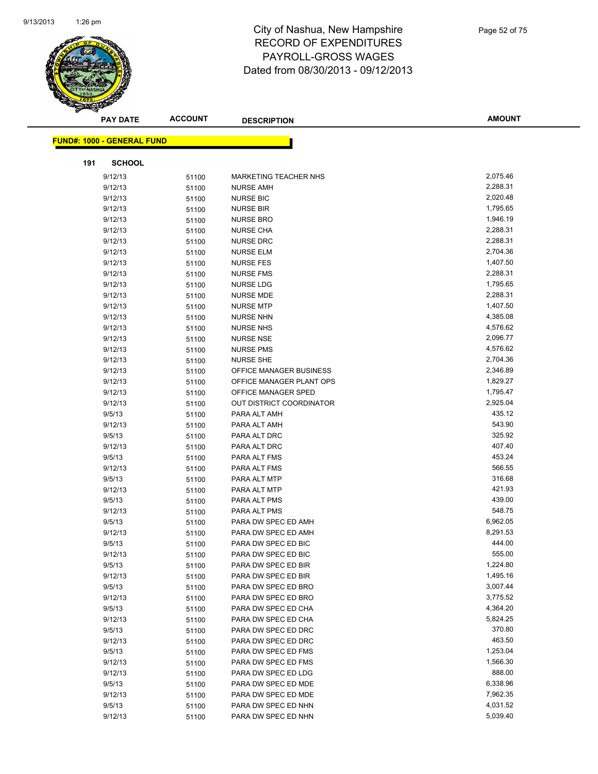

|     | <b>PAY DATE</b>                   | <b>ACCOUNT</b> | <b>DESCRIPTION</b>           | <b>AMOUNT</b> |
|-----|-----------------------------------|----------------|------------------------------|---------------|
|     | <b>FUND#: 1000 - GENERAL FUND</b> |                |                              |               |
|     |                                   |                |                              |               |
| 191 | <b>SCHOOL</b>                     |                |                              |               |
|     | 9/12/13                           | 51100          | <b>MARKETING TEACHER NHS</b> | 2,075.46      |
|     | 9/12/13                           | 51100          | <b>NURSE AMH</b>             | 2,288.31      |
|     | 9/12/13                           | 51100          | <b>NURSE BIC</b>             | 2,020.48      |
|     | 9/12/13                           | 51100          | <b>NURSE BIR</b>             | 1,795.65      |
|     | 9/12/13                           | 51100          | <b>NURSE BRO</b>             | 1,946.19      |
|     | 9/12/13                           | 51100          | <b>NURSE CHA</b>             | 2,288.31      |
|     | 9/12/13                           | 51100          | <b>NURSE DRC</b>             | 2,288.31      |
|     | 9/12/13                           | 51100          | <b>NURSE ELM</b>             | 2,704.36      |
|     | 9/12/13                           | 51100          | <b>NURSE FES</b>             | 1,407.50      |
|     | 9/12/13                           | 51100          | <b>NURSE FMS</b>             | 2,288.31      |
|     | 9/12/13                           | 51100          | <b>NURSE LDG</b>             | 1,795.65      |
|     | 9/12/13                           | 51100          | <b>NURSE MDE</b>             | 2,288.31      |
|     | 9/12/13                           | 51100          | <b>NURSE MTP</b>             | 1,407.50      |
|     | 9/12/13                           | 51100          | <b>NURSE NHN</b>             | 4,385.08      |
|     | 9/12/13                           | 51100          | <b>NURSE NHS</b>             | 4,576.62      |
|     | 9/12/13                           | 51100          | <b>NURSE NSE</b>             | 2,096.77      |
|     | 9/12/13                           | 51100          | <b>NURSE PMS</b>             | 4,576.62      |
|     | 9/12/13                           | 51100          | <b>NURSE SHE</b>             | 2,704.36      |
|     | 9/12/13                           | 51100          | OFFICE MANAGER BUSINESS      | 2,346.89      |
|     | 9/12/13                           | 51100          | OFFICE MANAGER PLANT OPS     | 1,829.27      |
|     | 9/12/13                           | 51100          | OFFICE MANAGER SPED          | 1,795.47      |
|     | 9/12/13                           | 51100          | OUT DISTRICT COORDINATOR     | 2,925.04      |
|     | 9/5/13                            | 51100          | PARA ALT AMH                 | 435.12        |
|     | 9/12/13                           | 51100          | PARA ALT AMH                 | 543.90        |
|     | 9/5/13                            | 51100          | PARA ALT DRC                 | 325.92        |
|     | 9/12/13                           | 51100          | PARA ALT DRC                 | 407.40        |
|     | 9/5/13                            | 51100          | PARA ALT FMS                 | 453.24        |
|     | 9/12/13                           | 51100          | PARA ALT FMS                 | 566.55        |
|     | 9/5/13                            | 51100          | PARA ALT MTP                 | 316.68        |
|     | 9/12/13                           | 51100          | PARA ALT MTP                 | 421.93        |
|     | 9/5/13                            | 51100          | PARA ALT PMS                 | 439.00        |
|     | 9/12/13                           | 51100          | PARA ALT PMS                 | 548.75        |
|     | 9/5/13                            | 51100          | PARA DW SPEC ED AMH          | 6,962.05      |
|     | 9/12/13                           | 51100          | PARA DW SPEC ED AMH          | 8,291.53      |
|     | 9/5/13                            | 51100          | PARA DW SPEC ED BIC          | 444.00        |
|     | 9/12/13                           | 51100          | PARA DW SPEC ED BIC          | 555.00        |
|     | 9/5/13                            | 51100          | PARA DW SPEC ED BIR          | 1,224.80      |
|     | 9/12/13                           | 51100          | PARA DW SPEC ED BIR          | 1,495.16      |
|     | 9/5/13                            | 51100          | PARA DW SPEC ED BRO          | 3,007.44      |
|     | 9/12/13                           | 51100          | PARA DW SPEC ED BRO          | 3,775.52      |
|     | 9/5/13                            | 51100          | PARA DW SPEC ED CHA          | 4,364.20      |
|     | 9/12/13                           | 51100          | PARA DW SPEC ED CHA          | 5,824.25      |
|     | 9/5/13                            | 51100          | PARA DW SPEC ED DRC          | 370.80        |
|     | 9/12/13                           | 51100          | PARA DW SPEC ED DRC          | 463.50        |
|     | 9/5/13                            | 51100          | PARA DW SPEC ED FMS          | 1,253.04      |
|     | 9/12/13                           | 51100          | PARA DW SPEC ED FMS          | 1,566.30      |
|     | 9/12/13                           | 51100          | PARA DW SPEC ED LDG          | 888.00        |
|     | 9/5/13                            | 51100          | PARA DW SPEC ED MDE          | 6,338.96      |
|     | 9/12/13                           | 51100          | PARA DW SPEC ED MDE          | 7,962.35      |
|     | 9/5/13                            | 51100          | PARA DW SPEC ED NHN          | 4,031.52      |
|     | 9/12/13                           | 51100          | PARA DW SPEC ED NHN          | 5,039.40      |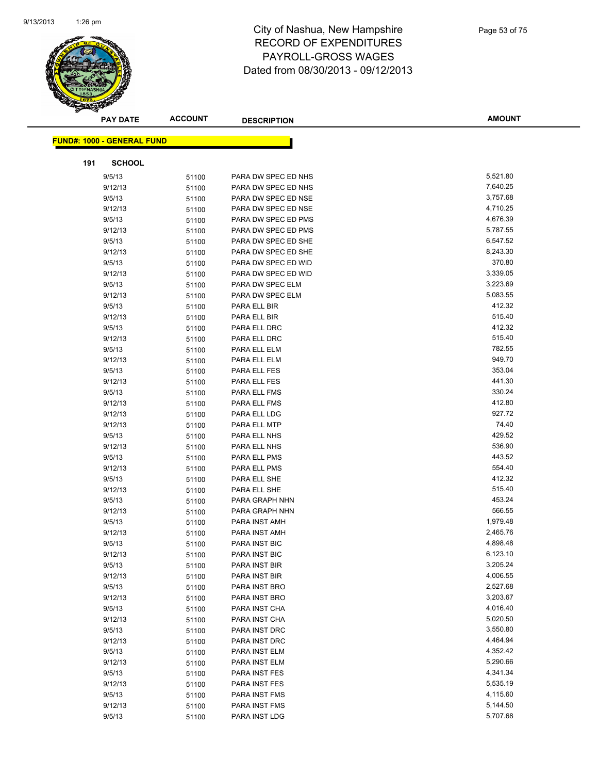

|                                   | <b>ACCOUNT</b><br><b>PAY DATE</b> |                | <b>DESCRIPTION</b>           | <b>AMOUNT</b>   |
|-----------------------------------|-----------------------------------|----------------|------------------------------|-----------------|
| <b>FUND#: 1000 - GENERAL FUND</b> |                                   |                |                              |                 |
|                                   |                                   |                |                              |                 |
| 191                               | <b>SCHOOL</b>                     |                |                              |                 |
| 9/5/13                            |                                   | 51100          | PARA DW SPEC ED NHS          | 5,521.80        |
| 9/12/13                           |                                   | 51100          | PARA DW SPEC ED NHS          | 7,640.25        |
| 9/5/13                            |                                   | 51100          | PARA DW SPEC ED NSE          | 3,757.68        |
| 9/12/13                           |                                   | 51100          | PARA DW SPEC ED NSE          | 4,710.25        |
| 9/5/13                            |                                   | 51100          | PARA DW SPEC ED PMS          | 4,676.39        |
| 9/12/13                           |                                   | 51100          | PARA DW SPEC ED PMS          | 5,787.55        |
| 9/5/13                            |                                   | 51100          | PARA DW SPEC ED SHE          | 6,547.52        |
| 9/12/13                           |                                   | 51100          | PARA DW SPEC ED SHE          | 8,243.30        |
| 9/5/13                            |                                   | 51100          | PARA DW SPEC ED WID          | 370.80          |
| 9/12/13                           |                                   | 51100          | PARA DW SPEC ED WID          | 3,339.05        |
| 9/5/13                            |                                   | 51100          | PARA DW SPEC ELM             | 3,223.69        |
| 9/12/13                           |                                   | 51100          | PARA DW SPEC ELM             | 5,083.55        |
| 9/5/13                            |                                   | 51100          | PARA ELL BIR                 | 412.32          |
| 9/12/13                           |                                   | 51100          | PARA ELL BIR                 | 515.40          |
| 9/5/13                            |                                   | 51100          | PARA ELL DRC                 | 412.32          |
| 9/12/13                           |                                   | 51100          | PARA ELL DRC                 | 515.40          |
| 9/5/13                            |                                   | 51100          | PARA ELL ELM                 | 782.55          |
| 9/12/13                           |                                   | 51100          | PARA ELL ELM                 | 949.70          |
| 9/5/13                            |                                   | 51100          | PARA ELL FES                 | 353.04          |
| 9/12/13                           |                                   | 51100          | PARA ELL FES                 | 441.30          |
| 9/5/13                            |                                   | 51100          | PARA ELL FMS                 | 330.24          |
| 9/12/13                           |                                   | 51100          | PARA ELL FMS                 | 412.80          |
| 9/12/13                           |                                   | 51100          | PARA ELL LDG                 | 927.72          |
| 9/12/13                           |                                   | 51100          | PARA ELL MTP                 | 74.40<br>429.52 |
| 9/5/13                            |                                   | 51100          | PARA ELL NHS                 | 536.90          |
| 9/12/13                           |                                   | 51100          | PARA ELL NHS                 | 443.52          |
| 9/5/13<br>9/12/13                 |                                   | 51100          | PARA ELL PMS<br>PARA ELL PMS | 554.40          |
| 9/5/13                            |                                   | 51100<br>51100 | PARA ELL SHE                 | 412.32          |
| 9/12/13                           |                                   | 51100          | PARA ELL SHE                 | 515.40          |
| 9/5/13                            |                                   | 51100          | PARA GRAPH NHN               | 453.24          |
| 9/12/13                           |                                   | 51100          | PARA GRAPH NHN               | 566.55          |
| 9/5/13                            |                                   | 51100          | PARA INST AMH                | 1,979.48        |
| 9/12/13                           |                                   | 51100          | PARA INST AMH                | 2,465.76        |
| 9/5/13                            |                                   | 51100          | PARA INST BIC                | 4,898.48        |
| 9/12/13                           |                                   | 51100          | <b>PARA INST BIC</b>         | 6,123.10        |
| 9/5/13                            |                                   | 51100          | PARA INST BIR                | 3,205.24        |
| 9/12/13                           |                                   | 51100          | PARA INST BIR                | 4,006.55        |
| 9/5/13                            |                                   | 51100          | PARA INST BRO                | 2,527.68        |
| 9/12/13                           |                                   | 51100          | PARA INST BRO                | 3,203.67        |
| 9/5/13                            |                                   | 51100          | PARA INST CHA                | 4,016.40        |
| 9/12/13                           |                                   | 51100          | PARA INST CHA                | 5,020.50        |
| 9/5/13                            |                                   | 51100          | PARA INST DRC                | 3,550.80        |
| 9/12/13                           |                                   | 51100          | PARA INST DRC                | 4,464.94        |
| 9/5/13                            |                                   | 51100          | PARA INST ELM                | 4,352.42        |
| 9/12/13                           |                                   | 51100          | PARA INST ELM                | 5,290.66        |
| 9/5/13                            |                                   | 51100          | PARA INST FES                | 4,341.34        |
| 9/12/13                           |                                   | 51100          | PARA INST FES                | 5,535.19        |
| 9/5/13                            |                                   | 51100          | PARA INST FMS                | 4,115.60        |
| 9/12/13                           |                                   | 51100          | PARA INST FMS                | 5,144.50        |
| 9/5/13                            |                                   | 51100          | PARA INST LDG                | 5,707.68        |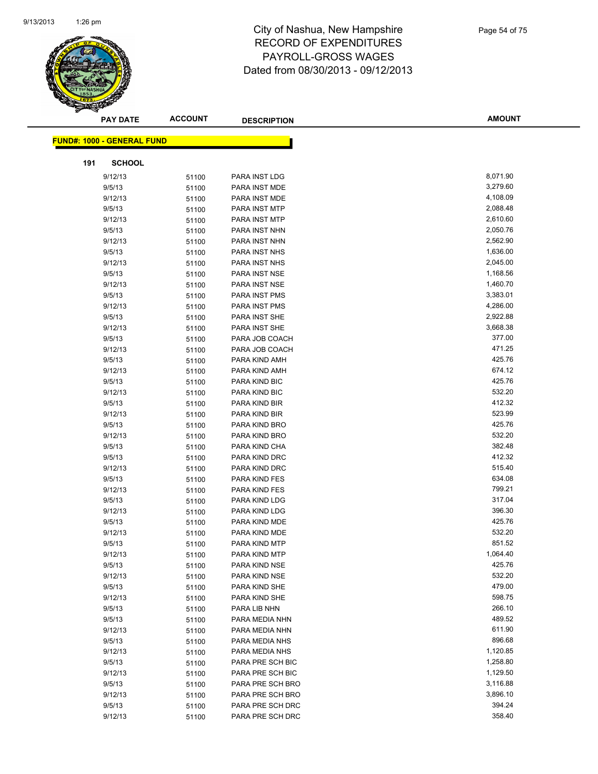

|                                   | <b>PAY DATE</b> | <b>ACCOUNT</b> | <b>DESCRIPTION</b>             | <b>AMOUNT</b>    |
|-----------------------------------|-----------------|----------------|--------------------------------|------------------|
| <b>FUND#: 1000 - GENERAL FUND</b> |                 |                |                                |                  |
|                                   |                 |                |                                |                  |
| 191                               | <b>SCHOOL</b>   |                |                                |                  |
| 9/12/13                           |                 | 51100          | PARA INST LDG                  | 8,071.90         |
| 9/5/13                            |                 | 51100          | PARA INST MDE                  | 3,279.60         |
| 9/12/13                           |                 | 51100          | PARA INST MDE                  | 4,108.09         |
| 9/5/13                            |                 | 51100          | PARA INST MTP                  | 2,088.48         |
| 9/12/13                           |                 | 51100          | PARA INST MTP                  | 2,610.60         |
| 9/5/13                            |                 | 51100          | PARA INST NHN                  | 2,050.76         |
| 9/12/13                           |                 | 51100          | PARA INST NHN                  | 2,562.90         |
| 9/5/13                            |                 | 51100          | PARA INST NHS                  | 1,636.00         |
| 9/12/13                           |                 | 51100          | PARA INST NHS                  | 2,045.00         |
| 9/5/13                            |                 | 51100          | PARA INST NSE                  | 1,168.56         |
| 9/12/13                           |                 | 51100          | PARA INST NSE                  | 1,460.70         |
| 9/5/13                            |                 | 51100          | PARA INST PMS                  | 3,383.01         |
| 9/12/13                           |                 | 51100          | PARA INST PMS                  | 4,286.00         |
| 9/5/13                            |                 | 51100          | PARA INST SHE                  | 2,922.88         |
| 9/12/13                           |                 | 51100          | PARA INST SHE                  | 3,668.38         |
| 9/5/13                            |                 | 51100          | PARA JOB COACH                 | 377.00           |
| 9/12/13                           |                 | 51100          | PARA JOB COACH                 | 471.25           |
| 9/5/13                            |                 | 51100          | PARA KIND AMH                  | 425.76           |
| 9/12/13                           |                 | 51100          | PARA KIND AMH                  | 674.12           |
| 9/5/13                            |                 | 51100          | PARA KIND BIC                  | 425.76           |
| 9/12/13                           |                 | 51100          | PARA KIND BIC                  | 532.20           |
| 9/5/13                            |                 | 51100          | PARA KIND BIR                  | 412.32           |
| 9/12/13                           |                 | 51100          | PARA KIND BIR                  | 523.99           |
| 9/5/13                            |                 | 51100          | PARA KIND BRO                  | 425.76           |
| 9/12/13                           |                 | 51100          | PARA KIND BRO                  | 532.20           |
| 9/5/13                            |                 | 51100          | PARA KIND CHA                  | 382.48           |
| 9/5/13                            |                 | 51100          | PARA KIND DRC                  | 412.32           |
| 9/12/13                           |                 | 51100          | PARA KIND DRC                  | 515.40<br>634.08 |
| 9/5/13<br>9/12/13                 |                 | 51100          | PARA KIND FES<br>PARA KIND FES | 799.21           |
| 9/5/13                            |                 | 51100<br>51100 | PARA KIND LDG                  | 317.04           |
| 9/12/13                           |                 | 51100          | PARA KIND LDG                  | 396.30           |
| 9/5/13                            |                 | 51100          | PARA KIND MDE                  | 425.76           |
| 9/12/13                           |                 | 51100          | PARA KIND MDE                  | 532.20           |
| 9/5/13                            |                 | 51100          | PARA KIND MTP                  | 851.52           |
| 9/12/13                           |                 | 51100          | PARA KIND MTP                  | 1,064.40         |
| 9/5/13                            |                 | 51100          | PARA KIND NSE                  | 425.76           |
| 9/12/13                           |                 | 51100          | PARA KIND NSE                  | 532.20           |
| 9/5/13                            |                 | 51100          | PARA KIND SHE                  | 479.00           |
| 9/12/13                           |                 | 51100          | PARA KIND SHE                  | 598.75           |
| 9/5/13                            |                 | 51100          | PARA LIB NHN                   | 266.10           |
| 9/5/13                            |                 | 51100          | PARA MEDIA NHN                 | 489.52           |
| 9/12/13                           |                 | 51100          | PARA MEDIA NHN                 | 611.90           |
| 9/5/13                            |                 | 51100          | PARA MEDIA NHS                 | 896.68           |
| 9/12/13                           |                 | 51100          | PARA MEDIA NHS                 | 1,120.85         |
| 9/5/13                            |                 | 51100          | PARA PRE SCH BIC               | 1,258.80         |
| 9/12/13                           |                 | 51100          | PARA PRE SCH BIC               | 1,129.50         |
| 9/5/13                            |                 | 51100          | PARA PRE SCH BRO               | 3,116.88         |
| 9/12/13                           |                 | 51100          | PARA PRE SCH BRO               | 3,896.10         |
| 9/5/13                            |                 | 51100          | PARA PRE SCH DRC               | 394.24           |
| 9/12/13                           |                 | 51100          | PARA PRE SCH DRC               | 358.40           |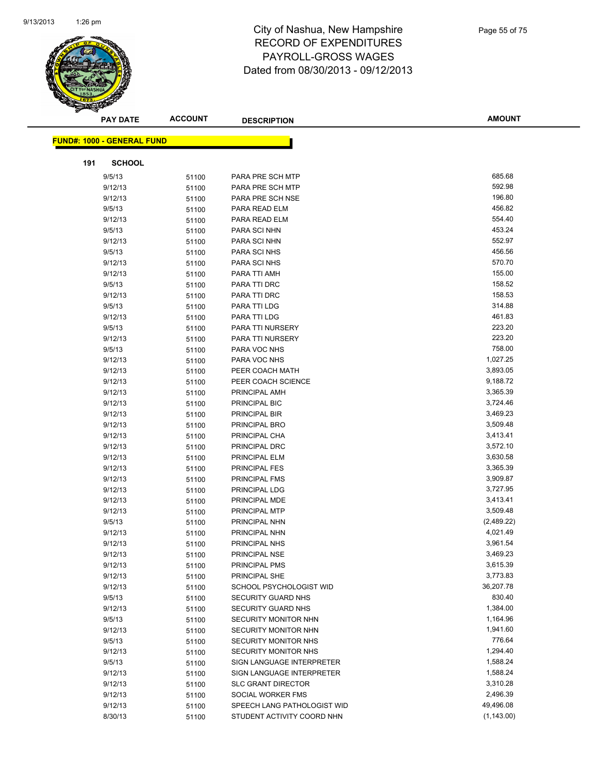

|     | <b>PAY DATE</b>                   | <b>ACCOUNT</b> | <b>DESCRIPTION</b>          | <b>AMOUNT</b> |
|-----|-----------------------------------|----------------|-----------------------------|---------------|
|     | <b>FUND#: 1000 - GENERAL FUND</b> |                |                             |               |
|     |                                   |                |                             |               |
| 191 | <b>SCHOOL</b>                     |                |                             |               |
|     | 9/5/13                            | 51100          | PARA PRE SCH MTP            | 685.68        |
|     | 9/12/13                           | 51100          | PARA PRE SCH MTP            | 592.98        |
|     | 9/12/13                           | 51100          | PARA PRE SCH NSE            | 196.80        |
|     | 9/5/13                            | 51100          | PARA READ ELM               | 456.82        |
|     | 9/12/13                           | 51100          | PARA READ ELM               | 554.40        |
|     | 9/5/13                            | 51100          | PARA SCI NHN                | 453.24        |
|     | 9/12/13                           | 51100          | PARA SCI NHN                | 552.97        |
|     | 9/5/13                            | 51100          | PARA SCI NHS                | 456.56        |
|     | 9/12/13                           | 51100          | PARA SCI NHS                | 570.70        |
|     | 9/12/13                           | 51100          | PARA TTI AMH                | 155.00        |
|     | 9/5/13                            | 51100          | PARA TTI DRC                | 158.52        |
|     | 9/12/13                           | 51100          | PARA TTI DRC                | 158.53        |
|     | 9/5/13                            | 51100          | PARA TTI LDG                | 314.88        |
|     | 9/12/13                           | 51100          | PARA TTI LDG                | 461.83        |
|     | 9/5/13                            | 51100          | PARA TTI NURSERY            | 223.20        |
|     | 9/12/13                           | 51100          | PARA TTI NURSERY            | 223.20        |
|     | 9/5/13                            | 51100          | PARA VOC NHS                | 758.00        |
|     | 9/12/13                           | 51100          | PARA VOC NHS                | 1,027.25      |
|     | 9/12/13                           | 51100          | PEER COACH MATH             | 3,893.05      |
|     | 9/12/13                           | 51100          | PEER COACH SCIENCE          | 9,188.72      |
|     | 9/12/13                           | 51100          | PRINCIPAL AMH               | 3,365.39      |
|     | 9/12/13                           | 51100          | PRINCIPAL BIC               | 3,724.46      |
|     | 9/12/13                           | 51100          | PRINCIPAL BIR               | 3,469.23      |
|     | 9/12/13                           | 51100          | PRINCIPAL BRO               | 3,509.48      |
|     | 9/12/13                           | 51100          | PRINCIPAL CHA               | 3,413.41      |
|     | 9/12/13                           | 51100          | PRINCIPAL DRC               | 3,572.10      |
|     | 9/12/13                           | 51100          | PRINCIPAL ELM               | 3,630.58      |
|     | 9/12/13                           | 51100          | PRINCIPAL FES               | 3,365.39      |
|     | 9/12/13                           | 51100          | PRINCIPAL FMS               | 3,909.87      |
|     | 9/12/13                           | 51100          | PRINCIPAL LDG               | 3,727.95      |
|     | 9/12/13                           | 51100          | PRINCIPAL MDE               | 3,413.41      |
|     | 9/12/13                           | 51100          | PRINCIPAL MTP               | 3,509.48      |
|     | 9/5/13                            | 51100          | PRINCIPAL NHN               | (2,489.22)    |
|     | 9/12/13                           | 51100          | PRINCIPAL NHN               | 4,021.49      |
|     | 9/12/13                           | 51100          | PRINCIPAL NHS               | 3,961.54      |
|     | 9/12/13                           | 51100          | PRINCIPAL NSE               | 3,469.23      |
|     | 9/12/13                           | 51100          | PRINCIPAL PMS               | 3,615.39      |
|     | 9/12/13                           | 51100          | PRINCIPAL SHE               | 3,773.83      |
|     | 9/12/13                           | 51100          | SCHOOL PSYCHOLOGIST WID     | 36,207.78     |
|     | 9/5/13                            | 51100          | SECURITY GUARD NHS          | 830.40        |
|     | 9/12/13                           | 51100          | SECURITY GUARD NHS          | 1,384.00      |
|     | 9/5/13                            | 51100          | SECURITY MONITOR NHN        | 1,164.96      |
|     | 9/12/13                           | 51100          | SECURITY MONITOR NHN        | 1,941.60      |
|     | 9/5/13                            | 51100          | SECURITY MONITOR NHS        | 776.64        |
|     | 9/12/13                           | 51100          | SECURITY MONITOR NHS        | 1,294.40      |
|     | 9/5/13                            | 51100          | SIGN LANGUAGE INTERPRETER   | 1,588.24      |
|     | 9/12/13                           | 51100          | SIGN LANGUAGE INTERPRETER   | 1,588.24      |
|     | 9/12/13                           | 51100          | <b>SLC GRANT DIRECTOR</b>   | 3,310.28      |
|     | 9/12/13                           | 51100          | SOCIAL WORKER FMS           | 2,496.39      |
|     | 9/12/13                           | 51100          | SPEECH LANG PATHOLOGIST WID | 49,496.08     |
|     | 8/30/13                           | 51100          | STUDENT ACTIVITY COORD NHN  | (1, 143.00)   |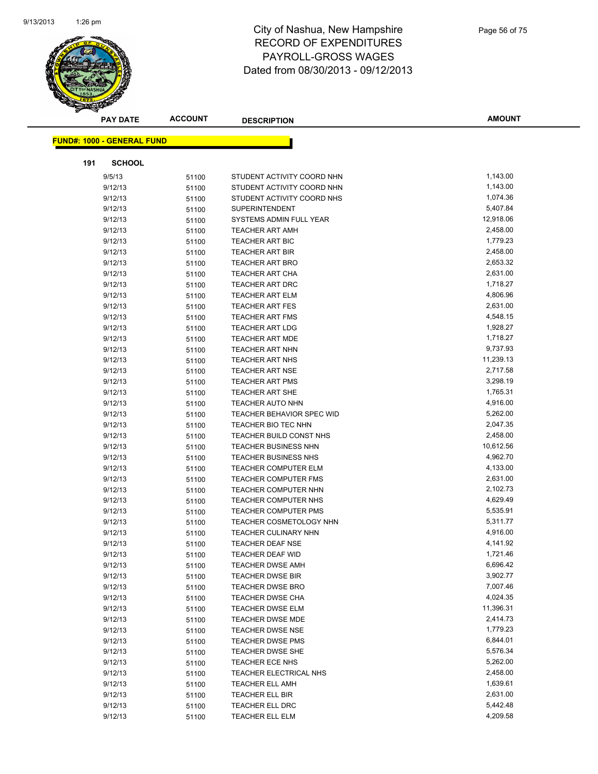

| <b>PAY DATE</b>                   | <b>ACCOUNT</b> | <b>DESCRIPTION</b>          | <b>AMOUNT</b>        |
|-----------------------------------|----------------|-----------------------------|----------------------|
|                                   |                |                             |                      |
| <b>FUND#: 1000 - GENERAL FUND</b> |                |                             |                      |
| 191<br><b>SCHOOL</b>              |                |                             |                      |
| 9/5/13                            | 51100          | STUDENT ACTIVITY COORD NHN  | 1,143.00             |
| 9/12/13                           | 51100          | STUDENT ACTIVITY COORD NHN  | 1,143.00             |
| 9/12/13                           | 51100          | STUDENT ACTIVITY COORD NHS  | 1,074.36             |
| 9/12/13                           | 51100          | <b>SUPERINTENDENT</b>       | 5,407.84             |
| 9/12/13                           | 51100          | SYSTEMS ADMIN FULL YEAR     | 12,918.06            |
| 9/12/13                           | 51100          | <b>TEACHER ART AMH</b>      | 2,458.00             |
| 9/12/13                           | 51100          | <b>TEACHER ART BIC</b>      | 1,779.23             |
| 9/12/13                           | 51100          | <b>TEACHER ART BIR</b>      | 2,458.00             |
| 9/12/13                           | 51100          | TEACHER ART BRO             | 2,653.32             |
| 9/12/13                           | 51100          | TEACHER ART CHA             | 2,631.00             |
| 9/12/13                           | 51100          | <b>TEACHER ART DRC</b>      | 1,718.27             |
| 9/12/13                           | 51100          | TEACHER ART ELM             | 4,806.96             |
| 9/12/13                           | 51100          | <b>TEACHER ART FES</b>      | 2,631.00             |
| 9/12/13                           | 51100          | <b>TEACHER ART FMS</b>      | 4,548.15             |
| 9/12/13                           | 51100          | <b>TEACHER ART LDG</b>      | 1,928.27             |
| 9/12/13                           | 51100          | <b>TEACHER ART MDE</b>      | 1,718.27             |
| 9/12/13                           | 51100          | <b>TEACHER ART NHN</b>      | 9,737.93             |
| 9/12/13                           | 51100          | <b>TEACHER ART NHS</b>      | 11,239.13            |
| 9/12/13                           | 51100          | TEACHER ART NSE             | 2,717.58             |
| 9/12/13                           | 51100          | <b>TEACHER ART PMS</b>      | 3,298.19             |
| 9/12/13                           | 51100          | TEACHER ART SHE             | 1,765.31             |
| 9/12/13                           | 51100          | TEACHER AUTO NHN            | 4,916.00             |
| 9/12/13                           | 51100          | TEACHER BEHAVIOR SPEC WID   | 5,262.00             |
| 9/12/13                           | 51100          | TEACHER BIO TEC NHN         | 2,047.35             |
| 9/12/13                           | 51100          | TEACHER BUILD CONST NHS     | 2,458.00             |
| 9/12/13                           | 51100          | <b>TEACHER BUSINESS NHN</b> | 10,612.56            |
| 9/12/13                           | 51100          | <b>TEACHER BUSINESS NHS</b> | 4,962.70             |
| 9/12/13                           | 51100          | <b>TEACHER COMPUTER ELM</b> | 4,133.00             |
| 9/12/13                           | 51100          | <b>TEACHER COMPUTER FMS</b> | 2,631.00             |
| 9/12/13                           | 51100          | TEACHER COMPUTER NHN        | 2,102.73             |
| 9/12/13                           | 51100          | TEACHER COMPUTER NHS        | 4,629.49             |
| 9/12/13                           | 51100          | <b>TEACHER COMPUTER PMS</b> | 5,535.91             |
| 9/12/13                           | 51100          | TEACHER COSMETOLOGY NHN     | 5,311.77             |
| 9/12/13                           | 51100          | TEACHER CULINARY NHN        | 4,916.00             |
| 9/12/13                           | 51100          | TEACHER DEAF NSE            | 4,141.92             |
| 9/12/13                           | 51100          | TEACHER DEAF WID            | 1,721.46             |
| 9/12/13                           | 51100          | <b>TEACHER DWSE AMH</b>     | 6,696.42             |
| 9/12/13                           | 51100          | <b>TEACHER DWSE BIR</b>     | 3,902.77             |
| 9/12/13                           | 51100          | <b>TEACHER DWSE BRO</b>     | 7,007.46             |
| 9/12/13                           | 51100          | TEACHER DWSE CHA            | 4,024.35             |
| 9/12/13                           | 51100          | <b>TEACHER DWSE ELM</b>     | 11,396.31            |
| 9/12/13                           | 51100          | <b>TEACHER DWSE MDE</b>     | 2,414.73             |
| 9/12/13                           | 51100          | <b>TEACHER DWSE NSE</b>     | 1,779.23             |
| 9/12/13                           | 51100          | <b>TEACHER DWSE PMS</b>     | 6,844.01             |
| 9/12/13                           | 51100          | TEACHER DWSE SHE            | 5,576.34             |
| 9/12/13                           | 51100          | <b>TEACHER ECE NHS</b>      | 5,262.00             |
| 9/12/13                           | 51100          | TEACHER ELECTRICAL NHS      | 2,458.00             |
| 9/12/13                           | 51100          | <b>TEACHER ELL AMH</b>      | 1,639.61             |
| 9/12/13                           | 51100          | TEACHER ELL BIR             | 2,631.00<br>5,442.48 |
| 9/12/13                           | 51100          | TEACHER ELL DRC             | 4,209.58             |
| 9/12/13                           | 51100          | TEACHER ELL ELM             |                      |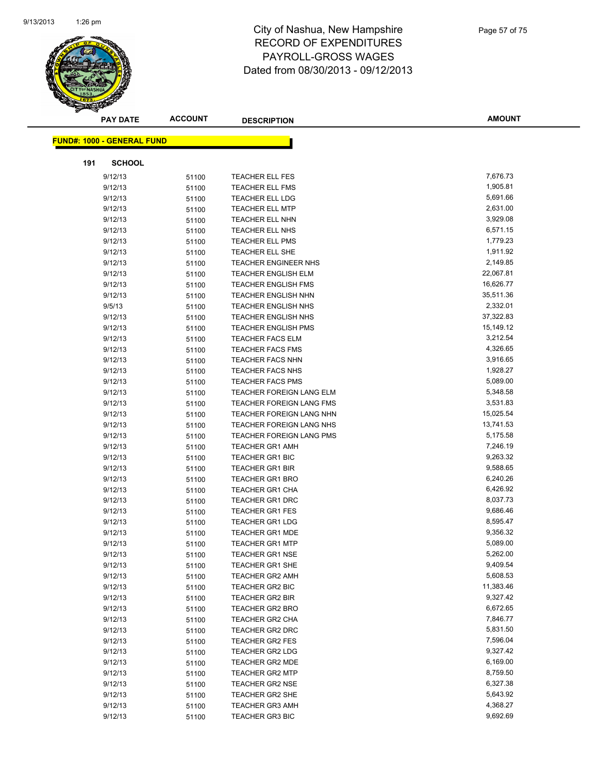

|     | <b>PAY DATE</b>                   | <b>ACCOUNT</b> | <b>DESCRIPTION</b>                        | <b>AMOUNT</b>        |
|-----|-----------------------------------|----------------|-------------------------------------------|----------------------|
|     | <b>FUND#: 1000 - GENERAL FUND</b> |                |                                           |                      |
|     |                                   |                |                                           |                      |
| 191 | <b>SCHOOL</b>                     |                |                                           |                      |
|     | 9/12/13                           | 51100          | <b>TEACHER ELL FES</b>                    | 7,676.73             |
|     | 9/12/13                           | 51100          | <b>TEACHER ELL FMS</b>                    | 1,905.81             |
|     | 9/12/13                           | 51100          | <b>TEACHER ELL LDG</b>                    | 5,691.66             |
|     | 9/12/13                           | 51100          | <b>TEACHER ELL MTP</b>                    | 2,631.00             |
|     | 9/12/13                           | 51100          | <b>TEACHER ELL NHN</b>                    | 3,929.08             |
|     | 9/12/13                           | 51100          | <b>TEACHER ELL NHS</b>                    | 6,571.15             |
|     | 9/12/13                           | 51100          | <b>TEACHER ELL PMS</b>                    | 1,779.23             |
|     | 9/12/13                           | 51100          | <b>TEACHER ELL SHE</b>                    | 1,911.92             |
|     | 9/12/13                           | 51100          | <b>TEACHER ENGINEER NHS</b>               | 2,149.85             |
|     | 9/12/13                           | 51100          | <b>TEACHER ENGLISH ELM</b>                | 22,067.81            |
|     | 9/12/13                           | 51100          | <b>TEACHER ENGLISH FMS</b>                | 16,626.77            |
|     | 9/12/13                           | 51100          | <b>TEACHER ENGLISH NHN</b>                | 35,511.36            |
|     | 9/5/13                            | 51100          | <b>TEACHER ENGLISH NHS</b>                | 2,332.01             |
|     | 9/12/13                           | 51100          | <b>TEACHER ENGLISH NHS</b>                | 37,322.83            |
|     | 9/12/13                           | 51100          | <b>TEACHER ENGLISH PMS</b>                | 15,149.12            |
|     | 9/12/13                           | 51100          | <b>TEACHER FACS ELM</b>                   | 3,212.54             |
|     | 9/12/13                           | 51100          | TEACHER FACS FMS                          | 4,326.65             |
|     | 9/12/13                           | 51100          | <b>TEACHER FACS NHN</b>                   | 3,916.65             |
|     | 9/12/13                           | 51100          | <b>TEACHER FACS NHS</b>                   | 1,928.27             |
|     | 9/12/13                           | 51100          | <b>TEACHER FACS PMS</b>                   | 5,089.00             |
|     | 9/12/13                           | 51100          | <b>TEACHER FOREIGN LANG ELM</b>           | 5,348.58             |
|     | 9/12/13                           | 51100          | <b>TEACHER FOREIGN LANG FMS</b>           | 3,531.83             |
|     | 9/12/13                           | 51100          | TEACHER FOREIGN LANG NHN                  | 15,025.54            |
|     | 9/12/13                           | 51100          | TEACHER FOREIGN LANG NHS                  | 13,741.53            |
|     | 9/12/13                           | 51100          | TEACHER FOREIGN LANG PMS                  | 5,175.58             |
|     | 9/12/13                           | 51100          | <b>TEACHER GR1 AMH</b>                    | 7,246.19             |
|     | 9/12/13                           | 51100          | <b>TEACHER GR1 BIC</b>                    | 9,263.32             |
|     | 9/12/13                           | 51100          | <b>TEACHER GR1 BIR</b>                    | 9,588.65             |
|     | 9/12/13                           | 51100          | <b>TEACHER GR1 BRO</b>                    | 6,240.26             |
|     | 9/12/13                           | 51100          | <b>TEACHER GR1 CHA</b>                    | 6,426.92             |
|     | 9/12/13                           | 51100          | <b>TEACHER GR1 DRC</b>                    | 8,037.73             |
|     | 9/12/13                           | 51100          | <b>TEACHER GR1 FES</b>                    | 9,686.46             |
|     | 9/12/13                           | 51100          | <b>TEACHER GR1 LDG</b>                    | 8,595.47             |
|     | 9/12/13                           | 51100          | <b>TEACHER GR1 MDE</b>                    | 9,356.32             |
|     | 9/12/13                           | 51100          | <b>TEACHER GR1 MTP</b>                    | 5,089.00             |
|     | 9/12/13                           | 51100          | <b>TEACHER GR1 NSE</b>                    | 5,262.00             |
|     | 9/12/13                           | 51100          | <b>TEACHER GR1 SHE</b>                    | 9,409.54<br>5,608.53 |
|     | 9/12/13                           | 51100          | <b>TEACHER GR2 AMH</b>                    | 11,383.46            |
|     | 9/12/13<br>9/12/13                | 51100          | TEACHER GR2 BIC<br><b>TEACHER GR2 BIR</b> | 9,327.42             |
|     | 9/12/13                           | 51100          | <b>TEACHER GR2 BRO</b>                    | 6,672.65             |
|     | 9/12/13                           | 51100          | <b>TEACHER GR2 CHA</b>                    | 7,846.77             |
|     | 9/12/13                           | 51100<br>51100 | <b>TEACHER GR2 DRC</b>                    | 5,831.50             |
|     | 9/12/13                           | 51100          | TEACHER GR2 FES                           | 7,596.04             |
|     | 9/12/13                           | 51100          | <b>TEACHER GR2 LDG</b>                    | 9,327.42             |
|     | 9/12/13                           | 51100          | <b>TEACHER GR2 MDE</b>                    | 6,169.00             |
|     | 9/12/13                           | 51100          | <b>TEACHER GR2 MTP</b>                    | 8,759.50             |
|     | 9/12/13                           | 51100          | <b>TEACHER GR2 NSE</b>                    | 6,327.38             |
|     | 9/12/13                           | 51100          | <b>TEACHER GR2 SHE</b>                    | 5,643.92             |
|     | 9/12/13                           | 51100          | <b>TEACHER GR3 AMH</b>                    | 4,368.27             |
|     | 9/12/13                           | 51100          | <b>TEACHER GR3 BIC</b>                    | 9,692.69             |
|     |                                   |                |                                           |                      |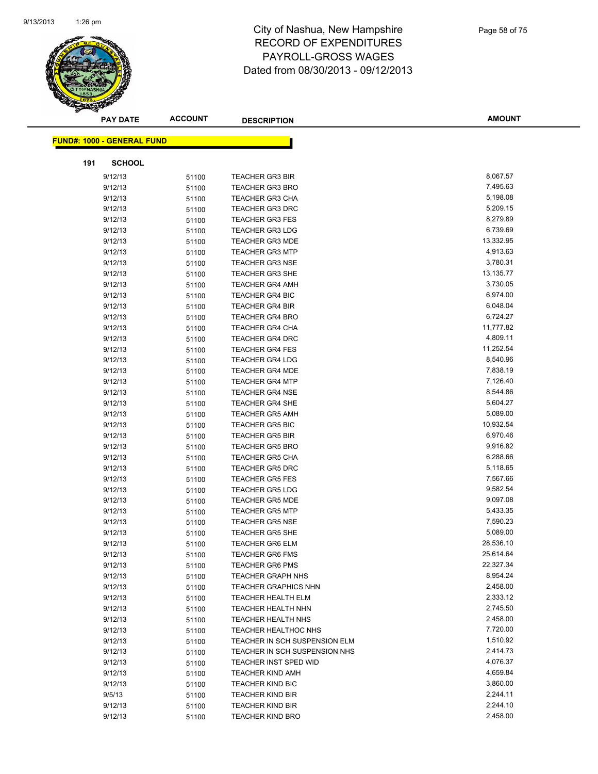

|     | <b>PAY DATE</b>                   | <b>ACCOUNT</b> | <b>DESCRIPTION</b>            | <b>AMOUNT</b> |
|-----|-----------------------------------|----------------|-------------------------------|---------------|
|     | <b>FUND#: 1000 - GENERAL FUND</b> |                |                               |               |
|     |                                   |                |                               |               |
| 191 | <b>SCHOOL</b>                     |                |                               |               |
|     | 9/12/13                           | 51100          | <b>TEACHER GR3 BIR</b>        | 8,067.57      |
|     | 9/12/13                           | 51100          | <b>TEACHER GR3 BRO</b>        | 7,495.63      |
|     | 9/12/13                           | 51100          | <b>TEACHER GR3 CHA</b>        | 5,198.08      |
|     | 9/12/13                           | 51100          | <b>TEACHER GR3 DRC</b>        | 5,209.15      |
|     | 9/12/13                           | 51100          | <b>TEACHER GR3 FES</b>        | 8,279.89      |
|     | 9/12/13                           | 51100          | <b>TEACHER GR3 LDG</b>        | 6,739.69      |
|     | 9/12/13                           | 51100          | <b>TEACHER GR3 MDE</b>        | 13,332.95     |
|     | 9/12/13                           | 51100          | <b>TEACHER GR3 MTP</b>        | 4,913.63      |
|     | 9/12/13                           | 51100          | <b>TEACHER GR3 NSE</b>        | 3,780.31      |
|     | 9/12/13                           | 51100          | <b>TEACHER GR3 SHE</b>        | 13,135.77     |
|     | 9/12/13                           | 51100          | <b>TEACHER GR4 AMH</b>        | 3,730.05      |
|     | 9/12/13                           | 51100          | <b>TEACHER GR4 BIC</b>        | 6,974.00      |
|     | 9/12/13                           | 51100          | <b>TEACHER GR4 BIR</b>        | 6,048.04      |
|     | 9/12/13                           | 51100          | <b>TEACHER GR4 BRO</b>        | 6,724.27      |
|     | 9/12/13                           | 51100          | <b>TEACHER GR4 CHA</b>        | 11,777.82     |
|     | 9/12/13                           | 51100          | <b>TEACHER GR4 DRC</b>        | 4,809.11      |
|     | 9/12/13                           | 51100          | <b>TEACHER GR4 FES</b>        | 11,252.54     |
|     | 9/12/13                           | 51100          | <b>TEACHER GR4 LDG</b>        | 8,540.96      |
|     | 9/12/13                           | 51100          | <b>TEACHER GR4 MDE</b>        | 7,838.19      |
|     | 9/12/13                           | 51100          | <b>TEACHER GR4 MTP</b>        | 7,126.40      |
|     | 9/12/13                           | 51100          | <b>TEACHER GR4 NSE</b>        | 8,544.86      |
|     | 9/12/13                           | 51100          | <b>TEACHER GR4 SHE</b>        | 5,604.27      |
|     | 9/12/13                           | 51100          | <b>TEACHER GR5 AMH</b>        | 5,089.00      |
|     | 9/12/13                           | 51100          | <b>TEACHER GR5 BIC</b>        | 10,932.54     |
|     | 9/12/13                           | 51100          | <b>TEACHER GR5 BIR</b>        | 6,970.46      |
|     | 9/12/13                           | 51100          | <b>TEACHER GR5 BRO</b>        | 9,916.82      |
|     | 9/12/13                           | 51100          | <b>TEACHER GR5 CHA</b>        | 6,288.66      |
|     | 9/12/13                           | 51100          | <b>TEACHER GR5 DRC</b>        | 5,118.65      |
|     | 9/12/13                           | 51100          | <b>TEACHER GR5 FES</b>        | 7,567.66      |
|     | 9/12/13                           | 51100          | <b>TEACHER GR5 LDG</b>        | 9,582.54      |
|     | 9/12/13                           | 51100          | <b>TEACHER GR5 MDE</b>        | 9,097.08      |
|     | 9/12/13                           | 51100          | <b>TEACHER GR5 MTP</b>        | 5,433.35      |
|     | 9/12/13                           | 51100          | <b>TEACHER GR5 NSE</b>        | 7,590.23      |
|     | 9/12/13                           | 51100          | <b>TEACHER GR5 SHE</b>        | 5,089.00      |
|     | 9/12/13                           | 51100          | <b>TEACHER GR6 ELM</b>        | 28,536.10     |
|     | 9/12/13                           | 51100          | TEACHER GR6 FMS               | 25,614.64     |
|     | 9/12/13                           | 51100          | <b>TEACHER GR6 PMS</b>        | 22,327.34     |
|     | 9/12/13                           | 51100          | <b>TEACHER GRAPH NHS</b>      | 8,954.24      |
|     | 9/12/13                           | 51100          | <b>TEACHER GRAPHICS NHN</b>   | 2,458.00      |
|     | 9/12/13                           | 51100          | TEACHER HEALTH ELM            | 2,333.12      |
|     | 9/12/13                           | 51100          | TEACHER HEALTH NHN            | 2,745.50      |
|     | 9/12/13                           | 51100          | TEACHER HEALTH NHS            | 2,458.00      |
|     | 9/12/13                           | 51100          | TEACHER HEALTHOC NHS          | 7,720.00      |
|     | 9/12/13                           | 51100          | TEACHER IN SCH SUSPENSION ELM | 1,510.92      |
|     | 9/12/13                           | 51100          | TEACHER IN SCH SUSPENSION NHS | 2,414.73      |
|     | 9/12/13                           | 51100          | <b>TEACHER INST SPED WID</b>  | 4,076.37      |
|     | 9/12/13                           | 51100          | <b>TEACHER KIND AMH</b>       | 4,659.84      |
|     | 9/12/13                           | 51100          | <b>TEACHER KIND BIC</b>       | 3,860.00      |
|     | 9/5/13                            | 51100          | <b>TEACHER KIND BIR</b>       | 2,244.11      |
|     | 9/12/13                           | 51100          | <b>TEACHER KIND BIR</b>       | 2,244.10      |
|     | 9/12/13                           | 51100          | <b>TEACHER KIND BRO</b>       | 2,458.00      |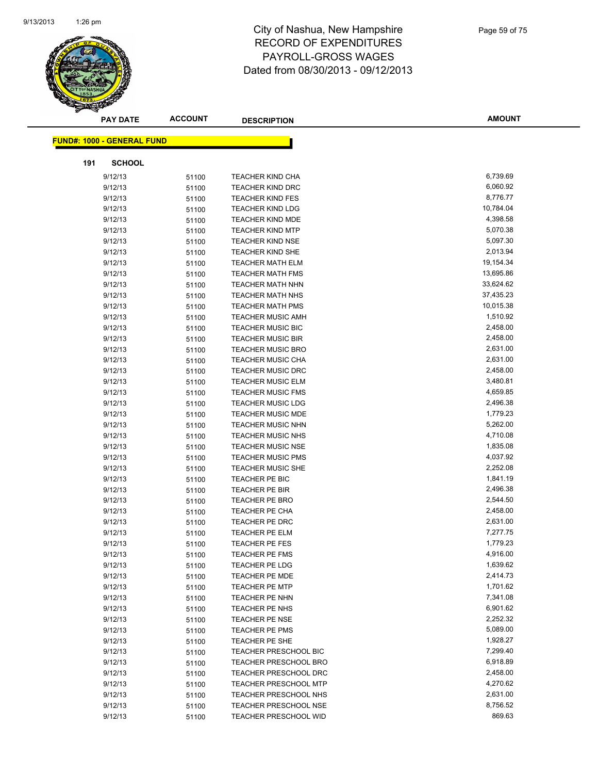

|     | <b>PAY DATE</b>                   | <b>ACCOUNT</b> | <b>DESCRIPTION</b>           | <b>AMOUNT</b> |
|-----|-----------------------------------|----------------|------------------------------|---------------|
|     | <b>FUND#: 1000 - GENERAL FUND</b> |                |                              |               |
|     |                                   |                |                              |               |
| 191 | <b>SCHOOL</b>                     |                |                              |               |
|     | 9/12/13                           | 51100          | <b>TEACHER KIND CHA</b>      | 6,739.69      |
|     | 9/12/13                           | 51100          | <b>TEACHER KIND DRC</b>      | 6,060.92      |
|     | 9/12/13                           | 51100          | <b>TEACHER KIND FES</b>      | 8,776.77      |
|     | 9/12/13                           | 51100          | <b>TEACHER KIND LDG</b>      | 10,784.04     |
|     | 9/12/13                           | 51100          | <b>TEACHER KIND MDE</b>      | 4,398.58      |
|     | 9/12/13                           | 51100          | <b>TEACHER KIND MTP</b>      | 5,070.38      |
|     | 9/12/13                           | 51100          | <b>TEACHER KIND NSE</b>      | 5,097.30      |
|     | 9/12/13                           | 51100          | TEACHER KIND SHE             | 2,013.94      |
|     | 9/12/13                           | 51100          | <b>TEACHER MATH ELM</b>      | 19,154.34     |
|     | 9/12/13                           | 51100          | <b>TEACHER MATH FMS</b>      | 13,695.86     |
|     | 9/12/13                           | 51100          | <b>TEACHER MATH NHN</b>      | 33,624.62     |
|     | 9/12/13                           | 51100          | <b>TEACHER MATH NHS</b>      | 37,435.23     |
|     | 9/12/13                           | 51100          | <b>TEACHER MATH PMS</b>      | 10,015.38     |
|     | 9/12/13                           | 51100          | <b>TEACHER MUSIC AMH</b>     | 1,510.92      |
|     | 9/12/13                           | 51100          | <b>TEACHER MUSIC BIC</b>     | 2,458.00      |
|     | 9/12/13                           | 51100          | <b>TEACHER MUSIC BIR</b>     | 2,458.00      |
|     | 9/12/13                           | 51100          | <b>TEACHER MUSIC BRO</b>     | 2,631.00      |
|     | 9/12/13                           | 51100          | <b>TEACHER MUSIC CHA</b>     | 2,631.00      |
|     | 9/12/13                           | 51100          | <b>TEACHER MUSIC DRC</b>     | 2,458.00      |
|     | 9/12/13                           | 51100          | <b>TEACHER MUSIC ELM</b>     | 3,480.81      |
|     | 9/12/13                           | 51100          | <b>TEACHER MUSIC FMS</b>     | 4,659.85      |
|     | 9/12/13                           | 51100          | <b>TEACHER MUSIC LDG</b>     | 2,496.38      |
|     | 9/12/13                           | 51100          | <b>TEACHER MUSIC MDE</b>     | 1,779.23      |
|     | 9/12/13                           | 51100          | <b>TEACHER MUSIC NHN</b>     | 5,262.00      |
|     | 9/12/13                           | 51100          | <b>TEACHER MUSIC NHS</b>     | 4,710.08      |
|     | 9/12/13                           | 51100          | <b>TEACHER MUSIC NSE</b>     | 1,835.08      |
|     | 9/12/13                           | 51100          | <b>TEACHER MUSIC PMS</b>     | 4,037.92      |
|     | 9/12/13                           | 51100          | <b>TEACHER MUSIC SHE</b>     | 2,252.08      |
|     | 9/12/13                           | 51100          | TEACHER PE BIC               | 1,841.19      |
|     | 9/12/13                           | 51100          | TEACHER PE BIR               | 2,496.38      |
|     | 9/12/13                           | 51100          | TEACHER PE BRO               | 2,544.50      |
|     | 9/12/13                           | 51100          | <b>TEACHER PE CHA</b>        | 2,458.00      |
|     | 9/12/13                           | 51100          | TEACHER PE DRC               | 2,631.00      |
|     | 9/12/13                           | 51100          | <b>TEACHER PE ELM</b>        | 7,277.75      |
|     | 9/12/13                           | 51100          | <b>TEACHER PE FES</b>        | 1,779.23      |
|     | 9/12/13                           | 51100          | <b>TEACHER PE FMS</b>        | 4,916.00      |
|     | 9/12/13                           | 51100          | <b>TEACHER PE LDG</b>        | 1,639.62      |
|     | 9/12/13                           | 51100          | <b>TEACHER PE MDE</b>        | 2,414.73      |
|     | 9/12/13                           | 51100          | <b>TEACHER PE MTP</b>        | 1,701.62      |
|     | 9/12/13                           | 51100          | TEACHER PE NHN               | 7,341.08      |
|     | 9/12/13                           | 51100          | TEACHER PE NHS               | 6,901.62      |
|     | 9/12/13                           | 51100          | TEACHER PE NSE               | 2,252.32      |
|     | 9/12/13                           | 51100          | TEACHER PE PMS               | 5,089.00      |
|     | 9/12/13                           | 51100          | TEACHER PE SHE               | 1,928.27      |
|     | 9/12/13                           | 51100          | <b>TEACHER PRESCHOOL BIC</b> | 7,299.40      |
|     | 9/12/13                           | 51100          | <b>TEACHER PRESCHOOL BRO</b> | 6,918.89      |
|     | 9/12/13                           | 51100          | <b>TEACHER PRESCHOOL DRC</b> | 2,458.00      |
|     | 9/12/13                           | 51100          | <b>TEACHER PRESCHOOL MTP</b> | 4,270.62      |
|     | 9/12/13                           | 51100          | TEACHER PRESCHOOL NHS        | 2,631.00      |
|     | 9/12/13                           | 51100          | TEACHER PRESCHOOL NSE        | 8,756.52      |
|     | 9/12/13                           | 51100          | TEACHER PRESCHOOL WID        | 869.63        |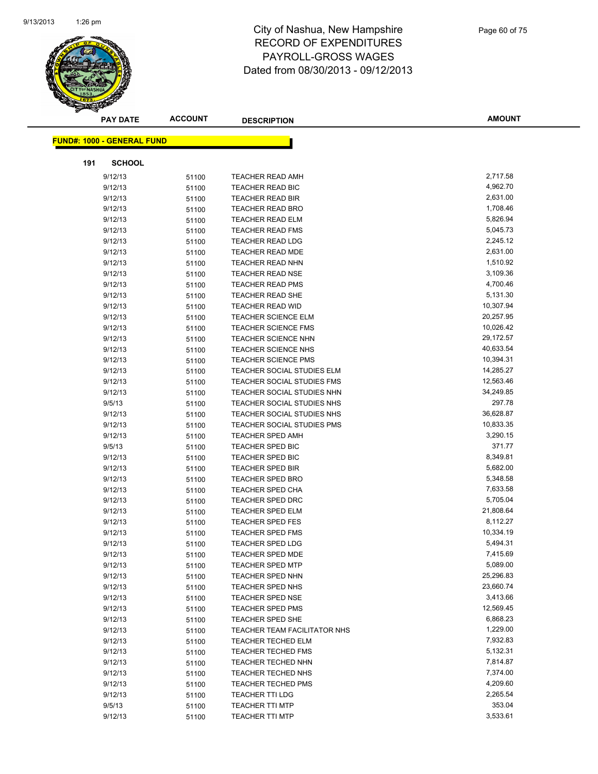

|     | <b>PAY DATE</b>                   | <b>ACCOUNT</b> | <b>DESCRIPTION</b>                | <b>AMOUNT</b> |
|-----|-----------------------------------|----------------|-----------------------------------|---------------|
|     |                                   |                |                                   |               |
|     | <b>FUND#: 1000 - GENERAL FUND</b> |                |                                   |               |
| 191 | <b>SCHOOL</b>                     |                |                                   |               |
|     | 9/12/13                           | 51100          | <b>TEACHER READ AMH</b>           | 2,717.58      |
|     | 9/12/13                           | 51100          | <b>TEACHER READ BIC</b>           | 4,962.70      |
|     | 9/12/13                           | 51100          | <b>TEACHER READ BIR</b>           | 2,631.00      |
|     | 9/12/13                           | 51100          | <b>TEACHER READ BRO</b>           | 1,708.46      |
|     | 9/12/13                           | 51100          | <b>TEACHER READ ELM</b>           | 5,826.94      |
|     | 9/12/13                           | 51100          | <b>TEACHER READ FMS</b>           | 5,045.73      |
|     | 9/12/13                           | 51100          | <b>TEACHER READ LDG</b>           | 2,245.12      |
|     | 9/12/13                           | 51100          | <b>TEACHER READ MDE</b>           | 2,631.00      |
|     | 9/12/13                           | 51100          | <b>TEACHER READ NHN</b>           | 1,510.92      |
|     | 9/12/13                           | 51100          | <b>TEACHER READ NSE</b>           | 3,109.36      |
|     | 9/12/13                           | 51100          | <b>TEACHER READ PMS</b>           | 4,700.46      |
|     | 9/12/13                           | 51100          | TEACHER READ SHE                  | 5,131.30      |
|     | 9/12/13                           | 51100          | <b>TEACHER READ WID</b>           | 10,307.94     |
|     | 9/12/13                           | 51100          | <b>TEACHER SCIENCE ELM</b>        | 20,257.95     |
|     | 9/12/13                           | 51100          | <b>TEACHER SCIENCE FMS</b>        | 10,026.42     |
|     | 9/12/13                           | 51100          | TEACHER SCIENCE NHN               | 29,172.57     |
|     | 9/12/13                           | 51100          | <b>TEACHER SCIENCE NHS</b>        | 40,633.54     |
|     | 9/12/13                           | 51100          | <b>TEACHER SCIENCE PMS</b>        | 10,394.31     |
|     | 9/12/13                           | 51100          | TEACHER SOCIAL STUDIES ELM        | 14,285.27     |
|     | 9/12/13                           | 51100          | TEACHER SOCIAL STUDIES FMS        | 12,563.46     |
|     | 9/12/13                           | 51100          | TEACHER SOCIAL STUDIES NHN        | 34,249.85     |
|     | 9/5/13                            | 51100          | TEACHER SOCIAL STUDIES NHS        | 297.78        |
|     | 9/12/13                           | 51100          | TEACHER SOCIAL STUDIES NHS        | 36,628.87     |
|     | 9/12/13                           | 51100          | <b>TEACHER SOCIAL STUDIES PMS</b> | 10,833.35     |
|     | 9/12/13                           | 51100          | <b>TEACHER SPED AMH</b>           | 3,290.15      |
|     | 9/5/13                            | 51100          | TEACHER SPED BIC                  | 371.77        |
|     | 9/12/13                           | 51100          | TEACHER SPED BIC                  | 8,349.81      |
|     | 9/12/13                           | 51100          | <b>TEACHER SPED BIR</b>           | 5,682.00      |
|     | 9/12/13                           | 51100          | <b>TEACHER SPED BRO</b>           | 5,348.58      |
|     | 9/12/13                           | 51100          | <b>TEACHER SPED CHA</b>           | 7,633.58      |
|     | 9/12/13                           | 51100          | <b>TEACHER SPED DRC</b>           | 5,705.04      |
|     | 9/12/13                           | 51100          | <b>TEACHER SPED ELM</b>           | 21,808.64     |
|     | 9/12/13                           | 51100          | <b>TEACHER SPED FES</b>           | 8,112.27      |
|     | 9/12/13                           | 51100          | <b>TEACHER SPED FMS</b>           | 10,334.19     |
|     | 9/12/13                           | 51100          | TEACHER SPED LDG                  | 5,494.31      |
|     | 9/12/13                           | 51100          | TEACHER SPED MDE                  | 7,415.69      |
|     | 9/12/13                           | 51100          | <b>TEACHER SPED MTP</b>           | 5,089.00      |
|     | 9/12/13                           | 51100          | <b>TEACHER SPED NHN</b>           | 25,296.83     |
|     | 9/12/13                           | 51100          | TEACHER SPED NHS                  | 23,660.74     |
|     | 9/12/13                           | 51100          | <b>TEACHER SPED NSE</b>           | 3,413.66      |
|     | 9/12/13                           | 51100          | <b>TEACHER SPED PMS</b>           | 12,569.45     |
|     | 9/12/13                           | 51100          | TEACHER SPED SHE                  | 6,868.23      |
|     | 9/12/13                           | 51100          | TEACHER TEAM FACILITATOR NHS      | 1,229.00      |
|     | 9/12/13                           | 51100          | <b>TEACHER TECHED ELM</b>         | 7,932.83      |
|     | 9/12/13                           | 51100          | <b>TEACHER TECHED FMS</b>         | 5,132.31      |
|     | 9/12/13                           | 51100          | <b>TEACHER TECHED NHN</b>         | 7,814.87      |
|     | 9/12/13                           | 51100          | <b>TEACHER TECHED NHS</b>         | 7,374.00      |
|     | 9/12/13                           | 51100          | <b>TEACHER TECHED PMS</b>         | 4,209.60      |
|     | 9/12/13                           | 51100          | <b>TEACHER TTI LDG</b>            | 2,265.54      |
|     | 9/5/13                            | 51100          | <b>TEACHER TTI MTP</b>            | 353.04        |
|     | 9/12/13                           | 51100          | <b>TEACHER TTI MTP</b>            | 3,533.61      |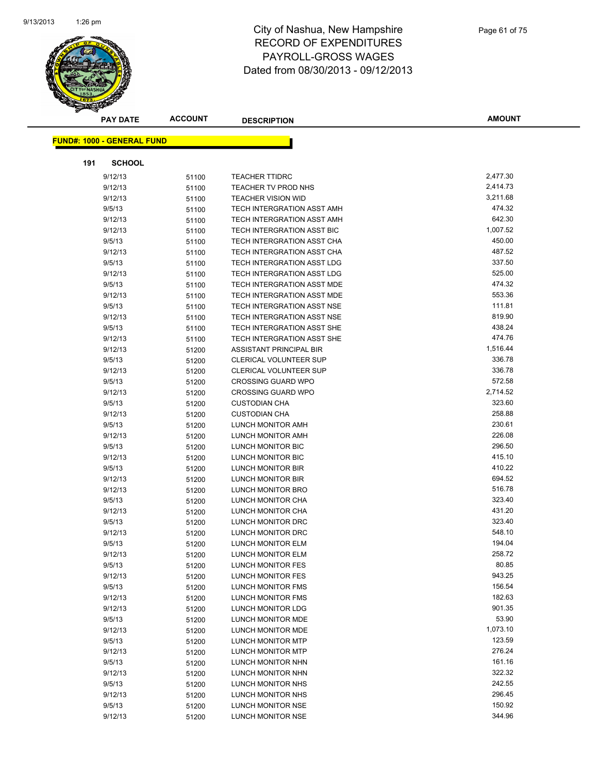

|                                   | <b>ACCOUNT</b><br><b>PAY DATE</b> |       | <b>DESCRIPTION</b>         | <b>AMOUNT</b>    |
|-----------------------------------|-----------------------------------|-------|----------------------------|------------------|
|                                   |                                   |       |                            |                  |
| <b>FUND#: 1000 - GENERAL FUND</b> |                                   |       |                            |                  |
| 191                               | <b>SCHOOL</b>                     |       |                            |                  |
| 9/12/13                           |                                   | 51100 | <b>TEACHER TTIDRC</b>      | 2,477.30         |
| 9/12/13                           |                                   | 51100 | TEACHER TV PROD NHS        | 2,414.73         |
| 9/12/13                           |                                   | 51100 | <b>TEACHER VISION WID</b>  | 3,211.68         |
| 9/5/13                            |                                   | 51100 | TECH INTERGRATION ASST AMH | 474.32           |
| 9/12/13                           |                                   | 51100 | TECH INTERGRATION ASST AMH | 642.30           |
| 9/12/13                           |                                   | 51100 | TECH INTERGRATION ASST BIC | 1,007.52         |
| 9/5/13                            |                                   | 51100 | TECH INTERGRATION ASST CHA | 450.00           |
| 9/12/13                           |                                   | 51100 | TECH INTERGRATION ASST CHA | 487.52           |
| 9/5/13                            |                                   | 51100 | TECH INTERGRATION ASST LDG | 337.50           |
| 9/12/13                           |                                   | 51100 | TECH INTERGRATION ASST LDG | 525.00           |
| 9/5/13                            |                                   | 51100 | TECH INTERGRATION ASST MDE | 474.32           |
| 9/12/13                           |                                   | 51100 | TECH INTERGRATION ASST MDE | 553.36           |
| 9/5/13                            |                                   | 51100 | TECH INTERGRATION ASST NSE | 111.81           |
| 9/12/13                           |                                   | 51100 | TECH INTERGRATION ASST NSE | 819.90           |
| 9/5/13                            |                                   | 51100 | TECH INTERGRATION ASST SHE | 438.24           |
| 9/12/13                           |                                   | 51100 | TECH INTERGRATION ASST SHE | 474.76           |
| 9/12/13                           |                                   | 51200 | ASSISTANT PRINCIPAL BIR    | 1,516.44         |
| 9/5/13                            |                                   | 51200 | CLERICAL VOLUNTEER SUP     | 336.78           |
| 9/12/13                           |                                   | 51200 | CLERICAL VOLUNTEER SUP     | 336.78           |
| 9/5/13                            |                                   | 51200 | <b>CROSSING GUARD WPO</b>  | 572.58           |
| 9/12/13                           |                                   | 51200 | <b>CROSSING GUARD WPO</b>  | 2,714.52         |
| 9/5/13                            |                                   | 51200 | <b>CUSTODIAN CHA</b>       | 323.60           |
| 9/12/13                           |                                   | 51200 | <b>CUSTODIAN CHA</b>       | 258.88           |
| 9/5/13                            |                                   | 51200 | LUNCH MONITOR AMH          | 230.61           |
| 9/12/13                           |                                   | 51200 | LUNCH MONITOR AMH          | 226.08           |
| 9/5/13                            |                                   | 51200 | LUNCH MONITOR BIC          | 296.50           |
| 9/12/13                           |                                   | 51200 | LUNCH MONITOR BIC          | 415.10           |
| 9/5/13                            |                                   | 51200 | LUNCH MONITOR BIR          | 410.22           |
| 9/12/13                           |                                   | 51200 | LUNCH MONITOR BIR          | 694.52           |
| 9/12/13                           |                                   | 51200 | LUNCH MONITOR BRO          | 516.78           |
| 9/5/13                            |                                   | 51200 | LUNCH MONITOR CHA          | 323.40           |
| 9/12/13                           |                                   | 51200 | LUNCH MONITOR CHA          | 431.20           |
| 9/5/13                            |                                   | 51200 | LUNCH MONITOR DRC          | 323.40           |
| 9/12/13                           |                                   | 51200 | LUNCH MONITOR DRC          | 548.10           |
| 9/5/13                            |                                   | 51200 | <b>LUNCH MONITOR ELM</b>   | 194.04           |
| 9/12/13                           |                                   | 51200 | LUNCH MONITOR ELM          | 258.72           |
| 9/5/13                            |                                   | 51200 | LUNCH MONITOR FES          | 80.85            |
| 9/12/13                           |                                   | 51200 | <b>LUNCH MONITOR FES</b>   | 943.25           |
| 9/5/13                            |                                   | 51200 | LUNCH MONITOR FMS          | 156.54           |
| 9/12/13                           |                                   | 51200 | LUNCH MONITOR FMS          | 182.63           |
| 9/12/13                           |                                   | 51200 | LUNCH MONITOR LDG          | 901.35           |
| 9/5/13                            |                                   | 51200 | LUNCH MONITOR MDE          | 53.90            |
| 9/12/13                           |                                   | 51200 | LUNCH MONITOR MDE          | 1,073.10         |
| 9/5/13                            |                                   | 51200 | LUNCH MONITOR MTP          | 123.59           |
| 9/12/13                           |                                   | 51200 | LUNCH MONITOR MTP          | 276.24<br>161.16 |
| 9/5/13                            |                                   | 51200 | LUNCH MONITOR NHN          |                  |
| 9/12/13                           |                                   | 51200 | LUNCH MONITOR NHN          | 322.32<br>242.55 |
| 9/5/13                            |                                   | 51200 | LUNCH MONITOR NHS          |                  |
| 9/12/13                           |                                   | 51200 | LUNCH MONITOR NHS          | 296.45<br>150.92 |
| 9/5/13                            |                                   | 51200 | LUNCH MONITOR NSE          | 344.96           |
| 9/12/13                           |                                   | 51200 | LUNCH MONITOR NSE          |                  |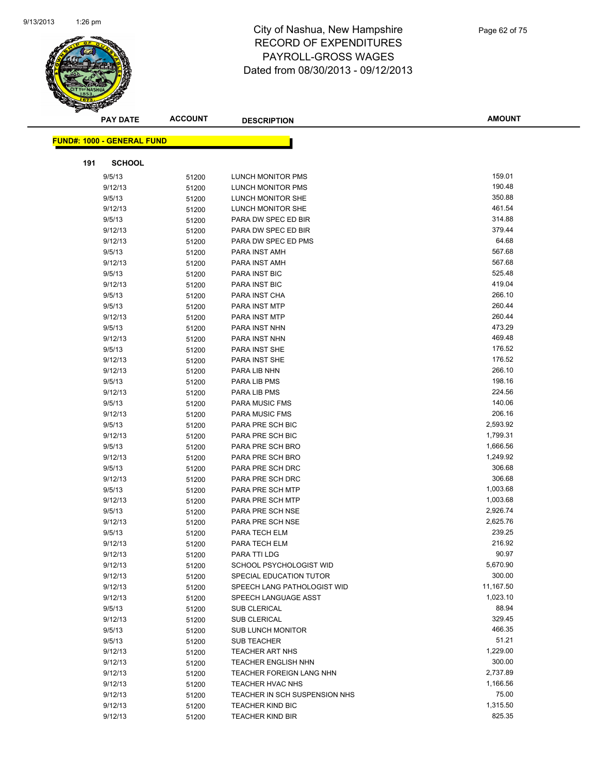

|     | <b>PAY DATE</b>                   | <b>ACCOUNT</b> | <b>DESCRIPTION</b>            | <b>AMOUNT</b> |
|-----|-----------------------------------|----------------|-------------------------------|---------------|
|     | <b>FUND#: 1000 - GENERAL FUND</b> |                |                               |               |
|     |                                   |                |                               |               |
| 191 | <b>SCHOOL</b>                     |                |                               |               |
|     | 9/5/13                            | 51200          | LUNCH MONITOR PMS             | 159.01        |
|     | 9/12/13                           | 51200          | LUNCH MONITOR PMS             | 190.48        |
|     | 9/5/13                            | 51200          | LUNCH MONITOR SHE             | 350.88        |
|     | 9/12/13                           | 51200          | LUNCH MONITOR SHE             | 461.54        |
|     | 9/5/13                            | 51200          | PARA DW SPEC ED BIR           | 314.88        |
|     | 9/12/13                           | 51200          | PARA DW SPEC ED BIR           | 379.44        |
|     | 9/12/13                           | 51200          | PARA DW SPEC ED PMS           | 64.68         |
|     | 9/5/13                            | 51200          | PARA INST AMH                 | 567.68        |
|     | 9/12/13                           | 51200          | PARA INST AMH                 | 567.68        |
|     | 9/5/13                            | 51200          | PARA INST BIC                 | 525.48        |
|     | 9/12/13                           | 51200          | PARA INST BIC                 | 419.04        |
|     | 9/5/13                            | 51200          | PARA INST CHA                 | 266.10        |
|     | 9/5/13                            | 51200          | PARA INST MTP                 | 260.44        |
|     | 9/12/13                           | 51200          | PARA INST MTP                 | 260.44        |
|     | 9/5/13                            | 51200          | PARA INST NHN                 | 473.29        |
|     | 9/12/13                           | 51200          | PARA INST NHN                 | 469.48        |
|     | 9/5/13                            | 51200          | PARA INST SHE                 | 176.52        |
|     | 9/12/13                           | 51200          | PARA INST SHE                 | 176.52        |
|     | 9/12/13                           | 51200          | PARA LIB NHN                  | 266.10        |
|     | 9/5/13                            | 51200          | PARA LIB PMS                  | 198.16        |
|     | 9/12/13                           | 51200          | PARA LIB PMS                  | 224.56        |
|     | 9/5/13                            | 51200          | <b>PARA MUSIC FMS</b>         | 140.06        |
|     | 9/12/13                           | 51200          | <b>PARA MUSIC FMS</b>         | 206.16        |
|     | 9/5/13                            | 51200          | PARA PRE SCH BIC              | 2,593.92      |
|     | 9/12/13                           | 51200          | PARA PRE SCH BIC              | 1,799.31      |
|     | 9/5/13                            | 51200          | PARA PRE SCH BRO              | 1,666.56      |
|     | 9/12/13                           | 51200          | PARA PRE SCH BRO              | 1,249.92      |
|     | 9/5/13                            | 51200          | PARA PRE SCH DRC              | 306.68        |
|     | 9/12/13                           | 51200          | PARA PRE SCH DRC              | 306.68        |
|     | 9/5/13                            | 51200          | PARA PRE SCH MTP              | 1,003.68      |
|     | 9/12/13                           | 51200          | PARA PRE SCH MTP              | 1,003.68      |
|     | 9/5/13                            | 51200          | PARA PRE SCH NSE              | 2,926.74      |
|     | 9/12/13                           | 51200          | PARA PRE SCH NSE              | 2,625.76      |
|     | 9/5/13                            | 51200          | PARA TECH ELM                 | 239.25        |
|     | 9/12/13                           | 51200          | PARA TECH ELM                 | 216.92        |
|     | 9/12/13                           | 51200          | PARA TTI LDG                  | 90.97         |
|     | 9/12/13                           | 51200          | SCHOOL PSYCHOLOGIST WID       | 5,670.90      |
|     | 9/12/13                           | 51200          | SPECIAL EDUCATION TUTOR       | 300.00        |
|     | 9/12/13                           | 51200          | SPEECH LANG PATHOLOGIST WID   | 11,167.50     |
|     | 9/12/13                           | 51200          | SPEECH LANGUAGE ASST          | 1,023.10      |
|     | 9/5/13                            | 51200          | <b>SUB CLERICAL</b>           | 88.94         |
|     | 9/12/13                           | 51200          | <b>SUB CLERICAL</b>           | 329.45        |
|     | 9/5/13                            | 51200          | SUB LUNCH MONITOR             | 466.35        |
|     | 9/5/13                            | 51200          | <b>SUB TEACHER</b>            | 51.21         |
|     | 9/12/13                           | 51200          | <b>TEACHER ART NHS</b>        | 1,229.00      |
|     | 9/12/13                           | 51200          | <b>TEACHER ENGLISH NHN</b>    | 300.00        |
|     | 9/12/13                           | 51200          | TEACHER FOREIGN LANG NHN      | 2,737.89      |
|     | 9/12/13                           | 51200          | <b>TEACHER HVAC NHS</b>       | 1,166.56      |
|     | 9/12/13                           | 51200          | TEACHER IN SCH SUSPENSION NHS | 75.00         |
|     | 9/12/13                           | 51200          | <b>TEACHER KIND BIC</b>       | 1,315.50      |
|     | 9/12/13                           | 51200          | <b>TEACHER KIND BIR</b>       | 825.35        |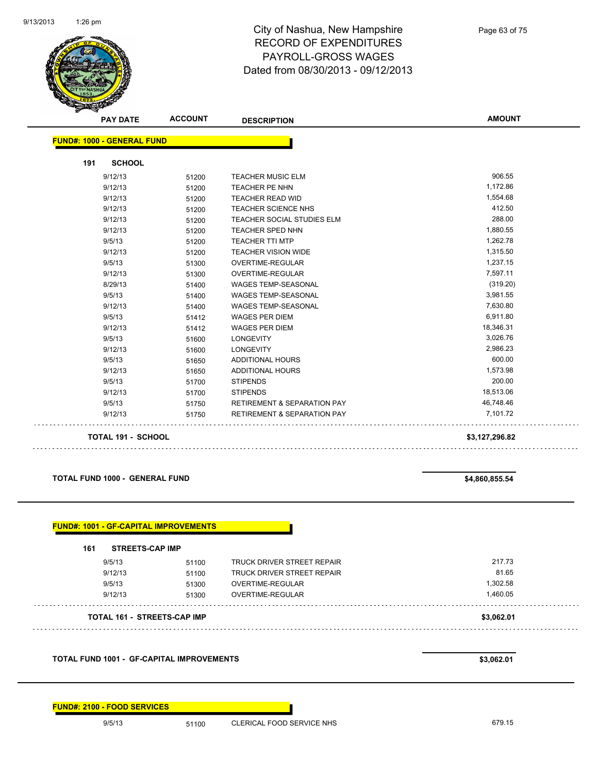

| <b>PAY DATE</b>                   | <b>ACCOUNT</b> | <b>DESCRIPTION</b>                     | <b>AMOUNT</b>  |
|-----------------------------------|----------------|----------------------------------------|----------------|
| <b>FUND#: 1000 - GENERAL FUND</b> |                |                                        |                |
| <b>SCHOOL</b><br>191              |                |                                        |                |
| 9/12/13                           | 51200          | <b>TEACHER MUSIC ELM</b>               | 906.55         |
| 9/12/13                           | 51200          | TEACHER PE NHN                         | 1,172.86       |
| 9/12/13                           | 51200          | <b>TEACHER READ WID</b>                | 1,554.68       |
| 9/12/13                           | 51200          | TEACHER SCIENCE NHS                    | 412.50         |
| 9/12/13                           | 51200          | <b>TEACHER SOCIAL STUDIES ELM</b>      | 288.00         |
| 9/12/13                           | 51200          | TEACHER SPED NHN                       | 1,880.55       |
| 9/5/13                            | 51200          | <b>TEACHER TTI MTP</b>                 | 1,262.78       |
| 9/12/13                           | 51200          | <b>TEACHER VISION WIDE</b>             | 1,315.50       |
| 9/5/13                            | 51300          | <b>OVERTIME-REGULAR</b>                | 1,237.15       |
| 9/12/13                           | 51300          | <b>OVERTIME-REGULAR</b>                | 7,597.11       |
| 8/29/13                           | 51400          | WAGES TEMP-SEASONAL                    | (319.20)       |
| 9/5/13                            | 51400          | <b>WAGES TEMP-SEASONAL</b>             | 3,981.55       |
| 9/12/13                           | 51400          | WAGES TEMP-SEASONAL                    | 7,630.80       |
| 9/5/13                            | 51412          | <b>WAGES PER DIEM</b>                  | 6,911.80       |
| 9/12/13                           | 51412          | <b>WAGES PER DIEM</b>                  | 18,346.31      |
| 9/5/13                            | 51600          | <b>LONGEVITY</b>                       | 3,026.76       |
| 9/12/13                           | 51600          | <b>LONGEVITY</b>                       | 2,986.23       |
| 9/5/13                            | 51650          | <b>ADDITIONAL HOURS</b>                | 600.00         |
| 9/12/13                           | 51650          | <b>ADDITIONAL HOURS</b>                | 1,573.98       |
| 9/5/13                            | 51700          | <b>STIPENDS</b>                        | 200.00         |
| 9/12/13                           | 51700          | <b>STIPENDS</b>                        | 18,513.06      |
| 9/5/13                            | 51750          | <b>RETIREMENT &amp; SEPARATION PAY</b> | 46,748.46      |
| 9/12/13                           | 51750          | <b>RETIREMENT &amp; SEPARATION PAY</b> | 7,101.72       |
| <b>TOTAL 191 - SCHOOL</b>         |                |                                        | \$3,127,296.82 |

**TOTAL FUND 1000 - GENERAL FUND \$4,860,855.54** 

| 161     | <b>STREETS-CAP IMP</b>             |                                   |            |
|---------|------------------------------------|-----------------------------------|------------|
| 9/5/13  | 51100                              | TRUCK DRIVER STREET REPAIR        | 217.73     |
| 9/12/13 | 51100                              | <b>TRUCK DRIVER STREET REPAIR</b> | 81.65      |
| 9/5/13  | 51300                              | OVERTIME-REGULAR                  | 1,302.58   |
| 9/12/13 | 51300                              | <b>OVERTIME-REGULAR</b>           | 1,460.05   |
|         | <b>TOTAL 161 - STREETS-CAP IMP</b> |                                   | \$3,062.01 |

**TOTAL FUND 1001 - GF-CAPITAL IMPROVEMENTS \$3,062.01** 

**FUND#: 2100 - FOOD SERVICES**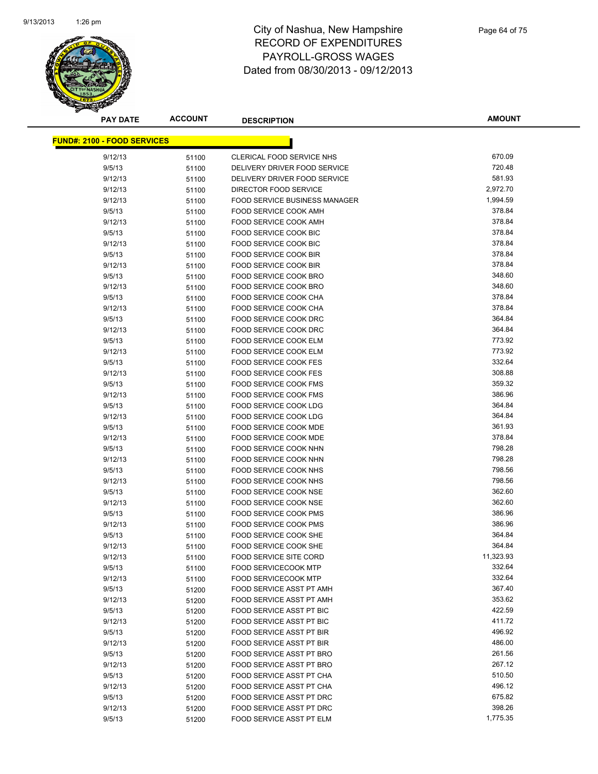

| <b>PAY DATE</b>                    | <b>ACCOUNT</b> | <b>DESCRIPTION</b>                   | <b>AMOUNT</b> |
|------------------------------------|----------------|--------------------------------------|---------------|
| <b>FUND#: 2100 - FOOD SERVICES</b> |                |                                      |               |
|                                    |                |                                      |               |
| 9/12/13                            | 51100          | CLERICAL FOOD SERVICE NHS            | 670.09        |
| 9/5/13                             | 51100          | DELIVERY DRIVER FOOD SERVICE         | 720.48        |
| 9/12/13                            | 51100          | DELIVERY DRIVER FOOD SERVICE         | 581.93        |
| 9/12/13                            | 51100          | DIRECTOR FOOD SERVICE                | 2,972.70      |
| 9/12/13                            | 51100          | <b>FOOD SERVICE BUSINESS MANAGER</b> | 1,994.59      |
| 9/5/13                             | 51100          | <b>FOOD SERVICE COOK AMH</b>         | 378.84        |
| 9/12/13                            | 51100          | FOOD SERVICE COOK AMH                | 378.84        |
| 9/5/13                             | 51100          | FOOD SERVICE COOK BIC                | 378.84        |
| 9/12/13                            | 51100          | <b>FOOD SERVICE COOK BIC</b>         | 378.84        |
| 9/5/13                             | 51100          | FOOD SERVICE COOK BIR                | 378.84        |
| 9/12/13                            | 51100          | FOOD SERVICE COOK BIR                | 378.84        |
| 9/5/13                             | 51100          | FOOD SERVICE COOK BRO                | 348.60        |
| 9/12/13                            | 51100          | FOOD SERVICE COOK BRO                | 348.60        |
| 9/5/13                             | 51100          | FOOD SERVICE COOK CHA                | 378.84        |
| 9/12/13                            | 51100          | FOOD SERVICE COOK CHA                | 378.84        |
| 9/5/13                             | 51100          | <b>FOOD SERVICE COOK DRC</b>         | 364.84        |
| 9/12/13                            | 51100          | FOOD SERVICE COOK DRC                | 364.84        |
| 9/5/13                             | 51100          | FOOD SERVICE COOK ELM                | 773.92        |
| 9/12/13                            | 51100          | <b>FOOD SERVICE COOK ELM</b>         | 773.92        |
| 9/5/13                             | 51100          | FOOD SERVICE COOK FES                | 332.64        |
| 9/12/13                            | 51100          | FOOD SERVICE COOK FES                | 308.88        |
| 9/5/13                             | 51100          | <b>FOOD SERVICE COOK FMS</b>         | 359.32        |
| 9/12/13                            | 51100          | FOOD SERVICE COOK FMS                | 386.96        |
| 9/5/13                             | 51100          | FOOD SERVICE COOK LDG                | 364.84        |
| 9/12/13                            | 51100          | FOOD SERVICE COOK LDG                | 364.84        |
| 9/5/13                             | 51100          | FOOD SERVICE COOK MDE                | 361.93        |
| 9/12/13                            | 51100          | FOOD SERVICE COOK MDE                | 378.84        |
| 9/5/13                             | 51100          | FOOD SERVICE COOK NHN                | 798.28        |
| 9/12/13                            | 51100          | FOOD SERVICE COOK NHN                | 798.28        |
| 9/5/13                             | 51100          | FOOD SERVICE COOK NHS                | 798.56        |
| 9/12/13                            | 51100          | FOOD SERVICE COOK NHS                | 798.56        |
| 9/5/13                             | 51100          | FOOD SERVICE COOK NSE                | 362.60        |
| 9/12/13                            | 51100          | FOOD SERVICE COOK NSE                | 362.60        |
| 9/5/13                             | 51100          | FOOD SERVICE COOK PMS                | 386.96        |
| 9/12/13                            | 51100          | FOOD SERVICE COOK PMS                | 386.96        |
| 9/5/13                             | 51100          | FOOD SERVICE COOK SHE                | 364.84        |
| 9/12/13                            | 51100          | FOOD SERVICE COOK SHE                | 364.84        |
| 9/12/13                            | 51100          | <b>FOOD SERVICE SITE CORD</b>        | 11,323.93     |
| 9/5/13                             | 51100          | <b>FOOD SERVICECOOK MTP</b>          | 332.64        |
| 9/12/13                            | 51100          | <b>FOOD SERVICECOOK MTP</b>          | 332.64        |
| 9/5/13                             | 51200          | FOOD SERVICE ASST PT AMH             | 367.40        |
| 9/12/13                            | 51200          | FOOD SERVICE ASST PT AMH             | 353.62        |
| 9/5/13                             | 51200          | FOOD SERVICE ASST PT BIC             | 422.59        |
| 9/12/13                            | 51200          | FOOD SERVICE ASST PT BIC             | 411.72        |
| 9/5/13                             | 51200          | FOOD SERVICE ASST PT BIR             | 496.92        |
| 9/12/13                            | 51200          | FOOD SERVICE ASST PT BIR             | 486.00        |
| 9/5/13                             | 51200          | FOOD SERVICE ASST PT BRO             | 261.56        |
| 9/12/13                            | 51200          | <b>FOOD SERVICE ASST PT BRO</b>      | 267.12        |
| 9/5/13                             | 51200          | FOOD SERVICE ASST PT CHA             | 510.50        |
| 9/12/13                            | 51200          | FOOD SERVICE ASST PT CHA             | 496.12        |
| 9/5/13                             | 51200          | FOOD SERVICE ASST PT DRC             | 675.82        |
| 9/12/13                            | 51200          | FOOD SERVICE ASST PT DRC             | 398.26        |
| 9/5/13                             | 51200          | FOOD SERVICE ASST PT ELM             | 1,775.35      |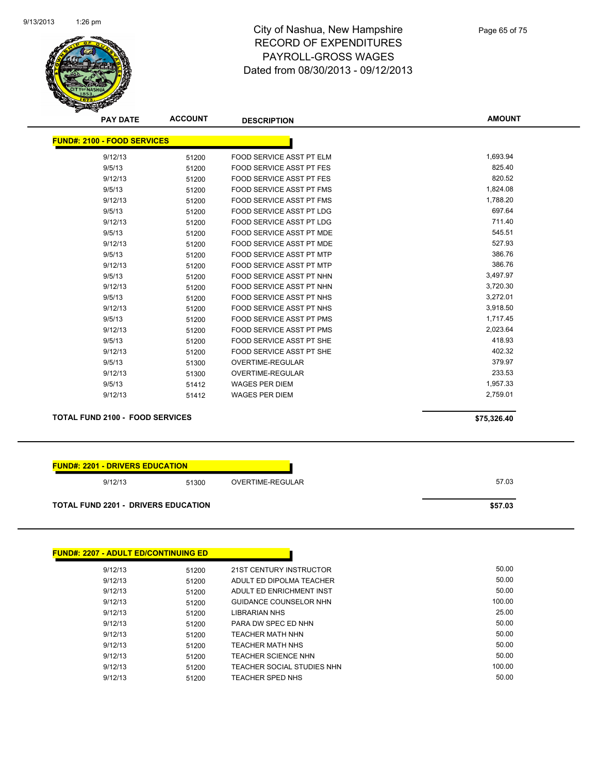

| <b>PAY DATE</b>                        | <b>ACCOUNT</b> | <b>DESCRIPTION</b>              | <b>AMOUNT</b> |
|----------------------------------------|----------------|---------------------------------|---------------|
| <b>FUND#: 2100 - FOOD SERVICES</b>     |                |                                 |               |
| 9/12/13                                | 51200          | <b>FOOD SERVICE ASST PT ELM</b> | 1,693.94      |
| 9/5/13                                 | 51200          | <b>FOOD SERVICE ASST PT FES</b> | 825.40        |
| 9/12/13                                | 51200          | <b>FOOD SERVICE ASST PT FES</b> | 820.52        |
| 9/5/13                                 | 51200          | <b>FOOD SERVICE ASST PT FMS</b> | 1,824.08      |
| 9/12/13                                | 51200          | <b>FOOD SERVICE ASST PT FMS</b> | 1,788.20      |
| 9/5/13                                 | 51200          | <b>FOOD SERVICE ASST PT LDG</b> | 697.64        |
| 9/12/13                                | 51200          | <b>FOOD SERVICE ASST PT LDG</b> | 711.40        |
| 9/5/13                                 | 51200          | <b>FOOD SERVICE ASST PT MDE</b> | 545.51        |
| 9/12/13                                | 51200          | <b>FOOD SERVICE ASST PT MDE</b> | 527.93        |
| 9/5/13                                 | 51200          | FOOD SERVICE ASST PT MTP        | 386.76        |
| 9/12/13                                | 51200          | <b>FOOD SERVICE ASST PT MTP</b> | 386.76        |
| 9/5/13                                 | 51200          | FOOD SERVICE ASST PT NHN        | 3,497.97      |
| 9/12/13                                | 51200          | FOOD SERVICE ASST PT NHN        | 3,720.30      |
| 9/5/13                                 | 51200          | <b>FOOD SERVICE ASST PT NHS</b> | 3,272.01      |
| 9/12/13                                | 51200          | FOOD SERVICE ASST PT NHS        | 3,918.50      |
| 9/5/13                                 | 51200          | FOOD SERVICE ASST PT PMS        | 1,717.45      |
| 9/12/13                                | 51200          | <b>FOOD SERVICE ASST PT PMS</b> | 2,023.64      |
| 9/5/13                                 | 51200          | <b>FOOD SERVICE ASST PT SHE</b> | 418.93        |
| 9/12/13                                | 51200          | <b>FOOD SERVICE ASST PT SHE</b> | 402.32        |
| 9/5/13                                 | 51300          | <b>OVERTIME-REGULAR</b>         | 379.97        |
| 9/12/13                                | 51300          | <b>OVERTIME-REGULAR</b>         | 233.53        |
| 9/5/13                                 | 51412          | <b>WAGES PER DIEM</b>           | 1,957.33      |
| 9/12/13                                | 51412          | <b>WAGES PER DIEM</b>           | 2,759.01      |
|                                        |                |                                 |               |
| <b>TOTAL FUND 2100 - FOOD SERVICES</b> |                |                                 | \$75,326.40   |

| <b>FUND#: 2207 - ADULT ED/CONTINUING ED</b> |       |                            |        |
|---------------------------------------------|-------|----------------------------|--------|
| 9/12/13                                     | 51200 | 21ST CENTURY INSTRUCTOR    | 50.00  |
| 9/12/13                                     | 51200 | ADULT ED DIPOLMA TEACHER   | 50.00  |
| 9/12/13                                     | 51200 | ADULT ED ENRICHMENT INST   | 50.00  |
| 9/12/13                                     | 51200 | GUIDANCE COUNSELOR NHN     | 100.00 |
| 9/12/13                                     | 51200 | <b>LIBRARIAN NHS</b>       | 25.00  |
| 9/12/13                                     | 51200 | PARA DW SPEC ED NHN        | 50.00  |
| 9/12/13                                     | 51200 | <b>TEACHER MATH NHN</b>    | 50.00  |
| 9/12/13                                     | 51200 | TEACHER MATH NHS           | 50.00  |
| 9/12/13                                     | 51200 | <b>TEACHER SCIENCE NHN</b> | 50.00  |
| 9/12/13                                     | 51200 | TEACHER SOCIAL STUDIES NHN | 100.00 |
| 9/12/13                                     | 51200 | <b>TEACHER SPED NHS</b>    | 50.00  |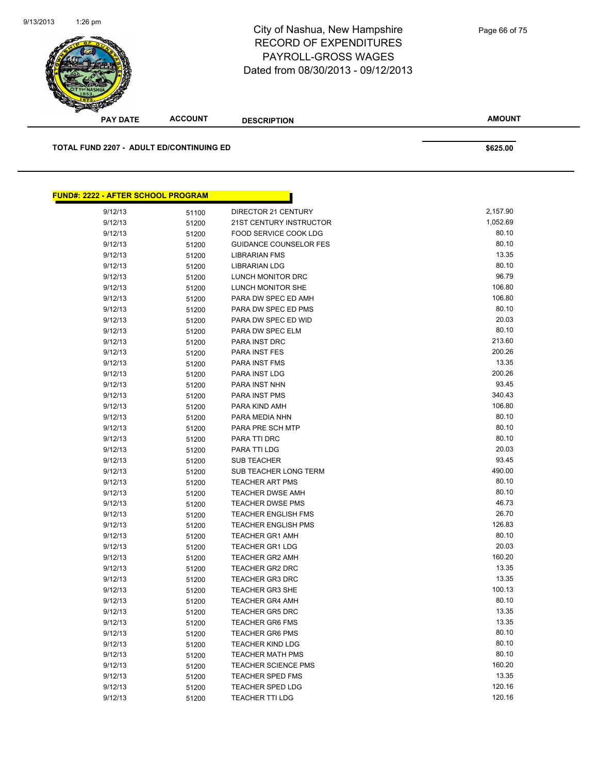

| <u> FUND#: 2222 - AFTER SCHOOL PROGRAM</u> |       |                               |          |
|--------------------------------------------|-------|-------------------------------|----------|
| 9/12/13                                    | 51100 | DIRECTOR 21 CENTURY           | 2,157.90 |
| 9/12/13                                    | 51200 | 21ST CENTURY INSTRUCTOR       | 1,052.69 |
| 9/12/13                                    | 51200 | FOOD SERVICE COOK LDG         | 80.10    |
| 9/12/13                                    | 51200 | <b>GUIDANCE COUNSELOR FES</b> | 80.10    |
| 9/12/13                                    | 51200 | <b>LIBRARIAN FMS</b>          | 13.35    |
| 9/12/13                                    | 51200 | LIBRARIAN LDG                 | 80.10    |
| 9/12/13                                    | 51200 | LUNCH MONITOR DRC             | 96.79    |
| 9/12/13                                    | 51200 | LUNCH MONITOR SHE             | 106.80   |
| 9/12/13                                    | 51200 | PARA DW SPEC ED AMH           | 106.80   |
| 9/12/13                                    | 51200 | PARA DW SPEC ED PMS           | 80.10    |
| 9/12/13                                    | 51200 | PARA DW SPEC ED WID           | 20.03    |
| 9/12/13                                    | 51200 | PARA DW SPEC ELM              | 80.10    |
| 9/12/13                                    | 51200 | PARA INST DRC                 | 213.60   |
| 9/12/13                                    | 51200 | PARA INST FES                 | 200.26   |
| 9/12/13                                    | 51200 | PARA INST FMS                 | 13.35    |
| 9/12/13                                    | 51200 | PARA INST LDG                 | 200.26   |
| 9/12/13                                    | 51200 | PARA INST NHN                 | 93.45    |
| 9/12/13                                    | 51200 | PARA INST PMS                 | 340.43   |
| 9/12/13                                    | 51200 | PARA KIND AMH                 | 106.80   |
| 9/12/13                                    | 51200 | PARA MEDIA NHN                | 80.10    |
| 9/12/13                                    | 51200 | PARA PRE SCH MTP              | 80.10    |
| 9/12/13                                    | 51200 | PARA TTI DRC                  | 80.10    |
| 9/12/13                                    | 51200 | PARA TTI LDG                  | 20.03    |
| 9/12/13                                    | 51200 | <b>SUB TEACHER</b>            | 93.45    |
| 9/12/13                                    | 51200 | SUB TEACHER LONG TERM         | 490.00   |
| 9/12/13                                    | 51200 | <b>TEACHER ART PMS</b>        | 80.10    |
| 9/12/13                                    | 51200 | <b>TEACHER DWSE AMH</b>       | 80.10    |
| 9/12/13                                    | 51200 | <b>TEACHER DWSE PMS</b>       | 46.73    |
| 9/12/13                                    | 51200 | <b>TEACHER ENGLISH FMS</b>    | 26.70    |
| 9/12/13                                    | 51200 | <b>TEACHER ENGLISH PMS</b>    | 126.83   |
| 9/12/13                                    | 51200 | <b>TEACHER GR1 AMH</b>        | 80.10    |
| 9/12/13                                    | 51200 | <b>TEACHER GR1 LDG</b>        | 20.03    |
| 9/12/13                                    | 51200 | <b>TEACHER GR2 AMH</b>        | 160.20   |
| 9/12/13                                    | 51200 | <b>TEACHER GR2 DRC</b>        | 13.35    |
| 9/12/13                                    | 51200 | <b>TEACHER GR3 DRC</b>        | 13.35    |
| 9/12/13                                    | 51200 | <b>TEACHER GR3 SHE</b>        | 100.13   |
| 9/12/13                                    | 51200 | <b>TEACHER GR4 AMH</b>        | 80.10    |
| 9/12/13                                    | 51200 | <b>TEACHER GR5 DRC</b>        | 13.35    |
| 9/12/13                                    | 51200 | <b>TEACHER GR6 FMS</b>        | 13.35    |
| 9/12/13                                    | 51200 | <b>TEACHER GR6 PMS</b>        | 80.10    |
| 9/12/13                                    | 51200 | <b>TEACHER KIND LDG</b>       | 80.10    |
| 9/12/13                                    | 51200 | <b>TEACHER MATH PMS</b>       | 80.10    |
| 9/12/13                                    | 51200 | <b>TEACHER SCIENCE PMS</b>    | 160.20   |
| 9/12/13                                    | 51200 | TEACHER SPED FMS              | 13.35    |
| 9/12/13                                    | 51200 | <b>TEACHER SPED LDG</b>       | 120.16   |
| 9/12/13                                    | 51200 | TEACHER TTI LDG               | 120.16   |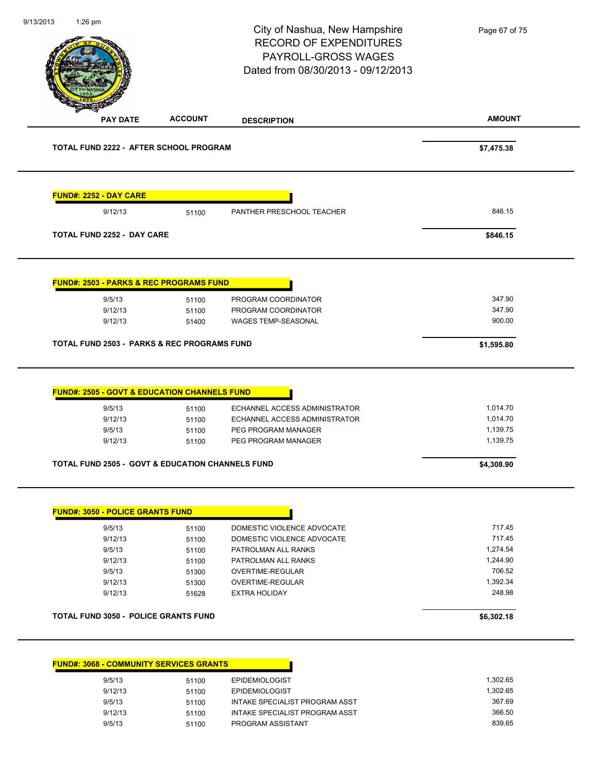|                                                                                                        |                | City of Nashua, New Hampshire<br><b>RECORD OF EXPENDITURES</b><br>PAYROLL-GROSS WAGES<br>Dated from 08/30/2013 - 09/12/2013 | Page 67 of 75        |
|--------------------------------------------------------------------------------------------------------|----------------|-----------------------------------------------------------------------------------------------------------------------------|----------------------|
| <b>PAY DATE</b>                                                                                        | <b>ACCOUNT</b> | <b>DESCRIPTION</b>                                                                                                          | <b>AMOUNT</b>        |
| TOTAL FUND 2222 - AFTER SCHOOL PROGRAM                                                                 |                |                                                                                                                             | \$7,475.38           |
| <b>FUND#: 2252 - DAY CARE</b>                                                                          |                |                                                                                                                             |                      |
| 9/12/13                                                                                                | 51100          | PANTHER PRESCHOOL TEACHER                                                                                                   | 846.15               |
| <b>TOTAL FUND 2252 - DAY CARE</b>                                                                      |                |                                                                                                                             | \$846.15             |
| <b>FUND#: 2503 - PARKS &amp; REC PROGRAMS FUND</b>                                                     |                |                                                                                                                             |                      |
| 9/5/13                                                                                                 | 51100          | PROGRAM COORDINATOR                                                                                                         | 347.90               |
| 9/12/13                                                                                                | 51100          | PROGRAM COORDINATOR                                                                                                         | 347.90               |
| 9/12/13                                                                                                | 51400          | WAGES TEMP-SEASONAL                                                                                                         | 900.00               |
|                                                                                                        |                |                                                                                                                             |                      |
| <b>FUND#: 2505 - GOVT &amp; EDUCATION CHANNELS FUND</b><br>9/5/13                                      | 51100          | ECHANNEL ACCESS ADMINISTRATOR                                                                                               | 1,014.70             |
| 9/12/13<br>9/5/13                                                                                      | 51100<br>51100 | ECHANNEL ACCESS ADMINISTRATOR<br>PEG PROGRAM MANAGER                                                                        | 1,014.70<br>1,139.75 |
| 9/12/13                                                                                                | 51100          | PEG PROGRAM MANAGER                                                                                                         | 1,139.75             |
|                                                                                                        |                |                                                                                                                             | \$4,308.90           |
| <b>TOTAL FUND 2505 - GOVT &amp; EDUCATION CHANNELS FUND</b><br><b>FUND#: 3050 - POLICE GRANTS FUND</b> |                |                                                                                                                             |                      |
|                                                                                                        |                |                                                                                                                             | 717.45               |
| 9/5/13<br>9/12/13                                                                                      | 51100<br>51100 | DOMESTIC VIOLENCE ADVOCATE<br>DOMESTIC VIOLENCE ADVOCATE                                                                    | 717.45               |
| 9/5/13                                                                                                 | 51100          | PATROLMAN ALL RANKS                                                                                                         | 1,274.54             |
| 9/12/13                                                                                                | 51100          | PATROLMAN ALL RANKS                                                                                                         | 1,244.90             |
| 9/5/13                                                                                                 | 51300          | OVERTIME-REGULAR                                                                                                            | 706.52               |
| 9/12/13                                                                                                | 51300          | OVERTIME-REGULAR                                                                                                            | 1,392.34             |
| 9/12/13                                                                                                | 51628          | <b>EXTRA HOLIDAY</b>                                                                                                        | 248.98               |
| <b>TOTAL FUND 3050 - POLICE GRANTS FUND</b>                                                            |                |                                                                                                                             | \$6,302.18           |
|                                                                                                        |                |                                                                                                                             |                      |
| <b>FUND#: 3068 - COMMUNITY SERVICES GRANTS</b>                                                         |                |                                                                                                                             |                      |
| 9/5/13<br>9/12/13                                                                                      | 51100<br>51100 | <b>EPIDEMIOLOGIST</b><br><b>EPIDEMIOLOGIST</b>                                                                              | 1,302.65<br>1,302.65 |

9/12/13 51100 INTAKE SPECIALIST PROGRAM ASST 366.50 9/5/13 51100 PROGRAM ASSISTANT 839.65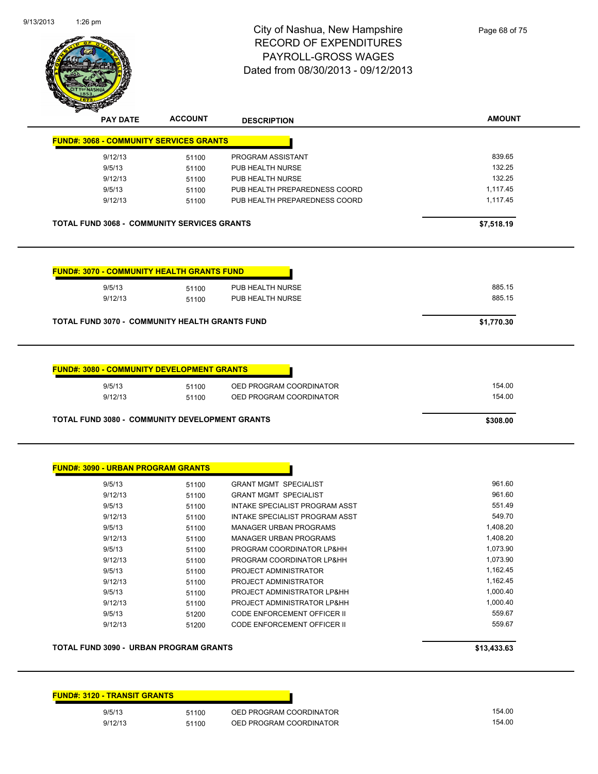| <b>FUND#: 3120 - TRANSIT GRANTS</b> |       |                         |
|-------------------------------------|-------|-------------------------|
| 9/5/13                              | 51100 | OED PROGRAM COORDINATOR |
| 9/12/13                             | 51100 | OED PROGRAM COORDINATOR |

**TOTAL FUND 3090 - URBAN PROGRAM GRANTS \$13,433.63** 

| 9/5/13  | 51100 | <b>GRANT MGMT SPECIALIST</b>       | 961.60   |
|---------|-------|------------------------------------|----------|
| 9/12/13 | 51100 | <b>GRANT MGMT SPECIALIST</b>       | 961.60   |
| 9/5/13  | 51100 | INTAKE SPECIALIST PROGRAM ASST     | 551.49   |
| 9/12/13 | 51100 | INTAKE SPECIALIST PROGRAM ASST     | 549.70   |
| 9/5/13  | 51100 | MANAGER URBAN PROGRAMS             | 1,408.20 |
| 9/12/13 | 51100 | <b>MANAGER URBAN PROGRAMS</b>      | 1,408.20 |
| 9/5/13  | 51100 | PROGRAM COORDINATOR LP&HH          | 1.073.90 |
| 9/12/13 | 51100 | PROGRAM COORDINATOR LP&HH          | 1,073.90 |
| 9/5/13  | 51100 | PROJECT ADMINISTRATOR              | 1,162.45 |
| 9/12/13 | 51100 | PROJECT ADMINISTRATOR              | 1,162.45 |
| 9/5/13  | 51100 | PROJECT ADMINISTRATOR LP&HH        | 1,000.40 |
| 9/12/13 | 51100 | PROJECT ADMINISTRATOR LP&HH        | 1,000.40 |
| 9/5/13  | 51200 | CODE ENFORCEMENT OFFICER II        | 559.67   |
| 9/12/13 | 51200 | <b>CODE ENFORCEMENT OFFICER II</b> | 559.67   |

| <b>FUND#: 3080 - COMMUNITY DEVELOPMENT GRANTS</b>                 |       |                         |        |  |  |
|-------------------------------------------------------------------|-------|-------------------------|--------|--|--|
| 9/5/13                                                            | 51100 | OED PROGRAM COORDINATOR | 154.00 |  |  |
| 9/12/13                                                           | 51100 | OED PROGRAM COORDINATOR | 154.00 |  |  |
| <b>TOTAL FUND 3080 - COMMUNITY DEVELOPMENT GRANTS</b><br>\$308.00 |       |                         |        |  |  |

| <b>FUND#: 3070 - COMMUNITY HEALTH GRANTS FUND</b> |       |                  |        |
|---------------------------------------------------|-------|------------------|--------|
| 9/5/13                                            | 51100 | PUB HEALTH NURSE | 885.15 |
| 9/12/13                                           | 51100 | PUB HEALTH NURSE | 885.15 |

**TOTAL FUND 3068 - COMMUNITY SERVICES GRANTS \$7,518.19** 

| <b>ACCOUNT</b><br><b>PAY DATE</b><br><b>DESCRIPTION</b><br><b>FUND#: 3068 - COMMUNITY SERVICES GRANTS</b><br>9/12/13<br>PROGRAM ASSISTANT<br>51100<br>9/5/13<br>PUB HEALTH NURSE<br>51100<br>9/12/13<br>PUB HEALTH NURSE<br>51100<br>PUB HEALTH PREPAREDNESS COORD<br>9/5/13<br>51100<br>9/12/13<br>PUB HEALTH PREPAREDNESS COORD<br>51100 | PAYROLL-GROSS WAGES<br>Dated from 08/30/2013 - 09/12/2013 |  |  |              |  |
|--------------------------------------------------------------------------------------------------------------------------------------------------------------------------------------------------------------------------------------------------------------------------------------------------------------------------------------------|-----------------------------------------------------------|--|--|--------------|--|
|                                                                                                                                                                                                                                                                                                                                            |                                                           |  |  | <b>AMOUN</b> |  |
|                                                                                                                                                                                                                                                                                                                                            |                                                           |  |  |              |  |
|                                                                                                                                                                                                                                                                                                                                            |                                                           |  |  | 839.65       |  |
|                                                                                                                                                                                                                                                                                                                                            |                                                           |  |  | 132.25       |  |
|                                                                                                                                                                                                                                                                                                                                            |                                                           |  |  | 132.25       |  |
|                                                                                                                                                                                                                                                                                                                                            |                                                           |  |  | 1,117.45     |  |
|                                                                                                                                                                                                                                                                                                                                            |                                                           |  |  | 1,117.45     |  |

City of Nashua, New Hampshire RECORD OF EXPENDITURES **GES** 12/2013

1:26 pm





Page 68 of 75

**AMOUNT**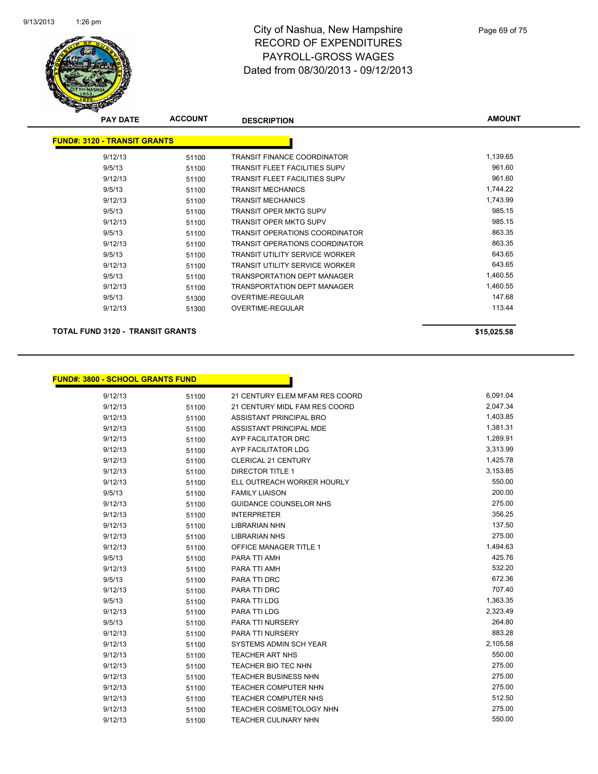

| <b>PAY DATE</b>                     | <b>ACCOUNT</b> | <b>DESCRIPTION</b>                    | <b>AMOUNT</b> |
|-------------------------------------|----------------|---------------------------------------|---------------|
| <b>FUND#: 3120 - TRANSIT GRANTS</b> |                |                                       |               |
| 9/12/13                             | 51100          | <b>TRANSIT FINANCE COORDINATOR</b>    | 1,139.65      |
| 9/5/13                              | 51100          | <b>TRANSIT FLEET FACILITIES SUPV</b>  | 961.60        |
| 9/12/13                             | 51100          | <b>TRANSIT FLEET FACILITIES SUPV</b>  | 961.60        |
| 9/5/13                              | 51100          | <b>TRANSIT MECHANICS</b>              | 1,744.22      |
| 9/12/13                             | 51100          | <b>TRANSIT MECHANICS</b>              | 1,743.99      |
| 9/5/13                              | 51100          | <b>TRANSIT OPER MKTG SUPV</b>         | 985.15        |
| 9/12/13                             | 51100          | <b>TRANSIT OPER MKTG SUPV</b>         | 985.15        |
| 9/5/13                              | 51100          | TRANSIT OPERATIONS COORDINATOR        | 863.35        |
| 9/12/13                             | 51100          | TRANSIT OPERATIONS COORDINATOR        | 863.35        |
| 9/5/13                              | 51100          | TRANSIT UTILITY SERVICE WORKER        | 643.65        |
| 9/12/13                             | 51100          | <b>TRANSIT UTILITY SERVICE WORKER</b> | 643.65        |
| 9/5/13                              | 51100          | <b>TRANSPORTATION DEPT MANAGER</b>    | 1,460.55      |
| 9/12/13                             | 51100          | <b>TRANSPORTATION DEPT MANAGER</b>    | 1,460.55      |
| 9/5/13                              | 51300          | OVERTIME-REGULAR                      | 147.68        |
| 9/12/13                             | 51300          | OVERTIME-REGULAR                      | 113.44        |

#### **TOTAL FUND 3120 - TRANSIT GRANTS \$15,025.58**

| <u> FUND#: 3800 - SCHOOL GRANTS FUND  </u> |  |  |  |
|--------------------------------------------|--|--|--|

| 9/12/13 | 51100 | 21 CENTURY ELEM MFAM RES COORD | 6,091.04 |
|---------|-------|--------------------------------|----------|
| 9/12/13 | 51100 | 21 CENTURY MIDL FAM RES COORD  | 2,047.34 |
| 9/12/13 | 51100 | ASSISTANT PRINCIPAL BRO        | 1,403.85 |
| 9/12/13 | 51100 | ASSISTANT PRINCIPAL MDE        | 1,381.31 |
| 9/12/13 | 51100 | AYP FACILITATOR DRC            | 1,289.91 |
| 9/12/13 | 51100 | AYP FACILITATOR LDG            | 3,313.99 |
| 9/12/13 | 51100 | <b>CLERICAL 21 CENTURY</b>     | 1,425.78 |
| 9/12/13 | 51100 | <b>DIRECTOR TITLE 1</b>        | 3,153.85 |
| 9/12/13 | 51100 | ELL OUTREACH WORKER HOURLY     | 550.00   |
| 9/5/13  | 51100 | <b>FAMILY LIAISON</b>          | 200.00   |
| 9/12/13 | 51100 | <b>GUIDANCE COUNSELOR NHS</b>  | 275.00   |
| 9/12/13 | 51100 | <b>INTERPRETER</b>             | 356.25   |
| 9/12/13 | 51100 | <b>LIBRARIAN NHN</b>           | 137.50   |
| 9/12/13 | 51100 | <b>LIBRARIAN NHS</b>           | 275.00   |
| 9/12/13 | 51100 | <b>OFFICE MANAGER TITLE 1</b>  | 1,494.63 |
| 9/5/13  | 51100 | PARA TTI AMH                   | 425.76   |
| 9/12/13 | 51100 | PARA TTI AMH                   | 532.20   |
| 9/5/13  | 51100 | PARA TTI DRC                   | 672.36   |
| 9/12/13 | 51100 | PARA TTI DRC                   | 707.40   |
| 9/5/13  | 51100 | PARA TTI LDG                   | 1,363.35 |
| 9/12/13 | 51100 | PARA TTI LDG                   | 2,323.49 |
| 9/5/13  | 51100 | PARA TTI NURSERY               | 264.80   |
| 9/12/13 | 51100 | PARA TTI NURSERY               | 883.28   |
| 9/12/13 | 51100 | SYSTEMS ADMIN SCH YEAR         | 2,105.58 |
| 9/12/13 | 51100 | <b>TEACHER ART NHS</b>         | 550.00   |
| 9/12/13 | 51100 | <b>TEACHER BIO TEC NHN</b>     | 275.00   |
| 9/12/13 | 51100 | TEACHER BUSINESS NHN           | 275.00   |
| 9/12/13 | 51100 | <b>TEACHER COMPUTER NHN</b>    | 275.00   |
| 9/12/13 | 51100 | <b>TEACHER COMPUTER NHS</b>    | 512.50   |
| 9/12/13 | 51100 | TEACHER COSMETOLOGY NHN        | 275.00   |
| 9/12/13 | 51100 | <b>TEACHER CULINARY NHN</b>    | 550.00   |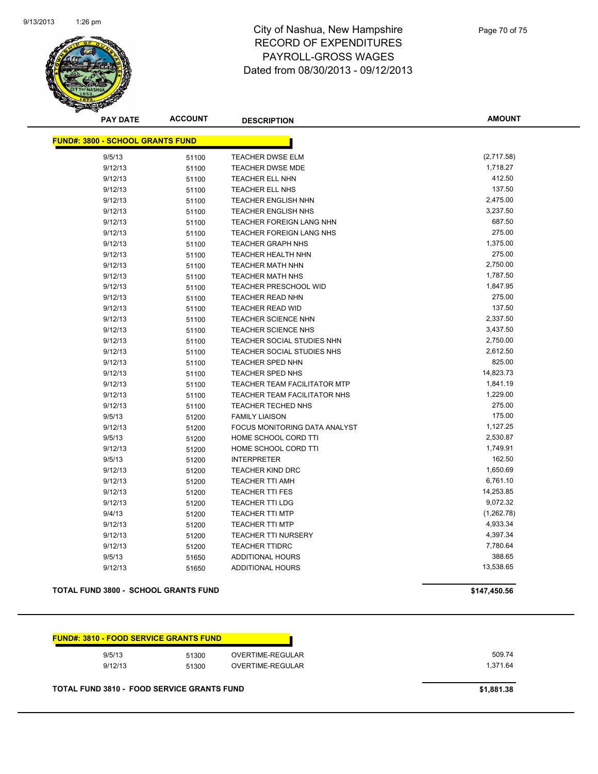

Page 70 of 75

**AMOUNT**

| <b>FUND#: 3800 - SCHOOL GRANTS FUND</b> |       |                                     |            |
|-----------------------------------------|-------|-------------------------------------|------------|
| 9/5/13                                  | 51100 | <b>TEACHER DWSE ELM</b>             | (2,717.58) |
| 9/12/13                                 | 51100 | <b>TEACHER DWSE MDE</b>             | 1,718.27   |
| 9/12/13                                 | 51100 | <b>TEACHER ELL NHN</b>              | 412.50     |
| 9/12/13                                 | 51100 | <b>TEACHER ELL NHS</b>              | 137.50     |
| 9/12/13                                 | 51100 | <b>TEACHER ENGLISH NHN</b>          | 2,475.00   |
| 9/12/13                                 | 51100 | <b>TEACHER ENGLISH NHS</b>          | 3,237.50   |
| 9/12/13                                 | 51100 | TEACHER FOREIGN LANG NHN            | 687.50     |
| 9/12/13                                 | 51100 | TEACHER FOREIGN LANG NHS            | 275.00     |
| 9/12/13                                 | 51100 | <b>TEACHER GRAPH NHS</b>            | 1,375.00   |
| 9/12/13                                 | 51100 | <b>TEACHER HEALTH NHN</b>           | 275.00     |
| 9/12/13                                 | 51100 | <b>TEACHER MATH NHN</b>             | 2,750.00   |
| 9/12/13                                 | 51100 | <b>TEACHER MATH NHS</b>             | 1,787.50   |
| 9/12/13                                 | 51100 | <b>TEACHER PRESCHOOL WID</b>        | 1,847.95   |
| 9/12/13                                 | 51100 | <b>TEACHER READ NHN</b>             | 275.00     |
| 9/12/13                                 | 51100 | <b>TEACHER READ WID</b>             | 137.50     |
| 9/12/13                                 | 51100 | <b>TEACHER SCIENCE NHN</b>          | 2,337.50   |
| 9/12/13                                 | 51100 | <b>TEACHER SCIENCE NHS</b>          | 3,437.50   |
| 9/12/13                                 | 51100 | TEACHER SOCIAL STUDIES NHN          | 2,750.00   |
| 9/12/13                                 | 51100 | TEACHER SOCIAL STUDIES NHS          | 2,612.50   |
| 9/12/13                                 | 51100 | TEACHER SPED NHN                    | 825.00     |
| 9/12/13                                 | 51100 | TEACHER SPED NHS                    | 14,823.73  |
| 9/12/13                                 | 51100 | TEACHER TEAM FACILITATOR MTP        | 1,841.19   |
| 9/12/13                                 | 51100 | <b>TEACHER TEAM FACILITATOR NHS</b> | 1,229.00   |
| 9/12/13                                 | 51100 | <b>TEACHER TECHED NHS</b>           | 275.00     |
| 9/5/13                                  | 51200 | <b>FAMILY LIAISON</b>               | 175.00     |
| 9/12/13                                 | 51200 | FOCUS MONITORING DATA ANALYST       | 1,127.25   |
| 9/5/13                                  | 51200 | HOME SCHOOL CORD TTI                | 2,530.87   |
| 9/12/13                                 | 51200 | HOME SCHOOL CORD TTI                | 1,749.91   |
| 9/5/13                                  | 51200 | <b>INTERPRETER</b>                  | 162.50     |
| 9/12/13                                 | 51200 | <b>TEACHER KIND DRC</b>             | 1,650.69   |
| 9/12/13                                 | 51200 | <b>TEACHER TTI AMH</b>              | 6,761.10   |
| 9/12/13                                 | 51200 | <b>TEACHER TTI FES</b>              | 14,253.85  |
| 9/12/13                                 | 51200 | <b>TEACHER TTI LDG</b>              | 9,072.32   |
| 9/4/13                                  | 51200 | <b>TEACHER TTI MTP</b>              | (1,262.78) |
| 9/12/13                                 | 51200 | <b>TEACHER TTI MTP</b>              | 4,933.34   |
| 9/12/13                                 | 51200 | <b>TEACHER TTI NURSERY</b>          | 4,397.34   |
| 9/12/13                                 | 51200 | <b>TEACHER TTIDRC</b>               | 7,780.64   |
| 9/5/13                                  | 51650 | <b>ADDITIONAL HOURS</b>             | 388.65     |
| 9/12/13                                 | 51650 | <b>ADDITIONAL HOURS</b>             | 13,538.65  |

#### **TOTAL FUND 3800 - SCHOOL GRANTS FUND \$147,450.56**

| 509.74   | OVERTIME-REGULAR | 51300 | 9/5/13  |
|----------|------------------|-------|---------|
| 1.371.64 | OVERTIME-REGULAR | 51300 | 9/12/13 |

<u> Tanzania (</u>

**TOTAL FUND 3810 - FOOD SERVICE GRANTS FUND \$1,881.38**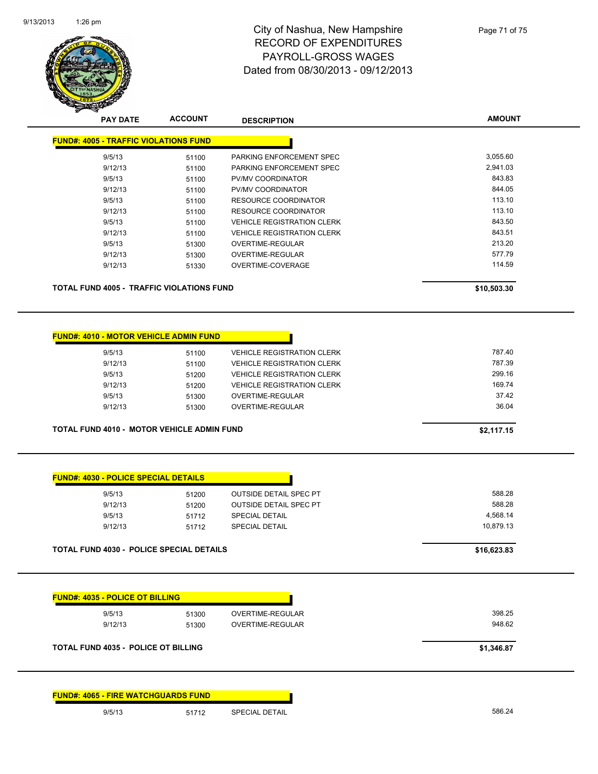

| <b>PAY DATE</b>                                  | <b>ACCOUNT</b> | <b>DESCRIPTION</b>                | <b>AMOUNT</b> |
|--------------------------------------------------|----------------|-----------------------------------|---------------|
| <b>FUND#: 4005 - TRAFFIC VIOLATIONS FUND</b>     |                |                                   |               |
| 9/5/13                                           | 51100          | PARKING ENFORCEMENT SPEC          | 3,055.60      |
| 9/12/13                                          | 51100          | PARKING ENFORCEMENT SPEC          | 2,941.03      |
| 9/5/13                                           | 51100          | <b>PV/MV COORDINATOR</b>          | 843.83        |
| 9/12/13                                          | 51100          | PV/MV COORDINATOR                 | 844.05        |
| 9/5/13                                           | 51100          | <b>RESOURCE COORDINATOR</b>       | 113.10        |
| 9/12/13                                          | 51100          | <b>RESOURCE COORDINATOR</b>       | 113.10        |
| 9/5/13                                           | 51100          | <b>VEHICLE REGISTRATION CLERK</b> | 843.50        |
| 9/12/13                                          | 51100          | <b>VEHICLE REGISTRATION CLERK</b> | 843.51        |
| 9/5/13                                           | 51300          | <b>OVERTIME-REGULAR</b>           | 213.20        |
| 9/12/13                                          | 51300          | <b>OVERTIME-REGULAR</b>           | 577.79        |
| 9/12/13                                          | 51330          | OVERTIME-COVERAGE                 | 114.59        |
| <b>TOTAL FUND 4005 - TRAFFIC VIOLATIONS FUND</b> |                |                                   | \$10,503.30   |
|                                                  |                |                                   |               |
| <b>FUND#: 4010 - MOTOR VEHICLE ADMIN FUND</b>    |                |                                   |               |
| 9/5/13                                           | 51100          | <b>VEHICLE REGISTRATION CLERK</b> | 787.40        |
| 9/12/13                                          | 51100          | <b>VEHICLE REGISTRATION CLERK</b> | 787.39        |
| 9/5/13                                           | 51200          | <b>VEHICLE REGISTRATION CLERK</b> | 299.16        |
| 9/12/13                                          | 51200          | <b>VEHICLE REGISTRATION CLERK</b> | 169.74        |

9/5/13 51300 OVERTIME-REGULAR 37.42 9/12/13 51300 OVERTIME-REGULAR 36.04

**TOTAL FUND 4010 - MOTOR VEHICLE ADMIN FUND 52,117.15** 

| 588.28    | <b>OUTSIDE DETAIL SPEC PT</b> | 51200 | 9/5/13  |
|-----------|-------------------------------|-------|---------|
| 588.28    | <b>OUTSIDE DETAIL SPEC PT</b> | 51200 | 9/12/13 |
| 4.568.14  | <b>SPECIAL DETAIL</b>         | 51712 | 9/5/13  |
| 10.879.13 | <b>SPECIAL DETAIL</b>         | 51712 | 9/12/13 |

| <b>FUND#: 4035 - POLICE OT BILLING</b>     |       |                  |            |
|--------------------------------------------|-------|------------------|------------|
| 9/5/13                                     | 51300 | OVERTIME-REGULAR | 398.25     |
| 9/12/13                                    | 51300 | OVERTIME-REGULAR | 948.62     |
|                                            |       |                  |            |
| <b>TOTAL FUND 4035 - POLICE OT BILLING</b> |       |                  | \$1,346.87 |

|        | <b>FUND#: 4065 - FIRE WATCHGUARDS FUND</b> |                       |
|--------|--------------------------------------------|-----------------------|
| 9/5/13 | 51712                                      | <b>SPECIAL DETAIL</b> |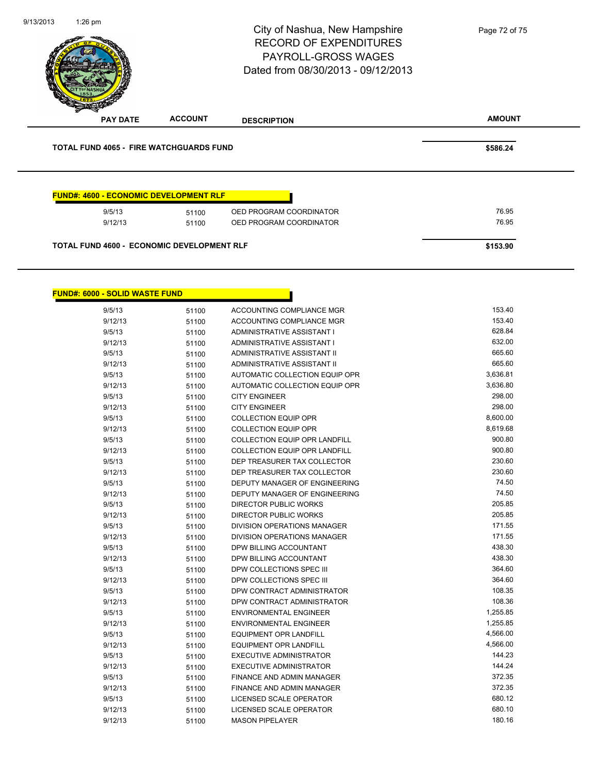|                 |                                                | City of Nashua, New Hampshire<br><b>RECORD OF EXPENDITURES</b><br><b>PAYROLL-GROSS WAGES</b><br>Dated from 08/30/2013 - 09/12/2013 | Page 72 of 75 |
|-----------------|------------------------------------------------|------------------------------------------------------------------------------------------------------------------------------------|---------------|
| <b>PAY DATE</b> | <b>ACCOUNT</b>                                 | <b>DESCRIPTION</b>                                                                                                                 | <b>AMOUNT</b> |
|                 |                                                |                                                                                                                                    |               |
|                 | <b>TOTAL FUND 4065 - FIRE WATCHGUARDS FUND</b> |                                                                                                                                    | \$586.24      |
|                 | <b>FUND#: 4600 - ECONOMIC DEVELOPMENT RLF</b>  |                                                                                                                                    |               |
| 9/5/13          | 51100                                          | OED PROGRAM COORDINATOR                                                                                                            | 76.95         |
| 9/12/13         | 51100                                          | OED PROGRAM COORDINATOR                                                                                                            | 76.95         |

9/13/2013

 $\overline{\phantom{a}}$ 

 $\overline{\phantom{a}}$ 

1:26 pm

| <b>FUND#: 6000 - SOLID WASTE FUND</b> |       |                                      |          |
|---------------------------------------|-------|--------------------------------------|----------|
| 9/5/13                                | 51100 | ACCOUNTING COMPLIANCE MGR            | 153.40   |
| 9/12/13                               | 51100 | ACCOUNTING COMPLIANCE MGR            | 153.40   |
| 9/5/13                                | 51100 | ADMINISTRATIVE ASSISTANT I           | 628.84   |
| 9/12/13                               | 51100 | ADMINISTRATIVE ASSISTANT I           | 632.00   |
| 9/5/13                                | 51100 | ADMINISTRATIVE ASSISTANT II          | 665.60   |
| 9/12/13                               | 51100 | ADMINISTRATIVE ASSISTANT II          | 665.60   |
| 9/5/13                                | 51100 | AUTOMATIC COLLECTION EQUIP OPR       | 3,636.81 |
| 9/12/13                               | 51100 | AUTOMATIC COLLECTION EQUIP OPR       | 3,636.80 |
| 9/5/13                                | 51100 | <b>CITY ENGINEER</b>                 | 298.00   |
| 9/12/13                               | 51100 | <b>CITY ENGINEER</b>                 | 298.00   |
| 9/5/13                                | 51100 | <b>COLLECTION EQUIP OPR</b>          | 8,600.00 |
| 9/12/13                               | 51100 | <b>COLLECTION EQUIP OPR</b>          | 8,619.68 |
| 9/5/13                                | 51100 | <b>COLLECTION EQUIP OPR LANDFILL</b> | 900.80   |
| 9/12/13                               | 51100 | <b>COLLECTION EQUIP OPR LANDFILL</b> | 900.80   |
| 9/5/13                                | 51100 | DEP TREASURER TAX COLLECTOR          | 230.60   |
| 9/12/13                               | 51100 | DEP TREASURER TAX COLLECTOR          | 230.60   |
| 9/5/13                                | 51100 | DEPUTY MANAGER OF ENGINEERING        | 74.50    |
| 9/12/13                               | 51100 | DEPUTY MANAGER OF ENGINEERING        | 74.50    |
| 9/5/13                                | 51100 | <b>DIRECTOR PUBLIC WORKS</b>         | 205.85   |
| 9/12/13                               | 51100 | <b>DIRECTOR PUBLIC WORKS</b>         | 205.85   |
| 9/5/13                                | 51100 | <b>DIVISION OPERATIONS MANAGER</b>   | 171.55   |
| 9/12/13                               | 51100 | <b>DIVISION OPERATIONS MANAGER</b>   | 171.55   |
| 9/5/13                                | 51100 | DPW BILLING ACCOUNTANT               | 438.30   |
| 9/12/13                               | 51100 | DPW BILLING ACCOUNTANT               | 438.30   |
| 9/5/13                                | 51100 | DPW COLLECTIONS SPEC III             | 364.60   |
| 9/12/13                               | 51100 | DPW COLLECTIONS SPEC III             | 364.60   |
| 9/5/13                                | 51100 | DPW CONTRACT ADMINISTRATOR           | 108.35   |
| 9/12/13                               | 51100 | DPW CONTRACT ADMINISTRATOR           | 108.36   |
| 9/5/13                                | 51100 | <b>ENVIRONMENTAL ENGINEER</b>        | 1,255.85 |
| 9/12/13                               | 51100 | <b>ENVIRONMENTAL ENGINEER</b>        | 1,255.85 |
| 9/5/13                                | 51100 | <b>EQUIPMENT OPR LANDFILL</b>        | 4,566.00 |
| 9/12/13                               | 51100 | <b>EQUIPMENT OPR LANDFILL</b>        | 4,566.00 |
| 9/5/13                                | 51100 | <b>EXECUTIVE ADMINISTRATOR</b>       | 144.23   |
| 9/12/13                               | 51100 | <b>EXECUTIVE ADMINISTRATOR</b>       | 144.24   |
| 9/5/13                                | 51100 | FINANCE AND ADMIN MANAGER            | 372.35   |
| 9/12/13                               | 51100 | FINANCE AND ADMIN MANAGER            | 372.35   |
| 9/5/13                                | 51100 | LICENSED SCALE OPERATOR              | 680.12   |
| 9/12/13                               | 51100 | <b>LICENSED SCALE OPERATOR</b>       | 680.10   |
| 9/12/13                               | 51100 | <b>MASON PIPELAYER</b>               | 180.16   |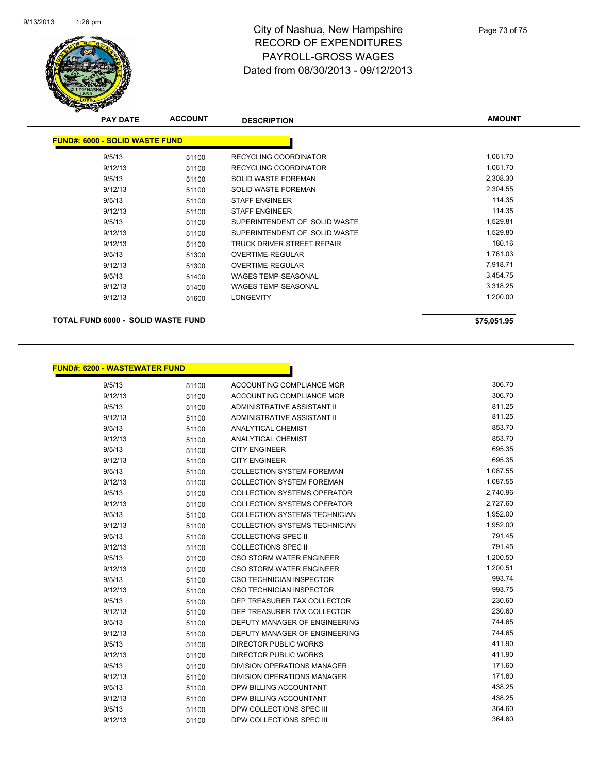

## City of Nashua, New Hampshire RECORD OF EXPENDITURES PAYROLL-GROSS WAGES Dated from 08/30/2013 - 09/12/2013

| <b>PAY DATE</b> | <b>ACCOUNT</b> | <b>DESCRIPTION</b>                    | <b>AMOUNT</b> |
|-----------------|----------------|---------------------------------------|---------------|
|                 |                |                                       |               |
|                 |                |                                       |               |
| 9/5/13          | 51100          | RECYCLING COORDINATOR                 | 1,061.70      |
| 9/12/13         | 51100          | RECYCLING COORDINATOR                 | 1,061.70      |
| 9/5/13          | 51100          | SOLID WASTE FOREMAN                   | 2,308.30      |
| 9/12/13         | 51100          | SOLID WASTE FOREMAN                   | 2,304.55      |
| 9/5/13          | 51100          | <b>STAFF ENGINEER</b>                 | 114.35        |
| 9/12/13         | 51100          | <b>STAFF ENGINEER</b>                 | 114.35        |
| 9/5/13          | 51100          | SUPERINTENDENT OF SOLID WASTE         | 1,529.81      |
| 9/12/13         | 51100          | SUPERINTENDENT OF SOLID WASTE         | 1,529.80      |
| 9/12/13         | 51100          | TRUCK DRIVER STREET REPAIR            | 180.16        |
| 9/5/13          | 51300          | OVERTIME-REGULAR                      | 1,761.03      |
| 9/12/13         | 51300          | OVERTIME-REGULAR                      | 7,918.71      |
| 9/5/13          | 51400          | WAGES TEMP-SEASONAL                   | 3,454.75      |
| 9/12/13         | 51400          | <b>WAGES TEMP-SEASONAL</b>            | 3,318.25      |
| 9/12/13         | 51600          | <b>LONGEVITY</b>                      | 1,200.00      |
|                 |                |                                       |               |
|                 |                | <b>FUND#: 6000 - SOLID WASTE FUND</b> |               |

**TOTAL FUND 6000 - SOLID WASTE FUND \$75,051.95** 

| <u> FUND#: 6200 - WASTEWATER FUND</u> |       |                                      |          |
|---------------------------------------|-------|--------------------------------------|----------|
| 9/5/13                                | 51100 | ACCOUNTING COMPLIANCE MGR            | 306.70   |
| 9/12/13                               | 51100 | ACCOUNTING COMPLIANCE MGR            | 306.70   |
| 9/5/13                                | 51100 | ADMINISTRATIVE ASSISTANT II          | 811.25   |
| 9/12/13                               | 51100 | ADMINISTRATIVE ASSISTANT II          | 811.25   |
| 9/5/13                                | 51100 | <b>ANALYTICAL CHEMIST</b>            | 853.70   |
| 9/12/13                               | 51100 | <b>ANALYTICAL CHEMIST</b>            | 853.70   |
| 9/5/13                                | 51100 | <b>CITY ENGINEER</b>                 | 695.35   |
| 9/12/13                               | 51100 | <b>CITY ENGINEER</b>                 | 695.35   |
| 9/5/13                                | 51100 | <b>COLLECTION SYSTEM FOREMAN</b>     | 1,087.55 |
| 9/12/13                               | 51100 | COLLECTION SYSTEM FOREMAN            | 1,087.55 |
| 9/5/13                                | 51100 | <b>COLLECTION SYSTEMS OPERATOR</b>   | 2,740.96 |
| 9/12/13                               | 51100 | <b>COLLECTION SYSTEMS OPERATOR</b>   | 2,727.60 |
| 9/5/13                                | 51100 | COLLECTION SYSTEMS TECHNICIAN        | 1,952.00 |
| 9/12/13                               | 51100 | <b>COLLECTION SYSTEMS TECHNICIAN</b> | 1,952.00 |
| 9/5/13                                | 51100 | <b>COLLECTIONS SPEC II</b>           | 791.45   |
| 9/12/13                               | 51100 | <b>COLLECTIONS SPEC II</b>           | 791.45   |
| 9/5/13                                | 51100 | <b>CSO STORM WATER ENGINEER</b>      | 1,200.50 |
| 9/12/13                               | 51100 | <b>CSO STORM WATER ENGINEER</b>      | 1,200.51 |
| 9/5/13                                | 51100 | <b>CSO TECHNICIAN INSPECTOR</b>      | 993.74   |
| 9/12/13                               | 51100 | <b>CSO TECHNICIAN INSPECTOR</b>      | 993.75   |
| 9/5/13                                | 51100 | DEP TREASURER TAX COLLECTOR          | 230.60   |
| 9/12/13                               | 51100 | DEP TREASURER TAX COLLECTOR          | 230.60   |
| 9/5/13                                | 51100 | DEPUTY MANAGER OF ENGINEERING        | 744.65   |
| 9/12/13                               | 51100 | DEPUTY MANAGER OF ENGINEERING        | 744.65   |
| 9/5/13                                | 51100 | <b>DIRECTOR PUBLIC WORKS</b>         | 411.90   |
| 9/12/13                               | 51100 | <b>DIRECTOR PUBLIC WORKS</b>         | 411.90   |
| 9/5/13                                | 51100 | <b>DIVISION OPERATIONS MANAGER</b>   | 171.60   |
| 9/12/13                               | 51100 | DIVISION OPERATIONS MANAGER          | 171.60   |
| 9/5/13                                | 51100 | DPW BILLING ACCOUNTANT               | 438.25   |
| 9/12/13                               | 51100 | DPW BILLING ACCOUNTANT               | 438.25   |
| 9/5/13                                | 51100 | DPW COLLECTIONS SPEC III             | 364.60   |
| 9/12/13                               | 51100 | DPW COLLECTIONS SPEC III             | 364.60   |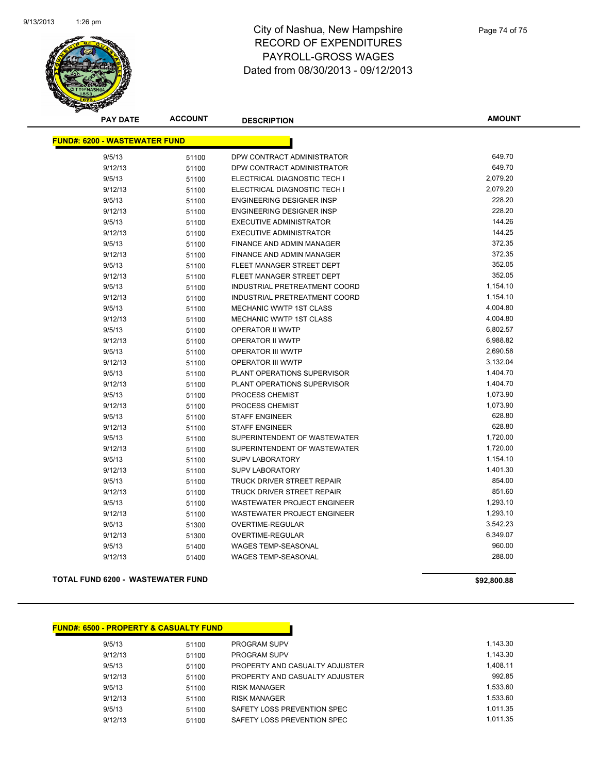

## City of Nashua, New Hampshire RECORD OF EXPENDITURES PAYROLL-GROSS WAGES Dated from 08/30/2013 - 09/12/2013

**AMOUNT**

| <b>FUND#: 6200 - WASTEWATER FUND</b> |       |                                    |          |
|--------------------------------------|-------|------------------------------------|----------|
| 9/5/13                               | 51100 | DPW CONTRACT ADMINISTRATOR         | 649.70   |
| 9/12/13                              | 51100 | DPW CONTRACT ADMINISTRATOR         | 649.70   |
| 9/5/13                               | 51100 | ELECTRICAL DIAGNOSTIC TECH I       | 2,079.20 |
| 9/12/13                              | 51100 | ELECTRICAL DIAGNOSTIC TECH I       | 2,079.20 |
| 9/5/13                               | 51100 | <b>ENGINEERING DESIGNER INSP</b>   | 228.20   |
| 9/12/13                              | 51100 | ENGINEERING DESIGNER INSP          | 228.20   |
| 9/5/13                               | 51100 | EXECUTIVE ADMINISTRATOR            | 144.26   |
| 9/12/13                              | 51100 | <b>EXECUTIVE ADMINISTRATOR</b>     | 144.25   |
| 9/5/13                               | 51100 | <b>FINANCE AND ADMIN MANAGER</b>   | 372.35   |
| 9/12/13                              | 51100 | FINANCE AND ADMIN MANAGER          | 372.35   |
| 9/5/13                               | 51100 | FLEET MANAGER STREET DEPT          | 352.05   |
| 9/12/13                              | 51100 | FLEET MANAGER STREET DEPT          | 352.05   |
| 9/5/13                               | 51100 | INDUSTRIAL PRETREATMENT COORD      | 1,154.10 |
| 9/12/13                              | 51100 | INDUSTRIAL PRETREATMENT COORD      | 1,154.10 |
| 9/5/13                               | 51100 | MECHANIC WWTP 1ST CLASS            | 4,004.80 |
| 9/12/13                              | 51100 | <b>MECHANIC WWTP 1ST CLASS</b>     | 4,004.80 |
| 9/5/13                               | 51100 | <b>OPERATOR II WWTP</b>            | 6,802.57 |
| 9/12/13                              | 51100 | OPERATOR II WWTP                   | 6,988.82 |
| 9/5/13                               | 51100 | <b>OPERATOR III WWTP</b>           | 2,690.58 |
| 9/12/13                              | 51100 | <b>OPERATOR III WWTP</b>           | 3,132.04 |
| 9/5/13                               | 51100 | PLANT OPERATIONS SUPERVISOR        | 1,404.70 |
| 9/12/13                              | 51100 | PLANT OPERATIONS SUPERVISOR        | 1,404.70 |
| 9/5/13                               | 51100 | PROCESS CHEMIST                    | 1,073.90 |
| 9/12/13                              | 51100 | <b>PROCESS CHEMIST</b>             | 1,073.90 |
| 9/5/13                               | 51100 | <b>STAFF ENGINEER</b>              | 628.80   |
| 9/12/13                              | 51100 | <b>STAFF ENGINEER</b>              | 628.80   |
| 9/5/13                               | 51100 | SUPERINTENDENT OF WASTEWATER       | 1,720.00 |
| 9/12/13                              | 51100 | SUPERINTENDENT OF WASTEWATER       | 1,720.00 |
| 9/5/13                               | 51100 | <b>SUPV LABORATORY</b>             | 1,154.10 |
| 9/12/13                              | 51100 | <b>SUPV LABORATORY</b>             | 1,401.30 |
| 9/5/13                               | 51100 | <b>TRUCK DRIVER STREET REPAIR</b>  | 854.00   |
| 9/12/13                              | 51100 | TRUCK DRIVER STREET REPAIR         | 851.60   |
| 9/5/13                               | 51100 | <b>WASTEWATER PROJECT ENGINEER</b> | 1,293.10 |
| 9/12/13                              | 51100 | <b>WASTEWATER PROJECT ENGINEER</b> | 1,293.10 |
| 9/5/13                               | 51300 | <b>OVERTIME-REGULAR</b>            | 3,542.23 |
| 9/12/13                              | 51300 | <b>OVERTIME-REGULAR</b>            | 6,349.07 |
| 9/5/13                               | 51400 | <b>WAGES TEMP-SEASONAL</b>         | 960.00   |
| 9/12/13                              | 51400 | <b>WAGES TEMP-SEASONAL</b>         | 288.00   |

### **TOTAL FUND 6200 - WASTEWATER FUND \$92,800.88**

#### **FUND#: 6500 - PROPERTY & CASUALTY FUND**

| 9/5/13  | 51100 | <b>PROGRAM SUPV</b>            | 1.143.30 |
|---------|-------|--------------------------------|----------|
| 9/12/13 | 51100 | <b>PROGRAM SUPV</b>            | 1.143.30 |
| 9/5/13  | 51100 | PROPERTY AND CASUALTY ADJUSTER | 1.408.11 |
| 9/12/13 | 51100 | PROPERTY AND CASUALTY ADJUSTER | 992.85   |
| 9/5/13  | 51100 | <b>RISK MANAGER</b>            | 1.533.60 |
| 9/12/13 | 51100 | <b>RISK MANAGER</b>            | 1.533.60 |
| 9/5/13  | 51100 | SAFETY LOSS PREVENTION SPEC    | 1.011.35 |
| 9/12/13 | 51100 | SAFETY LOSS PREVENTION SPEC    | 1.011.35 |
|         |       |                                |          |